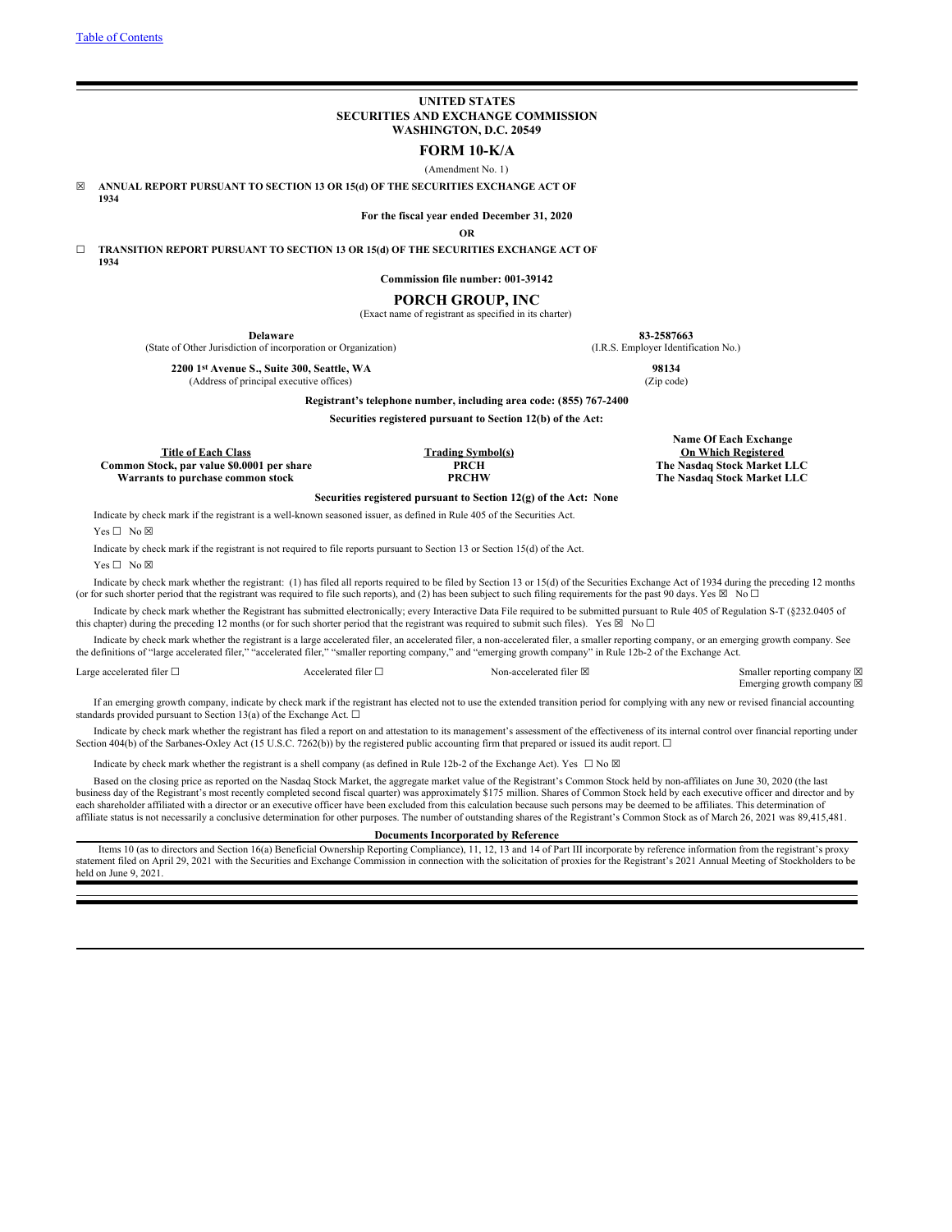# **UNITED STATES SECURITIES AND EXCHANGE COMMISSION WASHINGTON, D.C. 20549**

**FORM 10-K/A**

(Amendment No. 1)

<span id="page-0-0"></span>**☒ ANNUAL REPORT PURSUANT TO SECTION 13 OR 15(d) OF THE SECURITIES EXCHANGE ACT OF 1934**

**For the fiscal year ended December 31, 2020**

**OR**

**☐ TRANSITION REPORT PURSUANT TO SECTION 13 OR 15(d) OF THE SECURITIES EXCHANGE ACT OF 1934**

**Commission file number: 001-39142**

# **PORCH GROUP, INC**

(Exact name of registrant as specified in its charter)

**Delaware 83-2587663**<br>on of incorporation or Organization) (I.R.S. Employer Identification No.) (State of Other Jurisdiction of incorporation or Organization)

**2200 1 st Avenue S., Suite 300, Seattle, WA 98134** (Address of principal executive offices) (Zip code)

**Registrant's telephone number, including area code: (855) 767-2400**

**Securities registered pursuant to Section 12(b) of the Act:**

| <b>Title of Each Class</b>                 |
|--------------------------------------------|
| Common Stock, par value \$0.0001 per share |
| Warrants to purchase common stock          |

**PRCH PRCHW**

**Name Of Each Exchange Title of Each Class Trading Symbol(s) On Which Registered The Nasdaq Stock Market LLC The Nasdaq Stock Market LLC**

**Securities registered pursuant to Section 12(g) of the Act: None**

Indicate by check mark if the registrant is a well-known seasoned issuer, as defined in Rule 405 of the Securities Act.

 $Yes \Box No \overline{X}$ 

Indicate by check mark if the registrant is not required to file reports pursuant to Section 13 or Section 15(d) of the Act.

 $Yes \Box No \overline{X}$ 

Indicate by check mark whether the registrant: (1) has filed all reports required to be filed by Section 13 or 15(d) of the Securities Exchange Act of 1934 during the preceding 12 months (or for such shorter period that the registrant was required to file such reports), and (2) has been subject to such filing requirements for the past 90 days. Yes  $\boxtimes$  No  $\Box$ 

Indicate by check mark whether the Registrant has submitted electronically; every Interactive Data File required to be submitted pursuant to Rule 405 of Regulation S-T (§232.0405 of this chapter) during the preceding 12 months (or for such shorter period that the registrant was required to submit such files). Yes  $\boxtimes$  No  $\Box$ 

Indicate by check mark whether the registrant is a large accelerated filer, an accelerated filer, a non-accelerated filer, a smaller reporting company, or an emerging growth company. See the definitions of "large accelerated filer," "accelerated filer," "smaller reporting company," and "emerging growth company" in Rule 12b-2 of the Exchange Act.

Large accelerated filer □ Accelerated filer □ Non-accelerated filer ⊠ Smaller reporting company ⊠ Emerging growth company  $\boxtimes$ 

If an emerging growth company, indicate by check mark if the registrant has elected not to use the extended transition period for complying with any new or revised financial accounting standards provided pursuant to Section 13(a) of the Exchange Act.  $\Box$ 

Indicate by check mark whether the registrant has filed a report on and attestation to its management's assessment of the effectiveness of its internal control over financial reporting under Section 404(b) of the Sarbanes-Oxley Act (15 U.S.C. 7262(b)) by the registered public accounting firm that prepared or issued its audit report.  $\Box$ 

Indicate by check mark whether the registrant is a shell company (as defined in Rule 12b-2 of the Exchange Act). Yes  $\Box$  No  $\boxtimes$ 

Based on the closing price as reported on the Nasdaq Stock Market, the aggregate market value of the Registrant's Common Stock held by non-affiliates on June 30, 2020 (the last business day of the Registrant's most recently completed second fiscal quarter) was approximately \$175 million. Shares of Common Stock held by each executive officer and director and by each shareholder affiliated with a director or an executive officer have been excluded from this calculation because such persons may be deemed to be affiliates. This determination of affiliate status is not necessarily a conclusive determination for other purposes. The number of outstanding shares of the Registrant's Common Stock as of March 26, 2021 was 89,415,481.

# **Documents Incorporated by Reference**

Items 10 (as to directors and Section 16(a) Beneficial Ownership Reporting Compliance), 11, 12, 13 and 14 of Part III incorporate by reference information from the registrant's proxy statement filed on April 29, 2021 with the Securities and Exchange Commission in connection with the solicitation of proxies for the Registrant's 2021 Annual Meeting of Stockholders to be held on June 9, 2021.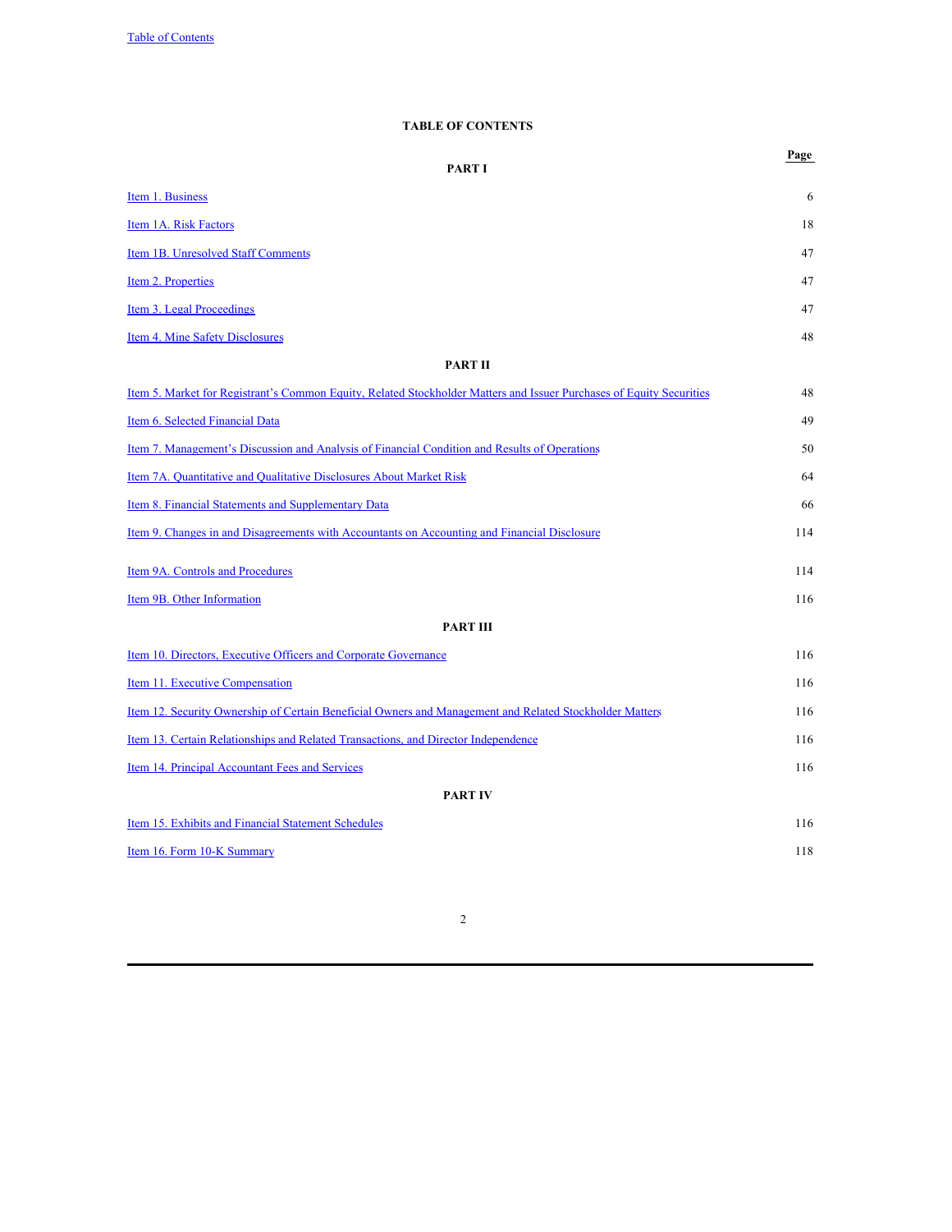# **TABLE OF CONTENTS**

| <b>PART I</b>                                                                                                        | Page |
|----------------------------------------------------------------------------------------------------------------------|------|
| Item 1. Business                                                                                                     | 6    |
| Item 1A. Risk Factors                                                                                                | 18   |
| Item 1B. Unresolved Staff Comments                                                                                   | 47   |
| Item 2. Properties                                                                                                   | 47   |
| Item 3. Legal Proceedings                                                                                            | 47   |
| Item 4. Mine Safety Disclosures                                                                                      | 48   |
| <b>PART II</b>                                                                                                       |      |
| Item 5. Market for Registrant's Common Equity, Related Stockholder Matters and Issuer Purchases of Equity Securities | 48   |
| Item 6. Selected Financial Data                                                                                      | 49   |
| Item 7. Management's Discussion and Analysis of Financial Condition and Results of Operations                        | 50   |
| Item 7A. Ouantitative and Oualitative Disclosures About Market Risk                                                  | 64   |
| Item 8. Financial Statements and Supplementary Data                                                                  | 66   |
| Item 9. Changes in and Disagreements with Accountants on Accounting and Financial Disclosure                         | 114  |
| Item 9A. Controls and Procedures                                                                                     | 114  |
| Item 9B. Other Information                                                                                           | 116  |
| <b>PART III</b>                                                                                                      |      |
| Item 10. Directors, Executive Officers and Corporate Governance                                                      | 116  |
| Item 11. Executive Compensation                                                                                      | 116  |
| Item 12. Security Ownership of Certain Beneficial Owners and Management and Related Stockholder Matters              | 116  |
| Item 13. Certain Relationships and Related Transactions, and Director Independence                                   | 116  |
| Item 14. Principal Accountant Fees and Services                                                                      | 116  |
| <b>PART IV</b>                                                                                                       |      |
| Item 15. Exhibits and Financial Statement Schedules                                                                  | 116  |
| Item 16. Form 10-K Summary                                                                                           | 118  |
|                                                                                                                      |      |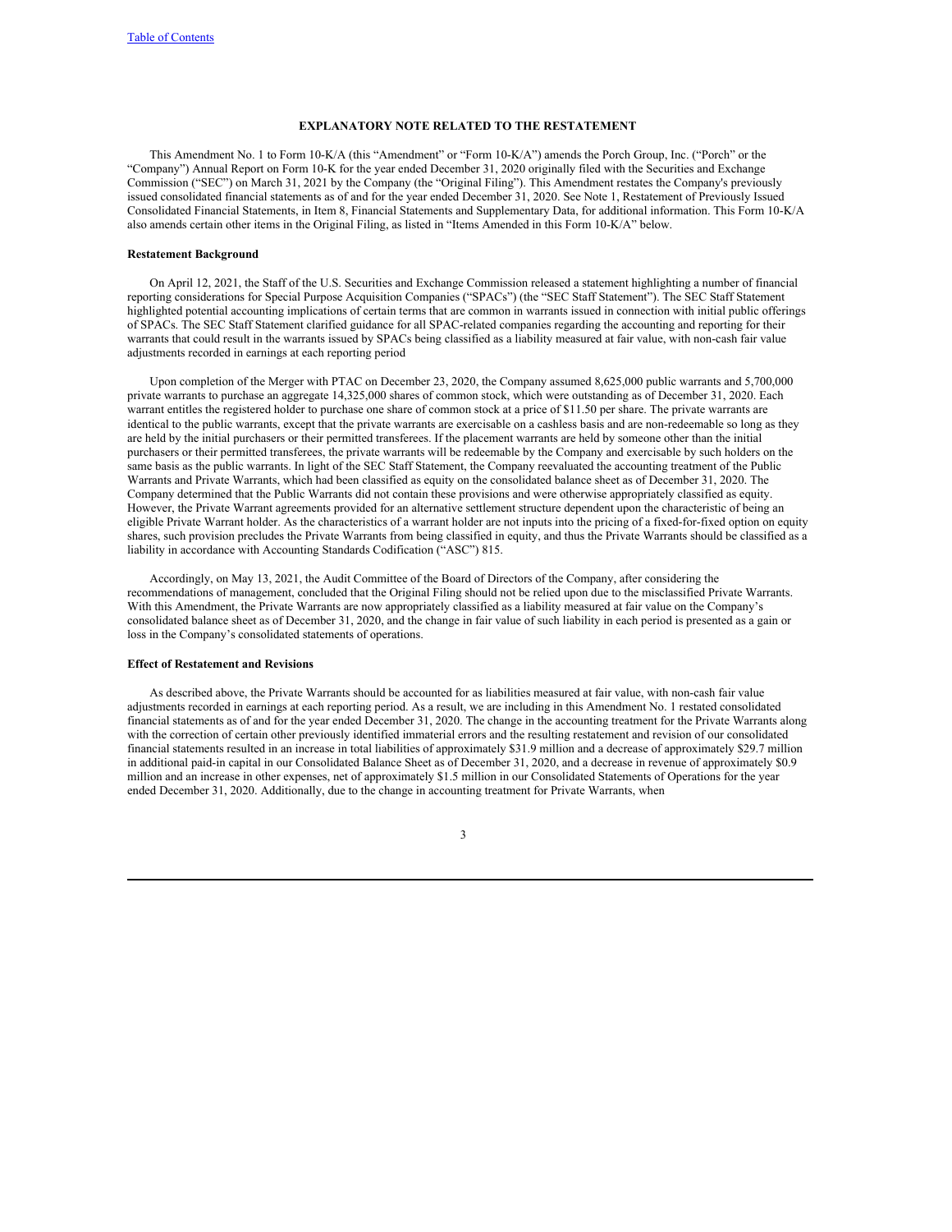# **EXPLANATORY NOTE RELATED TO THE RESTATEMENT**

This Amendment No. 1 to Form 10-K/A (this "Amendment" or "Form 10-K/A") amends the Porch Group, Inc. ("Porch" or the "Company") Annual Report on Form 10-K for the year ended December 31, 2020 originally filed with the Securities and Exchange Commission ("SEC") on March 31, 2021 by the Company (the "Original Filing"). This Amendment restates the Company's previously issued consolidated financial statements as of and for the year ended December 31, 2020. See Note 1, Restatement of Previously Issued Consolidated Financial Statements, in Item 8, Financial Statements and Supplementary Data, for additional information. This Form 10-K/A also amends certain other items in the Original Filing, as listed in "Items Amended in this Form 10-K/A" below.

# **Restatement Background**

On April 12, 2021, the Staff of the U.S. Securities and Exchange Commission released a statement highlighting a number of financial reporting considerations for Special Purpose Acquisition Companies ("SPACs") (the "SEC Staff Statement"). The SEC Staff Statement highlighted potential accounting implications of certain terms that are common in warrants issued in connection with initial public offerings of SPACs. The SEC Staff Statement clarified guidance for all SPAC-related companies regarding the accounting and reporting for their warrants that could result in the warrants issued by SPACs being classified as a liability measured at fair value, with non-cash fair value adjustments recorded in earnings at each reporting period

Upon completion of the Merger with PTAC on December 23, 2020, the Company assumed 8,625,000 public warrants and 5,700,000 private warrants to purchase an aggregate 14,325,000 shares of common stock, which were outstanding as of December 31, 2020. Each warrant entitles the registered holder to purchase one share of common stock at a price of \$11.50 per share. The private warrants are identical to the public warrants, except that the private warrants are exercisable on a cashless basis and are non-redeemable so long as they are held by the initial purchasers or their permitted transferees. If the placement warrants are held by someone other than the initial purchasers or their permitted transferees, the private warrants will be redeemable by the Company and exercisable by such holders on the same basis as the public warrants. In light of the SEC Staff Statement, the Company reevaluated the accounting treatment of the Public Warrants and Private Warrants, which had been classified as equity on the consolidated balance sheet as of December 31, 2020. The Company determined that the Public Warrants did not contain these provisions and were otherwise appropriately classified as equity. However, the Private Warrant agreements provided for an alternative settlement structure dependent upon the characteristic of being an eligible Private Warrant holder. As the characteristics of a warrant holder are not inputs into the pricing of a fixed-for-fixed option on equity shares, such provision precludes the Private Warrants from being classified in equity, and thus the Private Warrants should be classified as a liability in accordance with Accounting Standards Codification ("ASC") 815.

Accordingly, on May 13, 2021, the Audit Committee of the Board of Directors of the Company, after considering the recommendations of management, concluded that the Original Filing should not be relied upon due to the misclassified Private Warrants. With this Amendment, the Private Warrants are now appropriately classified as a liability measured at fair value on the Company's consolidated balance sheet as of December 31, 2020, and the change in fair value of such liability in each period is presented as a gain or loss in the Company's consolidated statements of operations.

### **Effect of Restatement and Revisions**

As described above, the Private Warrants should be accounted for as liabilities measured at fair value, with non-cash fair value adjustments recorded in earnings at each reporting period. As a result, we are including in this Amendment No. 1 restated consolidated financial statements as of and for the year ended December 31, 2020. The change in the accounting treatment for the Private Warrants along with the correction of certain other previously identified immaterial errors and the resulting restatement and revision of our consolidated financial statements resulted in an increase in total liabilities of approximately \$31.9 million and a decrease of approximately \$29.7 million in additional paid-in capital in our Consolidated Balance Sheet as of December 31, 2020, and a decrease in revenue of approximately \$0.9 million and an increase in other expenses, net of approximately \$1.5 million in our Consolidated Statements of Operations for the year ended December 31, 2020. Additionally, due to the change in accounting treatment for Private Warrants, when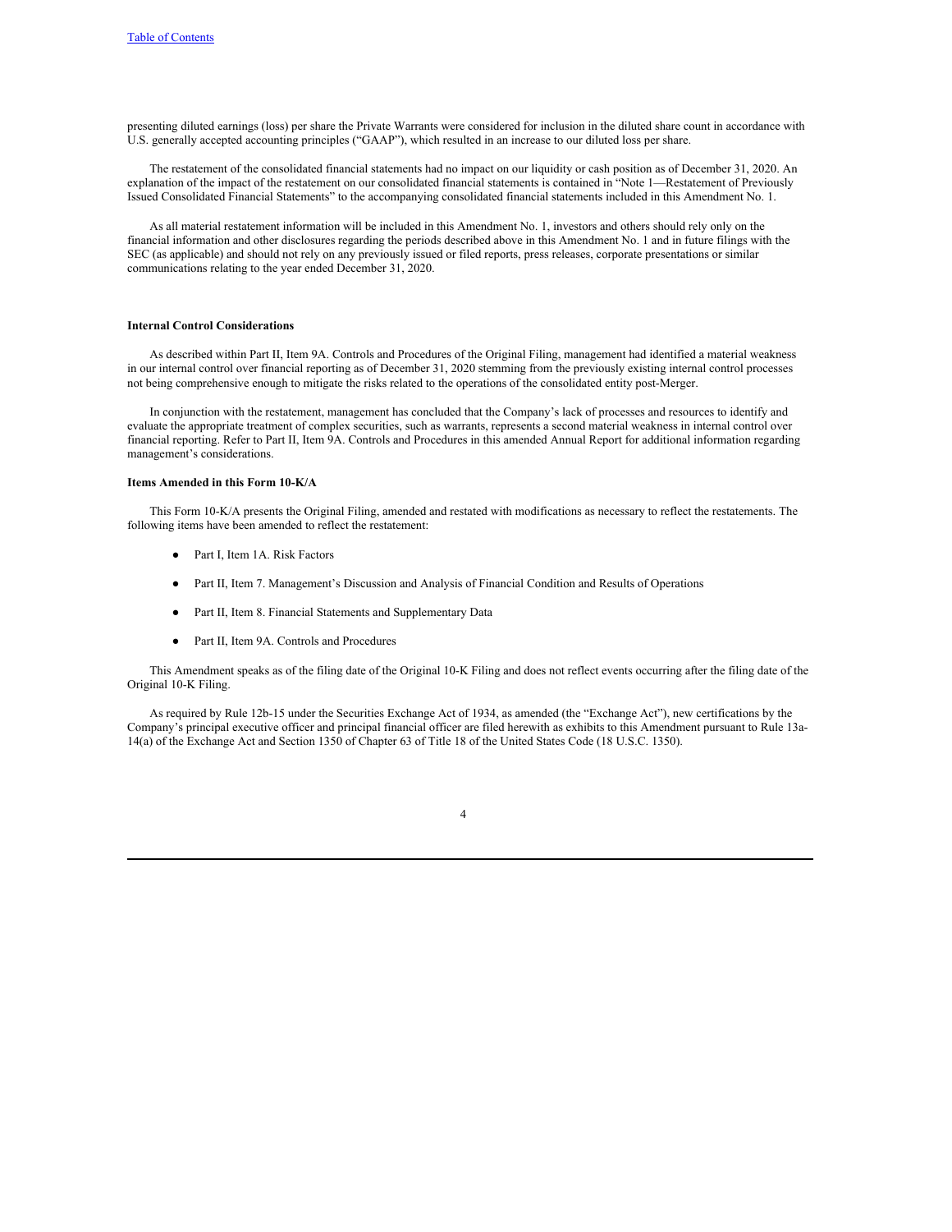presenting diluted earnings (loss) per share the Private Warrants were considered for inclusion in the diluted share count in accordance with U.S. generally accepted accounting principles ("GAAP"), which resulted in an increase to our diluted loss per share.

The restatement of the consolidated financial statements had no impact on our liquidity or cash position as of December 31, 2020. An explanation of the impact of the restatement on our consolidated financial statements is contained in "Note 1—Restatement of Previously Issued Consolidated Financial Statements" to the accompanying consolidated financial statements included in this Amendment No. 1.

As all material restatement information will be included in this Amendment No. 1, investors and others should rely only on the financial information and other disclosures regarding the periods described above in this Amendment No. 1 and in future filings with the SEC (as applicable) and should not rely on any previously issued or filed reports, press releases, corporate presentations or similar communications relating to the year ended December 31, 2020.

## **Internal Control Considerations**

As described within Part II, Item 9A. Controls and Procedures of the Original Filing, management had identified a material weakness in our internal control over financial reporting as of December 31, 2020 stemming from the previously existing internal control processes not being comprehensive enough to mitigate the risks related to the operations of the consolidated entity post-Merger.

In conjunction with the restatement, management has concluded that the Company's lack of processes and resources to identify and evaluate the appropriate treatment of complex securities, such as warrants, represents a second material weakness in internal control over financial reporting. Refer to Part II, Item 9A. Controls and Procedures in this amended Annual Report for additional information regarding management's considerations.

### **Items Amended in this Form 10-K/A**

This Form 10-K/A presents the Original Filing, amended and restated with modifications as necessary to reflect the restatements. The following items have been amended to reflect the restatement:

- Part I, Item 1A. Risk Factors
- Part II, Item 7. Management's Discussion and Analysis of Financial Condition and Results of Operations
- Part II, Item 8. Financial Statements and Supplementary Data
- Part II, Item 9A. Controls and Procedures

This Amendment speaks as of the filing date of the Original 10-K Filing and does not reflect events occurring after the filing date of the Original 10-K Filing.

As required by Rule 12b-15 under the Securities Exchange Act of 1934, as amended (the "Exchange Act"), new certifications by the Company's principal executive officer and principal financial officer are filed herewith as exhibits to this Amendment pursuant to Rule 13a-14(a) of the Exchange Act and Section 1350 of Chapter 63 of Title 18 of the United States Code (18 U.S.C. 1350).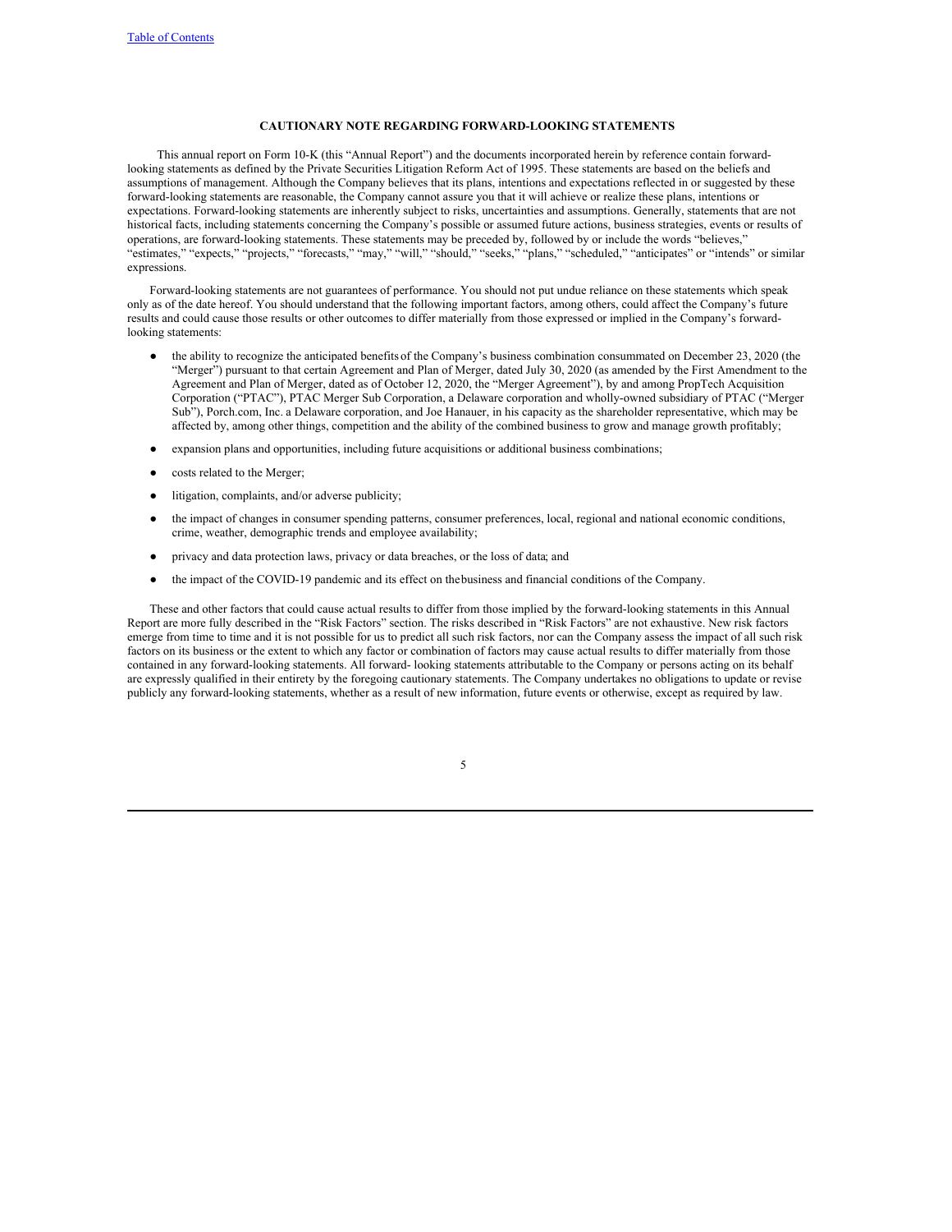# **CAUTIONARY NOTE REGARDING FORWARD-LOOKING STATEMENTS**

This annual report on Form 10-K (this "Annual Report") and the documents incorporated herein by reference contain forwardlooking statements as defined by the Private Securities Litigation Reform Act of 1995. These statements are based on the beliefs and assumptions of management. Although the Company believes that its plans, intentions and expectations reflected in or suggested by these forward-looking statements are reasonable, the Company cannot assure you that it will achieve or realize these plans, intentions or expectations. Forward-looking statements are inherently subject to risks, uncertainties and assumptions. Generally, statements that are not historical facts, including statements concerning the Company's possible or assumed future actions, business strategies, events or results of operations, are forward-looking statements. These statements may be preceded by, followed by or include the words "believes," "estimates," "expects," "projects," "forecasts," "may," "will," "should," "seeks," "plans," "scheduled," "anticipates" or "intends" or similar expressions.

Forward-looking statements are not guarantees of performance. You should not put undue reliance on these statements which speak only as of the date hereof. You should understand that the following important factors, among others, could affect the Company's future results and could cause those results or other outcomes to differ materially from those expressed or implied in the Company's forwardlooking statements:

- the ability to recognize the anticipated benefits of the Company's business combination consummated on December 23, 2020 (the "Merger") pursuant to that certain Agreement and Plan of Merger, dated July 30, 2020 (as amended by the First Amendment to the Agreement and Plan of Merger, dated as of October 12, 2020, the "Merger Agreement"), by and among PropTech Acquisition Corporation ("PTAC"), PTAC Merger Sub Corporation, a Delaware corporation and wholly-owned subsidiary of PTAC ("Merger Sub"), Porch.com, Inc. a Delaware corporation, and Joe Hanauer, in his capacity as the shareholder representative, which may be affected by, among other things, competition and the ability of the combined business to grow and manage growth profitably;
- expansion plans and opportunities, including future acquisitions or additional business combinations;
- costs related to the Merger;
- litigation, complaints, and/or adverse publicity;
- the impact of changes in consumer spending patterns, consumer preferences, local, regional and national economic conditions, crime, weather, demographic trends and employee availability;
- privacy and data protection laws, privacy or data breaches, or the loss of data; and
- the impact of the COVID-19 pandemic and its effect on the business and financial conditions of the Company.

These and other factors that could cause actual results to differ from those implied by the forward-looking statements in this Annual Report are more fully described in the "Risk Factors" section. The risks described in "Risk Factors" are not exhaustive. New risk factors emerge from time to time and it is not possible for us to predict all such risk factors, nor can the Company assess the impact of all such risk factors on its business or the extent to which any factor or combination of factors may cause actual results to differ materially from those contained in any forward-looking statements. All forward- looking statements attributable to the Company or persons acting on its behalf are expressly qualified in their entirety by the foregoing cautionary statements. The Company undertakes no obligations to update or revise publicly any forward-looking statements, whether as a result of new information, future events or otherwise, except as required by law.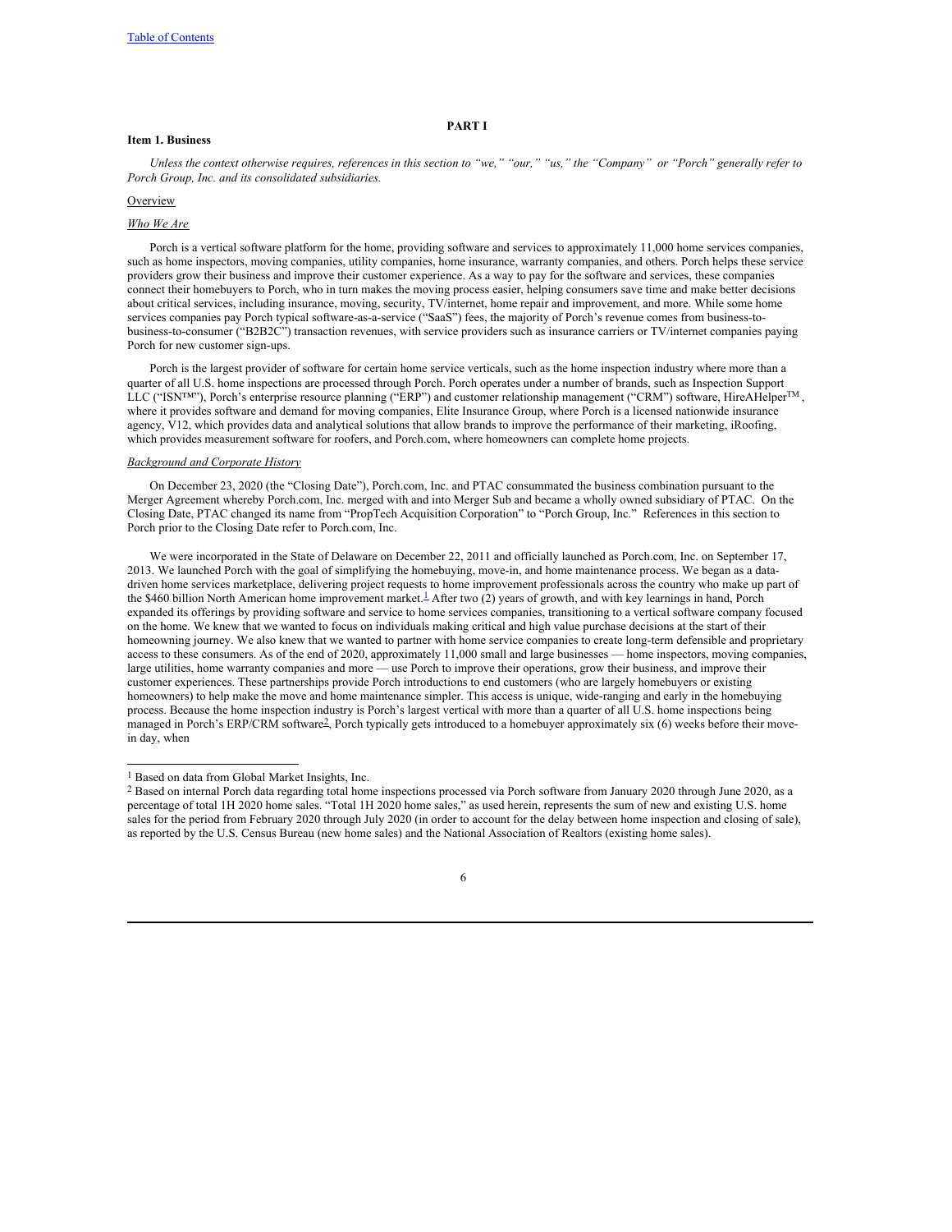### **Item 1. Business**

## **PART I**

Unless the context otherwise requires, references in this section to "we," "our," "us," the "Company" or "Porch" generally refer to *Porch Group, Inc. and its consolidated subsidiaries.*

#### **Overview**

### *Who We Are*

Porch is a vertical software platform for the home, providing software and services to approximately 11,000 home services companies, such as home inspectors, moving companies, utility companies, home insurance, warranty companies, and others. Porch helps these service providers grow their business and improve their customer experience. As a way to pay for the software and services, these companies connect their homebuyers to Porch, who in turn makes the moving process easier, helping consumers save time and make better decisions about critical services, including insurance, moving, security, TV/internet, home repair and improvement, and more. While some home services companies pay Porch typical software-as-a-service ("SaaS") fees, the majority of Porch's revenue comes from business-tobusiness-to-consumer ("B2B2C") transaction revenues, with service providers such as insurance carriers or TV/internet companies paying Porch for new customer sign-ups.

Porch is the largest provider of software for certain home service verticals, such as the home inspection industry where more than a quarter of all U.S. home inspections are processed through Porch. Porch operates under a number of brands, such as Inspection Support LLC ("ISN™"), Porch's enterprise resource planning ("ERP") and customer relationship management ("CRM") software, HireAHelper™, where it provides software and demand for moving companies, Elite Insurance Group, where Porch is a licensed nationwide insurance agency, V12, which provides data and analytical solutions that allow brands to improve the performance of their marketing, iRoofing, which provides measurement software for roofers, and Porch.com, where homeowners can complete home projects.

### *Background and Corporate History*

On December 23, 2020 (the "Closing Date"), Porch.com, Inc. and PTAC consummated the business combination pursuant to the Merger Agreement whereby Porch.com, Inc. merged with and into Merger Sub and became a wholly owned subsidiary of PTAC. On the Closing Date, PTAC changed its name from "PropTech Acquisition Corporation" to "Porch Group, Inc." References in this section to Porch prior to the Closing Date refer to Porch.com, Inc.

We were incorporated in the State of Delaware on December 22, 2011 and officially launched as Porch.com, Inc. on September 17, 2013. We launched Porch with the goal of simplifying the homebuying, move-in, and home maintenance process. We began as a datadriven home services marketplace, delivering project requests to home improvement professionals across the country who make up part of the \$460 billion North American home improvement market. $\frac{1}{2}$  $\frac{1}{2}$  $\frac{1}{2}$  After two (2) years of growth, and with key learnings in hand, Porch expanded its offerings by providing software and service to home services companies, transitioning to a vertical software company focused on the home. We knew that we wanted to focus on individuals making critical and high value purchase decisions at the start of their homeowning journey. We also knew that we wanted to partner with home service companies to create long-term defensible and proprietary access to these consumers. As of the end of 2020, approximately 11,000 small and large businesses — home inspectors, moving companies, large utilities, home warranty companies and more — use Porch to improve their operations, grow their business, and improve their customer experiences. These partnerships provide Porch introductions to end customers (who are largely homebuyers or existing homeowners) to help make the move and home maintenance simpler. This access is unique, wide-ranging and early in the homebuying process. Because the home inspection industry is Porch's largest vertical with more than a quarter of all U.S. home inspections being managed in Porch's ERP/CRM software<sup>[2](#page-0-0)</sup>, Porch typically gets introduced to a homebuyer approximately six (6) weeks before their movein day, when

<sup>&</sup>lt;sup>2</sup> Based on internal Porch data regarding total home inspections processed via Porch software from January 2020 through June 2020, as a percentage of total 1H 2020 home sales. "Total 1H 2020 home sales," as used herein, represents the sum of new and existing U.S. home sales for the period from February 2020 through July 2020 (in order to account for the delay between home inspection and closing of sale), as reported by the U.S. Census Bureau (new home sales) and the National Association of Realtors (existing home sales).



<sup>1</sup> Based on data from Global Market Insights, Inc.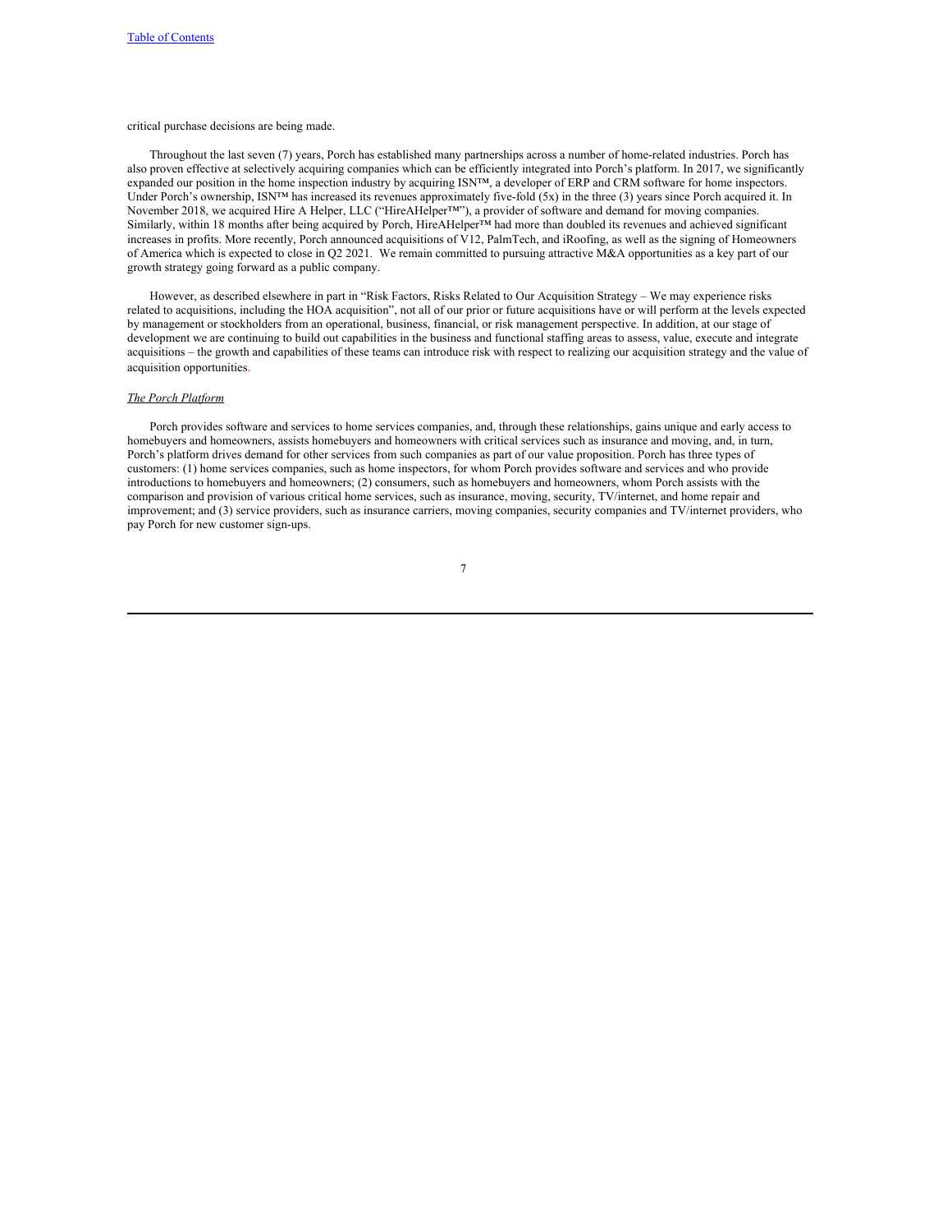critical purchase decisions are being made.

Throughout the last seven (7) years, Porch has established many partnerships across a number of home-related industries. Porch has also proven effective at selectively acquiring companies which can be efficiently integrated into Porch's platform. In 2017, we significantly expanded our position in the home inspection industry by acquiring ISN™, a developer of ERP and CRM software for home inspectors. Under Porch's ownership, ISN™ has increased its revenues approximately five-fold (5x) in the three (3) years since Porch acquired it. In November 2018, we acquired Hire A Helper, LLC ("HireAHelper™"), a provider of software and demand for moving companies. Similarly, within 18 months after being acquired by Porch, HireAHelper™ had more than doubled its revenues and achieved significant increases in profits. More recently, Porch announced acquisitions of V12, PalmTech, and iRoofing, as well as the signing of Homeowners of America which is expected to close in Q2 2021. We remain committed to pursuing attractive M&A opportunities as a key part of our growth strategy going forward as a public company.

However, as described elsewhere in part in "Risk Factors, Risks Related to Our Acquisition Strategy – We may experience risks related to acquisitions, including the HOA acquisition", not all of our prior or future acquisitions have or will perform at the levels expected by management or stockholders from an operational, business, financial, or risk management perspective. In addition, at our stage of development we are continuing to build out capabilities in the business and functional staffing areas to assess, value, execute and integrate acquisitions – the growth and capabilities of these teams can introduce risk with respect to realizing our acquisition strategy and the value of acquisition opportunities.

#### *The Porch Platform*

Porch provides software and services to home services companies, and, through these relationships, gains unique and early access to homebuyers and homeowners, assists homebuyers and homeowners with critical services such as insurance and moving, and, in turn, Porch's platform drives demand for other services from such companies as part of our value proposition. Porch has three types of customers: (1) home services companies, such as home inspectors, for whom Porch provides software and services and who provide introductions to homebuyers and homeowners; (2) consumers, such as homebuyers and homeowners, whom Porch assists with the comparison and provision of various critical home services, such as insurance, moving, security, TV/internet, and home repair and improvement; and (3) service providers, such as insurance carriers, moving companies, security companies and TV/internet providers, who pay Porch for new customer sign-ups.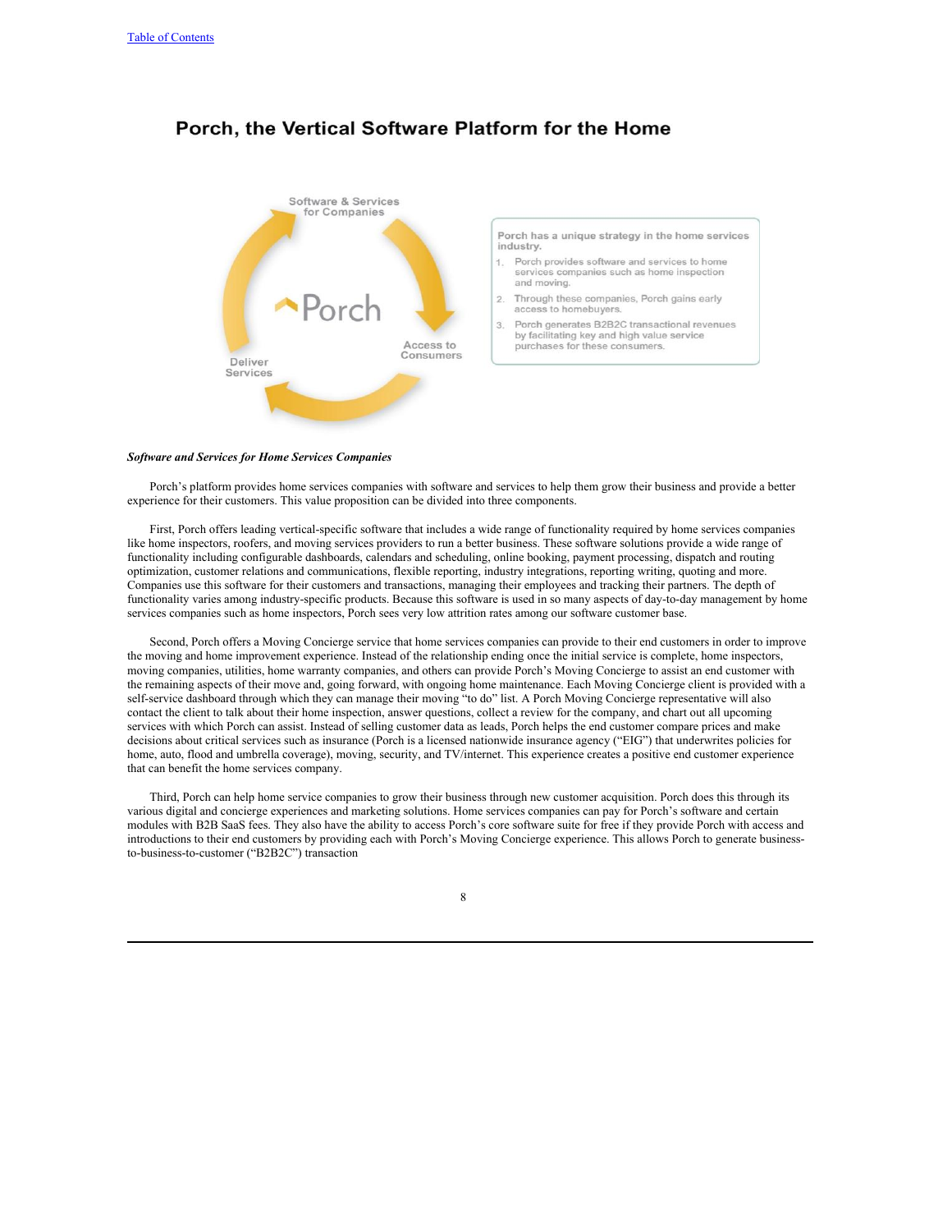

# Porch, the Vertical Software Platform for the Home

#### *Software and Services for Home Services Companies*

Porch's platform provides home services companies with software and services to help them grow their business and provide a better experience for their customers. This value proposition can be divided into three components.

First, Porch offers leading vertical-specific software that includes a wide range of functionality required by home services companies like home inspectors, roofers, and moving services providers to run a better business. These software solutions provide a wide range of functionality including configurable dashboards, calendars and scheduling, online booking, payment processing, dispatch and routing optimization, customer relations and communications, flexible reporting, industry integrations, reporting writing, quoting and more. Companies use this software for their customers and transactions, managing their employees and tracking their partners. The depth of functionality varies among industry-specific products. Because this software is used in so many aspects of day-to-day management by home services companies such as home inspectors, Porch sees very low attrition rates among our software customer base.

Second, Porch offers a Moving Concierge service that home services companies can provide to their end customers in order to improve the moving and home improvement experience. Instead of the relationship ending once the initial service is complete, home inspectors, moving companies, utilities, home warranty companies, and others can provide Porch's Moving Concierge to assist an end customer with the remaining aspects of their move and, going forward, with ongoing home maintenance. Each Moving Concierge client is provided with a self-service dashboard through which they can manage their moving "to do" list. A Porch Moving Concierge representative will also contact the client to talk about their home inspection, answer questions, collect a review for the company, and chart out all upcoming services with which Porch can assist. Instead of selling customer data as leads, Porch helps the end customer compare prices and make decisions about critical services such as insurance (Porch is a licensed nationwide insurance agency ("EIG") that underwrites policies for home, auto, flood and umbrella coverage), moving, security, and TV/internet. This experience creates a positive end customer experience that can benefit the home services company.

Third, Porch can help home service companies to grow their business through new customer acquisition. Porch does this through its various digital and concierge experiences and marketing solutions. Home services companies can pay for Porch's software and certain modules with B2B SaaS fees. They also have the ability to access Porch's core software suite for free if they provide Porch with access and introductions to their end customers by providing each with Porch's Moving Concierge experience. This allows Porch to generate businessto-business-to-customer ("B2B2C") transaction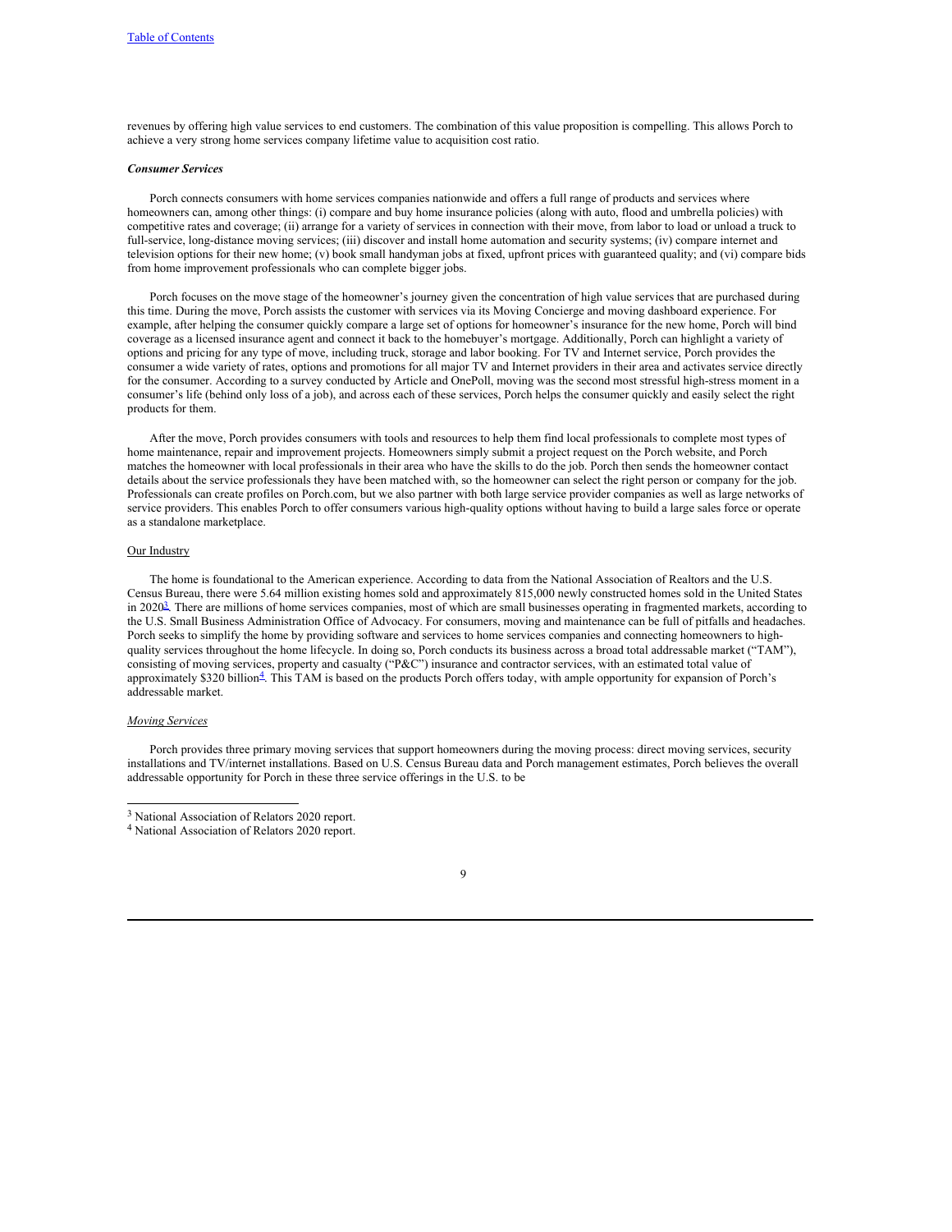revenues by offering high value services to end customers. The combination of this value proposition is compelling. This allows Porch to achieve a very strong home services company lifetime value to acquisition cost ratio.

# *Consumer Services*

Porch connects consumers with home services companies nationwide and offers a full range of products and services where homeowners can, among other things: (i) compare and buy home insurance policies (along with auto, flood and umbrella policies) with competitive rates and coverage; (ii) arrange for a variety of services in connection with their move, from labor to load or unload a truck to full-service, long-distance moving services; (iii) discover and install home automation and security systems; (iv) compare internet and television options for their new home; (v) book small handyman jobs at fixed, upfront prices with guaranteed quality; and (vi) compare bids from home improvement professionals who can complete bigger jobs.

Porch focuses on the move stage of the homeowner's journey given the concentration of high value services that are purchased during this time. During the move, Porch assists the customer with services via its Moving Concierge and moving dashboard experience. For example, after helping the consumer quickly compare a large set of options for homeowner's insurance for the new home, Porch will bind coverage as a licensed insurance agent and connect it back to the homebuyer's mortgage. Additionally, Porch can highlight a variety of options and pricing for any type of move, including truck, storage and labor booking. For TV and Internet service, Porch provides the consumer a wide variety of rates, options and promotions for all major TV and Internet providers in their area and activates service directly for the consumer. According to a survey conducted by Article and OnePoll, moving was the second most stressful high-stress moment in a consumer's life (behind only loss of a job), and across each of these services, Porch helps the consumer quickly and easily select the right products for them.

After the move, Porch provides consumers with tools and resources to help them find local professionals to complete most types of home maintenance, repair and improvement projects. Homeowners simply submit a project request on the Porch website, and Porch matches the homeowner with local professionals in their area who have the skills to do the job. Porch then sends the homeowner contact details about the service professionals they have been matched with, so the homeowner can select the right person or company for the job. Professionals can create profiles on Porch.com, but we also partner with both large service provider companies as well as large networks of service providers. This enables Porch to offer consumers various high-quality options without having to build a large sales force or operate as a standalone marketplace.

### Our Industry

The home is foundational to the American experience. According to data from the National Association of Realtors and the U.S. Census Bureau, there were 5.64 million existing homes sold and approximately 815,000 newly constructed homes sold in the United States in 2020<sup>2</sup>. There are millions of home services companies, most of which are small businesses operating in fragmented markets, according to the U.S. Small Business Administration Office of Advocacy. For consumers, moving and maintenance can be full of pitfalls and headaches. Porch seeks to simplify the home by providing software and services to home services companies and connecting homeowners to highquality services throughout the home lifecycle. In doing so, Porch conducts its business across a broad total addressable market ("TAM"), consisting of moving services, property and casualty ("P&C") insurance and contractor services, with an estimated total value of approximately \$320 billion<sup>[4](#page-0-0)</sup>. This TAM is based on the products Porch offers today, with ample opportunity for expansion of Porch's addressable market.

### *Moving Services*

Porch provides three primary moving services that support homeowners during the moving process: direct moving services, security installations and TV/internet installations. Based on U.S. Census Bureau data and Porch management estimates, Porch believes the overall addressable opportunity for Porch in these three service offerings in the U.S. to be



<sup>3</sup> National Association of Relators 2020 report.

<sup>4</sup> National Association of Relators 2020 report.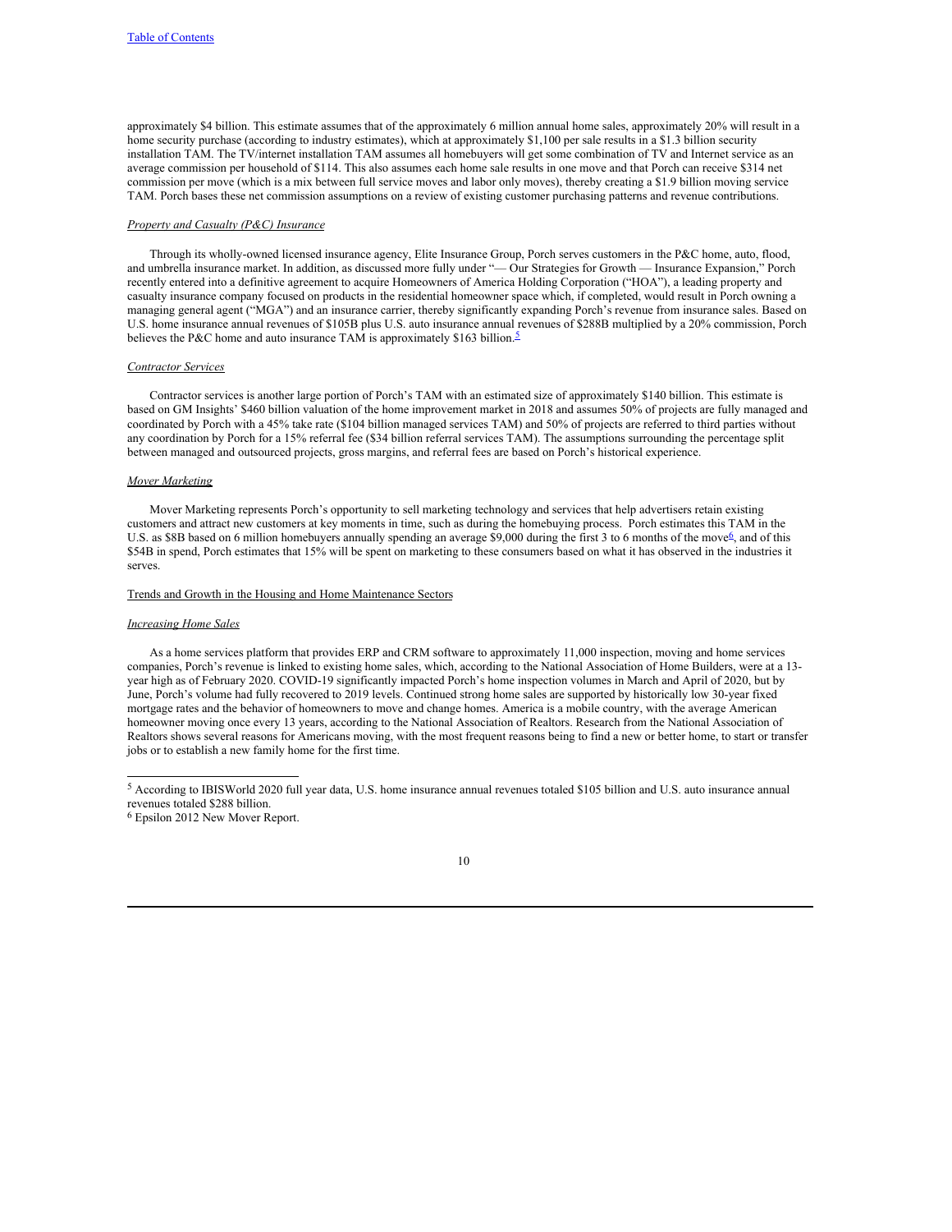approximately \$4 billion. This estimate assumes that of the approximately 6 million annual home sales, approximately 20% will result in a home security purchase (according to industry estimates), which at approximately \$1,100 per sale results in a \$1.3 billion security installation TAM. The TV/internet installation TAM assumes all homebuyers will get some combination of TV and Internet service as an average commission per household of \$114. This also assumes each home sale results in one move and that Porch can receive \$314 net commission per move (which is a mix between full service moves and labor only moves), thereby creating a \$1.9 billion moving service TAM. Porch bases these net commission assumptions on a review of existing customer purchasing patterns and revenue contributions.

### *Property and Casualty (P&C) Insurance*

Through its wholly-owned licensed insurance agency, Elite Insurance Group, Porch serves customers in the P&C home, auto, flood, and umbrella insurance market. In addition, as discussed more fully under "— Our Strategies for Growth — Insurance Expansion," Porch recently entered into a definitive agreement to acquire Homeowners of America Holding Corporation ("HOA"), a leading property and casualty insurance company focused on products in the residential homeowner space which, if completed, would result in Porch owning a managing general agent ("MGA") and an insurance carrier, thereby significantly expanding Porch's revenue from insurance sales. Based on U.S. home insurance annual revenues of \$105B plus U.S. auto insurance annual revenues of \$288B multiplied by a 20% commission, Porch believes the P&C home and auto insurance TAM is approximately \$163 billion.<sup>[5](#page-0-0)</sup>

#### *Contractor Services*

Contractor services is another large portion of Porch's TAM with an estimated size of approximately \$140 billion. This estimate is based on GM Insights' \$460 billion valuation of the home improvement market in 2018 and assumes 50% of projects are fully managed and coordinated by Porch with a 45% take rate (\$104 billion managed services TAM) and 50% of projects are referred to third parties without any coordination by Porch for a 15% referral fee (\$34 billion referral services TAM). The assumptions surrounding the percentage split between managed and outsourced projects, gross margins, and referral fees are based on Porch's historical experience.

### *Mover Marketing*

Mover Marketing represents Porch's opportunity to sell marketing technology and services that help advertisers retain existing customers and attract new customers at key moments in time, such as during the homebuying process. Porch estimates this TAM in the U.S. as \$8B based on [6](#page-0-0) million homebuyers annually spending an average \$9,000 during the first 3 to 6 months of the move<sup>6</sup>, and of this \$54B in spend, Porch estimates that 15% will be spent on marketing to these consumers based on what it has observed in the industries it serves.

#### Trends and Growth in the Housing and Home Maintenance Sectors

#### *Increasing Home Sales*

As a home services platform that provides ERP and CRM software to approximately 11,000 inspection, moving and home services companies, Porch's revenue is linked to existing home sales, which, according to the National Association of Home Builders, were at a 13 year high as of February 2020. COVID-19 significantly impacted Porch's home inspection volumes in March and April of 2020, but by June, Porch's volume had fully recovered to 2019 levels. Continued strong home sales are supported by historically low 30-year fixed mortgage rates and the behavior of homeowners to move and change homes. America is a mobile country, with the average American homeowner moving once every 13 years, according to the National Association of Realtors. Research from the National Association of Realtors shows several reasons for Americans moving, with the most frequent reasons being to find a new or better home, to start or transfer jobs or to establish a new family home for the first time.



<sup>5</sup> According to IBISWorld 2020 full year data, U.S. home insurance annual revenues totaled \$105 billion and U.S. auto insurance annual revenues totaled \$288 billion.

<sup>6</sup> Epsilon 2012 New Mover Report.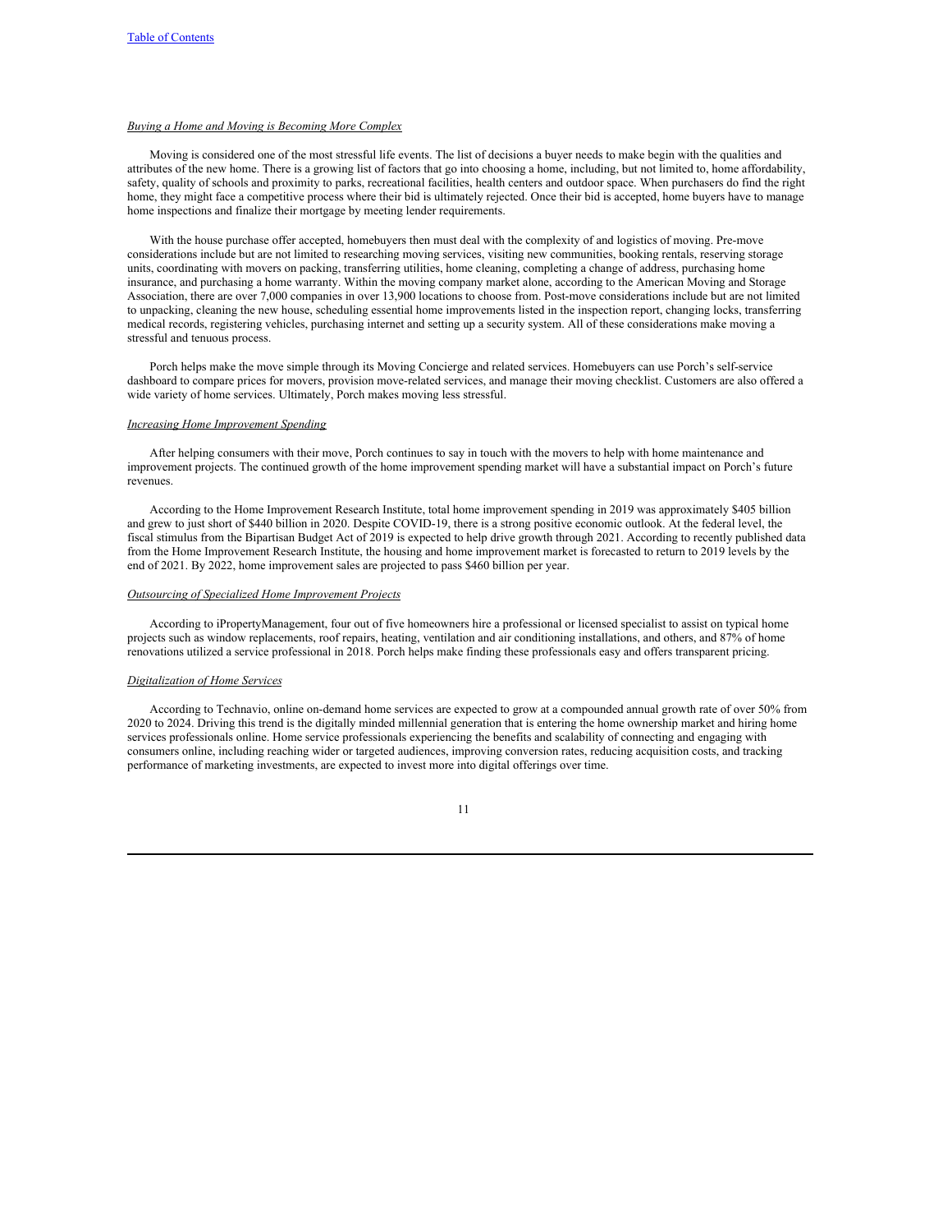### *Buying a Home and Moving is Becoming More Complex*

Moving is considered one of the most stressful life events. The list of decisions a buyer needs to make begin with the qualities and attributes of the new home. There is a growing list of factors that go into choosing a home, including, but not limited to, home affordability, safety, quality of schools and proximity to parks, recreational facilities, health centers and outdoor space. When purchasers do find the right home, they might face a competitive process where their bid is ultimately rejected. Once their bid is accepted, home buyers have to manage home inspections and finalize their mortgage by meeting lender requirements.

With the house purchase offer accepted, homebuyers then must deal with the complexity of and logistics of moving. Pre-move considerations include but are not limited to researching moving services, visiting new communities, booking rentals, reserving storage units, coordinating with movers on packing, transferring utilities, home cleaning, completing a change of address, purchasing home insurance, and purchasing a home warranty. Within the moving company market alone, according to the American Moving and Storage Association, there are over 7,000 companies in over 13,900 locations to choose from. Post-move considerations include but are not limited to unpacking, cleaning the new house, scheduling essential home improvements listed in the inspection report, changing locks, transferring medical records, registering vehicles, purchasing internet and setting up a security system. All of these considerations make moving a stressful and tenuous process.

Porch helps make the move simple through its Moving Concierge and related services. Homebuyers can use Porch's self-service dashboard to compare prices for movers, provision move-related services, and manage their moving checklist. Customers are also offered a wide variety of home services. Ultimately, Porch makes moving less stressful.

### *Increasing Home Improvement Spending*

After helping consumers with their move, Porch continues to say in touch with the movers to help with home maintenance and improvement projects. The continued growth of the home improvement spending market will have a substantial impact on Porch's future revenues.

According to the Home Improvement Research Institute, total home improvement spending in 2019 was approximately \$405 billion and grew to just short of \$440 billion in 2020. Despite COVID-19, there is a strong positive economic outlook. At the federal level, the fiscal stimulus from the Bipartisan Budget Act of 2019 is expected to help drive growth through 2021. According to recently published data from the Home Improvement Research Institute, the housing and home improvement market is forecasted to return to 2019 levels by the end of 2021. By 2022, home improvement sales are projected to pass \$460 billion per year.

#### *Outsourcing of Specialized Home Improvement Projects*

According to iPropertyManagement, four out of five homeowners hire a professional or licensed specialist to assist on typical home projects such as window replacements, roof repairs, heating, ventilation and air conditioning installations, and others, and 87% of home renovations utilized a service professional in 2018. Porch helps make finding these professionals easy and offers transparent pricing.

#### *Digitalization of Home Services*

According to Technavio, online on-demand home services are expected to grow at a compounded annual growth rate of over 50% from 2020 to 2024. Driving this trend is the digitally minded millennial generation that is entering the home ownership market and hiring home services professionals online. Home service professionals experiencing the benefits and scalability of connecting and engaging with consumers online, including reaching wider or targeted audiences, improving conversion rates, reducing acquisition costs, and tracking performance of marketing investments, are expected to invest more into digital offerings over time.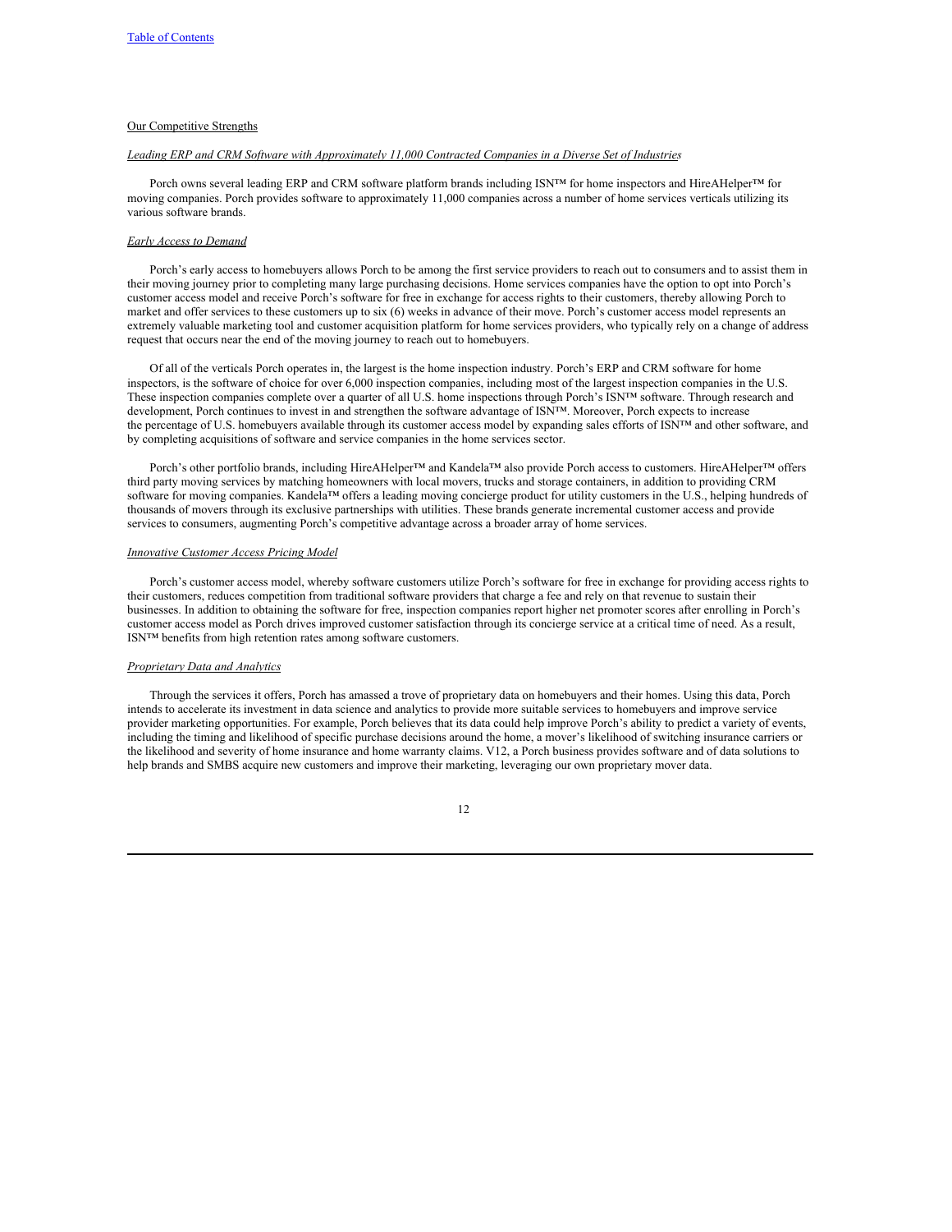# Our Competitive Strengths

#### *Leading ERP and CRM Software with Approximately 11,000 Contracted Companies in a Diverse Set of Industries*

Porch owns several leading ERP and CRM software platform brands including ISN™ for home inspectors and HireAHelper™ for moving companies. Porch provides software to approximately 11,000 companies across a number of home services verticals utilizing its various software brands.

### *Early Access to Demand*

Porch's early access to homebuyers allows Porch to be among the first service providers to reach out to consumers and to assist them in their moving journey prior to completing many large purchasing decisions. Home services companies have the option to opt into Porch's customer access model and receive Porch's software for free in exchange for access rights to their customers, thereby allowing Porch to market and offer services to these customers up to six (6) weeks in advance of their move. Porch's customer access model represents an extremely valuable marketing tool and customer acquisition platform for home services providers, who typically rely on a change of address request that occurs near the end of the moving journey to reach out to homebuyers.

Of all of the verticals Porch operates in, the largest is the home inspection industry. Porch's ERP and CRM software for home inspectors, is the software of choice for over 6,000 inspection companies, including most of the largest inspection companies in the U.S. These inspection companies complete over a quarter of all U.S. home inspections through Porch's ISN™ software. Through research and development, Porch continues to invest in and strengthen the software advantage of ISN™. Moreover, Porch expects to increase the percentage of U.S. homebuyers available through its customer access model by expanding sales efforts of ISN™ and other software, and by completing acquisitions of software and service companies in the home services sector.

Porch's other portfolio brands, including HireAHelper™ and Kandela™ also provide Porch access to customers. HireAHelper™ offers third party moving services by matching homeowners with local movers, trucks and storage containers, in addition to providing CRM software for moving companies. Kandela™ offers a leading moving concierge product for utility customers in the U.S., helping hundreds of thousands of movers through its exclusive partnerships with utilities. These brands generate incremental customer access and provide services to consumers, augmenting Porch's competitive advantage across a broader array of home services.

#### *Innovative Customer Access Pricing Model*

Porch's customer access model, whereby software customers utilize Porch's software for free in exchange for providing access rights to their customers, reduces competition from traditional software providers that charge a fee and rely on that revenue to sustain their businesses. In addition to obtaining the software for free, inspection companies report higher net promoter scores after enrolling in Porch's customer access model as Porch drives improved customer satisfaction through its concierge service at a critical time of need. As a result, ISN™ benefits from high retention rates among software customers.

# *Proprietary Data and Analytics*

Through the services it offers, Porch has amassed a trove of proprietary data on homebuyers and their homes. Using this data, Porch intends to accelerate its investment in data science and analytics to provide more suitable services to homebuyers and improve service provider marketing opportunities. For example, Porch believes that its data could help improve Porch's ability to predict a variety of events, including the timing and likelihood of specific purchase decisions around the home, a mover's likelihood of switching insurance carriers or the likelihood and severity of home insurance and home warranty claims. V12, a Porch business provides software and of data solutions to help brands and SMBS acquire new customers and improve their marketing, leveraging our own proprietary mover data.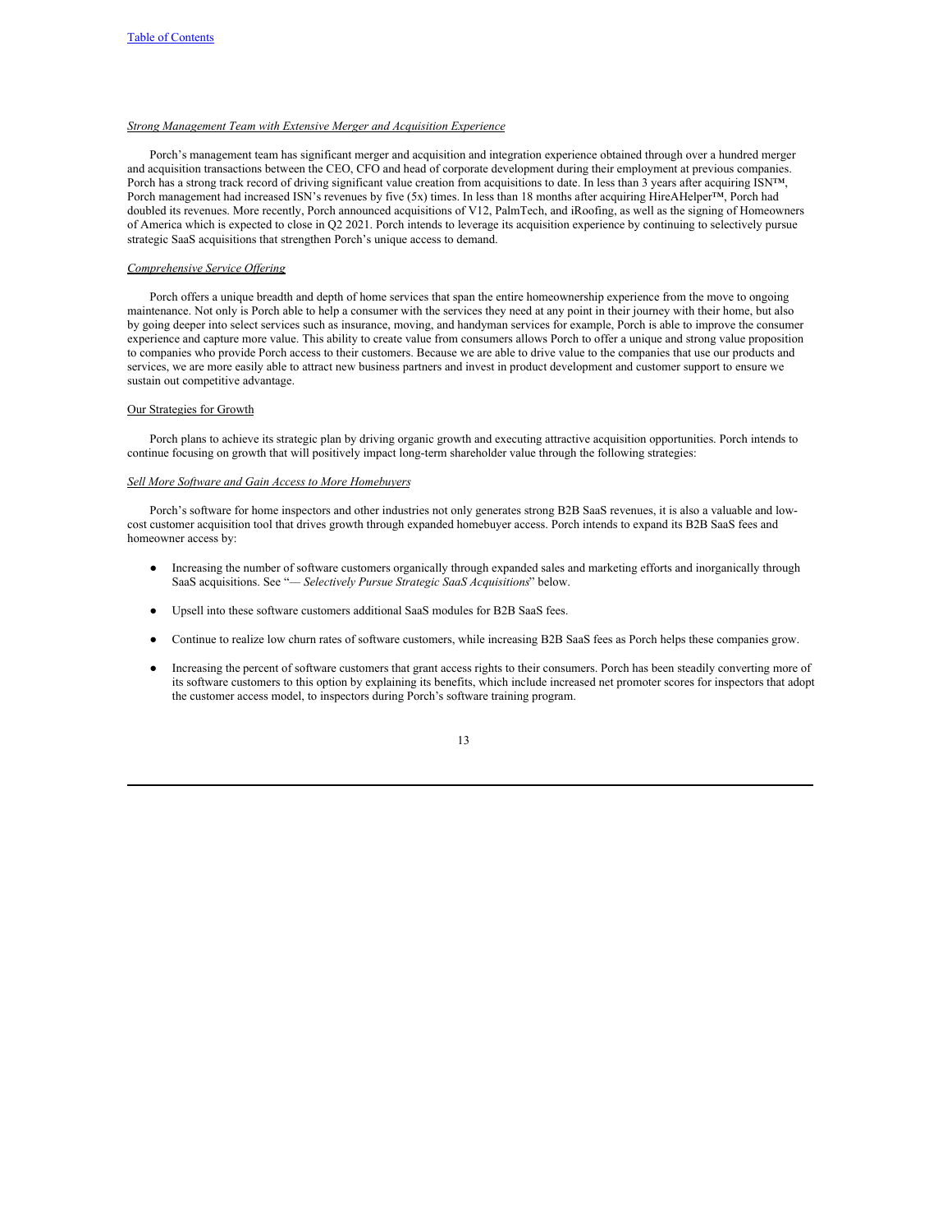# *Strong Management Team with Extensive Merger and Acquisition Experience*

Porch's management team has significant merger and acquisition and integration experience obtained through over a hundred merger and acquisition transactions between the CEO, CFO and head of corporate development during their employment at previous companies. Porch has a strong track record of driving significant value creation from acquisitions to date. In less than 3 years after acquiring ISN™, Porch management had increased ISN's revenues by five (5x) times. In less than 18 months after acquiring HireAHelper™, Porch had doubled its revenues. More recently, Porch announced acquisitions of V12, PalmTech, and iRoofing, as well as the signing of Homeowners of America which is expected to close in Q2 2021. Porch intends to leverage its acquisition experience by continuing to selectively pursue strategic SaaS acquisitions that strengthen Porch's unique access to demand.

#### *Comprehensive Service Of ering*

Porch offers a unique breadth and depth of home services that span the entire homeownership experience from the move to ongoing maintenance. Not only is Porch able to help a consumer with the services they need at any point in their journey with their home, but also by going deeper into select services such as insurance, moving, and handyman services for example, Porch is able to improve the consumer experience and capture more value. This ability to create value from consumers allows Porch to offer a unique and strong value proposition to companies who provide Porch access to their customers. Because we are able to drive value to the companies that use our products and services, we are more easily able to attract new business partners and invest in product development and customer support to ensure we sustain out competitive advantage.

# Our Strategies for Growth

Porch plans to achieve its strategic plan by driving organic growth and executing attractive acquisition opportunities. Porch intends to continue focusing on growth that will positively impact long-term shareholder value through the following strategies:

#### *Sell More Software and Gain Access to More Homebuyers*

Porch's software for home inspectors and other industries not only generates strong B2B SaaS revenues, it is also a valuable and lowcost customer acquisition tool that drives growth through expanded homebuyer access. Porch intends to expand its B2B SaaS fees and homeowner access by:

- Increasing the number of software customers organically through expanded sales and marketing efforts and inorganically through SaaS acquisitions. See "*— Selectively Pursue Strategic SaaS Acquisitions*" below.
- Upsell into these software customers additional SaaS modules for B2B SaaS fees.
- Continue to realize low churn rates of software customers, while increasing B2B SaaS fees as Porch helps these companies grow.
- Increasing the percent of software customers that grant access rights to their consumers. Porch has been steadily converting more of its software customers to this option by explaining its benefits, which include increased net promoter scores for inspectors that adopt the customer access model, to inspectors during Porch's software training program.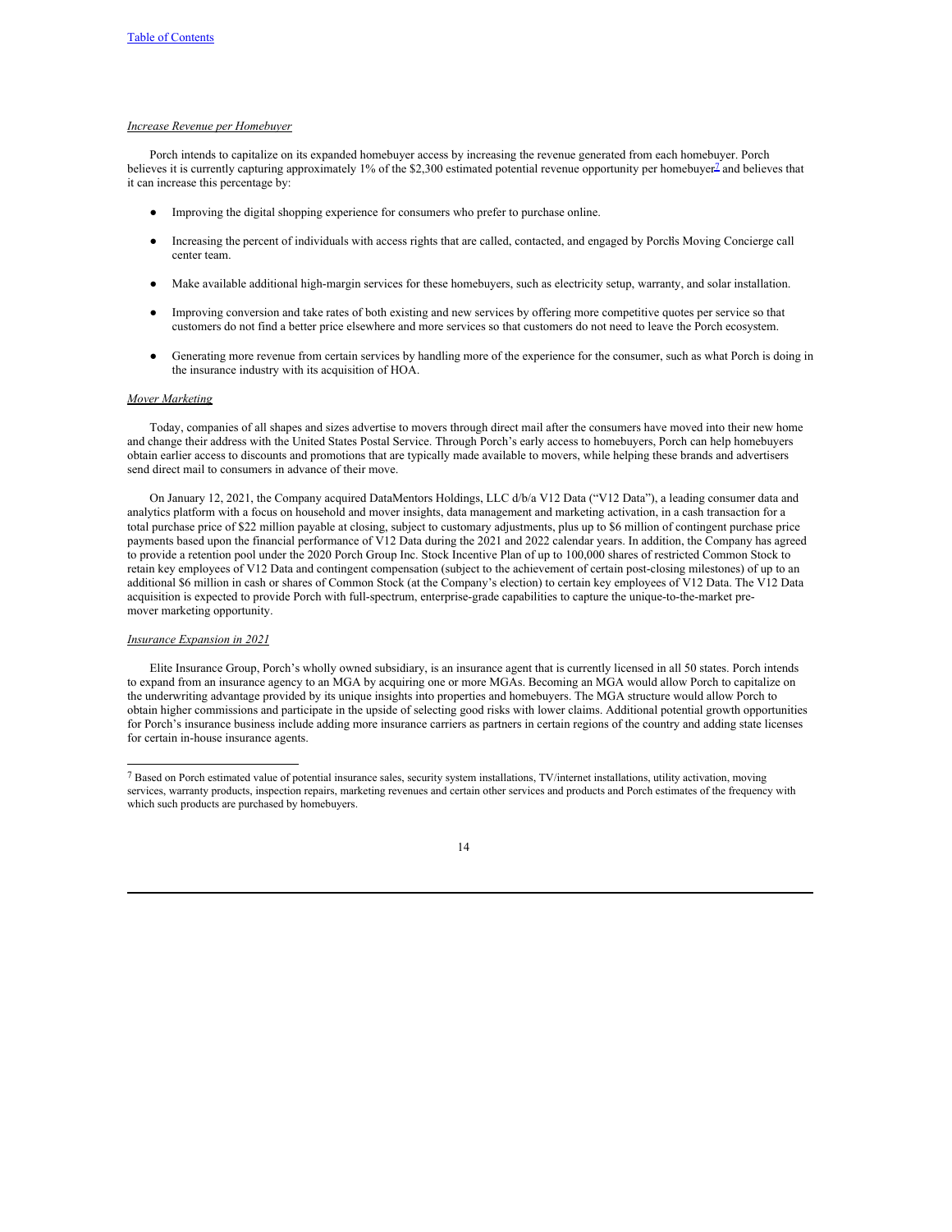### *Increase Revenue per Homebuyer*

Porch intends to capitalize on its expanded homebuyer access by increasing the revenue generated from each homebuyer. Porch believes it is currently capturing approximately 1% of the \$2,300 estimated potential revenue opportunity per homebuyer<sup>2</sup> and believes that it can increase this percentage by:

- Improving the digital shopping experience for consumers who prefer to purchase online.
- Increasing the percent of individuals with access rights that are called, contacted, and engaged by Porch's Moving Concierge call center team.
- Make available additional high-margin services for these homebuyers, such as electricity setup, warranty, and solar installation.
- Improving conversion and take rates of both existing and new services by offering more competitive quotes per service so that customers do not find a better price elsewhere and more services so that customers do not need to leave the Porch ecosystem.
- Generating more revenue from certain services by handling more of the experience for the consumer, such as what Porch is doing in the insurance industry with its acquisition of HOA.

### *Mover Marketing*

Today, companies of all shapes and sizes advertise to movers through direct mail after the consumers have moved into their new home and change their address with the United States Postal Service. Through Porch's early access to homebuyers, Porch can help homebuyers obtain earlier access to discounts and promotions that are typically made available to movers, while helping these brands and advertisers send direct mail to consumers in advance of their move.

On January 12, 2021, the Company acquired DataMentors Holdings, LLC d/b/a V12 Data ("V12 Data"), a leading consumer data and analytics platform with a focus on household and mover insights, data management and marketing activation, in a cash transaction for a total purchase price of \$22 million payable at closing, subject to customary adjustments, plus up to \$6 million of contingent purchase price payments based upon the financial performance of V12 Data during the 2021 and 2022 calendar years. In addition, the Company has agreed to provide a retention pool under the 2020 Porch Group Inc. Stock Incentive Plan of up to 100,000 shares of restricted Common Stock to retain key employees of V12 Data and contingent compensation (subject to the achievement of certain post-closing milestones) of up to an additional \$6 million in cash or shares of Common Stock (at the Company's election) to certain key employees of V12 Data. The V12 Data acquisition is expected to provide Porch with full-spectrum, enterprise-grade capabilities to capture the unique-to-the-market premover marketing opportunity.

# *Insurance Expansion in 2021*

Elite Insurance Group, Porch's wholly owned subsidiary, is an insurance agent that is currently licensed in all 50 states. Porch intends to expand from an insurance agency to an MGA by acquiring one or more MGAs. Becoming an MGA would allow Porch to capitalize on the underwriting advantage provided by its unique insights into properties and homebuyers. The MGA structure would allow Porch to obtain higher commissions and participate in the upside of selecting good risks with lower claims. Additional potential growth opportunities for Porch's insurance business include adding more insurance carriers as partners in certain regions of the country and adding state licenses for certain in-house insurance agents.

<sup>7</sup> Based on Porch estimated value of potential insurance sales, security system installations, TV/internet installations, utility activation, moving services, warranty products, inspection repairs, marketing revenues and certain other services and products and Porch estimates of the frequency with which such products are purchased by homebuyers.

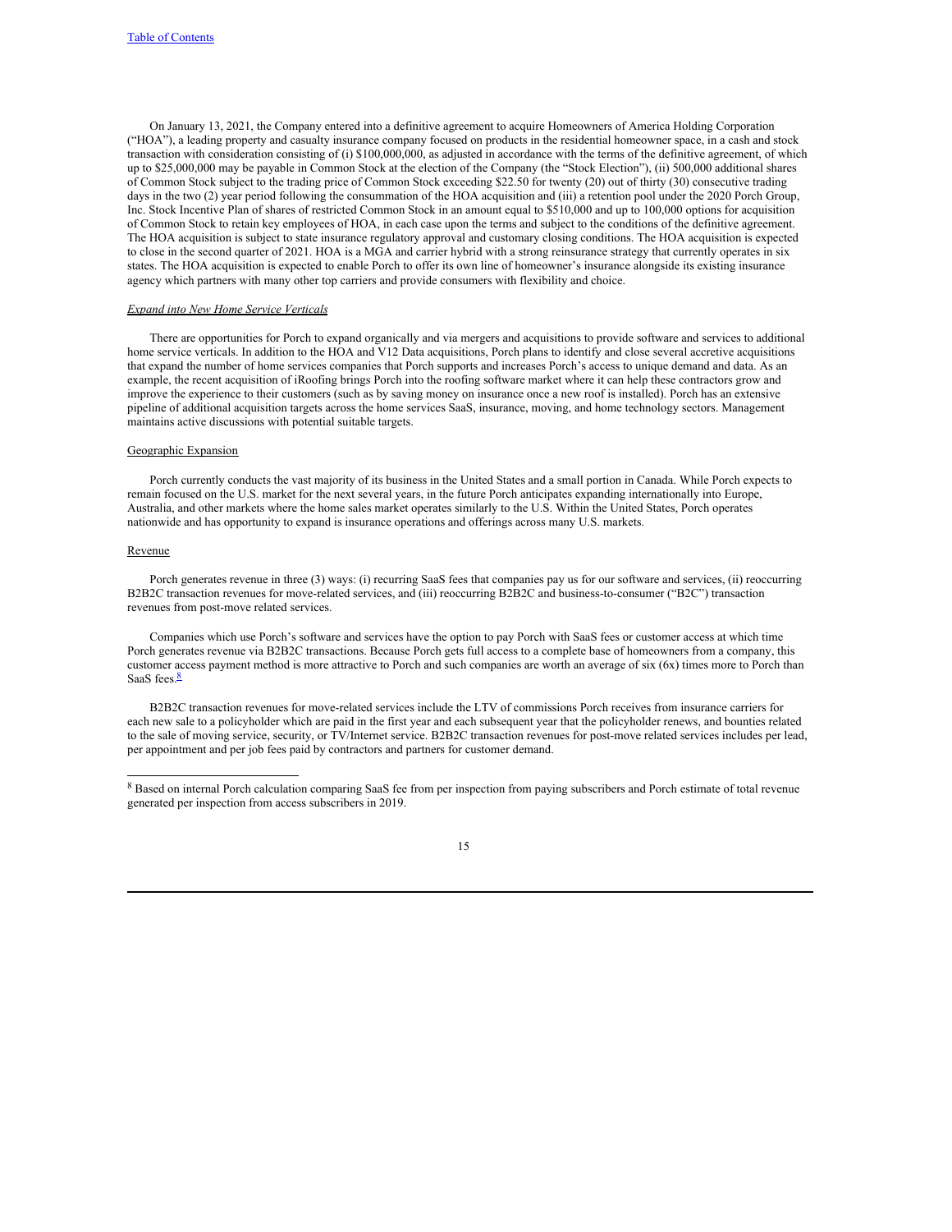On January 13, 2021, the Company entered into a definitive agreement to acquire Homeowners of America Holding Corporation ("HOA"), a leading property and casualty insurance company focused on products in the residential homeowner space, in a cash and stock transaction with consideration consisting of (i) \$100,000,000, as adjusted in accordance with the terms of the definitive agreement, of which up to \$25,000,000 may be payable in Common Stock at the election of the Company (the "Stock Election"), (ii) 500,000 additional shares of Common Stock subject to the trading price of Common Stock exceeding \$22.50 for twenty (20) out of thirty (30) consecutive trading days in the two (2) year period following the consummation of the HOA acquisition and (iii) a retention pool under the 2020 Porch Group, Inc. Stock Incentive Plan of shares of restricted Common Stock in an amount equal to \$510,000 and up to 100,000 options for acquisition of Common Stock to retain key employees of HOA, in each case upon the terms and subject to the conditions of the definitive agreement. The HOA acquisition is subject to state insurance regulatory approval and customary closing conditions. The HOA acquisition is expected to close in the second quarter of 2021. HOA is a MGA and carrier hybrid with a strong reinsurance strategy that currently operates in six states. The HOA acquisition is expected to enable Porch to offer its own line of homeowner's insurance alongside its existing insurance agency which partners with many other top carriers and provide consumers with flexibility and choice.

# *Expand into New Home Service Verticals*

There are opportunities for Porch to expand organically and via mergers and acquisitions to provide software and services to additional home service verticals. In addition to the HOA and V12 Data acquisitions, Porch plans to identify and close several accretive acquisitions that expand the number of home services companies that Porch supports and increases Porch's access to unique demand and data. As an example, the recent acquisition of iRoofing brings Porch into the roofing software market where it can help these contractors grow and improve the experience to their customers (such as by saving money on insurance once a new roof is installed). Porch has an extensive pipeline of additional acquisition targets across the home services SaaS, insurance, moving, and home technology sectors. Management maintains active discussions with potential suitable targets.

### Geographic Expansion

Porch currently conducts the vast majority of its business in the United States and a small portion in Canada. While Porch expects to remain focused on the U.S. market for the next several years, in the future Porch anticipates expanding internationally into Europe, Australia, and other markets where the home sales market operates similarly to the U.S. Within the United States, Porch operates nationwide and has opportunity to expand is insurance operations and offerings across many U.S. markets.

#### Revenue

Porch generates revenue in three (3) ways: (i) recurring SaaS fees that companies pay us for our software and services, (ii) reoccurring B2B2C transaction revenues for move-related services, and (iii) reoccurring B2B2C and business-to-consumer ("B2C") transaction revenues from post-move related services.

Companies which use Porch's software and services have the option to pay Porch with SaaS fees or customer access at which time Porch generates revenue via B2B2C transactions. Because Porch gets full access to a complete base of homeowners from a company, this customer access payment method is more attractive to Porch and such companies are worth an average of six (6x) times more to Porch than SaaS fees.<sup>[8](#page-0-0)</sup>

B2B2C transaction revenues for move-related services include the LTV of commissions Porch receives from insurance carriers for each new sale to a policyholder which are paid in the first year and each subsequent year that the policyholder renews, and bounties related to the sale of moving service, security, or TV/Internet service. B2B2C transaction revenues for post-move related services includes per lead, per appointment and per job fees paid by contractors and partners for customer demand.

<sup>8</sup> Based on internal Porch calculation comparing SaaS fee from per inspection from paying subscribers and Porch estimate of total revenue generated per inspection from access subscribers in 2019.

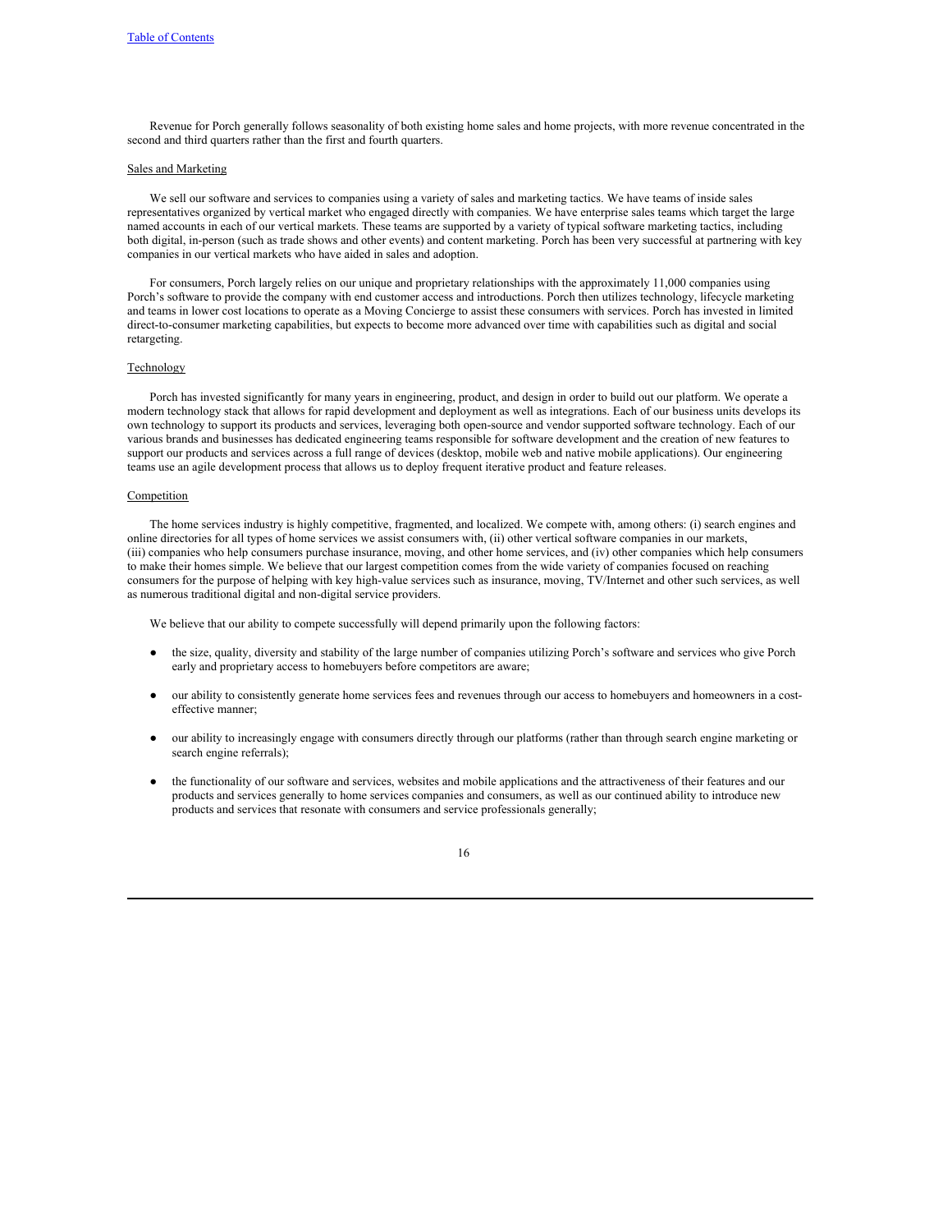Revenue for Porch generally follows seasonality of both existing home sales and home projects, with more revenue concentrated in the second and third quarters rather than the first and fourth quarters.

# Sales and Marketing

We sell our software and services to companies using a variety of sales and marketing tactics. We have teams of inside sales representatives organized by vertical market who engaged directly with companies. We have enterprise sales teams which target the large named accounts in each of our vertical markets. These teams are supported by a variety of typical software marketing tactics, including both digital, in-person (such as trade shows and other events) and content marketing. Porch has been very successful at partnering with key companies in our vertical markets who have aided in sales and adoption.

For consumers, Porch largely relies on our unique and proprietary relationships with the approximately 11,000 companies using Porch's software to provide the company with end customer access and introductions. Porch then utilizes technology, lifecycle marketing and teams in lower cost locations to operate as a Moving Concierge to assist these consumers with services. Porch has invested in limited direct-to-consumer marketing capabilities, but expects to become more advanced over time with capabilities such as digital and social retargeting.

#### **Technology**

Porch has invested significantly for many years in engineering, product, and design in order to build out our platform. We operate a modern technology stack that allows for rapid development and deployment as well as integrations. Each of our business units develops its own technology to support its products and services, leveraging both open-source and vendor supported software technology. Each of our various brands and businesses has dedicated engineering teams responsible for software development and the creation of new features to support our products and services across a full range of devices (desktop, mobile web and native mobile applications). Our engineering teams use an agile development process that allows us to deploy frequent iterative product and feature releases.

### **Competition**

The home services industry is highly competitive, fragmented, and localized. We compete with, among others: (i) search engines and online directories for all types of home services we assist consumers with, (ii) other vertical software companies in our markets, (iii) companies who help consumers purchase insurance, moving, and other home services, and (iv) other companies which help consumers to make their homes simple. We believe that our largest competition comes from the wide variety of companies focused on reaching consumers for the purpose of helping with key high-value services such as insurance, moving, TV/Internet and other such services, as well as numerous traditional digital and non-digital service providers.

We believe that our ability to compete successfully will depend primarily upon the following factors:

- the size, quality, diversity and stability of the large number of companies utilizing Porch's software and services who give Porch early and proprietary access to homebuyers before competitors are aware;
- our ability to consistently generate home services fees and revenues through our access to homebuyers and homeowners in a costeffective manner;
- our ability to increasingly engage with consumers directly through our platforms (rather than through search engine marketing or search engine referrals);
- the functionality of our software and services, websites and mobile applications and the attractiveness of their features and our products and services generally to home services companies and consumers, as well as our continued ability to introduce new products and services that resonate with consumers and service professionals generally;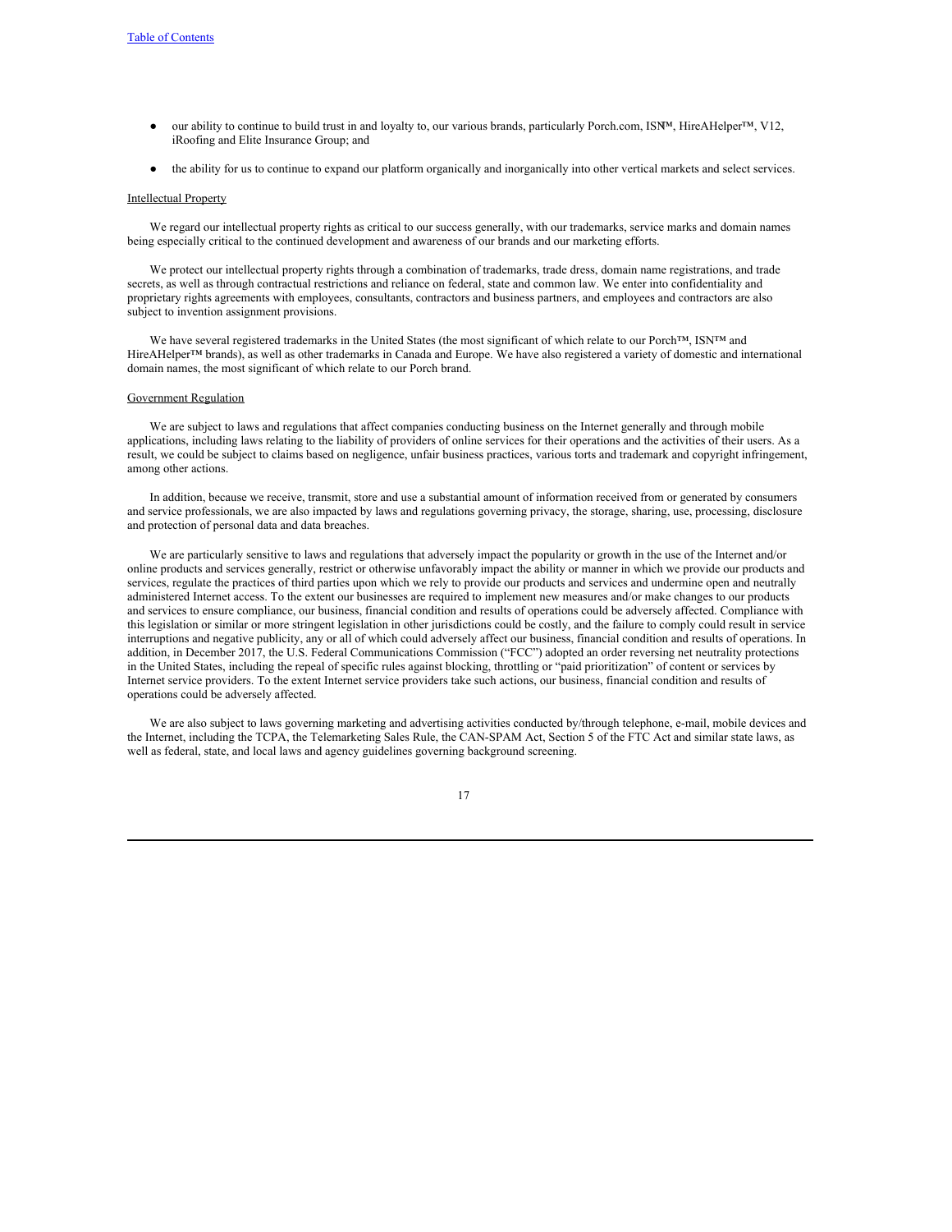- our ability to continue to build trust in and loyalty to, our various brands, particularly Porch.com, ISN™, HireAHelper™, V12, iRoofing and Elite Insurance Group; and
- the ability for us to continue to expand our platform organically and inorganically into other vertical markets and select services.

### Intellectual Property

We regard our intellectual property rights as critical to our success generally, with our trademarks, service marks and domain names being especially critical to the continued development and awareness of our brands and our marketing efforts.

We protect our intellectual property rights through a combination of trademarks, trade dress, domain name registrations, and trade secrets, as well as through contractual restrictions and reliance on federal, state and common law. We enter into confidentiality and proprietary rights agreements with employees, consultants, contractors and business partners, and employees and contractors are also subject to invention assignment provisions.

We have several registered trademarks in the United States (the most significant of which relate to our Porch™, ISN™ and HireAHelper™ brands), as well as other trademarks in Canada and Europe. We have also registered a variety of domestic and international domain names, the most significant of which relate to our Porch brand.

#### Government Regulation

We are subject to laws and regulations that affect companies conducting business on the Internet generally and through mobile applications, including laws relating to the liability of providers of online services for their operations and the activities of their users. As a result, we could be subject to claims based on negligence, unfair business practices, various torts and trademark and copyright infringement, among other actions.

In addition, because we receive, transmit, store and use a substantial amount of information received from or generated by consumers and service professionals, we are also impacted by laws and regulations governing privacy, the storage, sharing, use, processing, disclosure and protection of personal data and data breaches.

We are particularly sensitive to laws and regulations that adversely impact the popularity or growth in the use of the Internet and/or online products and services generally, restrict or otherwise unfavorably impact the ability or manner in which we provide our products and services, regulate the practices of third parties upon which we rely to provide our products and services and undermine open and neutrally administered Internet access. To the extent our businesses are required to implement new measures and/or make changes to our products and services to ensure compliance, our business, financial condition and results of operations could be adversely affected. Compliance with this legislation or similar or more stringent legislation in other jurisdictions could be costly, and the failure to comply could result in service interruptions and negative publicity, any or all of which could adversely affect our business, financial condition and results of operations. In addition, in December 2017, the U.S. Federal Communications Commission ("FCC") adopted an order reversing net neutrality protections in the United States, including the repeal of specific rules against blocking, throttling or "paid prioritization" of content or services by Internet service providers. To the extent Internet service providers take such actions, our business, financial condition and results of operations could be adversely affected.

We are also subject to laws governing marketing and advertising activities conducted by/through telephone, e-mail, mobile devices and the Internet, including the TCPA, the Telemarketing Sales Rule, the CAN-SPAM Act, Section 5 of the FTC Act and similar state laws, as well as federal, state, and local laws and agency guidelines governing background screening.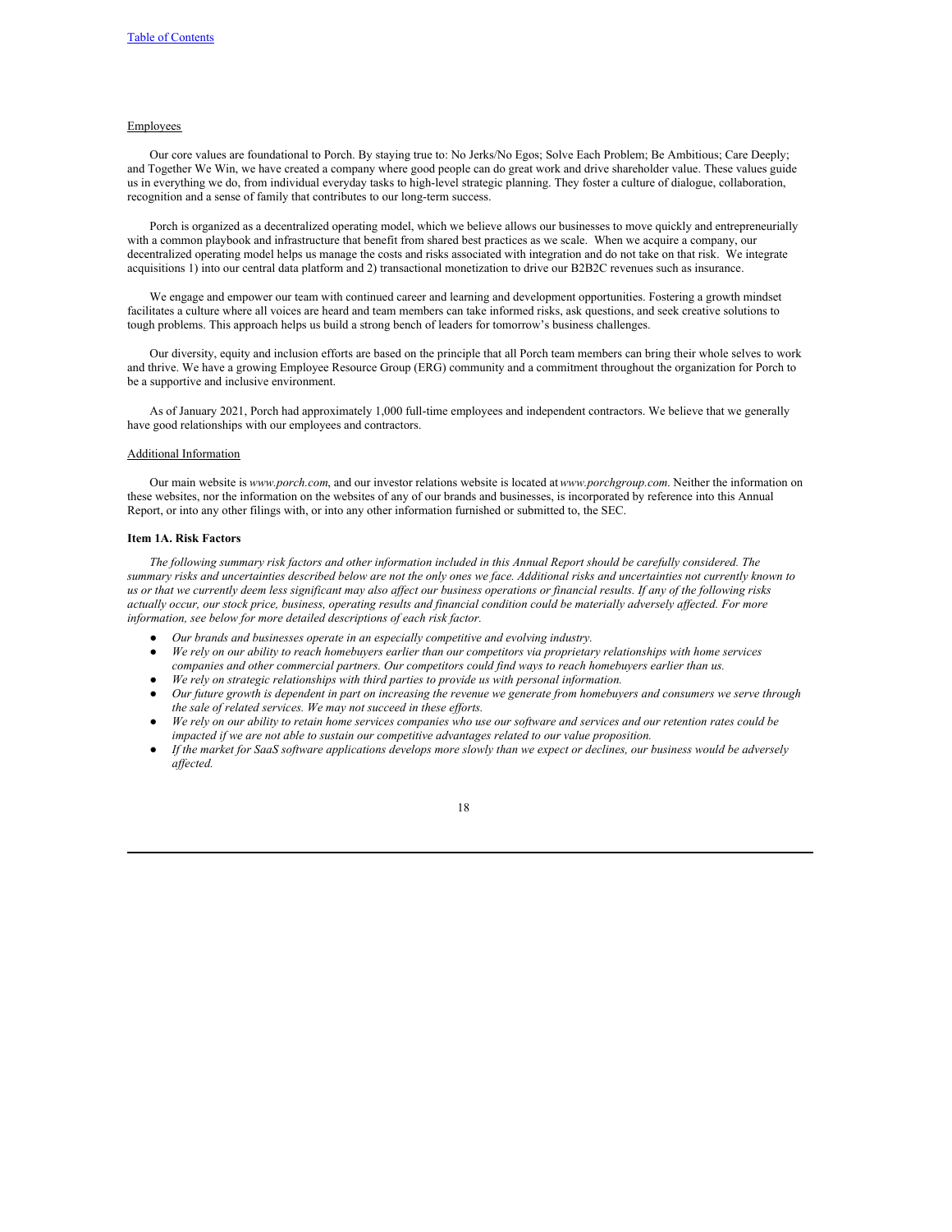# **Employees**

Our core values are foundational to Porch. By staying true to: No Jerks/No Egos; Solve Each Problem; Be Ambitious; Care Deeply; and Together We Win, we have created a company where good people can do great work and drive shareholder value. These values guide us in everything we do, from individual everyday tasks to high-level strategic planning. They foster a culture of dialogue, collaboration, recognition and a sense of family that contributes to our long-term success.

Porch is organized as a decentralized operating model, which we believe allows our businesses to move quickly and entrepreneurially with a common playbook and infrastructure that benefit from shared best practices as we scale. When we acquire a company, our decentralized operating model helps us manage the costs and risks associated with integration and do not take on that risk. We integrate acquisitions 1) into our central data platform and 2) transactional monetization to drive our B2B2C revenues such as insurance.

We engage and empower our team with continued career and learning and development opportunities. Fostering a growth mindset facilitates a culture where all voices are heard and team members can take informed risks, ask questions, and seek creative solutions to tough problems. This approach helps us build a strong bench of leaders for tomorrow's business challenges.

Our diversity, equity and inclusion efforts are based on the principle that all Porch team members can bring their whole selves to work and thrive. We have a growing Employee Resource Group (ERG) community and a commitment throughout the organization for Porch to be a supportive and inclusive environment.

As of January 2021, Porch had approximately 1,000 full-time employees and independent contractors. We believe that we generally have good relationships with our employees and contractors.

### Additional Information

Our main website is *www.porch.com*, and our investor relations website is located at*www.porchgroup.com*. Neither the information on these websites, nor the information on the websites of any of our brands and businesses, is incorporated by reference into this Annual Report, or into any other filings with, or into any other information furnished or submitted to, the SEC.

# **Item 1A. Risk Factors**

The following summary risk factors and other information included in this Annual Report should be carefully considered. The summary risks and uncertainties described below are not the only ones we face. Additional risks and uncertainties not currently known to us or that we currently deem less significant may also affect our business operations or financial results. If any of the following risks actually occur, our stock price, business, operating results and financial condition could be materially adversely affected. For more *information, see below for more detailed descriptions of each risk factor.*

- *Our brands and businesses operate in an especially competitive and evolving industry.*
- We rely on our ability to reach homebuyers earlier than our competitors via proprietary relationships with home services *companies and other commercial partners. Our competitors could find ways to reach homebuyers earlier than us.*
- *We rely on strategic relationships with third parties to provide us with personal information.*
- Our future growth is dependent in part on increasing the revenue we generate from homebuyers and consumers we serve through *the sale of related services. We may not succeed in these ef orts.*
- We rely on our ability to retain home services companies who use our software and services and our retention rates could be *impacted if we are not able to sustain our competitive advantages related to our value proposition.*
- If the market for SaaS software applications develops more slowly than we expect or declines, our business would be adversely *af ected.*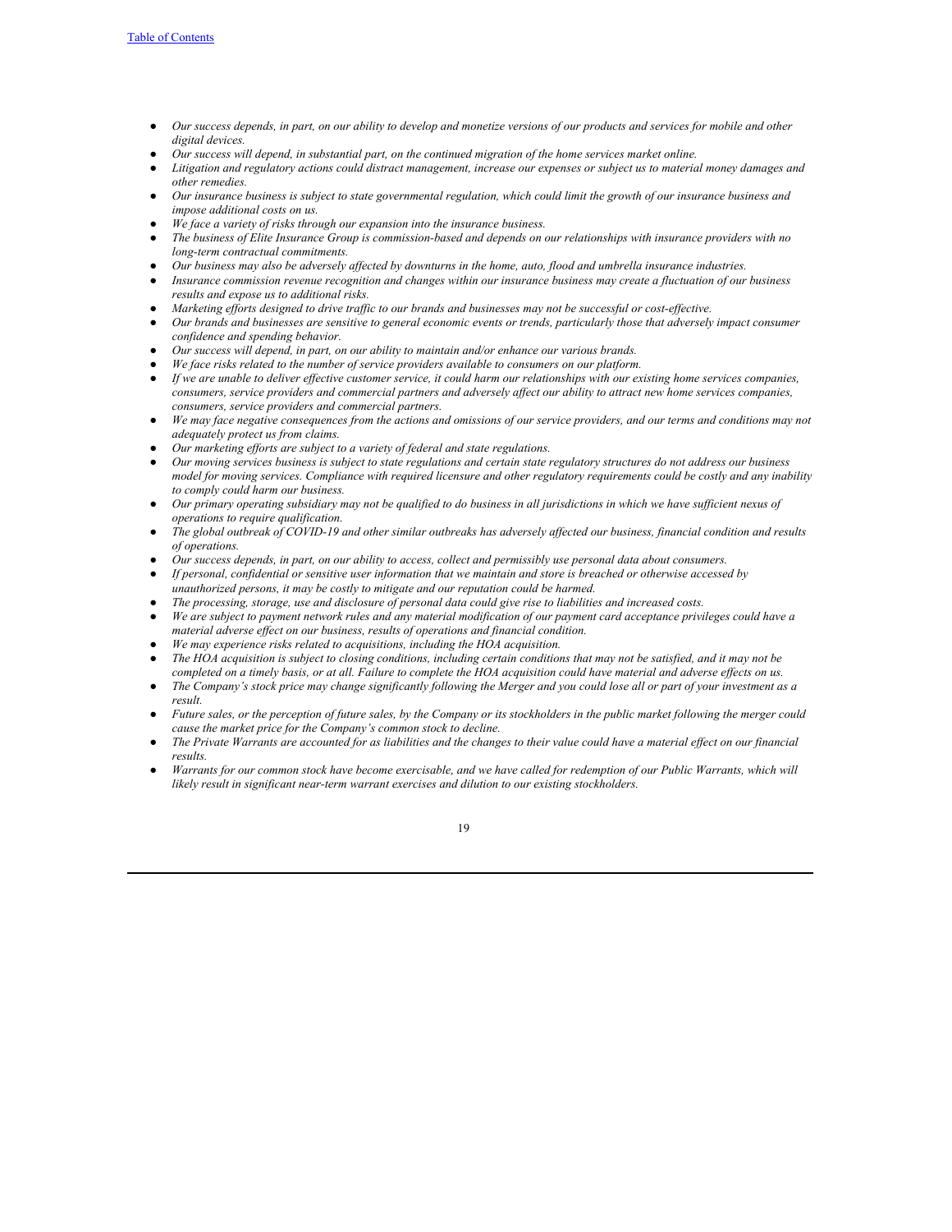- Our success depends, in part, on our ability to develop and monetize versions of our products and services for mobile and other *digital devices.*
- Our success will depend, in substantial part, on the continued migration of the home services market online.
- Litigation and regulatory actions could distract management, increase our expenses or subject us to material money damages and *other remedies.*
- Our insurance business is subject to state governmental regulation, which could limit the growth of our insurance business and *impose additional costs on us.*
- *We face a variety of risks through our expansion into the insurance business.*
- The business of Elite Insurance Group is commission-based and depends on our relationships with insurance providers with no *long-term contractual commitments.*
- Our business may also be adversely affected by downturns in the home, auto, flood and umbrella insurance industries.
- Insurance commission revenue recognition and changes within our insurance business may create a fluctuation of our business *results and expose us to additional risks.*
- Marketing efforts designed to drive traffic to our brands and businesses may not be successful or cost-effective.
- Our brands and businesses are sensitive to general economic events or trends, particularly those that adversely impact consumer *confidence and spending behavior.*
- *Our success will depend, in part, on our ability to maintain and/or enhance our various brands.*
- *We face risks related to the number of service providers available to consumers on our platform.*
- If we are unable to deliver effective customer service, it could harm our relationships with our existing home services companies, consumers, service providers and commercial partners and adversely affect our ability to attract new home services companies, *consumers, service providers and commercial partners.*
- We may face negative consequences from the actions and omissions of our service providers, and our terms and conditions may not *adequately protect us from claims.*
- *Our marketing ef orts are subject to a variety of federal and state regulations.*
- Our moving services business is subject to state regulations and certain state regulatory structures do not address our business model for moving services. Compliance with required licensure and other regulatory requirements could be costly and any inability *to comply could harm our business.*
- Our primary operating subsidiary may not be qualified to do business in all jurisdictions in which we have sufficient nexus of *operations to require qualification.*
- The global outbreak of COVID-19 and other similar outbreaks has adversely affected our business, financial condition and results *of operations.*
- Our success depends, in part, on our ability to access, collect and permissibly use personal data about consumers.
- If personal, confidential or sensitive user information that we maintain and store is breached or otherwise accessed by *unauthorized persons, it may be costly to mitigate and our reputation could be harmed.*
- The processing, storage, use and disclosure of personal data could give rise to liabilities and increased costs.
- We are subject to payment network rules and any material modification of our payment card acceptance privileges could have a *material adverse ef ect on our business, results of operations and financial condition.*
- *We may experience risks related to acquisitions, including the HOA acquisition.*
- The HOA acquisition is subject to closing conditions, including certain conditions that may not be satisfied, and it may not be completed on a timely basis, or at all. Failure to complete the HOA acquisition could have material and adverse effects on us.
- The Company's stock price may change significantly following the Merger and you could lose all or part of your investment as a *result.*
- Future sales, or the perception of future sales, by the Company or its stockholders in the public market following the merger could *cause the market price for the Company's common stock to decline.*
- The Private Warrants are accounted for as liabilities and the changes to their value could have a material effect on our financial *results.*
- Warrants for our common stock have become exercisable, and we have called for redemption of our Public Warrants, which will *likely result in significant near-term warrant exercises and dilution to our existing stockholders.*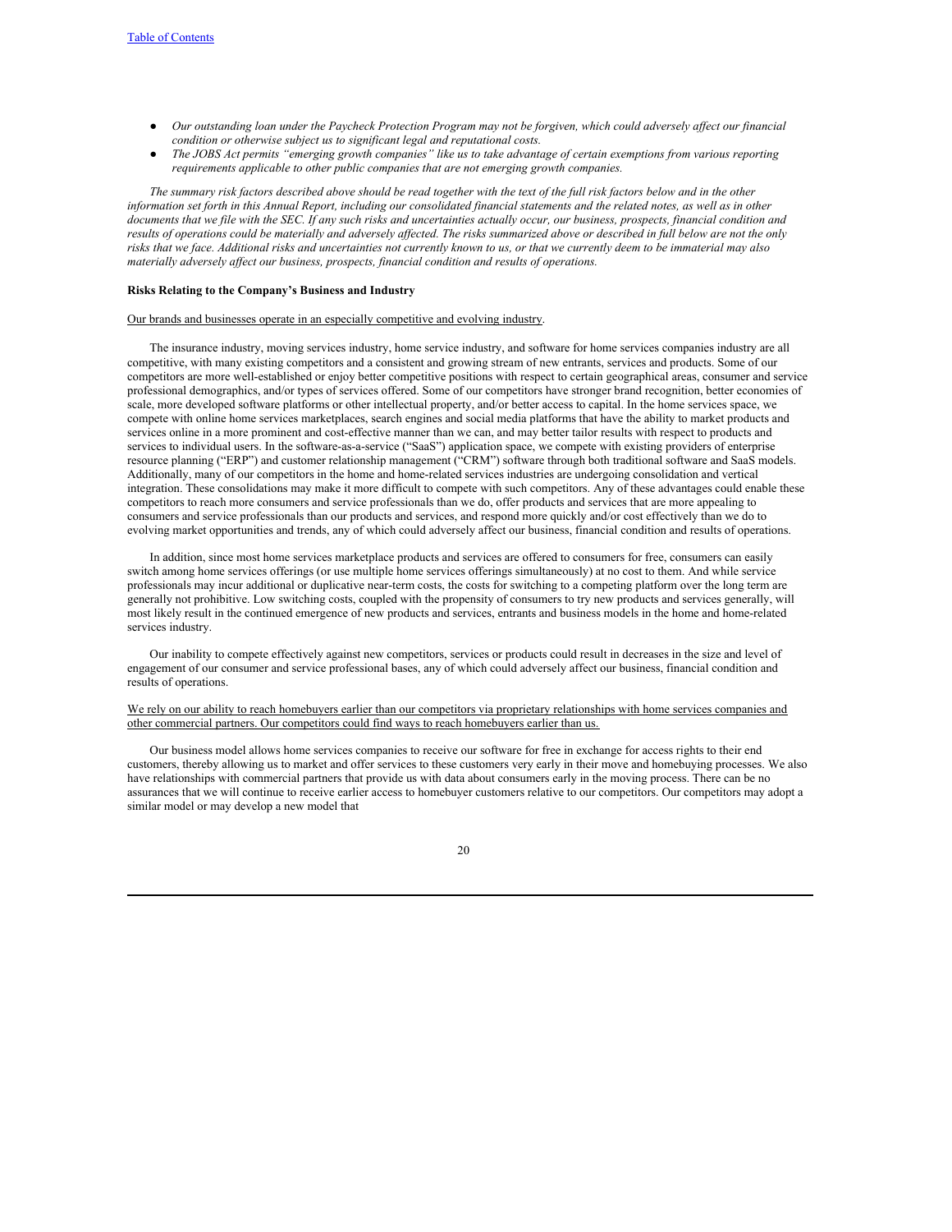- Our outstanding loan under the Paycheck Protection Program may not be forgiven, which could adversely affect our financial *condition or otherwise subject us to significant legal and reputational costs.*
- The JOBS Act permits "emerging growth companies" like us to take advantage of certain exemptions from various reporting *requirements applicable to other public companies that are not emerging growth companies.*

The summary risk factors described above should be read together with the text of the full risk factors below and in the other information set forth in this Annual Report, including our consolidated financial statements and the related notes, as well as in other documents that we file with the SEC. If any such risks and uncertainties actually occur, our business, prospects, financial condition and results of operations could be materially and adversely affected. The risks summarized above or described in full below are not the only risks that we face. Additional risks and uncertainties not currently known to us, or that we currently deem to be immaterial may also *materially adversely af ect our business, prospects, financial condition and results of operations.*

### **Risks Relating to the Company's Business and Industry**

#### Our brands and businesses operate in an especially competitive and evolving industry.

The insurance industry, moving services industry, home service industry, and software for home services companies industry are all competitive, with many existing competitors and a consistent and growing stream of new entrants, services and products. Some of our competitors are more well-established or enjoy better competitive positions with respect to certain geographical areas, consumer and service professional demographics, and/or types of services offered. Some of our competitors have stronger brand recognition, better economies of scale, more developed software platforms or other intellectual property, and/or better access to capital. In the home services space, we compete with online home services marketplaces, search engines and social media platforms that have the ability to market products and services online in a more prominent and cost-effective manner than we can, and may better tailor results with respect to products and services to individual users. In the software-as-a-service ("SaaS") application space, we compete with existing providers of enterprise resource planning ("ERP") and customer relationship management ("CRM") software through both traditional software and SaaS models. Additionally, many of our competitors in the home and home-related services industries are undergoing consolidation and vertical integration. These consolidations may make it more difficult to compete with such competitors. Any of these advantages could enable these competitors to reach more consumers and service professionals than we do, offer products and services that are more appealing to consumers and service professionals than our products and services, and respond more quickly and/or cost effectively than we do to evolving market opportunities and trends, any of which could adversely affect our business, financial condition and results of operations.

In addition, since most home services marketplace products and services are offered to consumers for free, consumers can easily switch among home services offerings (or use multiple home services offerings simultaneously) at no cost to them. And while service professionals may incur additional or duplicative near-term costs, the costs for switching to a competing platform over the long term are generally not prohibitive. Low switching costs, coupled with the propensity of consumers to try new products and services generally, will most likely result in the continued emergence of new products and services, entrants and business models in the home and home-related services industry.

Our inability to compete effectively against new competitors, services or products could result in decreases in the size and level of engagement of our consumer and service professional bases, any of which could adversely affect our business, financial condition and results of operations.

### We rely on our ability to reach homebuyers earlier than our competitors via proprietary relationships with home services companies and other commercial partners. Our competitors could find ways to reach homebuyers earlier than us.

Our business model allows home services companies to receive our software for free in exchange for access rights to their end customers, thereby allowing us to market and offer services to these customers very early in their move and homebuying processes. We also have relationships with commercial partners that provide us with data about consumers early in the moving process. There can be no assurances that we will continue to receive earlier access to homebuyer customers relative to our competitors. Our competitors may adopt a similar model or may develop a new model that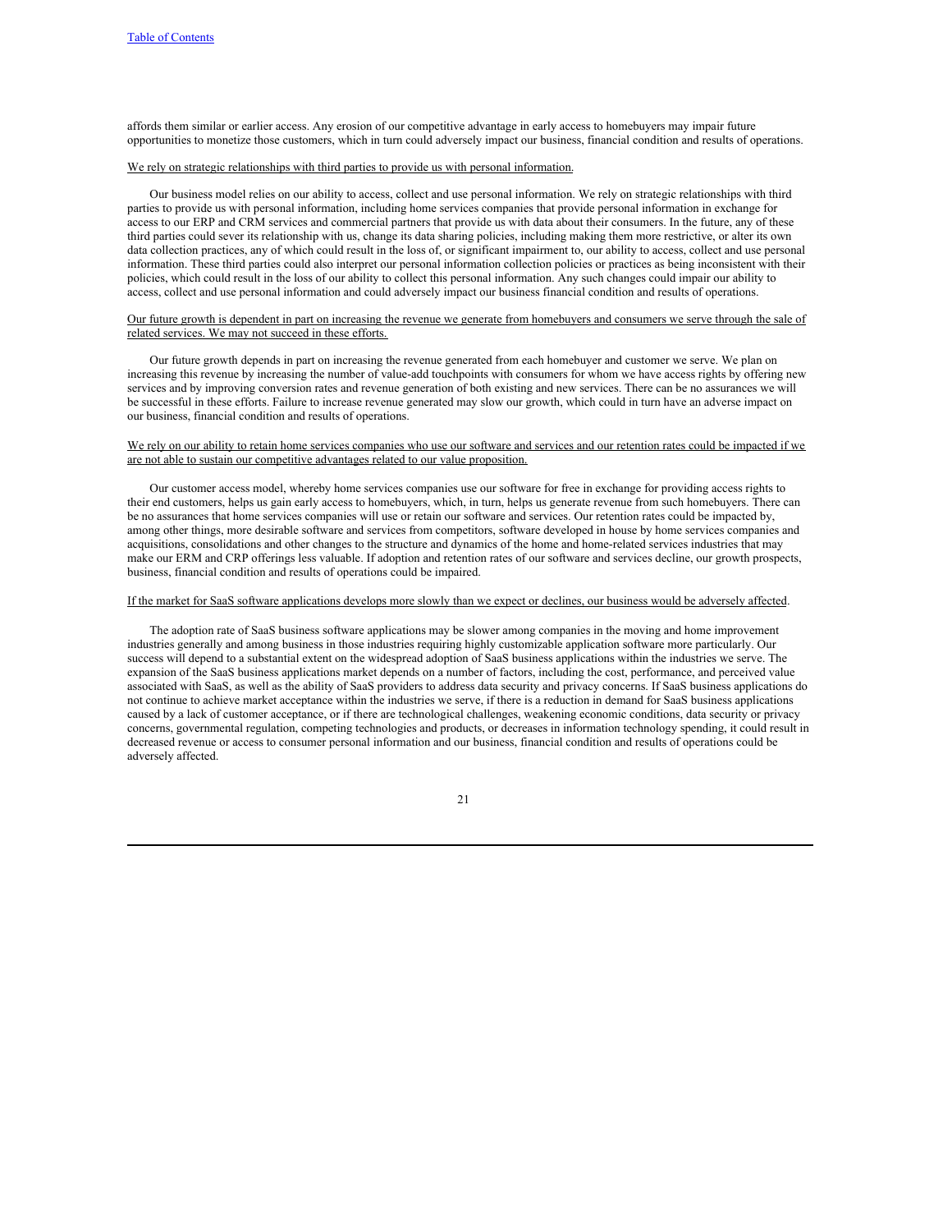affords them similar or earlier access. Any erosion of our competitive advantage in early access to homebuyers may impair future opportunities to monetize those customers, which in turn could adversely impact our business, financial condition and results of operations.

#### We rely on strategic relationships with third parties to provide us with personal information.

Our business model relies on our ability to access, collect and use personal information. We rely on strategic relationships with third parties to provide us with personal information, including home services companies that provide personal information in exchange for access to our ERP and CRM services and commercial partners that provide us with data about their consumers. In the future, any of these third parties could sever its relationship with us, change its data sharing policies, including making them more restrictive, or alter its own data collection practices, any of which could result in the loss of, or significant impairment to, our ability to access, collect and use personal information. These third parties could also interpret our personal information collection policies or practices as being inconsistent with their policies, which could result in the loss of our ability to collect this personal information. Any such changes could impair our ability to access, collect and use personal information and could adversely impact our business financial condition and results of operations.

### Our future growth is dependent in part on increasing the revenue we generate from homebuyers and consumers we serve through the sale of related services. We may not succeed in these efforts.

Our future growth depends in part on increasing the revenue generated from each homebuyer and customer we serve. We plan on increasing this revenue by increasing the number of value-add touchpoints with consumers for whom we have access rights by offering new services and by improving conversion rates and revenue generation of both existing and new services. There can be no assurances we will be successful in these efforts. Failure to increase revenue generated may slow our growth, which could in turn have an adverse impact on our business, financial condition and results of operations.

### We rely on our ability to retain home services companies who use our software and services and our retention rates could be impacted if we are not able to sustain our competitive advantages related to our value proposition.

Our customer access model, whereby home services companies use our software for free in exchange for providing access rights to their end customers, helps us gain early access to homebuyers, which, in turn, helps us generate revenue from such homebuyers. There can be no assurances that home services companies will use or retain our software and services. Our retention rates could be impacted by, among other things, more desirable software and services from competitors, software developed in house by home services companies and acquisitions, consolidations and other changes to the structure and dynamics of the home and home-related services industries that may make our ERM and CRP offerings less valuable. If adoption and retention rates of our software and services decline, our growth prospects, business, financial condition and results of operations could be impaired.

#### If the market for SaaS software applications develops more slowly than we expect or declines, our business would be adversely affected.

The adoption rate of SaaS business software applications may be slower among companies in the moving and home improvement industries generally and among business in those industries requiring highly customizable application software more particularly. Our success will depend to a substantial extent on the widespread adoption of SaaS business applications within the industries we serve. The expansion of the SaaS business applications market depends on a number of factors, including the cost, performance, and perceived value associated with SaaS, as well as the ability of SaaS providers to address data security and privacy concerns. If SaaS business applications do not continue to achieve market acceptance within the industries we serve, if there is a reduction in demand for SaaS business applications caused by a lack of customer acceptance, or if there are technological challenges, weakening economic conditions, data security or privacy concerns, governmental regulation, competing technologies and products, or decreases in information technology spending, it could result in decreased revenue or access to consumer personal information and our business, financial condition and results of operations could be adversely affected.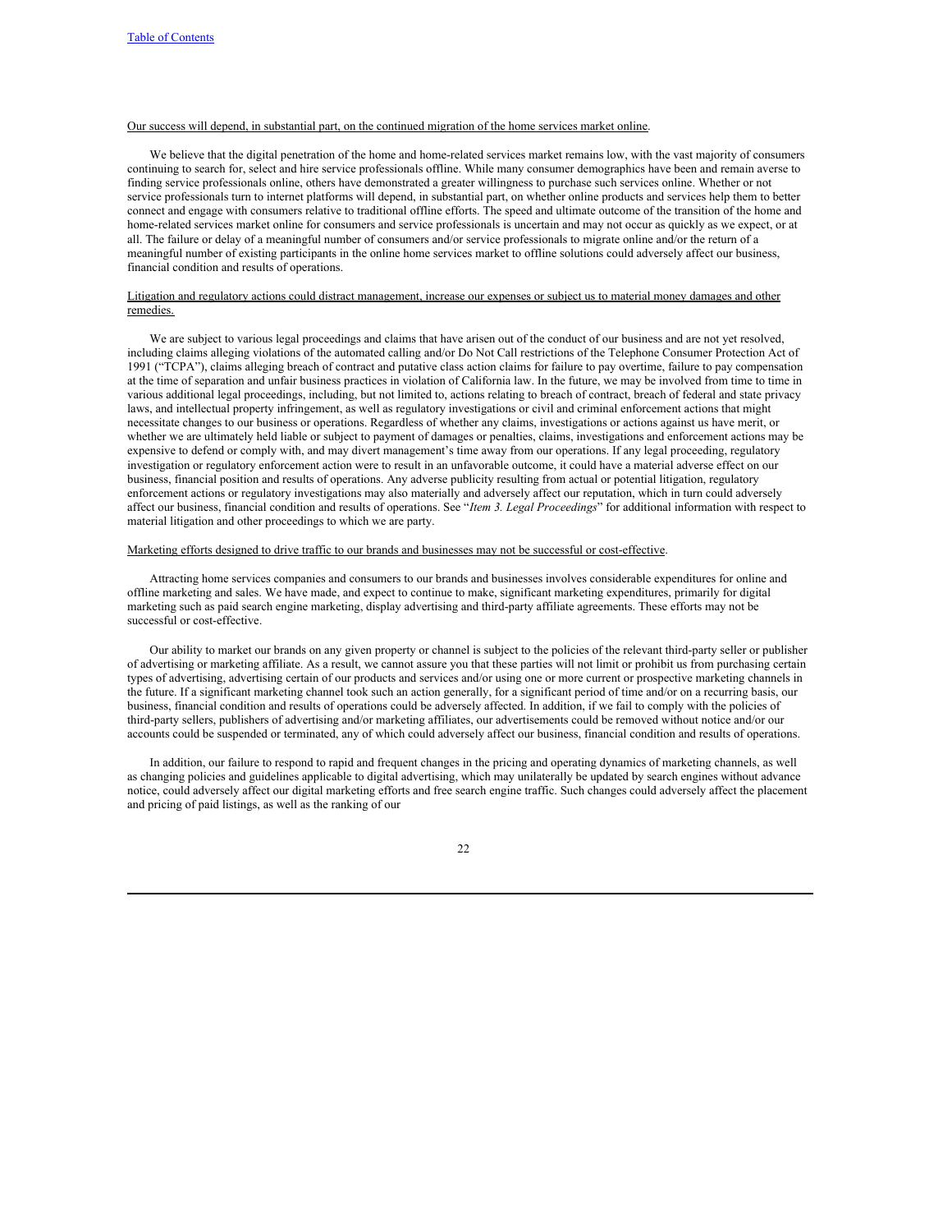# Our success will depend, in substantial part, on the continued migration of the home services market online.

We believe that the digital penetration of the home and home-related services market remains low, with the vast majority of consumers continuing to search for, select and hire service professionals offline. While many consumer demographics have been and remain averse to finding service professionals online, others have demonstrated a greater willingness to purchase such services online. Whether or not service professionals turn to internet platforms will depend, in substantial part, on whether online products and services help them to better connect and engage with consumers relative to traditional offline efforts. The speed and ultimate outcome of the transition of the home and home-related services market online for consumers and service professionals is uncertain and may not occur as quickly as we expect, or at all. The failure or delay of a meaningful number of consumers and/or service professionals to migrate online and/or the return of a meaningful number of existing participants in the online home services market to offline solutions could adversely affect our business, financial condition and results of operations.

### Litigation and regulatory actions could distract management, increase our expenses or subject us to material money damages and other remedies.

We are subject to various legal proceedings and claims that have arisen out of the conduct of our business and are not yet resolved, including claims alleging violations of the automated calling and/or Do Not Call restrictions of the Telephone Consumer Protection Act of 1991 ("TCPA"), claims alleging breach of contract and putative class action claims for failure to pay overtime, failure to pay compensation at the time of separation and unfair business practices in violation of California law. In the future, we may be involved from time to time in various additional legal proceedings, including, but not limited to, actions relating to breach of contract, breach of federal and state privacy laws, and intellectual property infringement, as well as regulatory investigations or civil and criminal enforcement actions that might necessitate changes to our business or operations. Regardless of whether any claims, investigations or actions against us have merit, or whether we are ultimately held liable or subject to payment of damages or penalties, claims, investigations and enforcement actions may be expensive to defend or comply with, and may divert management's time away from our operations. If any legal proceeding, regulatory investigation or regulatory enforcement action were to result in an unfavorable outcome, it could have a material adverse effect on our business, financial position and results of operations. Any adverse publicity resulting from actual or potential litigation, regulatory enforcement actions or regulatory investigations may also materially and adversely affect our reputation, which in turn could adversely affect our business, financial condition and results of operations. See "*Item 3. Legal Proceedings*" for additional information with respect to material litigation and other proceedings to which we are party.

### Marketing efforts designed to drive traffic to our brands and businesses may not be successful or cost-effective.

Attracting home services companies and consumers to our brands and businesses involves considerable expenditures for online and offline marketing and sales. We have made, and expect to continue to make, significant marketing expenditures, primarily for digital marketing such as paid search engine marketing, display advertising and third-party affiliate agreements. These efforts may not be successful or cost-effective.

Our ability to market our brands on any given property or channel is subject to the policies of the relevant third-party seller or publisher of advertising or marketing affiliate. As a result, we cannot assure you that these parties will not limit or prohibit us from purchasing certain types of advertising, advertising certain of our products and services and/or using one or more current or prospective marketing channels in the future. If a significant marketing channel took such an action generally, for a significant period of time and/or on a recurring basis, our business, financial condition and results of operations could be adversely affected. In addition, if we fail to comply with the policies of third-party sellers, publishers of advertising and/or marketing affiliates, our advertisements could be removed without notice and/or our accounts could be suspended or terminated, any of which could adversely affect our business, financial condition and results of operations.

In addition, our failure to respond to rapid and frequent changes in the pricing and operating dynamics of marketing channels, as well as changing policies and guidelines applicable to digital advertising, which may unilaterally be updated by search engines without advance notice, could adversely affect our digital marketing efforts and free search engine traffic. Such changes could adversely affect the placement and pricing of paid listings, as well as the ranking of our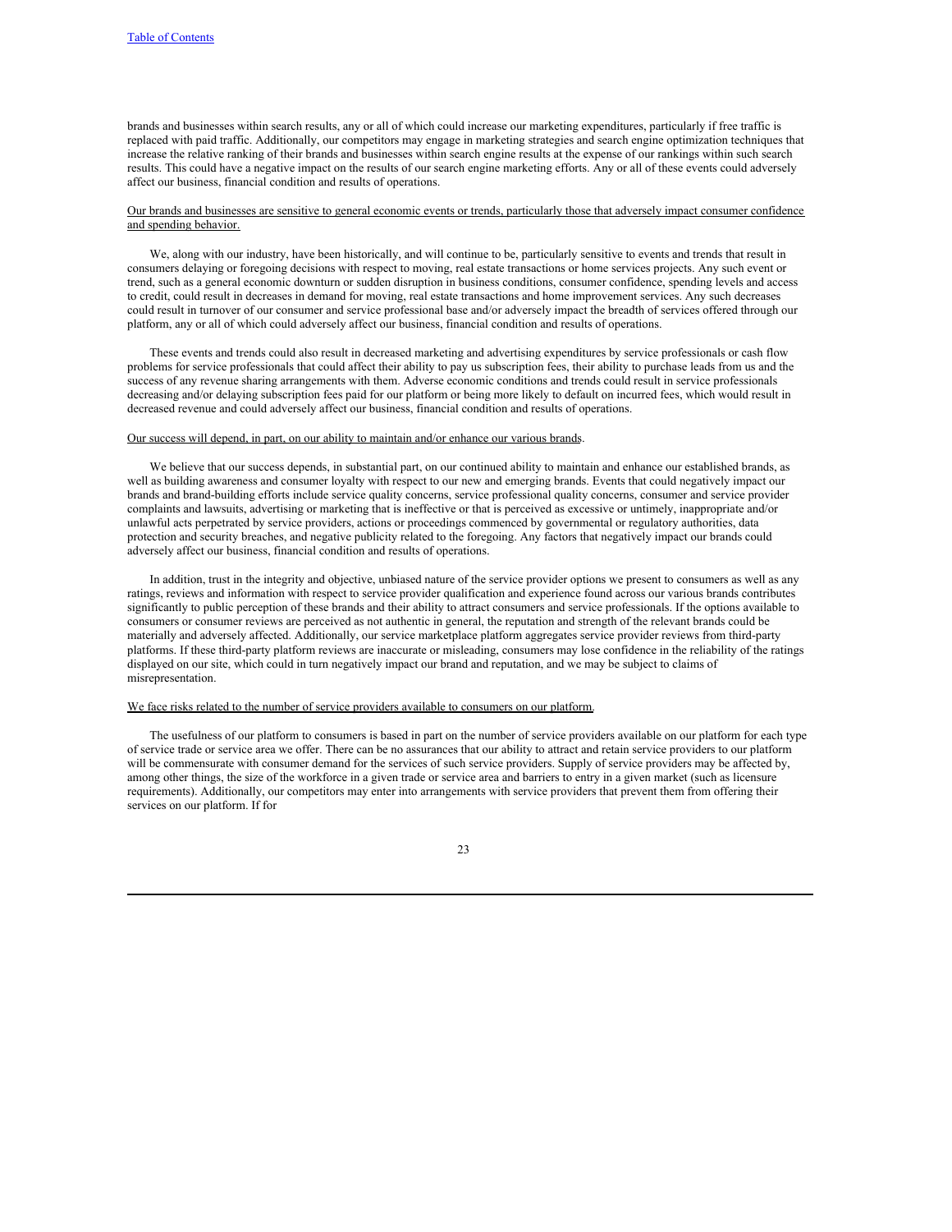brands and businesses within search results, any or all of which could increase our marketing expenditures, particularly if free traffic is replaced with paid traffic. Additionally, our competitors may engage in marketing strategies and search engine optimization techniques that increase the relative ranking of their brands and businesses within search engine results at the expense of our rankings within such search results. This could have a negative impact on the results of our search engine marketing efforts. Any or all of these events could adversely affect our business, financial condition and results of operations.

### Our brands and businesses are sensitive to general economic events or trends, particularly those that adversely impact consumer confidence and spending behavior.

We, along with our industry, have been historically, and will continue to be, particularly sensitive to events and trends that result in consumers delaying or foregoing decisions with respect to moving, real estate transactions or home services projects. Any such event or trend, such as a general economic downturn or sudden disruption in business conditions, consumer confidence, spending levels and access to credit, could result in decreases in demand for moving, real estate transactions and home improvement services. Any such decreases could result in turnover of our consumer and service professional base and/or adversely impact the breadth of services offered through our platform, any or all of which could adversely affect our business, financial condition and results of operations.

These events and trends could also result in decreased marketing and advertising expenditures by service professionals or cash flow problems for service professionals that could affect their ability to pay us subscription fees, their ability to purchase leads from us and the success of any revenue sharing arrangements with them. Adverse economic conditions and trends could result in service professionals decreasing and/or delaying subscription fees paid for our platform or being more likely to default on incurred fees, which would result in decreased revenue and could adversely affect our business, financial condition and results of operations.

#### Our success will depend, in part, on our ability to maintain and/or enhance our various brands.

We believe that our success depends, in substantial part, on our continued ability to maintain and enhance our established brands, as well as building awareness and consumer loyalty with respect to our new and emerging brands. Events that could negatively impact our brands and brand-building efforts include service quality concerns, service professional quality concerns, consumer and service provider complaints and lawsuits, advertising or marketing that is ineffective or that is perceived as excessive or untimely, inappropriate and/or unlawful acts perpetrated by service providers, actions or proceedings commenced by governmental or regulatory authorities, data protection and security breaches, and negative publicity related to the foregoing. Any factors that negatively impact our brands could adversely affect our business, financial condition and results of operations.

In addition, trust in the integrity and objective, unbiased nature of the service provider options we present to consumers as well as any ratings, reviews and information with respect to service provider qualification and experience found across our various brands contributes significantly to public perception of these brands and their ability to attract consumers and service professionals. If the options available to consumers or consumer reviews are perceived as not authentic in general, the reputation and strength of the relevant brands could be materially and adversely affected. Additionally, our service marketplace platform aggregates service provider reviews from third-party platforms. If these third-party platform reviews are inaccurate or misleading, consumers may lose confidence in the reliability of the ratings displayed on our site, which could in turn negatively impact our brand and reputation, and we may be subject to claims of misrepresentation.

#### We face risks related to the number of service providers available to consumers on our platform.

The usefulness of our platform to consumers is based in part on the number of service providers available on our platform for each type of service trade or service area we offer. There can be no assurances that our ability to attract and retain service providers to our platform will be commensurate with consumer demand for the services of such service providers. Supply of service providers may be affected by, among other things, the size of the workforce in a given trade or service area and barriers to entry in a given market (such as licensure requirements). Additionally, our competitors may enter into arrangements with service providers that prevent them from offering their services on our platform. If for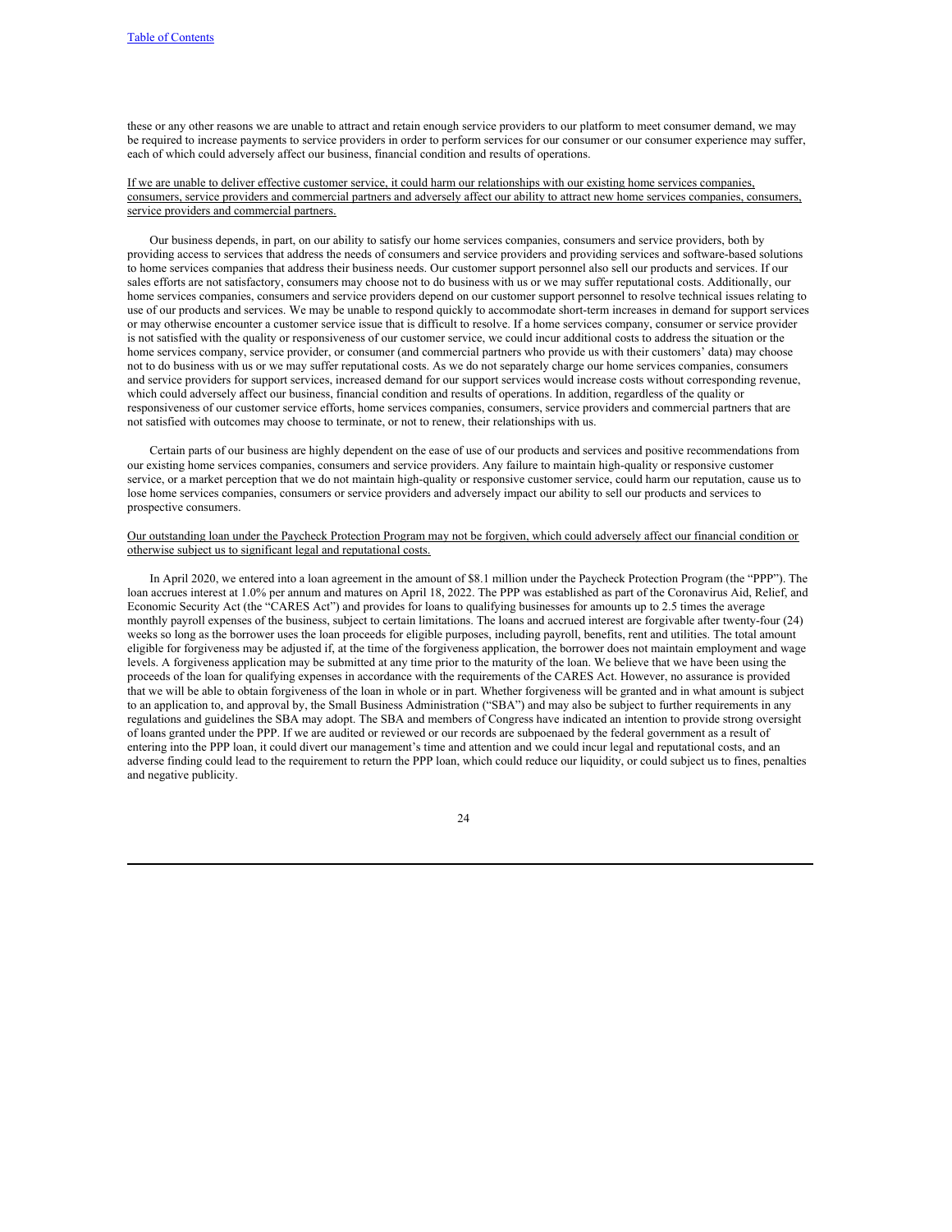these or any other reasons we are unable to attract and retain enough service providers to our platform to meet consumer demand, we may be required to increase payments to service providers in order to perform services for our consumer or our consumer experience may suffer, each of which could adversely affect our business, financial condition and results of operations.

### If we are unable to deliver effective customer service, it could harm our relationships with our existing home services companies, consumers, service providers and commercial partners and adversely affect our ability to attract new home services companies, consumers, service providers and commercial partners.

Our business depends, in part, on our ability to satisfy our home services companies, consumers and service providers, both by providing access to services that address the needs of consumers and service providers and providing services and software-based solutions to home services companies that address their business needs. Our customer support personnel also sell our products and services. If our sales efforts are not satisfactory, consumers may choose not to do business with us or we may suffer reputational costs. Additionally, our home services companies, consumers and service providers depend on our customer support personnel to resolve technical issues relating to use of our products and services. We may be unable to respond quickly to accommodate short-term increases in demand for support services or may otherwise encounter a customer service issue that is difficult to resolve. If a home services company, consumer or service provider is not satisfied with the quality or responsiveness of our customer service, we could incur additional costs to address the situation or the home services company, service provider, or consumer (and commercial partners who provide us with their customers' data) may choose not to do business with us or we may suffer reputational costs. As we do not separately charge our home services companies, consumers and service providers for support services, increased demand for our support services would increase costs without corresponding revenue, which could adversely affect our business, financial condition and results of operations. In addition, regardless of the quality or responsiveness of our customer service efforts, home services companies, consumers, service providers and commercial partners that are not satisfied with outcomes may choose to terminate, or not to renew, their relationships with us.

Certain parts of our business are highly dependent on the ease of use of our products and services and positive recommendations from our existing home services companies, consumers and service providers. Any failure to maintain high-quality or responsive customer service, or a market perception that we do not maintain high-quality or responsive customer service, could harm our reputation, cause us to lose home services companies, consumers or service providers and adversely impact our ability to sell our products and services to prospective consumers.

### Our outstanding loan under the Paycheck Protection Program may not be forgiven, which could adversely affect our financial condition or otherwise subject us to significant legal and reputational costs.

In April 2020, we entered into a loan agreement in the amount of \$8.1 million under the Paycheck Protection Program (the "PPP"). The loan accrues interest at 1.0% per annum and matures on April 18, 2022. The PPP was established as part of the Coronavirus Aid, Relief, and Economic Security Act (the "CARES Act") and provides for loans to qualifying businesses for amounts up to 2.5 times the average monthly payroll expenses of the business, subject to certain limitations. The loans and accrued interest are forgivable after twenty-four (24) weeks so long as the borrower uses the loan proceeds for eligible purposes, including payroll, benefits, rent and utilities. The total amount eligible for forgiveness may be adjusted if, at the time of the forgiveness application, the borrower does not maintain employment and wage levels. A forgiveness application may be submitted at any time prior to the maturity of the loan. We believe that we have been using the proceeds of the loan for qualifying expenses in accordance with the requirements of the CARES Act. However, no assurance is provided that we will be able to obtain forgiveness of the loan in whole or in part. Whether forgiveness will be granted and in what amount is subject to an application to, and approval by, the Small Business Administration ("SBA") and may also be subject to further requirements in any regulations and guidelines the SBA may adopt. The SBA and members of Congress have indicated an intention to provide strong oversight of loans granted under the PPP. If we are audited or reviewed or our records are subpoenaed by the federal government as a result of entering into the PPP loan, it could divert our management's time and attention and we could incur legal and reputational costs, and an adverse finding could lead to the requirement to return the PPP loan, which could reduce our liquidity, or could subject us to fines, penalties and negative publicity.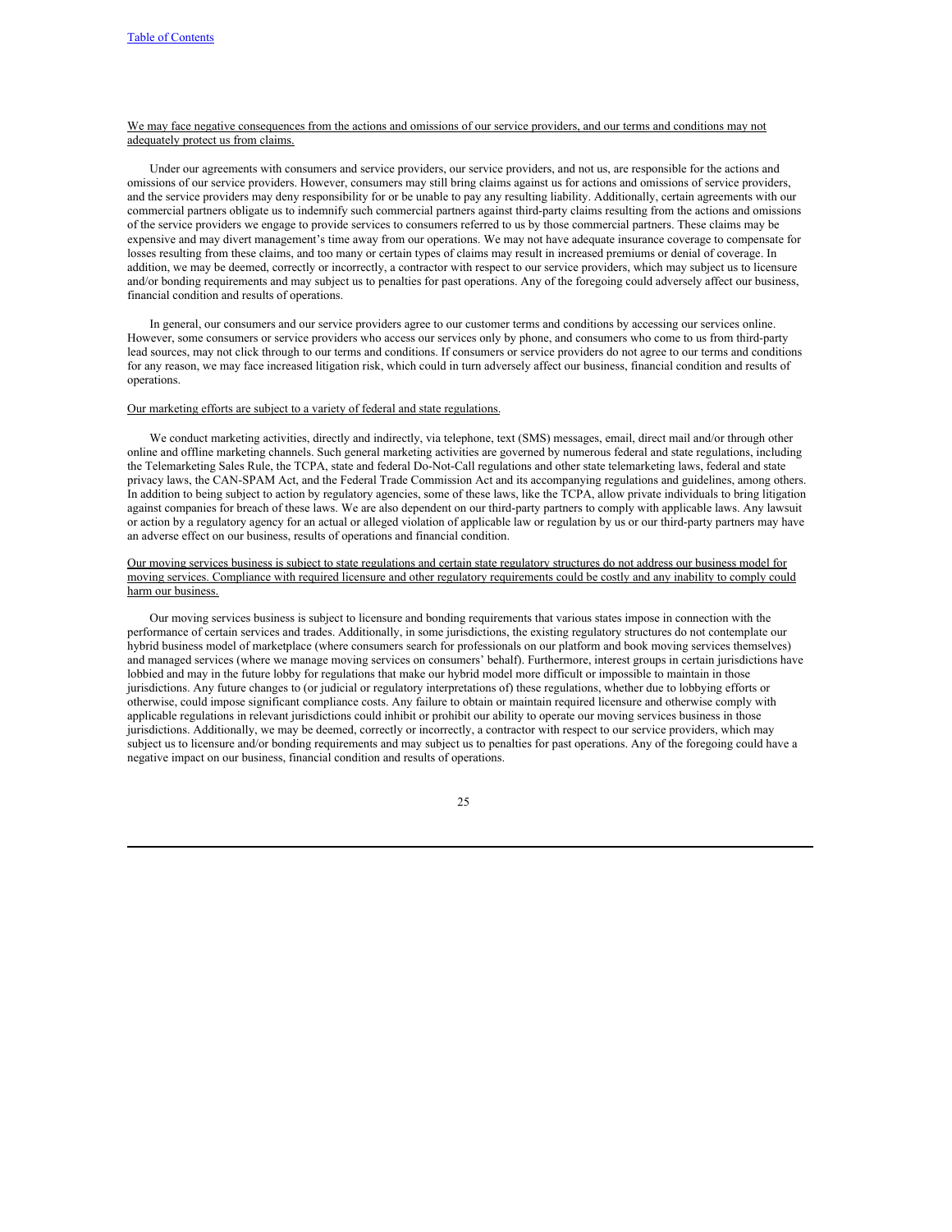# We may face negative consequences from the actions and omissions of our service providers, and our terms and conditions may not adequately protect us from claims.

Under our agreements with consumers and service providers, our service providers, and not us, are responsible for the actions and omissions of our service providers. However, consumers may still bring claims against us for actions and omissions of service providers, and the service providers may deny responsibility for or be unable to pay any resulting liability. Additionally, certain agreements with our commercial partners obligate us to indemnify such commercial partners against third-party claims resulting from the actions and omissions of the service providers we engage to provide services to consumers referred to us by those commercial partners. These claims may be expensive and may divert management's time away from our operations. We may not have adequate insurance coverage to compensate for losses resulting from these claims, and too many or certain types of claims may result in increased premiums or denial of coverage. In addition, we may be deemed, correctly or incorrectly, a contractor with respect to our service providers, which may subject us to licensure and/or bonding requirements and may subject us to penalties for past operations. Any of the foregoing could adversely affect our business, financial condition and results of operations.

In general, our consumers and our service providers agree to our customer terms and conditions by accessing our services online. However, some consumers or service providers who access our services only by phone, and consumers who come to us from third-party lead sources, may not click through to our terms and conditions. If consumers or service providers do not agree to our terms and conditions for any reason, we may face increased litigation risk, which could in turn adversely affect our business, financial condition and results of operations.

#### Our marketing efforts are subject to a variety of federal and state regulations.

We conduct marketing activities, directly and indirectly, via telephone, text (SMS) messages, email, direct mail and/or through other online and offline marketing channels. Such general marketing activities are governed by numerous federal and state regulations, including the Telemarketing Sales Rule, the TCPA, state and federal Do-Not-Call regulations and other state telemarketing laws, federal and state privacy laws, the CAN-SPAM Act, and the Federal Trade Commission Act and its accompanying regulations and guidelines, among others. In addition to being subject to action by regulatory agencies, some of these laws, like the TCPA, allow private individuals to bring litigation against companies for breach of these laws. We are also dependent on our third-party partners to comply with applicable laws. Any lawsuit or action by a regulatory agency for an actual or alleged violation of applicable law or regulation by us or our third-party partners may have an adverse effect on our business, results of operations and financial condition.

### Our moving services business is subject to state regulations and certain state regulatory structures do not address our business model for moving services. Compliance with required licensure and other regulatory requirements could be costly and any inability to comply could harm our business.

Our moving services business is subject to licensure and bonding requirements that various states impose in connection with the performance of certain services and trades. Additionally, in some jurisdictions, the existing regulatory structures do not contemplate our hybrid business model of marketplace (where consumers search for professionals on our platform and book moving services themselves) and managed services (where we manage moving services on consumers' behalf). Furthermore, interest groups in certain jurisdictions have lobbied and may in the future lobby for regulations that make our hybrid model more difficult or impossible to maintain in those jurisdictions. Any future changes to (or judicial or regulatory interpretations of) these regulations, whether due to lobbying efforts or otherwise, could impose significant compliance costs. Any failure to obtain or maintain required licensure and otherwise comply with applicable regulations in relevant jurisdictions could inhibit or prohibit our ability to operate our moving services business in those jurisdictions. Additionally, we may be deemed, correctly or incorrectly, a contractor with respect to our service providers, which may subject us to licensure and/or bonding requirements and may subject us to penalties for past operations. Any of the foregoing could have a negative impact on our business, financial condition and results of operations.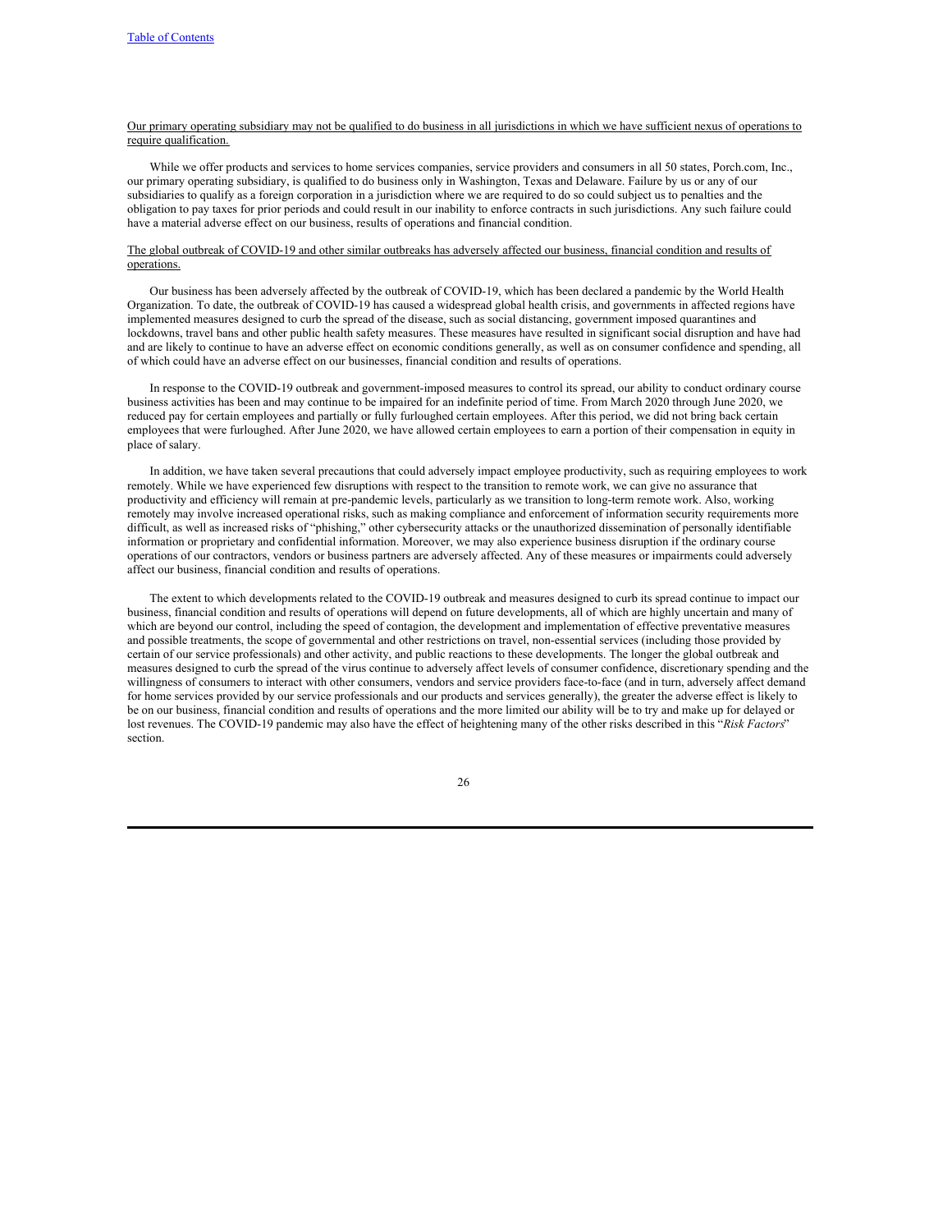# Our primary operating subsidiary may not be qualified to do business in all jurisdictions in which we have sufficient nexus of operations to require qualification.

While we offer products and services to home services companies, service providers and consumers in all 50 states, Porch.com, Inc., our primary operating subsidiary, is qualified to do business only in Washington, Texas and Delaware. Failure by us or any of our subsidiaries to qualify as a foreign corporation in a jurisdiction where we are required to do so could subject us to penalties and the obligation to pay taxes for prior periods and could result in our inability to enforce contracts in such jurisdictions. Any such failure could have a material adverse effect on our business, results of operations and financial condition.

### The global outbreak of COVID-19 and other similar outbreaks has adversely affected our business, financial condition and results of operations.

Our business has been adversely affected by the outbreak of COVID-19, which has been declared a pandemic by the World Health Organization. To date, the outbreak of COVID-19 has caused a widespread global health crisis, and governments in affected regions have implemented measures designed to curb the spread of the disease, such as social distancing, government imposed quarantines and lockdowns, travel bans and other public health safety measures. These measures have resulted in significant social disruption and have had and are likely to continue to have an adverse effect on economic conditions generally, as well as on consumer confidence and spending, all of which could have an adverse effect on our businesses, financial condition and results of operations.

In response to the COVID-19 outbreak and government-imposed measures to control its spread, our ability to conduct ordinary course business activities has been and may continue to be impaired for an indefinite period of time. From March 2020 through June 2020, we reduced pay for certain employees and partially or fully furloughed certain employees. After this period, we did not bring back certain employees that were furloughed. After June 2020, we have allowed certain employees to earn a portion of their compensation in equity in place of salary.

In addition, we have taken several precautions that could adversely impact employee productivity, such as requiring employees to work remotely. While we have experienced few disruptions with respect to the transition to remote work, we can give no assurance that productivity and efficiency will remain at pre-pandemic levels, particularly as we transition to long-term remote work. Also, working remotely may involve increased operational risks, such as making compliance and enforcement of information security requirements more difficult, as well as increased risks of "phishing," other cybersecurity attacks or the unauthorized dissemination of personally identifiable information or proprietary and confidential information. Moreover, we may also experience business disruption if the ordinary course operations of our contractors, vendors or business partners are adversely affected. Any of these measures or impairments could adversely affect our business, financial condition and results of operations.

The extent to which developments related to the COVID-19 outbreak and measures designed to curb its spread continue to impact our business, financial condition and results of operations will depend on future developments, all of which are highly uncertain and many of which are beyond our control, including the speed of contagion, the development and implementation of effective preventative measures and possible treatments, the scope of governmental and other restrictions on travel, non-essential services (including those provided by certain of our service professionals) and other activity, and public reactions to these developments. The longer the global outbreak and measures designed to curb the spread of the virus continue to adversely affect levels of consumer confidence, discretionary spending and the willingness of consumers to interact with other consumers, vendors and service providers face-to-face (and in turn, adversely affect demand for home services provided by our service professionals and our products and services generally), the greater the adverse effect is likely to be on our business, financial condition and results of operations and the more limited our ability will be to try and make up for delayed or lost revenues. The COVID-19 pandemic may also have the effect of heightening many of the other risks described in this "*Risk Factors*" section.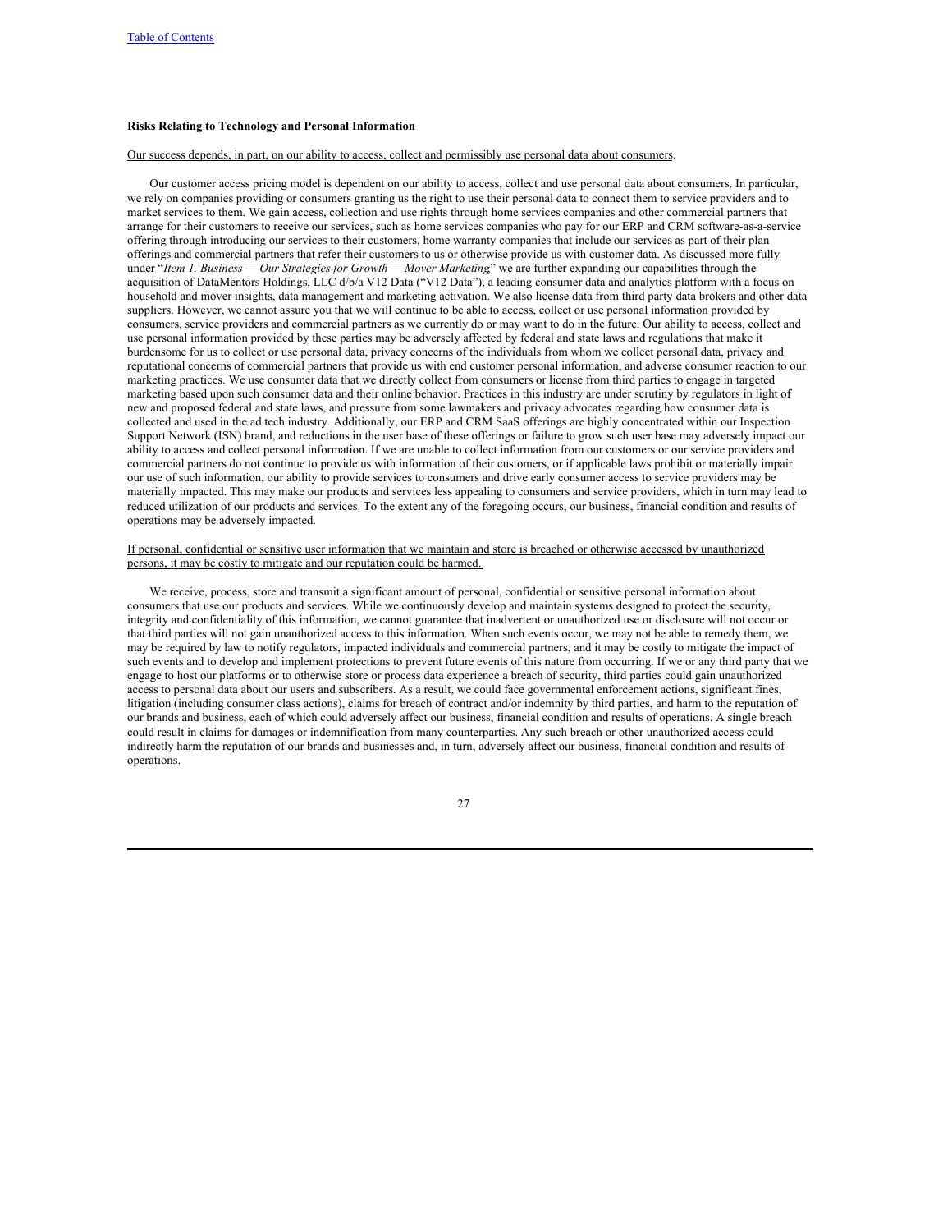# **Risks Relating to Technology and Personal Information**

#### Our success depends, in part, on our ability to access, collect and permissibly use personal data about consumers.

Our customer access pricing model is dependent on our ability to access, collect and use personal data about consumers. In particular, we rely on companies providing or consumers granting us the right to use their personal data to connect them to service providers and to market services to them. We gain access, collection and use rights through home services companies and other commercial partners that arrange for their customers to receive our services, such as home services companies who pay for our ERP and CRM software-as-a-service offering through introducing our services to their customers, home warranty companies that include our services as part of their plan offerings and commercial partners that refer their customers to us or otherwise provide us with customer data. As discussed more fully under "*Item 1. Business — Our Strategies for Growth — Mover Marketing*," we are further expanding our capabilities through the acquisition of DataMentors Holdings, LLC d/b/a V12 Data ("V12 Data"), a leading consumer data and analytics platform with a focus on household and mover insights, data management and marketing activation. We also license data from third party data brokers and other data suppliers. However, we cannot assure you that we will continue to be able to access, collect or use personal information provided by consumers, service providers and commercial partners as we currently do or may want to do in the future. Our ability to access, collect and use personal information provided by these parties may be adversely affected by federal and state laws and regulations that make it burdensome for us to collect or use personal data, privacy concerns of the individuals from whom we collect personal data, privacy and reputational concerns of commercial partners that provide us with end customer personal information, and adverse consumer reaction to our marketing practices. We use consumer data that we directly collect from consumers or license from third parties to engage in targeted marketing based upon such consumer data and their online behavior. Practices in this industry are under scrutiny by regulators in light of new and proposed federal and state laws, and pressure from some lawmakers and privacy advocates regarding how consumer data is collected and used in the ad tech industry. Additionally, our ERP and CRM SaaS offerings are highly concentrated within our Inspection Support Network (ISN) brand, and reductions in the user base of these offerings or failure to grow such user base may adversely impact our ability to access and collect personal information. If we are unable to collect information from our customers or our service providers and commercial partners do not continue to provide us with information of their customers, or if applicable laws prohibit or materially impair our use of such information, our ability to provide services to consumers and drive early consumer access to service providers may be materially impacted. This may make our products and services less appealing to consumers and service providers, which in turn may lead to reduced utilization of our products and services. To the extent any of the foregoing occurs, our business, financial condition and results of operations may be adversely impacted.

### If personal, confidential or sensitive user information that we maintain and store is breached or otherwise accessed by unauthorized persons, it may be costly to mitigate and our reputation could be harmed.

We receive, process, store and transmit a significant amount of personal, confidential or sensitive personal information about consumers that use our products and services. While we continuously develop and maintain systems designed to protect the security, integrity and confidentiality of this information, we cannot guarantee that inadvertent or unauthorized use or disclosure will not occur or that third parties will not gain unauthorized access to this information. When such events occur, we may not be able to remedy them, we may be required by law to notify regulators, impacted individuals and commercial partners, and it may be costly to mitigate the impact of such events and to develop and implement protections to prevent future events of this nature from occurring. If we or any third party that we engage to host our platforms or to otherwise store or process data experience a breach of security, third parties could gain unauthorized access to personal data about our users and subscribers. As a result, we could face governmental enforcement actions, significant fines, litigation (including consumer class actions), claims for breach of contract and/or indemnity by third parties, and harm to the reputation of our brands and business, each of which could adversely affect our business, financial condition and results of operations. A single breach could result in claims for damages or indemnification from many counterparties. Any such breach or other unauthorized access could indirectly harm the reputation of our brands and businesses and, in turn, adversely affect our business, financial condition and results of operations.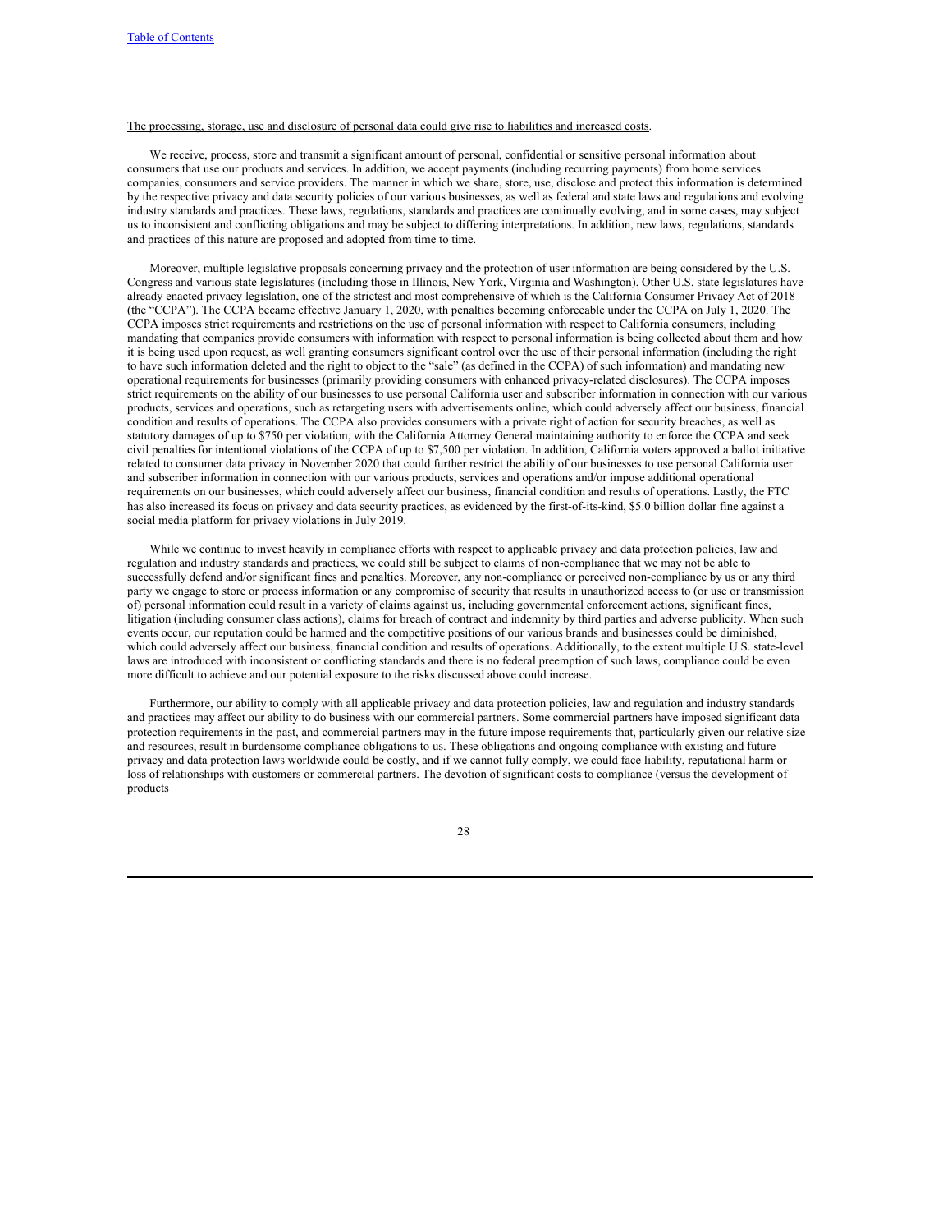# The processing, storage, use and disclosure of personal data could give rise to liabilities and increased costs.

We receive, process, store and transmit a significant amount of personal, confidential or sensitive personal information about consumers that use our products and services. In addition, we accept payments (including recurring payments) from home services companies, consumers and service providers. The manner in which we share, store, use, disclose and protect this information is determined by the respective privacy and data security policies of our various businesses, as well as federal and state laws and regulations and evolving industry standards and practices. These laws, regulations, standards and practices are continually evolving, and in some cases, may subject us to inconsistent and conflicting obligations and may be subject to differing interpretations. In addition, new laws, regulations, standards and practices of this nature are proposed and adopted from time to time.

Moreover, multiple legislative proposals concerning privacy and the protection of user information are being considered by the U.S. Congress and various state legislatures (including those in Illinois, New York, Virginia and Washington). Other U.S. state legislatures have already enacted privacy legislation, one of the strictest and most comprehensive of which is the California Consumer Privacy Act of 2018 (the "CCPA"). The CCPA became effective January 1, 2020, with penalties becoming enforceable under the CCPA on July 1, 2020. The CCPA imposes strict requirements and restrictions on the use of personal information with respect to California consumers, including mandating that companies provide consumers with information with respect to personal information is being collected about them and how it is being used upon request, as well granting consumers significant control over the use of their personal information (including the right to have such information deleted and the right to object to the "sale" (as defined in the CCPA) of such information) and mandating new operational requirements for businesses (primarily providing consumers with enhanced privacy-related disclosures). The CCPA imposes strict requirements on the ability of our businesses to use personal California user and subscriber information in connection with our various products, services and operations, such as retargeting users with advertisements online, which could adversely affect our business, financial condition and results of operations. The CCPA also provides consumers with a private right of action for security breaches, as well as statutory damages of up to \$750 per violation, with the California Attorney General maintaining authority to enforce the CCPA and seek civil penalties for intentional violations of the CCPA of up to \$7,500 per violation. In addition, California voters approved a ballot initiative related to consumer data privacy in November 2020 that could further restrict the ability of our businesses to use personal California user and subscriber information in connection with our various products, services and operations and/or impose additional operational requirements on our businesses, which could adversely affect our business, financial condition and results of operations. Lastly, the FTC has also increased its focus on privacy and data security practices, as evidenced by the first-of-its-kind, \$5.0 billion dollar fine against a social media platform for privacy violations in July 2019.

While we continue to invest heavily in compliance efforts with respect to applicable privacy and data protection policies, law and regulation and industry standards and practices, we could still be subject to claims of non-compliance that we may not be able to successfully defend and/or significant fines and penalties. Moreover, any non-compliance or perceived non-compliance by us or any third party we engage to store or process information or any compromise of security that results in unauthorized access to (or use or transmission of) personal information could result in a variety of claims against us, including governmental enforcement actions, significant fines, litigation (including consumer class actions), claims for breach of contract and indemnity by third parties and adverse publicity. When such events occur, our reputation could be harmed and the competitive positions of our various brands and businesses could be diminished, which could adversely affect our business, financial condition and results of operations. Additionally, to the extent multiple U.S. state-level laws are introduced with inconsistent or conflicting standards and there is no federal preemption of such laws, compliance could be even more difficult to achieve and our potential exposure to the risks discussed above could increase.

Furthermore, our ability to comply with all applicable privacy and data protection policies, law and regulation and industry standards and practices may affect our ability to do business with our commercial partners. Some commercial partners have imposed significant data protection requirements in the past, and commercial partners may in the future impose requirements that, particularly given our relative size and resources, result in burdensome compliance obligations to us. These obligations and ongoing compliance with existing and future privacy and data protection laws worldwide could be costly, and if we cannot fully comply, we could face liability, reputational harm or loss of relationships with customers or commercial partners. The devotion of significant costs to compliance (versus the development of products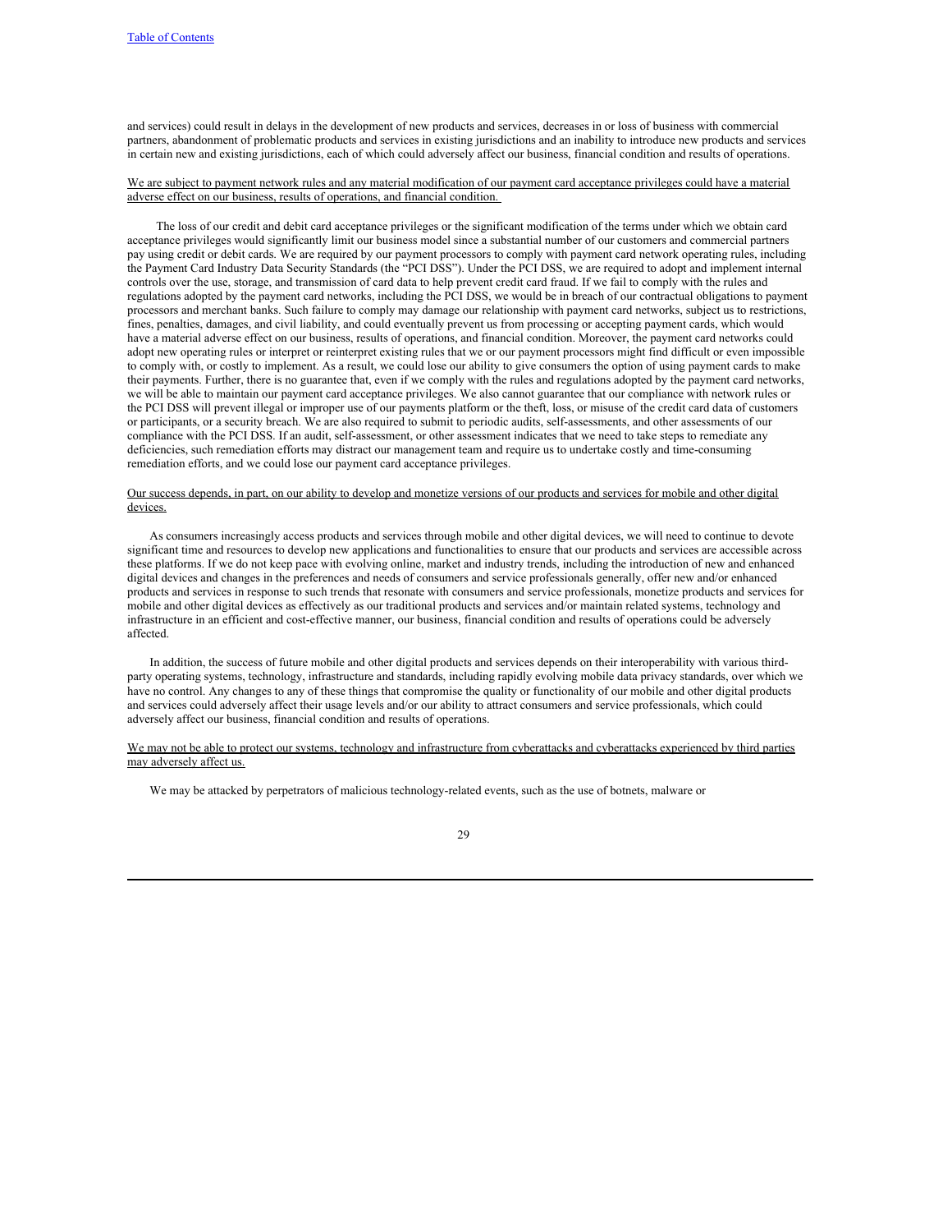and services) could result in delays in the development of new products and services, decreases in or loss of business with commercial partners, abandonment of problematic products and services in existing jurisdictions and an inability to introduce new products and services in certain new and existing jurisdictions, each of which could adversely affect our business, financial condition and results of operations.

### We are subject to payment network rules and any material modification of our payment card acceptance privileges could have a material adverse effect on our business, results of operations, and financial condition.

The loss of our credit and debit card acceptance privileges or the significant modification of the terms under which we obtain card acceptance privileges would significantly limit our business model since a substantial number of our customers and commercial partners pay using credit or debit cards. We are required by our payment processors to comply with payment card network operating rules, including the Payment Card Industry Data Security Standards (the "PCI DSS"). Under the PCI DSS, we are required to adopt and implement internal controls over the use, storage, and transmission of card data to help prevent credit card fraud. If we fail to comply with the rules and regulations adopted by the payment card networks, including the PCI DSS, we would be in breach of our contractual obligations to payment processors and merchant banks. Such failure to comply may damage our relationship with payment card networks, subject us to restrictions, fines, penalties, damages, and civil liability, and could eventually prevent us from processing or accepting payment cards, which would have a material adverse effect on our business, results of operations, and financial condition. Moreover, the payment card networks could adopt new operating rules or interpret or reinterpret existing rules that we or our payment processors might find difficult or even impossible to comply with, or costly to implement. As a result, we could lose our ability to give consumers the option of using payment cards to make their payments. Further, there is no guarantee that, even if we comply with the rules and regulations adopted by the payment card networks, we will be able to maintain our payment card acceptance privileges. We also cannot guarantee that our compliance with network rules or the PCI DSS will prevent illegal or improper use of our payments platform or the theft, loss, or misuse of the credit card data of customers or participants, or a security breach. We are also required to submit to periodic audits, self-assessments, and other assessments of our compliance with the PCI DSS. If an audit, self-assessment, or other assessment indicates that we need to take steps to remediate any deficiencies, such remediation efforts may distract our management team and require us to undertake costly and time-consuming remediation efforts, and we could lose our payment card acceptance privileges.

# Our success depends, in part, on our ability to develop and monetize versions of our products and services for mobile and other digital devices.

As consumers increasingly access products and services through mobile and other digital devices, we will need to continue to devote significant time and resources to develop new applications and functionalities to ensure that our products and services are accessible across these platforms. If we do not keep pace with evolving online, market and industry trends, including the introduction of new and enhanced digital devices and changes in the preferences and needs of consumers and service professionals generally, offer new and/or enhanced products and services in response to such trends that resonate with consumers and service professionals, monetize products and services for mobile and other digital devices as effectively as our traditional products and services and/or maintain related systems, technology and infrastructure in an efficient and cost-effective manner, our business, financial condition and results of operations could be adversely affected.

In addition, the success of future mobile and other digital products and services depends on their interoperability with various thirdparty operating systems, technology, infrastructure and standards, including rapidly evolving mobile data privacy standards, over which we have no control. Any changes to any of these things that compromise the quality or functionality of our mobile and other digital products and services could adversely affect their usage levels and/or our ability to attract consumers and service professionals, which could adversely affect our business, financial condition and results of operations.

### We may not be able to protect our systems, technology and infrastructure from cyberattacks and cyberattacks experienced by third parties may adversely affect us.

We may be attacked by perpetrators of malicious technology-related events, such as the use of botnets, malware or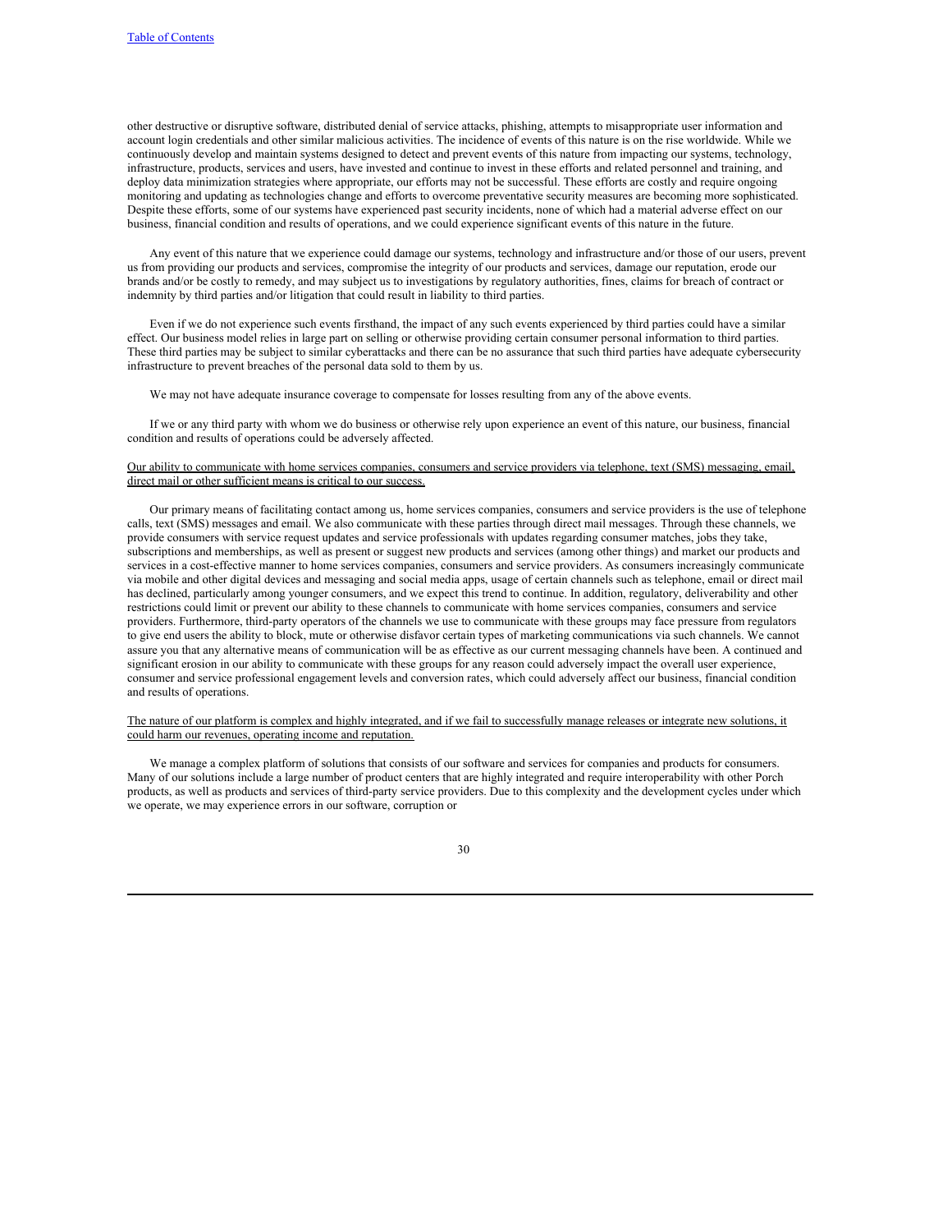other destructive or disruptive software, distributed denial of service attacks, phishing, attempts to misappropriate user information and account login credentials and other similar malicious activities. The incidence of events of this nature is on the rise worldwide. While we continuously develop and maintain systems designed to detect and prevent events of this nature from impacting our systems, technology, infrastructure, products, services and users, have invested and continue to invest in these efforts and related personnel and training, and deploy data minimization strategies where appropriate, our efforts may not be successful. These efforts are costly and require ongoing monitoring and updating as technologies change and efforts to overcome preventative security measures are becoming more sophisticated. Despite these efforts, some of our systems have experienced past security incidents, none of which had a material adverse effect on our business, financial condition and results of operations, and we could experience significant events of this nature in the future.

Any event of this nature that we experience could damage our systems, technology and infrastructure and/or those of our users, prevent us from providing our products and services, compromise the integrity of our products and services, damage our reputation, erode our brands and/or be costly to remedy, and may subject us to investigations by regulatory authorities, fines, claims for breach of contract or indemnity by third parties and/or litigation that could result in liability to third parties.

Even if we do not experience such events firsthand, the impact of any such events experienced by third parties could have a similar effect. Our business model relies in large part on selling or otherwise providing certain consumer personal information to third parties. These third parties may be subject to similar cyberattacks and there can be no assurance that such third parties have adequate cybersecurity infrastructure to prevent breaches of the personal data sold to them by us.

We may not have adequate insurance coverage to compensate for losses resulting from any of the above events.

If we or any third party with whom we do business or otherwise rely upon experience an event of this nature, our business, financial condition and results of operations could be adversely affected.

### Our ability to communicate with home services companies, consumers and service providers via telephone, text (SMS) messaging, email, direct mail or other sufficient means is critical to our success.

Our primary means of facilitating contact among us, home services companies, consumers and service providers is the use of telephone calls, text (SMS) messages and email. We also communicate with these parties through direct mail messages. Through these channels, we provide consumers with service request updates and service professionals with updates regarding consumer matches, jobs they take, subscriptions and memberships, as well as present or suggest new products and services (among other things) and market our products and services in a cost-effective manner to home services companies, consumers and service providers. As consumers increasingly communicate via mobile and other digital devices and messaging and social media apps, usage of certain channels such as telephone, email or direct mail has declined, particularly among younger consumers, and we expect this trend to continue. In addition, regulatory, deliverability and other restrictions could limit or prevent our ability to these channels to communicate with home services companies, consumers and service providers. Furthermore, third-party operators of the channels we use to communicate with these groups may face pressure from regulators to give end users the ability to block, mute or otherwise disfavor certain types of marketing communications via such channels. We cannot assure you that any alternative means of communication will be as effective as our current messaging channels have been. A continued and significant erosion in our ability to communicate with these groups for any reason could adversely impact the overall user experience, consumer and service professional engagement levels and conversion rates, which could adversely affect our business, financial condition and results of operations.

# The nature of our platform is complex and highly integrated, and if we fail to successfully manage releases or integrate new solutions, it could harm our revenues, operating income and reputation.

We manage a complex platform of solutions that consists of our software and services for companies and products for consumers. Many of our solutions include a large number of product centers that are highly integrated and require interoperability with other Porch products, as well as products and services of third-party service providers. Due to this complexity and the development cycles under which we operate, we may experience errors in our software, corruption or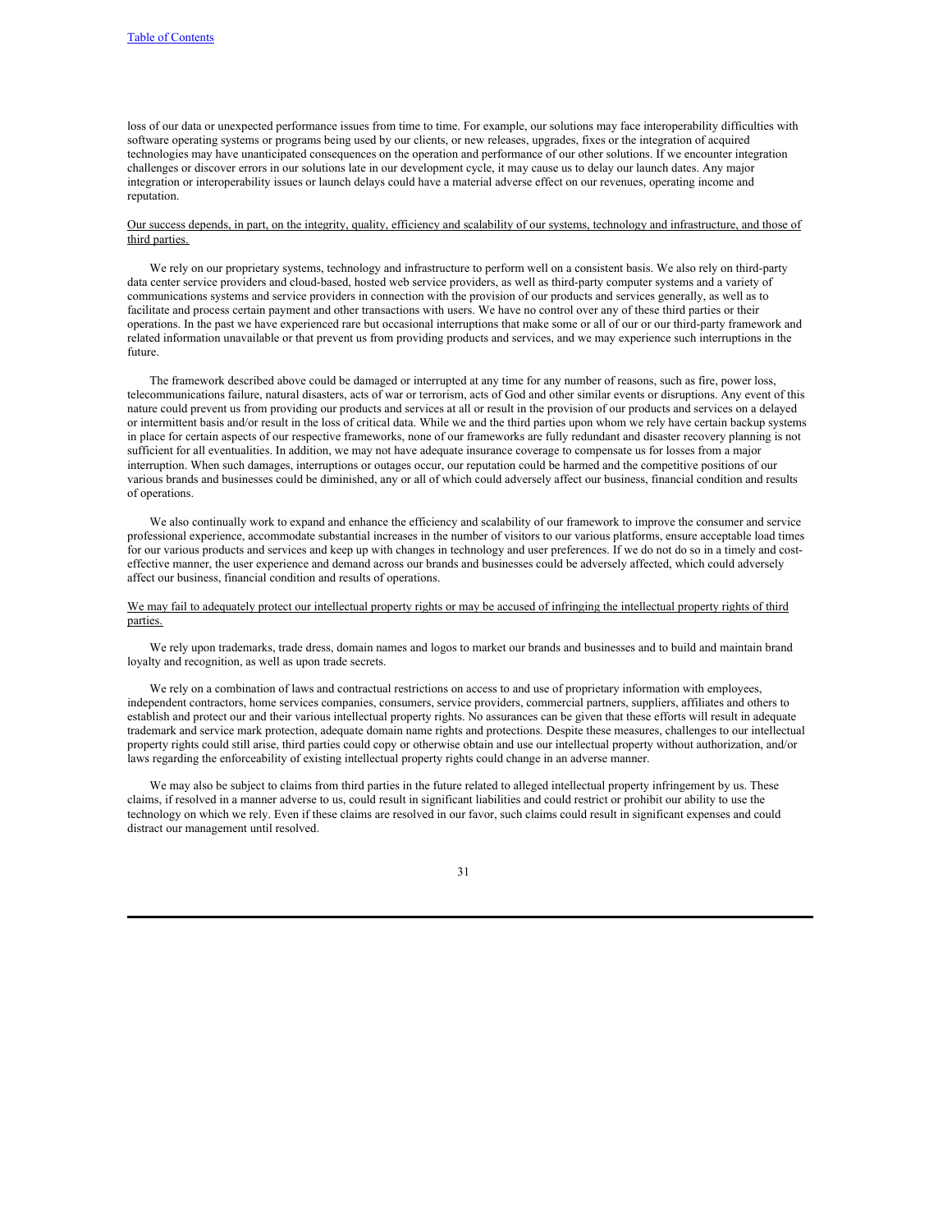loss of our data or unexpected performance issues from time to time. For example, our solutions may face interoperability difficulties with software operating systems or programs being used by our clients, or new releases, upgrades, fixes or the integration of acquired technologies may have unanticipated consequences on the operation and performance of our other solutions. If we encounter integration challenges or discover errors in our solutions late in our development cycle, it may cause us to delay our launch dates. Any major integration or interoperability issues or launch delays could have a material adverse effect on our revenues, operating income and reputation.

### Our success depends, in part, on the integrity, quality, efficiency and scalability of our systems, technology and infrastructure, and those of third parties.

We rely on our proprietary systems, technology and infrastructure to perform well on a consistent basis. We also rely on third-party data center service providers and cloud-based, hosted web service providers, as well as third-party computer systems and a variety of communications systems and service providers in connection with the provision of our products and services generally, as well as to facilitate and process certain payment and other transactions with users. We have no control over any of these third parties or their operations. In the past we have experienced rare but occasional interruptions that make some or all of our or our third-party framework and related information unavailable or that prevent us from providing products and services, and we may experience such interruptions in the future.

The framework described above could be damaged or interrupted at any time for any number of reasons, such as fire, power loss, telecommunications failure, natural disasters, acts of war or terrorism, acts of God and other similar events or disruptions. Any event of this nature could prevent us from providing our products and services at all or result in the provision of our products and services on a delayed or intermittent basis and/or result in the loss of critical data. While we and the third parties upon whom we rely have certain backup systems in place for certain aspects of our respective frameworks, none of our frameworks are fully redundant and disaster recovery planning is not sufficient for all eventualities. In addition, we may not have adequate insurance coverage to compensate us for losses from a major interruption. When such damages, interruptions or outages occur, our reputation could be harmed and the competitive positions of our various brands and businesses could be diminished, any or all of which could adversely affect our business, financial condition and results of operations.

We also continually work to expand and enhance the efficiency and scalability of our framework to improve the consumer and service professional experience, accommodate substantial increases in the number of visitors to our various platforms, ensure acceptable load times for our various products and services and keep up with changes in technology and user preferences. If we do not do so in a timely and costeffective manner, the user experience and demand across our brands and businesses could be adversely affected, which could adversely affect our business, financial condition and results of operations.

We may fail to adequately protect our intellectual property rights or may be accused of infringing the intellectual property rights of third parties.

We rely upon trademarks, trade dress, domain names and logos to market our brands and businesses and to build and maintain brand loyalty and recognition, as well as upon trade secrets.

We rely on a combination of laws and contractual restrictions on access to and use of proprietary information with employees, independent contractors, home services companies, consumers, service providers, commercial partners, suppliers, affiliates and others to establish and protect our and their various intellectual property rights. No assurances can be given that these efforts will result in adequate trademark and service mark protection, adequate domain name rights and protections. Despite these measures, challenges to our intellectual property rights could still arise, third parties could copy or otherwise obtain and use our intellectual property without authorization, and/or laws regarding the enforceability of existing intellectual property rights could change in an adverse manner.

We may also be subject to claims from third parties in the future related to alleged intellectual property infringement by us. These claims, if resolved in a manner adverse to us, could result in significant liabilities and could restrict or prohibit our ability to use the technology on which we rely. Even if these claims are resolved in our favor, such claims could result in significant expenses and could distract our management until resolved.

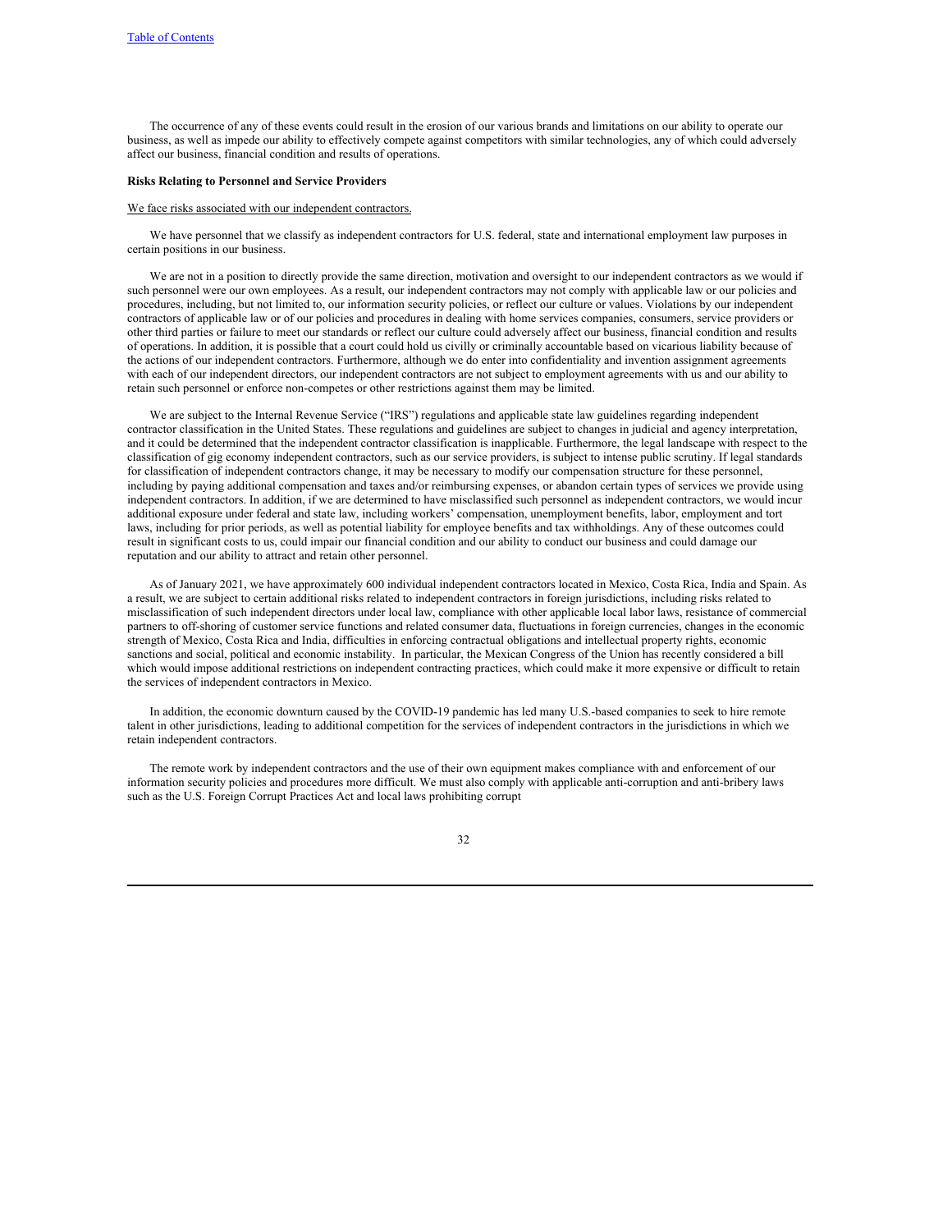The occurrence of any of these events could result in the erosion of our various brands and limitations on our ability to operate our business, as well as impede our ability to effectively compete against competitors with similar technologies, any of which could adversely affect our business, financial condition and results of operations.

## **Risks Relating to Personnel and Service Providers**

#### We face risks associated with our independent contractors.

We have personnel that we classify as independent contractors for U.S. federal, state and international employment law purposes in certain positions in our business.

We are not in a position to directly provide the same direction, motivation and oversight to our independent contractors as we would if such personnel were our own employees. As a result, our independent contractors may not comply with applicable law or our policies and procedures, including, but not limited to, our information security policies, or reflect our culture or values. Violations by our independent contractors of applicable law or of our policies and procedures in dealing with home services companies, consumers, service providers or other third parties or failure to meet our standards or reflect our culture could adversely affect our business, financial condition and results of operations. In addition, it is possible that a court could hold us civilly or criminally accountable based on vicarious liability because of the actions of our independent contractors. Furthermore, although we do enter into confidentiality and invention assignment agreements with each of our independent directors, our independent contractors are not subject to employment agreements with us and our ability to retain such personnel or enforce non-competes or other restrictions against them may be limited.

We are subject to the Internal Revenue Service ("IRS") regulations and applicable state law guidelines regarding independent contractor classification in the United States. These regulations and guidelines are subject to changes in judicial and agency interpretation, and it could be determined that the independent contractor classification is inapplicable. Furthermore, the legal landscape with respect to the classification of gig economy independent contractors, such as our service providers, is subject to intense public scrutiny. If legal standards for classification of independent contractors change, it may be necessary to modify our compensation structure for these personnel, including by paying additional compensation and taxes and/or reimbursing expenses, or abandon certain types of services we provide using independent contractors. In addition, if we are determined to have misclassified such personnel as independent contractors, we would incur additional exposure under federal and state law, including workers' compensation, unemployment benefits, labor, employment and tort laws, including for prior periods, as well as potential liability for employee benefits and tax withholdings. Any of these outcomes could result in significant costs to us, could impair our financial condition and our ability to conduct our business and could damage our reputation and our ability to attract and retain other personnel.

As of January 2021, we have approximately 600 individual independent contractors located in Mexico, Costa Rica, India and Spain. As a result, we are subject to certain additional risks related to independent contractors in foreign jurisdictions, including risks related to misclassification of such independent directors under local law, compliance with other applicable local labor laws, resistance of commercial partners to off-shoring of customer service functions and related consumer data, fluctuations in foreign currencies, changes in the economic strength of Mexico, Costa Rica and India, difficulties in enforcing contractual obligations and intellectual property rights, economic sanctions and social, political and economic instability. In particular, the Mexican Congress of the Union has recently considered a bill which would impose additional restrictions on independent contracting practices, which could make it more expensive or difficult to retain the services of independent contractors in Mexico.

In addition, the economic downturn caused by the COVID-19 pandemic has led many U.S.-based companies to seek to hire remote talent in other jurisdictions, leading to additional competition for the services of independent contractors in the jurisdictions in which we retain independent contractors.

The remote work by independent contractors and the use of their own equipment makes compliance with and enforcement of our information security policies and procedures more difficult. We must also comply with applicable anti-corruption and anti-bribery laws such as the U.S. Foreign Corrupt Practices Act and local laws prohibiting corrupt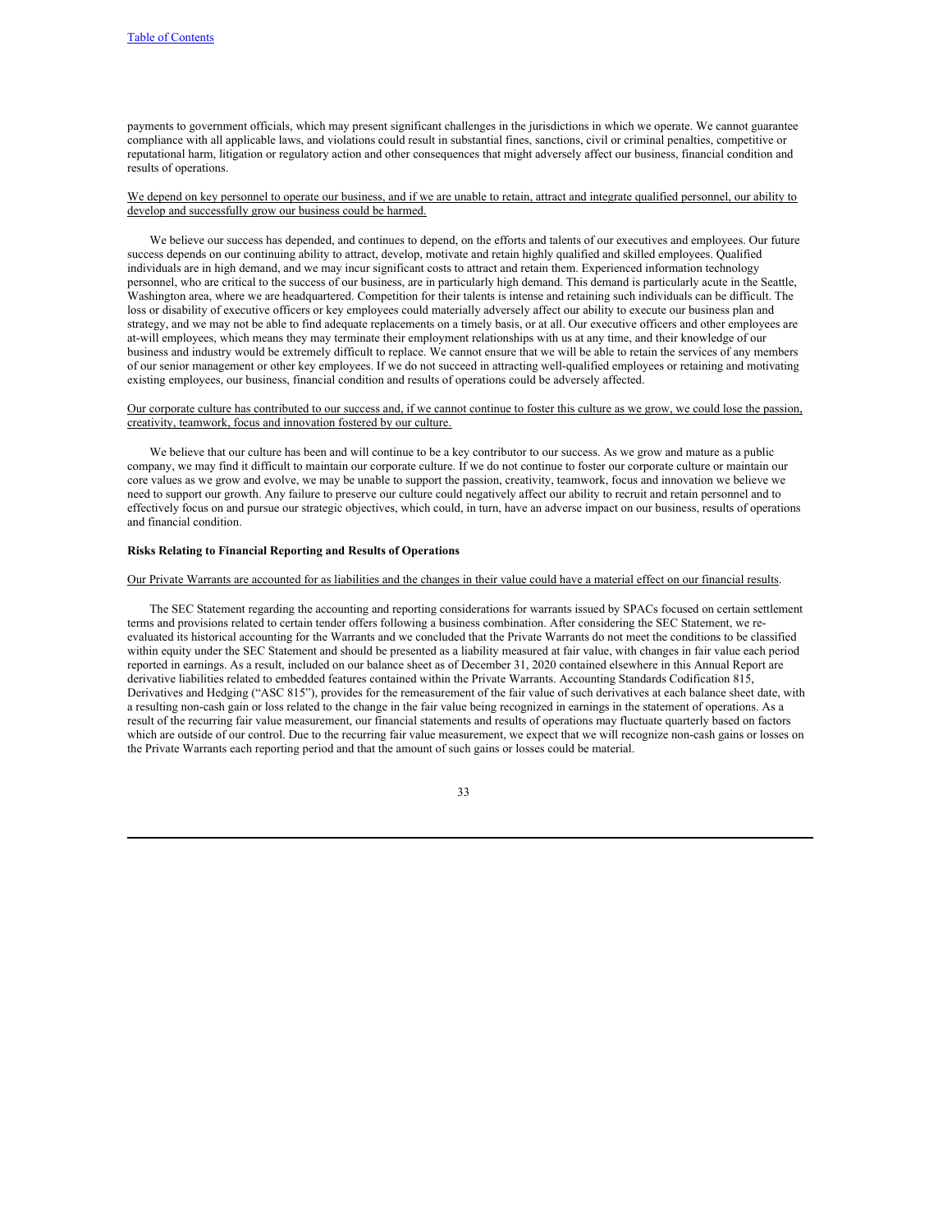payments to government officials, which may present significant challenges in the jurisdictions in which we operate. We cannot guarantee compliance with all applicable laws, and violations could result in substantial fines, sanctions, civil or criminal penalties, competitive or reputational harm, litigation or regulatory action and other consequences that might adversely affect our business, financial condition and results of operations.

### We depend on key personnel to operate our business, and if we are unable to retain, attract and integrate qualified personnel, our ability to develop and successfully grow our business could be harmed.

We believe our success has depended, and continues to depend, on the efforts and talents of our executives and employees. Our future success depends on our continuing ability to attract, develop, motivate and retain highly qualified and skilled employees. Qualified individuals are in high demand, and we may incur significant costs to attract and retain them. Experienced information technology personnel, who are critical to the success of our business, are in particularly high demand. This demand is particularly acute in the Seattle, Washington area, where we are headquartered. Competition for their talents is intense and retaining such individuals can be difficult. The loss or disability of executive officers or key employees could materially adversely affect our ability to execute our business plan and strategy, and we may not be able to find adequate replacements on a timely basis, or at all. Our executive officers and other employees are at-will employees, which means they may terminate their employment relationships with us at any time, and their knowledge of our business and industry would be extremely difficult to replace. We cannot ensure that we will be able to retain the services of any members of our senior management or other key employees. If we do not succeed in attracting well-qualified employees or retaining and motivating existing employees, our business, financial condition and results of operations could be adversely affected.

#### Our corporate culture has contributed to our success and, if we cannot continue to foster this culture as we grow, we could lose the passion, creativity, teamwork, focus and innovation fostered by our culture.

We believe that our culture has been and will continue to be a key contributor to our success. As we grow and mature as a public company, we may find it difficult to maintain our corporate culture. If we do not continue to foster our corporate culture or maintain our core values as we grow and evolve, we may be unable to support the passion, creativity, teamwork, focus and innovation we believe we need to support our growth. Any failure to preserve our culture could negatively affect our ability to recruit and retain personnel and to effectively focus on and pursue our strategic objectives, which could, in turn, have an adverse impact on our business, results of operations and financial condition.

# **Risks Relating to Financial Reporting and Results of Operations**

# Our Private Warrants are accounted for as liabilities and the changes in their value could have a material effect on our financial results.

The SEC Statement regarding the accounting and reporting considerations for warrants issued by SPACs focused on certain settlement terms and provisions related to certain tender offers following a business combination. After considering the SEC Statement, we reevaluated its historical accounting for the Warrants and we concluded that the Private Warrants do not meet the conditions to be classified within equity under the SEC Statement and should be presented as a liability measured at fair value, with changes in fair value each period reported in earnings. As a result, included on our balance sheet as of December 31, 2020 contained elsewhere in this Annual Report are derivative liabilities related to embedded features contained within the Private Warrants. Accounting Standards Codification 815, Derivatives and Hedging ("ASC 815"), provides for the remeasurement of the fair value of such derivatives at each balance sheet date, with a resulting non-cash gain or loss related to the change in the fair value being recognized in earnings in the statement of operations. As a result of the recurring fair value measurement, our financial statements and results of operations may fluctuate quarterly based on factors which are outside of our control. Due to the recurring fair value measurement, we expect that we will recognize non-cash gains or losses on the Private Warrants each reporting period and that the amount of such gains or losses could be material.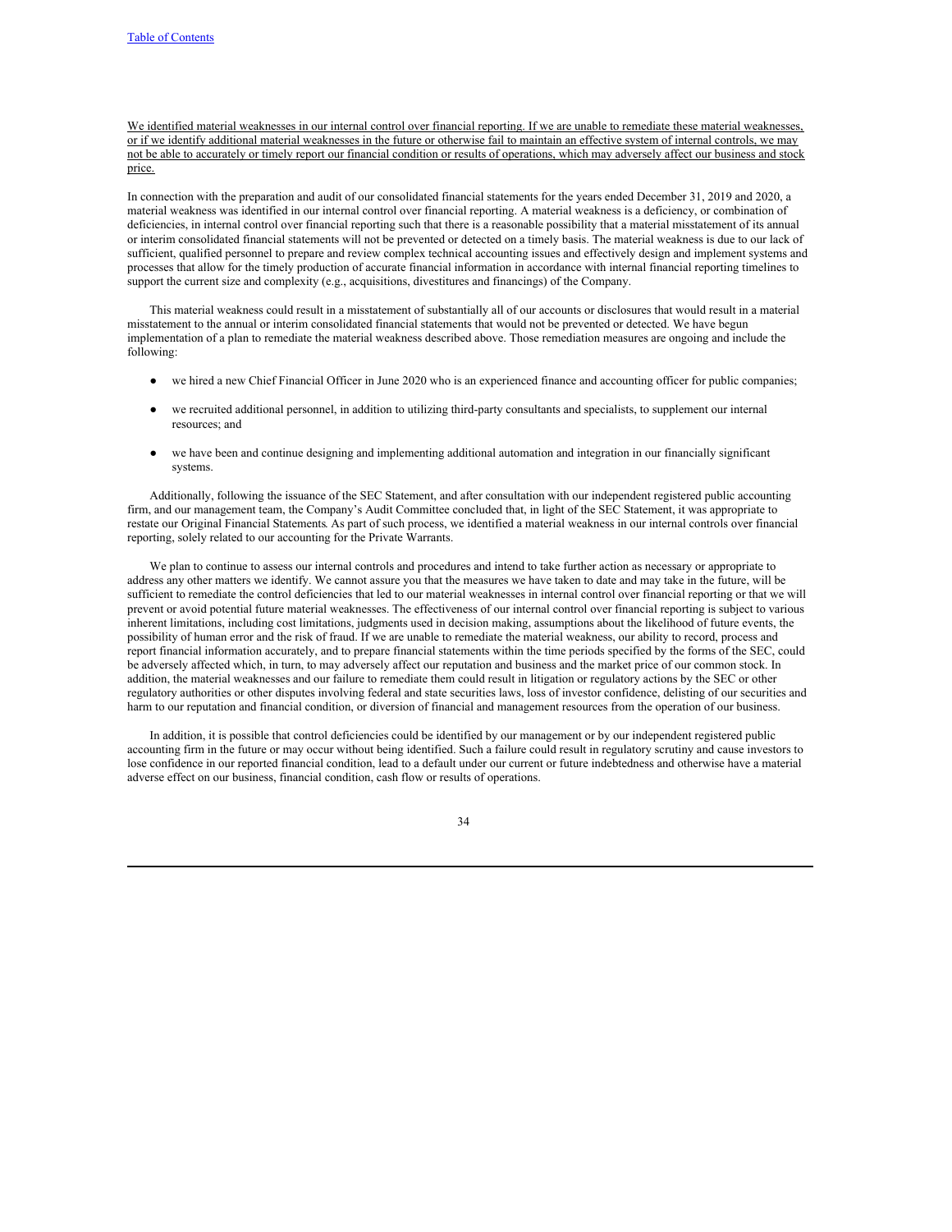We identified material weaknesses in our internal control over financial reporting. If we are unable to remediate these material weaknesses, or if we identify additional material weaknesses in the future or otherwise fail to maintain an effective system of internal controls, we may not be able to accurately or timely report our financial condition or results of operations, which may adversely affect our business and stock price.

In connection with the preparation and audit of our consolidated financial statements for the years ended December 31, 2019 and 2020, a material weakness was identified in our internal control over financial reporting. A material weakness is a deficiency, or combination of deficiencies, in internal control over financial reporting such that there is a reasonable possibility that a material misstatement of its annual or interim consolidated financial statements will not be prevented or detected on a timely basis. The material weakness is due to our lack of sufficient, qualified personnel to prepare and review complex technical accounting issues and effectively design and implement systems and processes that allow for the timely production of accurate financial information in accordance with internal financial reporting timelines to support the current size and complexity (e.g., acquisitions, divestitures and financings) of the Company.

This material weakness could result in a misstatement of substantially all of our accounts or disclosures that would result in a material misstatement to the annual or interim consolidated financial statements that would not be prevented or detected. We have begun implementation of a plan to remediate the material weakness described above. Those remediation measures are ongoing and include the following:

- we hired a new Chief Financial Officer in June 2020 who is an experienced finance and accounting officer for public companies;
- we recruited additional personnel, in addition to utilizing third-party consultants and specialists, to supplement our internal resources; and
- we have been and continue designing and implementing additional automation and integration in our financially significant systems.

Additionally, following the issuance of the SEC Statement, and after consultation with our independent registered public accounting firm, and our management team, the Company's Audit Committee concluded that, in light of the SEC Statement, it was appropriate to restate our Original Financial Statements. As part of such process, we identified a material weakness in our internal controls over financial reporting, solely related to our accounting for the Private Warrants.

We plan to continue to assess our internal controls and procedures and intend to take further action as necessary or appropriate to address any other matters we identify. We cannot assure you that the measures we have taken to date and may take in the future, will be sufficient to remediate the control deficiencies that led to our material weaknesses in internal control over financial reporting or that we will prevent or avoid potential future material weaknesses. The effectiveness of our internal control over financial reporting is subject to various inherent limitations, including cost limitations, judgments used in decision making, assumptions about the likelihood of future events, the possibility of human error and the risk of fraud. If we are unable to remediate the material weakness, our ability to record, process and report financial information accurately, and to prepare financial statements within the time periods specified by the forms of the SEC, could be adversely affected which, in turn, to may adversely affect our reputation and business and the market price of our common stock. In addition, the material weaknesses and our failure to remediate them could result in litigation or regulatory actions by the SEC or other regulatory authorities or other disputes involving federal and state securities laws, loss of investor confidence, delisting of our securities and harm to our reputation and financial condition, or diversion of financial and management resources from the operation of our business.

In addition, it is possible that control deficiencies could be identified by our management or by our independent registered public accounting firm in the future or may occur without being identified. Such a failure could result in regulatory scrutiny and cause investors to lose confidence in our reported financial condition, lead to a default under our current or future indebtedness and otherwise have a material adverse effect on our business, financial condition, cash flow or results of operations.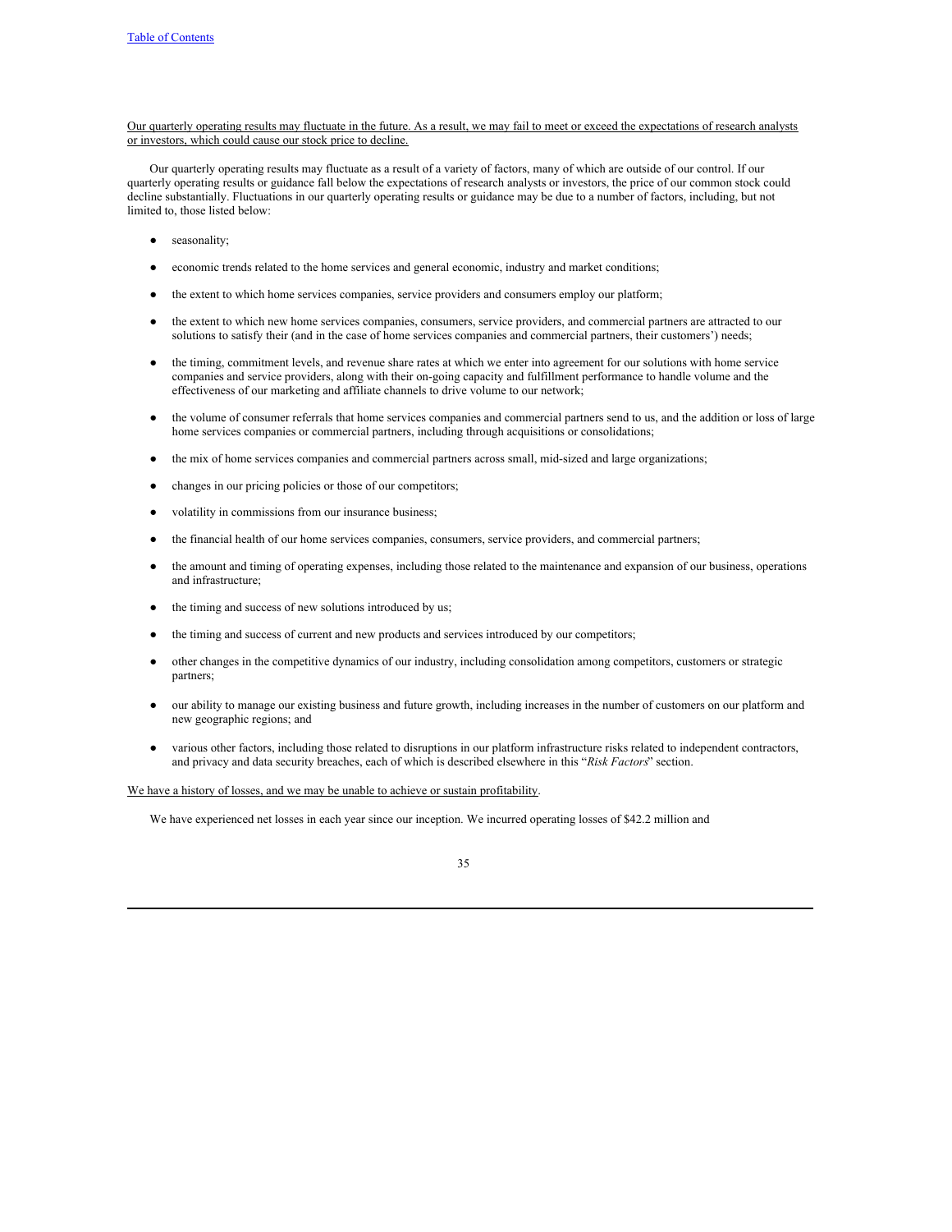# Our quarterly operating results may fluctuate in the future. As a result, we may fail to meet or exceed the expectations of research analysts or investors, which could cause our stock price to decline.

Our quarterly operating results may fluctuate as a result of a variety of factors, many of which are outside of our control. If our quarterly operating results or guidance fall below the expectations of research analysts or investors, the price of our common stock could decline substantially. Fluctuations in our quarterly operating results or guidance may be due to a number of factors, including, but not limited to, those listed below:

- seasonality;
- economic trends related to the home services and general economic, industry and market conditions;
- the extent to which home services companies, service providers and consumers employ our platform;
- the extent to which new home services companies, consumers, service providers, and commercial partners are attracted to our solutions to satisfy their (and in the case of home services companies and commercial partners, their customers') needs;
- the timing, commitment levels, and revenue share rates at which we enter into agreement for our solutions with home service companies and service providers, along with their on-going capacity and fulfillment performance to handle volume and the effectiveness of our marketing and affiliate channels to drive volume to our network;
- the volume of consumer referrals that home services companies and commercial partners send to us, and the addition or loss of large home services companies or commercial partners, including through acquisitions or consolidations;
- the mix of home services companies and commercial partners across small, mid-sized and large organizations;
- changes in our pricing policies or those of our competitors;
- volatility in commissions from our insurance business;
- the financial health of our home services companies, consumers, service providers, and commercial partners;
- the amount and timing of operating expenses, including those related to the maintenance and expansion of our business, operations and infrastructure;
- the timing and success of new solutions introduced by us;
- the timing and success of current and new products and services introduced by our competitors;
- other changes in the competitive dynamics of our industry, including consolidation among competitors, customers or strategic partners;
- our ability to manage our existing business and future growth, including increases in the number of customers on our platform and new geographic regions; and
- various other factors, including those related to disruptions in our platform infrastructure risks related to independent contractors, and privacy and data security breaches, each of which is described elsewhere in this "*Risk Factors*" section.

#### We have a history of losses, and we may be unable to achieve or sustain profitability.

We have experienced net losses in each year since our inception. We incurred operating losses of \$42.2 million and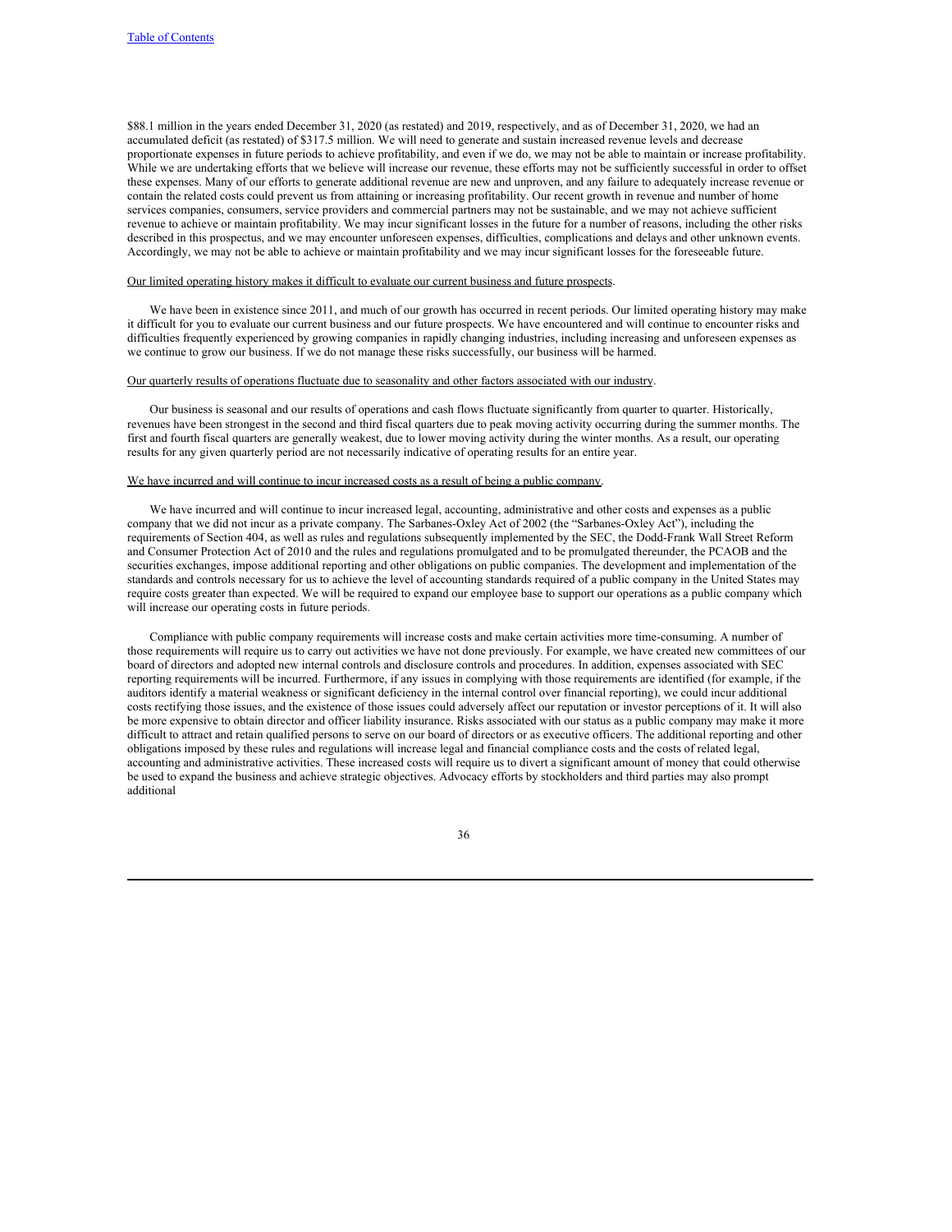\$88.1 million in the years ended December 31, 2020 (as restated) and 2019, respectively, and as of December 31, 2020, we had an accumulated deficit (as restated) of \$317.5 million. We will need to generate and sustain increased revenue levels and decrease proportionate expenses in future periods to achieve profitability, and even if we do, we may not be able to maintain or increase profitability. While we are undertaking efforts that we believe will increase our revenue, these efforts may not be sufficiently successful in order to offset these expenses. Many of our efforts to generate additional revenue are new and unproven, and any failure to adequately increase revenue or contain the related costs could prevent us from attaining or increasing profitability. Our recent growth in revenue and number of home services companies, consumers, service providers and commercial partners may not be sustainable, and we may not achieve sufficient revenue to achieve or maintain profitability. We may incur significant losses in the future for a number of reasons, including the other risks described in this prospectus, and we may encounter unforeseen expenses, difficulties, complications and delays and other unknown events. Accordingly, we may not be able to achieve or maintain profitability and we may incur significant losses for the foreseeable future.

# Our limited operating history makes it difficult to evaluate our current business and future prospects.

We have been in existence since 2011, and much of our growth has occurred in recent periods. Our limited operating history may make it difficult for you to evaluate our current business and our future prospects. We have encountered and will continue to encounter risks and difficulties frequently experienced by growing companies in rapidly changing industries, including increasing and unforeseen expenses as we continue to grow our business. If we do not manage these risks successfully, our business will be harmed.

#### Our quarterly results of operations fluctuate due to seasonality and other factors associated with our industry.

Our business is seasonal and our results of operations and cash flows fluctuate significantly from quarter to quarter. Historically, revenues have been strongest in the second and third fiscal quarters due to peak moving activity occurring during the summer months. The first and fourth fiscal quarters are generally weakest, due to lower moving activity during the winter months. As a result, our operating results for any given quarterly period are not necessarily indicative of operating results for an entire year.

### We have incurred and will continue to incur increased costs as a result of being a public company.

We have incurred and will continue to incur increased legal, accounting, administrative and other costs and expenses as a public company that we did not incur as a private company. The Sarbanes-Oxley Act of 2002 (the "Sarbanes-Oxley Act"), including the requirements of Section 404, as well as rules and regulations subsequently implemented by the SEC, the Dodd-Frank Wall Street Reform and Consumer Protection Act of 2010 and the rules and regulations promulgated and to be promulgated thereunder, the PCAOB and the securities exchanges, impose additional reporting and other obligations on public companies. The development and implementation of the standards and controls necessary for us to achieve the level of accounting standards required of a public company in the United States may require costs greater than expected. We will be required to expand our employee base to support our operations as a public company which will increase our operating costs in future periods.

Compliance with public company requirements will increase costs and make certain activities more time-consuming. A number of those requirements will require us to carry out activities we have not done previously. For example, we have created new committees of our board of directors and adopted new internal controls and disclosure controls and procedures. In addition, expenses associated with SEC reporting requirements will be incurred. Furthermore, if any issues in complying with those requirements are identified (for example, if the auditors identify a material weakness or significant deficiency in the internal control over financial reporting), we could incur additional costs rectifying those issues, and the existence of those issues could adversely affect our reputation or investor perceptions of it. It will also be more expensive to obtain director and officer liability insurance. Risks associated with our status as a public company may make it more difficult to attract and retain qualified persons to serve on our board of directors or as executive officers. The additional reporting and other obligations imposed by these rules and regulations will increase legal and financial compliance costs and the costs of related legal, accounting and administrative activities. These increased costs will require us to divert a significant amount of money that could otherwise be used to expand the business and achieve strategic objectives. Advocacy efforts by stockholders and third parties may also prompt additional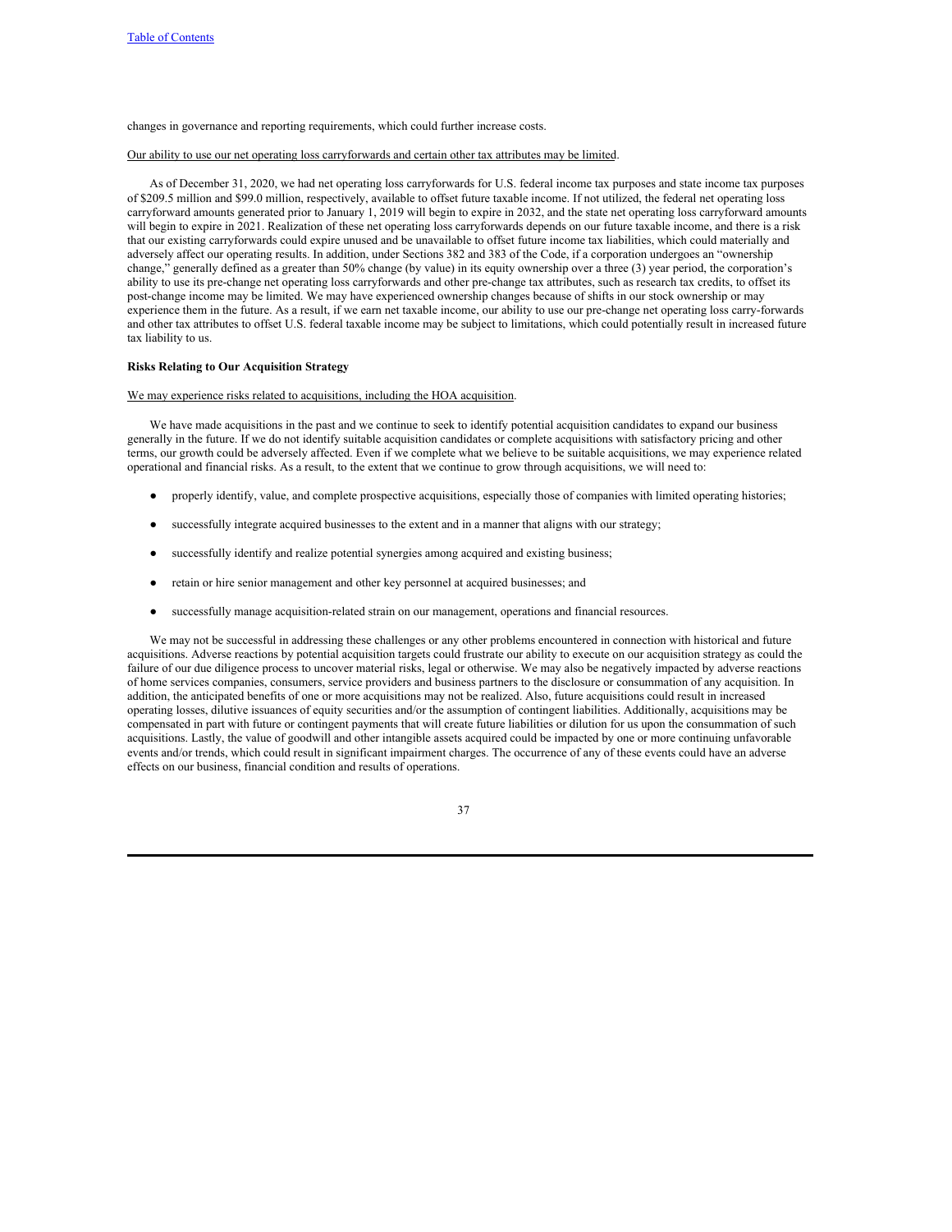changes in governance and reporting requirements, which could further increase costs.

#### Our ability to use our net operating loss carryforwards and certain other tax attributes may be limited.

As of December 31, 2020, we had net operating loss carryforwards for U.S. federal income tax purposes and state income tax purposes of \$209.5 million and \$99.0 million, respectively, available to offset future taxable income. If not utilized, the federal net operating loss carryforward amounts generated prior to January 1, 2019 will begin to expire in 2032, and the state net operating loss carryforward amounts will begin to expire in 2021. Realization of these net operating loss carryforwards depends on our future taxable income, and there is a risk that our existing carryforwards could expire unused and be unavailable to offset future income tax liabilities, which could materially and adversely affect our operating results. In addition, under Sections 382 and 383 of the Code, if a corporation undergoes an "ownership change," generally defined as a greater than 50% change (by value) in its equity ownership over a three (3) year period, the corporation's ability to use its pre-change net operating loss carryforwards and other pre-change tax attributes, such as research tax credits, to offset its post-change income may be limited. We may have experienced ownership changes because of shifts in our stock ownership or may experience them in the future. As a result, if we earn net taxable income, our ability to use our pre-change net operating loss carry-forwards and other tax attributes to offset U.S. federal taxable income may be subject to limitations, which could potentially result in increased future tax liability to us.

#### **Risks Relating to Our Acquisition Strategy**

#### We may experience risks related to acquisitions, including the HOA acquisition.

We have made acquisitions in the past and we continue to seek to identify potential acquisition candidates to expand our business generally in the future. If we do not identify suitable acquisition candidates or complete acquisitions with satisfactory pricing and other terms, our growth could be adversely affected. Even if we complete what we believe to be suitable acquisitions, we may experience related operational and financial risks. As a result, to the extent that we continue to grow through acquisitions, we will need to:

- properly identify, value, and complete prospective acquisitions, especially those of companies with limited operating histories;
- successfully integrate acquired businesses to the extent and in a manner that aligns with our strategy;
- successfully identify and realize potential synergies among acquired and existing business;
- retain or hire senior management and other key personnel at acquired businesses; and
- successfully manage acquisition-related strain on our management, operations and financial resources.

We may not be successful in addressing these challenges or any other problems encountered in connection with historical and future acquisitions. Adverse reactions by potential acquisition targets could frustrate our ability to execute on our acquisition strategy as could the failure of our due diligence process to uncover material risks, legal or otherwise. We may also be negatively impacted by adverse reactions of home services companies, consumers, service providers and business partners to the disclosure or consummation of any acquisition. In addition, the anticipated benefits of one or more acquisitions may not be realized. Also, future acquisitions could result in increased operating losses, dilutive issuances of equity securities and/or the assumption of contingent liabilities. Additionally, acquisitions may be compensated in part with future or contingent payments that will create future liabilities or dilution for us upon the consummation of such acquisitions. Lastly, the value of goodwill and other intangible assets acquired could be impacted by one or more continuing unfavorable events and/or trends, which could result in significant impairment charges. The occurrence of any of these events could have an adverse effects on our business, financial condition and results of operations.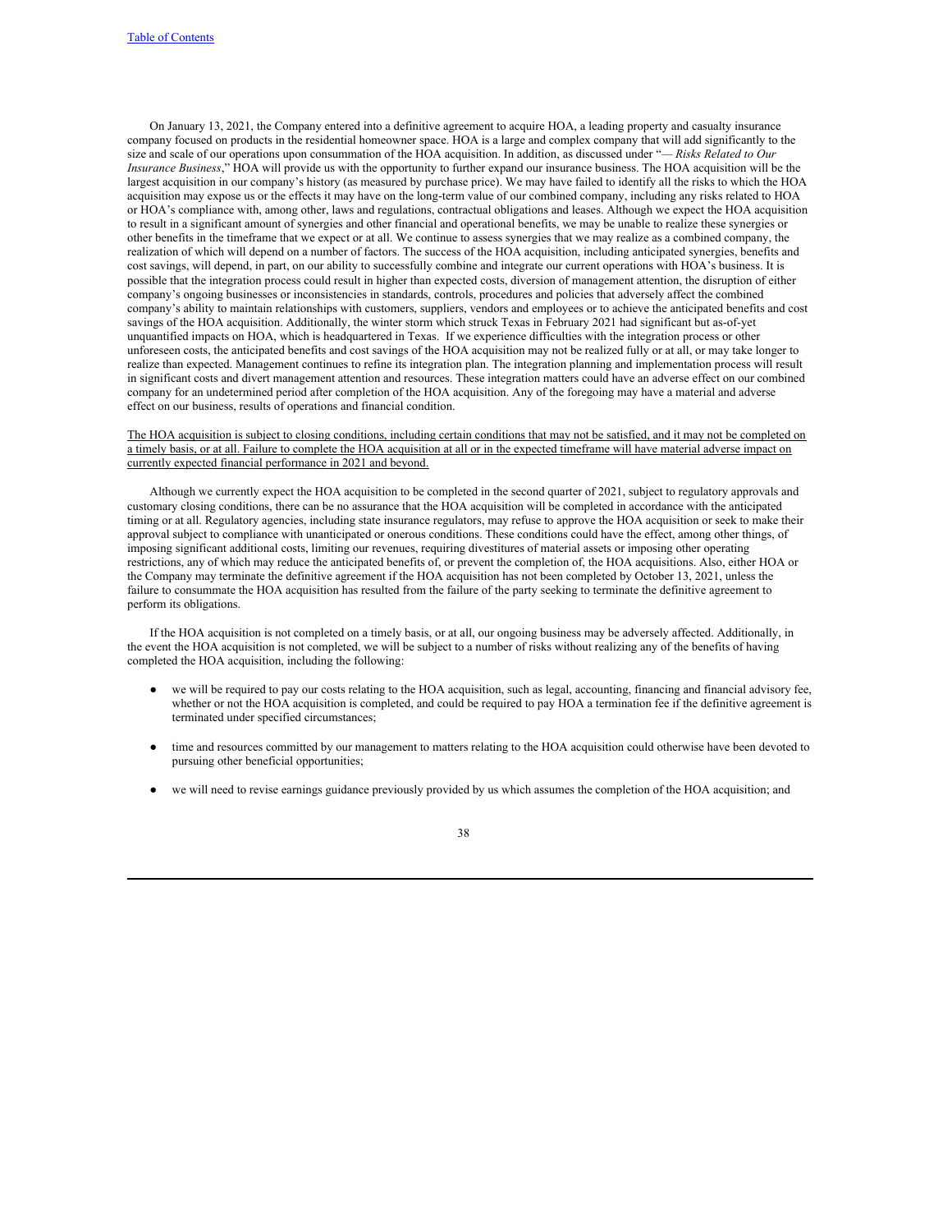On January 13, 2021, the Company entered into a definitive agreement to acquire HOA, a leading property and casualty insurance company focused on products in the residential homeowner space. HOA is a large and complex company that will add significantly to the size and scale of our operations upon consummation of the HOA acquisition. In addition, as discussed under "*— Risks Related to Our Insurance Business*," HOA will provide us with the opportunity to further expand our insurance business. The HOA acquisition will be the largest acquisition in our company's history (as measured by purchase price). We may have failed to identify all the risks to which the HOA acquisition may expose us or the effects it may have on the long-term value of our combined company, including any risks related to HOA or HOA's compliance with, among other, laws and regulations, contractual obligations and leases. Although we expect the HOA acquisition to result in a significant amount of synergies and other financial and operational benefits, we may be unable to realize these synergies or other benefits in the timeframe that we expect or at all. We continue to assess synergies that we may realize as a combined company, the realization of which will depend on a number of factors. The success of the HOA acquisition, including anticipated synergies, benefits and cost savings, will depend, in part, on our ability to successfully combine and integrate our current operations with HOA's business. It is possible that the integration process could result in higher than expected costs, diversion of management attention, the disruption of either company's ongoing businesses or inconsistencies in standards, controls, procedures and policies that adversely affect the combined company's ability to maintain relationships with customers, suppliers, vendors and employees or to achieve the anticipated benefits and cost savings of the HOA acquisition. Additionally, the winter storm which struck Texas in February 2021 had significant but as-of-yet unquantified impacts on HOA, which is headquartered in Texas. If we experience difficulties with the integration process or other unforeseen costs, the anticipated benefits and cost savings of the HOA acquisition may not be realized fully or at all, or may take longer to realize than expected. Management continues to refine its integration plan. The integration planning and implementation process will result in significant costs and divert management attention and resources. These integration matters could have an adverse effect on our combined company for an undetermined period after completion of the HOA acquisition. Any of the foregoing may have a material and adverse effect on our business, results of operations and financial condition.

## The HOA acquisition is subject to closing conditions, including certain conditions that may not be satisfied, and it may not be completed on a timely basis, or at all. Failure to complete the HOA acquisition at all or in the expected timeframe will have material adverse impact on currently expected financial performance in 2021 and beyond.

Although we currently expect the HOA acquisition to be completed in the second quarter of 2021, subject to regulatory approvals and customary closing conditions, there can be no assurance that the HOA acquisition will be completed in accordance with the anticipated timing or at all. Regulatory agencies, including state insurance regulators, may refuse to approve the HOA acquisition or seek to make their approval subject to compliance with unanticipated or onerous conditions. These conditions could have the effect, among other things, of imposing significant additional costs, limiting our revenues, requiring divestitures of material assets or imposing other operating restrictions, any of which may reduce the anticipated benefits of, or prevent the completion of, the HOA acquisitions. Also, either HOA or the Company may terminate the definitive agreement if the HOA acquisition has not been completed by October 13, 2021, unless the failure to consummate the HOA acquisition has resulted from the failure of the party seeking to terminate the definitive agreement to perform its obligations.

If the HOA acquisition is not completed on a timely basis, or at all, our ongoing business may be adversely affected. Additionally, in the event the HOA acquisition is not completed, we will be subject to a number of risks without realizing any of the benefits of having completed the HOA acquisition, including the following:

- we will be required to pay our costs relating to the HOA acquisition, such as legal, accounting, financing and financial advisory fee, whether or not the HOA acquisition is completed, and could be required to pay HOA a termination fee if the definitive agreement is terminated under specified circumstances;
- time and resources committed by our management to matters relating to the HOA acquisition could otherwise have been devoted to pursuing other beneficial opportunities;
- we will need to revise earnings guidance previously provided by us which assumes the completion of the HOA acquisition; and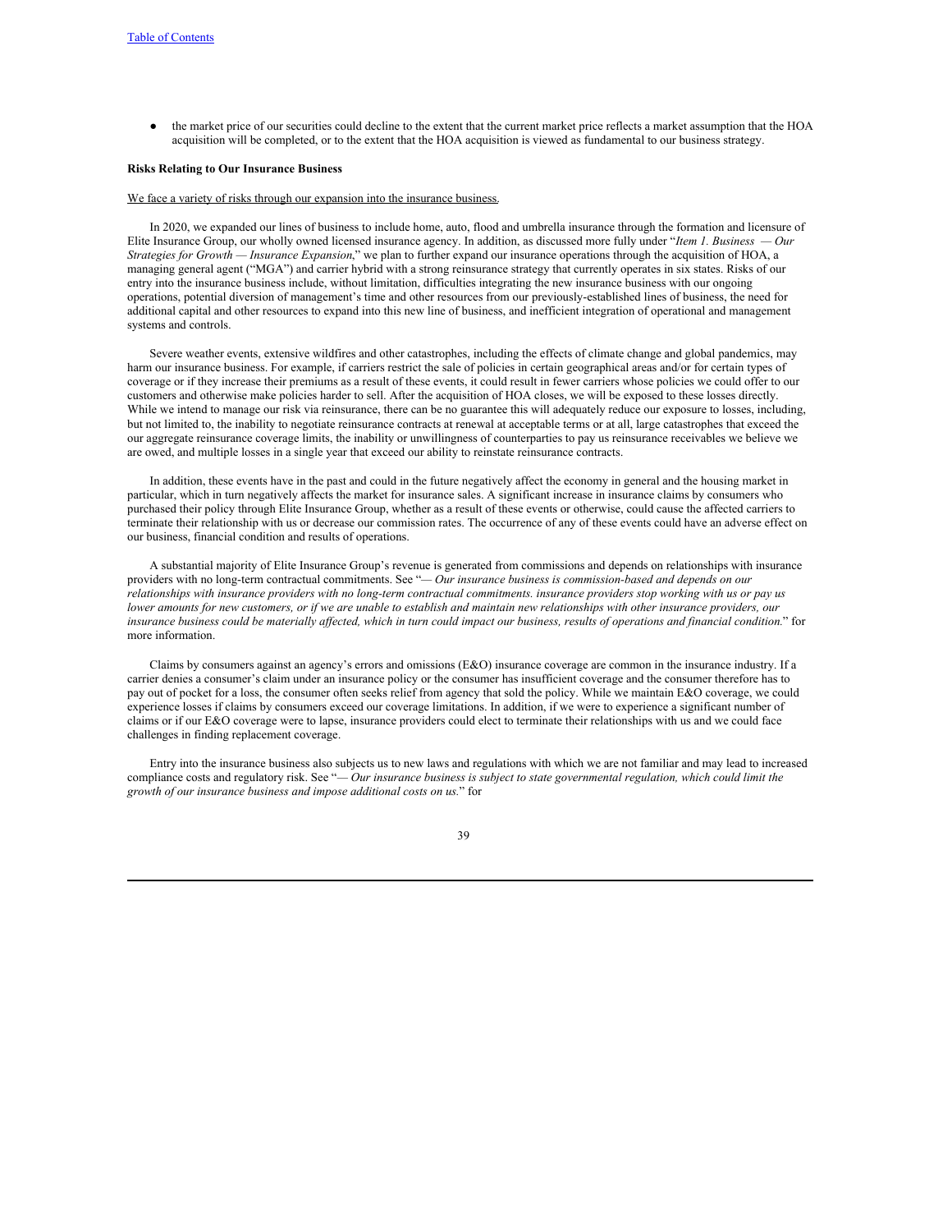the market price of our securities could decline to the extent that the current market price reflects a market assumption that the HOA acquisition will be completed, or to the extent that the HOA acquisition is viewed as fundamental to our business strategy.

## **Risks Relating to Our Insurance Business**

#### We face a variety of risks through our expansion into the insurance business.

In 2020, we expanded our lines of business to include home, auto, flood and umbrella insurance through the formation and licensure of Elite Insurance Group, our wholly owned licensed insurance agency. In addition, as discussed more fully under "*Item 1. Business — Our Strategies for Growth — Insurance Expansion*," we plan to further expand our insurance operations through the acquisition of HOA, a managing general agent ("MGA") and carrier hybrid with a strong reinsurance strategy that currently operates in six states. Risks of our entry into the insurance business include, without limitation, difficulties integrating the new insurance business with our ongoing operations, potential diversion of management's time and other resources from our previously-established lines of business, the need for additional capital and other resources to expand into this new line of business, and inefficient integration of operational and management systems and controls.

Severe weather events, extensive wildfires and other catastrophes, including the effects of climate change and global pandemics, may harm our insurance business. For example, if carriers restrict the sale of policies in certain geographical areas and/or for certain types of coverage or if they increase their premiums as a result of these events, it could result in fewer carriers whose policies we could offer to our customers and otherwise make policies harder to sell. After the acquisition of HOA closes, we will be exposed to these losses directly. While we intend to manage our risk via reinsurance, there can be no guarantee this will adequately reduce our exposure to losses, including, but not limited to, the inability to negotiate reinsurance contracts at renewal at acceptable terms or at all, large catastrophes that exceed the our aggregate reinsurance coverage limits, the inability or unwillingness of counterparties to pay us reinsurance receivables we believe we are owed, and multiple losses in a single year that exceed our ability to reinstate reinsurance contracts.

In addition, these events have in the past and could in the future negatively affect the economy in general and the housing market in particular, which in turn negatively affects the market for insurance sales. A significant increase in insurance claims by consumers who purchased their policy through Elite Insurance Group, whether as a result of these events or otherwise, could cause the affected carriers to terminate their relationship with us or decrease our commission rates. The occurrence of any of these events could have an adverse effect on our business, financial condition and results of operations.

A substantial majority of Elite Insurance Group's revenue is generated from commissions and depends on relationships with insurance providers with no long-term contractual commitments. See "*— Our insurance business is commission-based and depends on our* relationships with insurance providers with no long-term contractual commitments. insurance providers stop working with us or pay us lower amounts for new customers, or if we are unable to establish and maintain new relationships with other insurance providers, our insurance business could be materially affected, which in turn could impact our business, results of operations and financial condition." for more information.

Claims by consumers against an agency's errors and omissions (E&O) insurance coverage are common in the insurance industry. If a carrier denies a consumer's claim under an insurance policy or the consumer has insufficient coverage and the consumer therefore has to pay out of pocket for a loss, the consumer often seeks relief from agency that sold the policy. While we maintain E&O coverage, we could experience losses if claims by consumers exceed our coverage limitations. In addition, if we were to experience a significant number of claims or if our E&O coverage were to lapse, insurance providers could elect to terminate their relationships with us and we could face challenges in finding replacement coverage.

Entry into the insurance business also subjects us to new laws and regulations with which we are not familiar and may lead to increased compliance costs and regulatory risk. See "- Our insurance business is subject to state governmental regulation, which could limit the *growth of our insurance business and impose additional costs on us.*" for

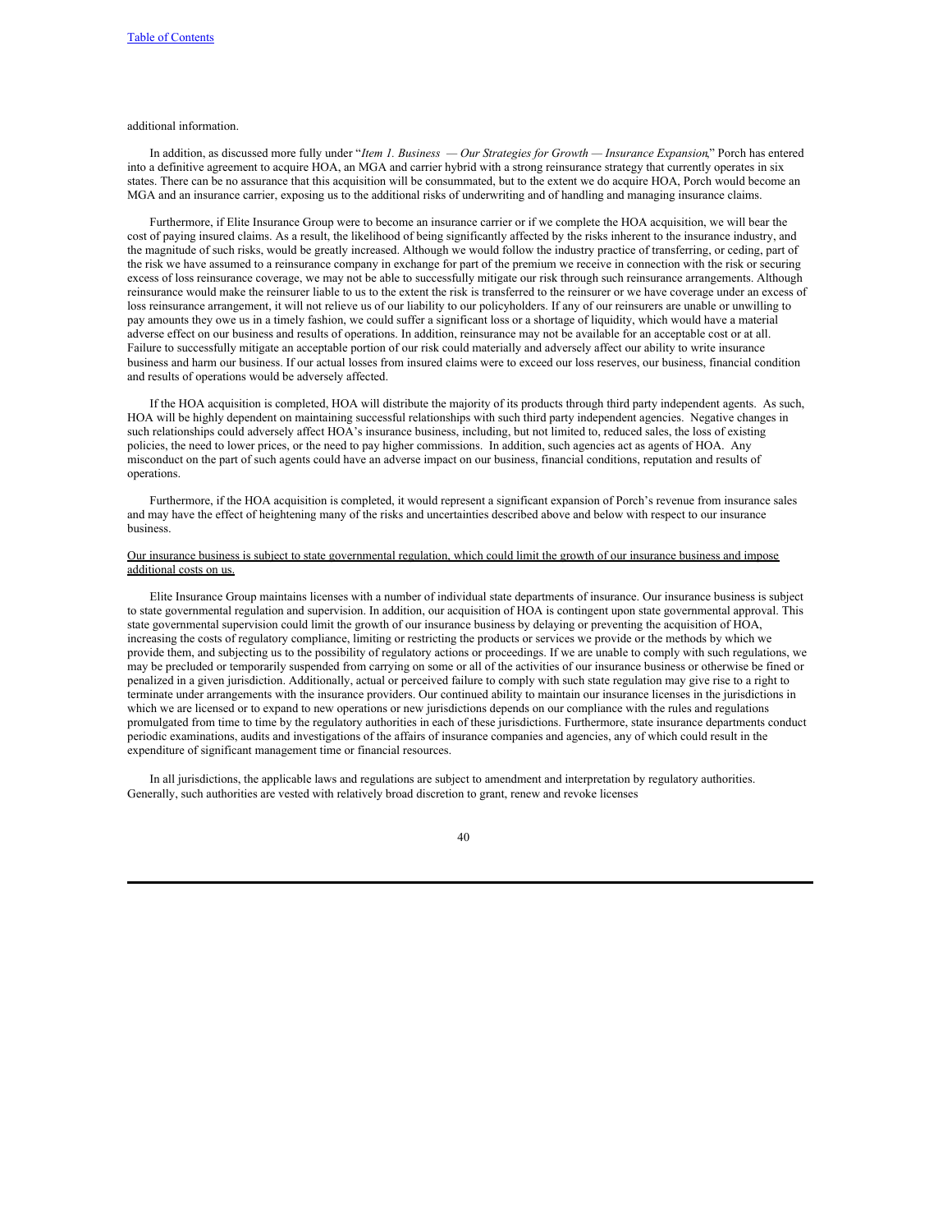## additional information.

In addition, as discussed more fully under "*Item 1. Business — Our Strategies for Growth — Insurance Expansion*," Porch has entered into a definitive agreement to acquire HOA, an MGA and carrier hybrid with a strong reinsurance strategy that currently operates in six states. There can be no assurance that this acquisition will be consummated, but to the extent we do acquire HOA, Porch would become an MGA and an insurance carrier, exposing us to the additional risks of underwriting and of handling and managing insurance claims.

Furthermore, if Elite Insurance Group were to become an insurance carrier or if we complete the HOA acquisition, we will bear the cost of paying insured claims. As a result, the likelihood of being significantly affected by the risks inherent to the insurance industry, and the magnitude of such risks, would be greatly increased. Although we would follow the industry practice of transferring, or ceding, part of the risk we have assumed to a reinsurance company in exchange for part of the premium we receive in connection with the risk or securing excess of loss reinsurance coverage, we may not be able to successfully mitigate our risk through such reinsurance arrangements. Although reinsurance would make the reinsurer liable to us to the extent the risk is transferred to the reinsurer or we have coverage under an excess of loss reinsurance arrangement, it will not relieve us of our liability to our policyholders. If any of our reinsurers are unable or unwilling to pay amounts they owe us in a timely fashion, we could suffer a significant loss or a shortage of liquidity, which would have a material adverse effect on our business and results of operations. In addition, reinsurance may not be available for an acceptable cost or at all. Failure to successfully mitigate an acceptable portion of our risk could materially and adversely affect our ability to write insurance business and harm our business. If our actual losses from insured claims were to exceed our loss reserves, our business, financial condition and results of operations would be adversely affected.

If the HOA acquisition is completed, HOA will distribute the majority of its products through third party independent agents. As such, HOA will be highly dependent on maintaining successful relationships with such third party independent agencies. Negative changes in such relationships could adversely affect HOA's insurance business, including, but not limited to, reduced sales, the loss of existing policies, the need to lower prices, or the need to pay higher commissions. In addition, such agencies act as agents of HOA. Any misconduct on the part of such agents could have an adverse impact on our business, financial conditions, reputation and results of operations.

Furthermore, if the HOA acquisition is completed, it would represent a significant expansion of Porch's revenue from insurance sales and may have the effect of heightening many of the risks and uncertainties described above and below with respect to our insurance business.

## Our insurance business is subject to state governmental regulation, which could limit the growth of our insurance business and impose additional costs on us.

Elite Insurance Group maintains licenses with a number of individual state departments of insurance. Our insurance business is subject to state governmental regulation and supervision. In addition, our acquisition of HOA is contingent upon state governmental approval. This state governmental supervision could limit the growth of our insurance business by delaying or preventing the acquisition of HOA, increasing the costs of regulatory compliance, limiting or restricting the products or services we provide or the methods by which we provide them, and subjecting us to the possibility of regulatory actions or proceedings. If we are unable to comply with such regulations, we may be precluded or temporarily suspended from carrying on some or all of the activities of our insurance business or otherwise be fined or penalized in a given jurisdiction. Additionally, actual or perceived failure to comply with such state regulation may give rise to a right to terminate under arrangements with the insurance providers. Our continued ability to maintain our insurance licenses in the jurisdictions in which we are licensed or to expand to new operations or new jurisdictions depends on our compliance with the rules and regulations promulgated from time to time by the regulatory authorities in each of these jurisdictions. Furthermore, state insurance departments conduct periodic examinations, audits and investigations of the affairs of insurance companies and agencies, any of which could result in the expenditure of significant management time or financial resources.

In all jurisdictions, the applicable laws and regulations are subject to amendment and interpretation by regulatory authorities. Generally, such authorities are vested with relatively broad discretion to grant, renew and revoke licenses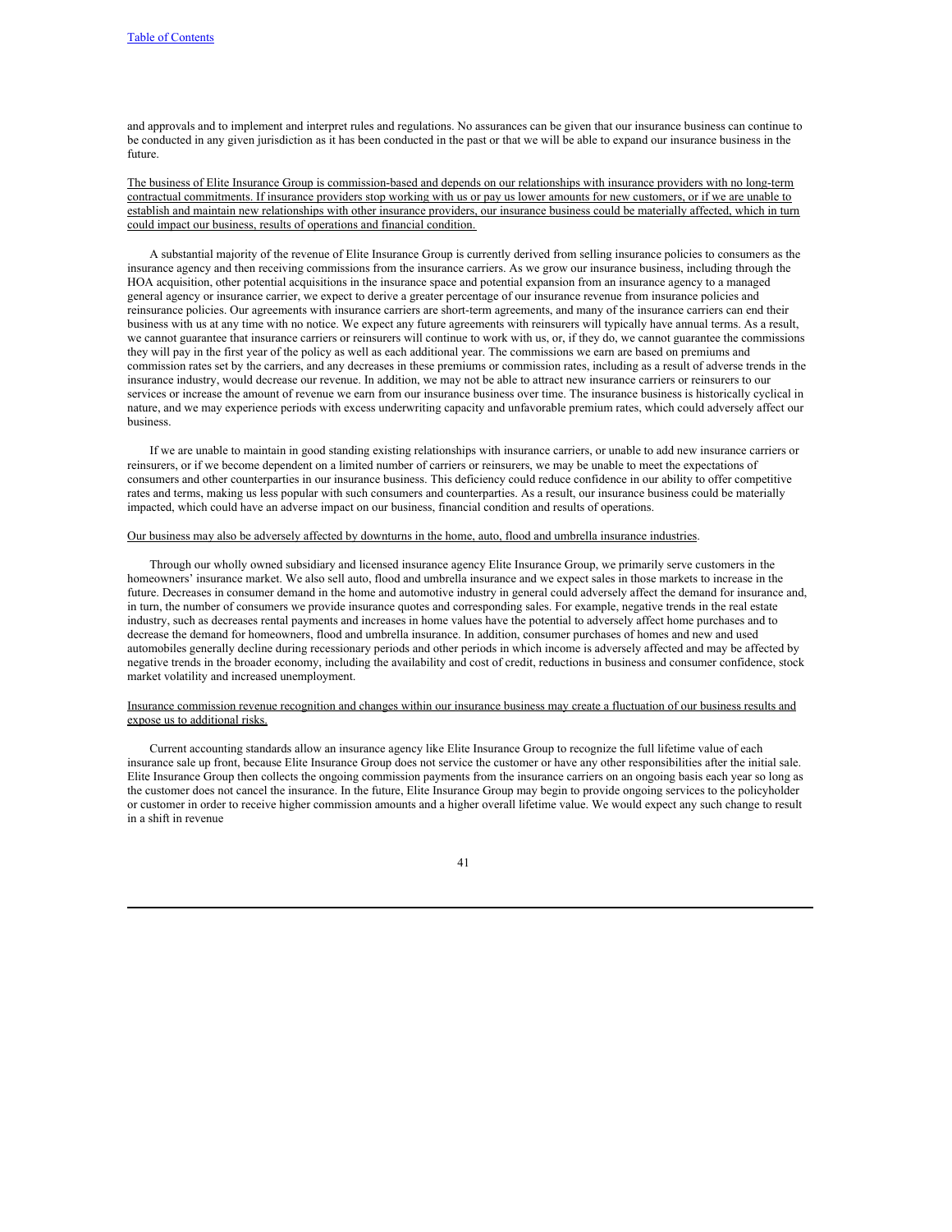and approvals and to implement and interpret rules and regulations. No assurances can be given that our insurance business can continue to be conducted in any given jurisdiction as it has been conducted in the past or that we will be able to expand our insurance business in the future.

The business of Elite Insurance Group is commission-based and depends on our relationships with insurance providers with no long-term contractual commitments. If insurance providers stop working with us or pay us lower amounts for new customers, or if we are unable to establish and maintain new relationships with other insurance providers, our insurance business could be materially affected, which in turn could impact our business, results of operations and financial condition.

A substantial majority of the revenue of Elite Insurance Group is currently derived from selling insurance policies to consumers as the insurance agency and then receiving commissions from the insurance carriers. As we grow our insurance business, including through the HOA acquisition, other potential acquisitions in the insurance space and potential expansion from an insurance agency to a managed general agency or insurance carrier, we expect to derive a greater percentage of our insurance revenue from insurance policies and reinsurance policies. Our agreements with insurance carriers are short-term agreements, and many of the insurance carriers can end their business with us at any time with no notice. We expect any future agreements with reinsurers will typically have annual terms. As a result, we cannot guarantee that insurance carriers or reinsurers will continue to work with us, or, if they do, we cannot guarantee the commissions they will pay in the first year of the policy as well as each additional year. The commissions we earn are based on premiums and commission rates set by the carriers, and any decreases in these premiums or commission rates, including as a result of adverse trends in the insurance industry, would decrease our revenue. In addition, we may not be able to attract new insurance carriers or reinsurers to our services or increase the amount of revenue we earn from our insurance business over time. The insurance business is historically cyclical in nature, and we may experience periods with excess underwriting capacity and unfavorable premium rates, which could adversely affect our business.

If we are unable to maintain in good standing existing relationships with insurance carriers, or unable to add new insurance carriers or reinsurers, or if we become dependent on a limited number of carriers or reinsurers, we may be unable to meet the expectations of consumers and other counterparties in our insurance business. This deficiency could reduce confidence in our ability to offer competitive rates and terms, making us less popular with such consumers and counterparties. As a result, our insurance business could be materially impacted, which could have an adverse impact on our business, financial condition and results of operations.

#### Our business may also be adversely affected by downturns in the home, auto, flood and umbrella insurance industries.

Through our wholly owned subsidiary and licensed insurance agency Elite Insurance Group, we primarily serve customers in the homeowners' insurance market. We also sell auto, flood and umbrella insurance and we expect sales in those markets to increase in the future. Decreases in consumer demand in the home and automotive industry in general could adversely affect the demand for insurance and, in turn, the number of consumers we provide insurance quotes and corresponding sales. For example, negative trends in the real estate industry, such as decreases rental payments and increases in home values have the potential to adversely affect home purchases and to decrease the demand for homeowners, flood and umbrella insurance. In addition, consumer purchases of homes and new and used automobiles generally decline during recessionary periods and other periods in which income is adversely affected and may be affected by negative trends in the broader economy, including the availability and cost of credit, reductions in business and consumer confidence, stock market volatility and increased unemployment.

## Insurance commission revenue recognition and changes within our insurance business may create a fluctuation of our business results and expose us to additional risks.

Current accounting standards allow an insurance agency like Elite Insurance Group to recognize the full lifetime value of each insurance sale up front, because Elite Insurance Group does not service the customer or have any other responsibilities after the initial sale. Elite Insurance Group then collects the ongoing commission payments from the insurance carriers on an ongoing basis each year so long as the customer does not cancel the insurance. In the future, Elite Insurance Group may begin to provide ongoing services to the policyholder or customer in order to receive higher commission amounts and a higher overall lifetime value. We would expect any such change to result in a shift in revenue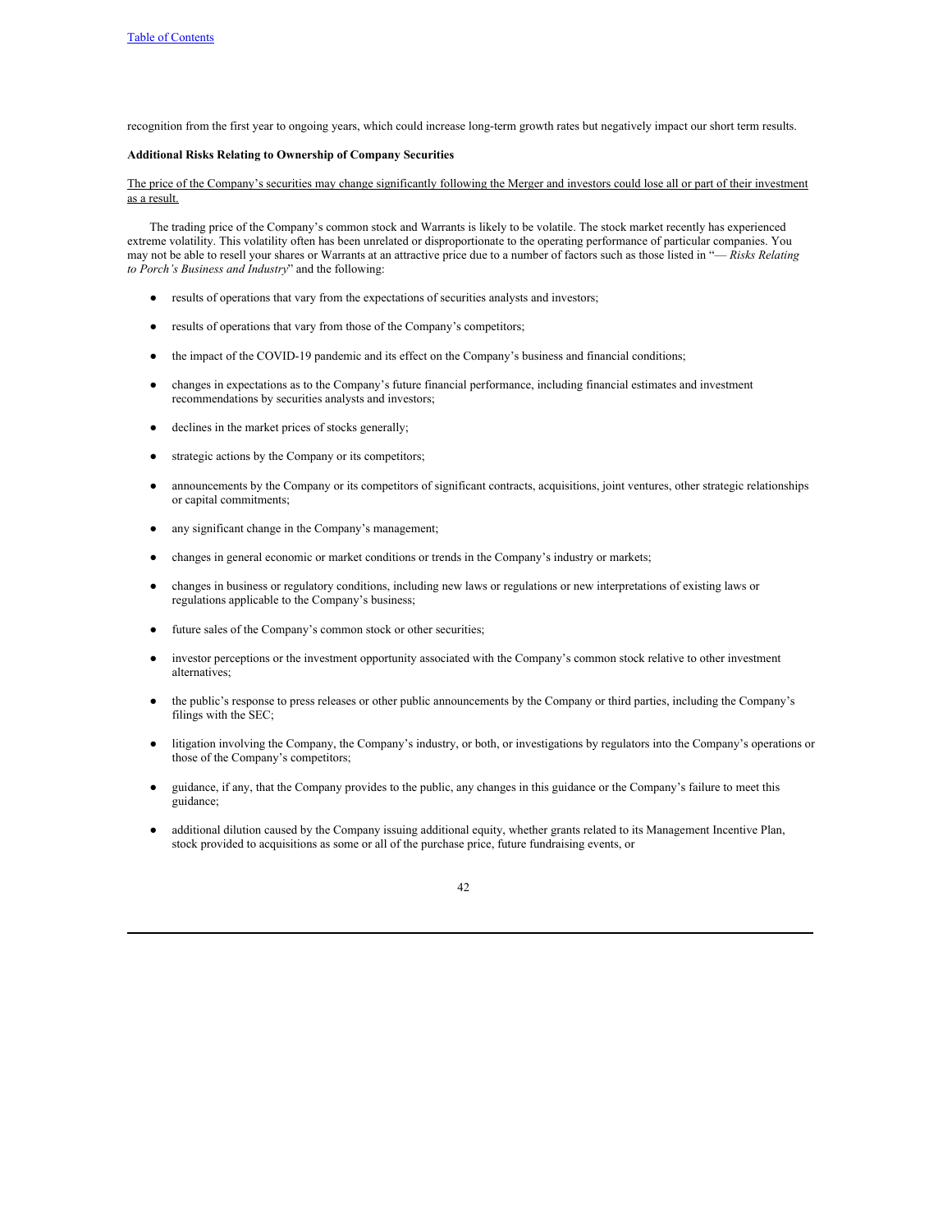recognition from the first year to ongoing years, which could increase long-term growth rates but negatively impact our short term results.

#### **Additional Risks Relating to Ownership of Company Securities**

## The price of the Company's securities may change significantly following the Merger and investors could lose all or part of their investment as a result.

The trading price of the Company's common stock and Warrants is likely to be volatile. The stock market recently has experienced extreme volatility. This volatility often has been unrelated or disproportionate to the operating performance of particular companies. You may not be able to resell your shares or Warrants at an attractive price due to a number of factors such as those listed in "— *Risks Relating to Porch's Business and Industry*" and the following:

- results of operations that vary from the expectations of securities analysts and investors;
- results of operations that vary from those of the Company's competitors;
- the impact of the COVID-19 pandemic and its effect on the Company's business and financial conditions;
- changes in expectations as to the Company's future financial performance, including financial estimates and investment recommendations by securities analysts and investors;
- declines in the market prices of stocks generally;
- strategic actions by the Company or its competitors;
- announcements by the Company or its competitors of significant contracts, acquisitions, joint ventures, other strategic relationships or capital commitments;
- any significant change in the Company's management;
- changes in general economic or market conditions or trends in the Company's industry or markets;
- changes in business or regulatory conditions, including new laws or regulations or new interpretations of existing laws or regulations applicable to the Company's business;
- future sales of the Company's common stock or other securities;
- investor perceptions or the investment opportunity associated with the Company's common stock relative to other investment alternatives;
- the public's response to press releases or other public announcements by the Company or third parties, including the Company's filings with the SEC;
- litigation involving the Company, the Company's industry, or both, or investigations by regulators into the Company's operations or those of the Company's competitors;
- guidance, if any, that the Company provides to the public, any changes in this guidance or the Company's failure to meet this guidance;
- additional dilution caused by the Company issuing additional equity, whether grants related to its Management Incentive Plan, stock provided to acquisitions as some or all of the purchase price, future fundraising events, or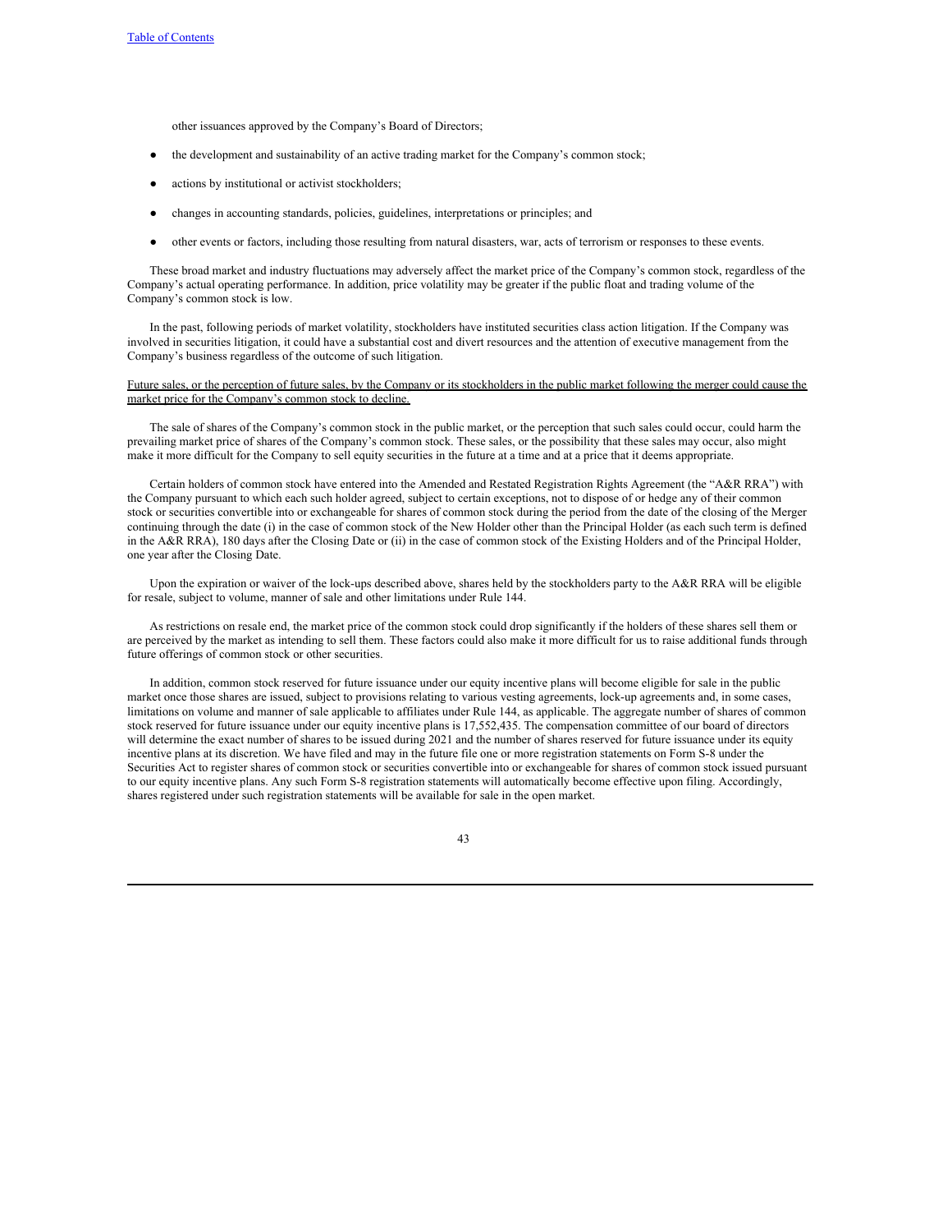other issuances approved by the Company's Board of Directors;

- the development and sustainability of an active trading market for the Company's common stock;
- actions by institutional or activist stockholders;
- changes in accounting standards, policies, guidelines, interpretations or principles; and
- other events or factors, including those resulting from natural disasters, war, acts of terrorism or responses to these events.

These broad market and industry fluctuations may adversely affect the market price of the Company's common stock, regardless of the Company's actual operating performance. In addition, price volatility may be greater if the public float and trading volume of the Company's common stock is low.

In the past, following periods of market volatility, stockholders have instituted securities class action litigation. If the Company was involved in securities litigation, it could have a substantial cost and divert resources and the attention of executive management from the Company's business regardless of the outcome of such litigation.

#### Future sales, or the perception of future sales, by the Company or its stockholders in the public market following the merger could cause the market price for the Company's common stock to decline.

The sale of shares of the Company's common stock in the public market, or the perception that such sales could occur, could harm the prevailing market price of shares of the Company's common stock. These sales, or the possibility that these sales may occur, also might make it more difficult for the Company to sell equity securities in the future at a time and at a price that it deems appropriate.

Certain holders of common stock have entered into the Amended and Restated Registration Rights Agreement (the "A&R RRA") with the Company pursuant to which each such holder agreed, subject to certain exceptions, not to dispose of or hedge any of their common stock or securities convertible into or exchangeable for shares of common stock during the period from the date of the closing of the Merger continuing through the date (i) in the case of common stock of the New Holder other than the Principal Holder (as each such term is defined in the A&R RRA), 180 days after the Closing Date or (ii) in the case of common stock of the Existing Holders and of the Principal Holder, one year after the Closing Date.

Upon the expiration or waiver of the lock-ups described above, shares held by the stockholders party to the A&R RRA will be eligible for resale, subject to volume, manner of sale and other limitations under Rule 144.

As restrictions on resale end, the market price of the common stock could drop significantly if the holders of these shares sell them or are perceived by the market as intending to sell them. These factors could also make it more difficult for us to raise additional funds through future offerings of common stock or other securities.

In addition, common stock reserved for future issuance under our equity incentive plans will become eligible for sale in the public market once those shares are issued, subject to provisions relating to various vesting agreements, lock-up agreements and, in some cases, limitations on volume and manner of sale applicable to affiliates under Rule 144, as applicable. The aggregate number of shares of common stock reserved for future issuance under our equity incentive plans is 17,552,435. The compensation committee of our board of directors will determine the exact number of shares to be issued during 2021 and the number of shares reserved for future issuance under its equity incentive plans at its discretion. We have filed and may in the future file one or more registration statements on Form S-8 under the Securities Act to register shares of common stock or securities convertible into or exchangeable for shares of common stock issued pursuant to our equity incentive plans. Any such Form S-8 registration statements will automatically become effective upon filing. Accordingly, shares registered under such registration statements will be available for sale in the open market.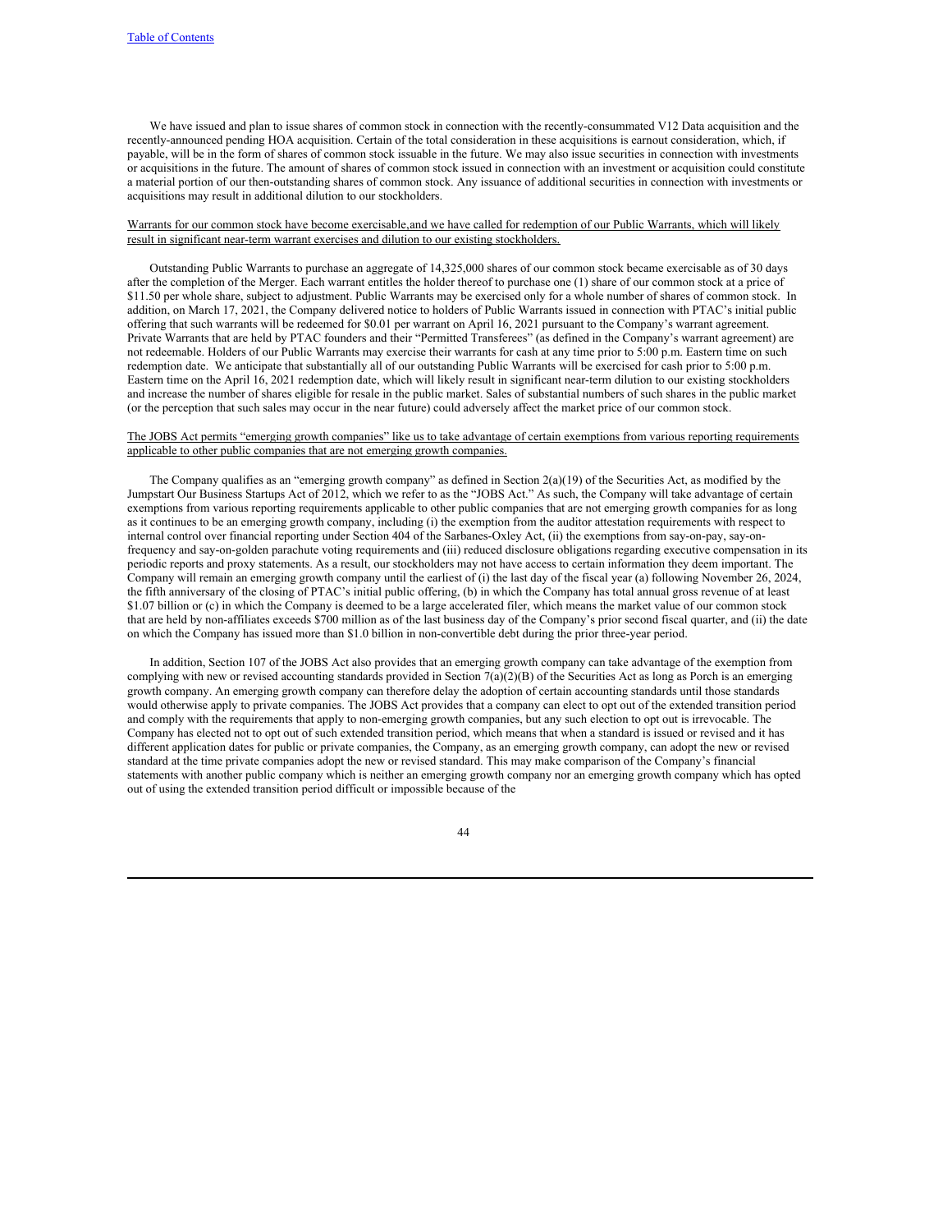We have issued and plan to issue shares of common stock in connection with the recently-consummated V12 Data acquisition and the recently-announced pending HOA acquisition. Certain of the total consideration in these acquisitions is earnout consideration, which, if payable, will be in the form of shares of common stock issuable in the future. We may also issue securities in connection with investments or acquisitions in the future. The amount of shares of common stock issued in connection with an investment or acquisition could constitute a material portion of our then-outstanding shares of common stock. Any issuance of additional securities in connection with investments or acquisitions may result in additional dilution to our stockholders.

#### Warrants for our common stock have become exercisable,and we have called for redemption of our Public Warrants, which will likely result in significant near-term warrant exercises and dilution to our existing stockholders.

Outstanding Public Warrants to purchase an aggregate of 14,325,000 shares of our common stock became exercisable as of 30 days after the completion of the Merger. Each warrant entitles the holder thereof to purchase one (1) share of our common stock at a price of \$11.50 per whole share, subject to adjustment. Public Warrants may be exercised only for a whole number of shares of common stock. In addition, on March 17, 2021, the Company delivered notice to holders of Public Warrants issued in connection with PTAC's initial public offering that such warrants will be redeemed for \$0.01 per warrant on April 16, 2021 pursuant to the Company's warrant agreement. Private Warrants that are held by PTAC founders and their "Permitted Transferees" (as defined in the Company's warrant agreement) are not redeemable. Holders of our Public Warrants may exercise their warrants for cash at any time prior to 5:00 p.m. Eastern time on such redemption date. We anticipate that substantially all of our outstanding Public Warrants will be exercised for cash prior to 5:00 p.m. Eastern time on the April 16, 2021 redemption date, which will likely result in significant near-term dilution to our existing stockholders and increase the number of shares eligible for resale in the public market. Sales of substantial numbers of such shares in the public market (or the perception that such sales may occur in the near future) could adversely affect the market price of our common stock.

#### The JOBS Act permits "emerging growth companies" like us to take advantage of certain exemptions from various reporting requirements applicable to other public companies that are not emerging growth companies.

The Company qualifies as an "emerging growth company" as defined in Section 2(a)(19) of the Securities Act, as modified by the Jumpstart Our Business Startups Act of 2012, which we refer to as the "JOBS Act." As such, the Company will take advantage of certain exemptions from various reporting requirements applicable to other public companies that are not emerging growth companies for as long as it continues to be an emerging growth company, including (i) the exemption from the auditor attestation requirements with respect to internal control over financial reporting under Section 404 of the Sarbanes-Oxley Act, (ii) the exemptions from say-on-pay, say-onfrequency and say-on-golden parachute voting requirements and (iii) reduced disclosure obligations regarding executive compensation in its periodic reports and proxy statements. As a result, our stockholders may not have access to certain information they deem important. The Company will remain an emerging growth company until the earliest of (i) the last day of the fiscal year (a) following November 26, 2024, the fifth anniversary of the closing of PTAC's initial public offering, (b) in which the Company has total annual gross revenue of at least \$1.07 billion or (c) in which the Company is deemed to be a large accelerated filer, which means the market value of our common stock that are held by non-affiliates exceeds \$700 million as of the last business day of the Company's prior second fiscal quarter, and (ii) the date on which the Company has issued more than \$1.0 billion in non-convertible debt during the prior three-year period.

In addition, Section 107 of the JOBS Act also provides that an emerging growth company can take advantage of the exemption from complying with new or revised accounting standards provided in Section 7(a)(2)(B) of the Securities Act as long as Porch is an emerging growth company. An emerging growth company can therefore delay the adoption of certain accounting standards until those standards would otherwise apply to private companies. The JOBS Act provides that a company can elect to opt out of the extended transition period and comply with the requirements that apply to non-emerging growth companies, but any such election to opt out is irrevocable. The Company has elected not to opt out of such extended transition period, which means that when a standard is issued or revised and it has different application dates for public or private companies, the Company, as an emerging growth company, can adopt the new or revised standard at the time private companies adopt the new or revised standard. This may make comparison of the Company's financial statements with another public company which is neither an emerging growth company nor an emerging growth company which has opted out of using the extended transition period difficult or impossible because of the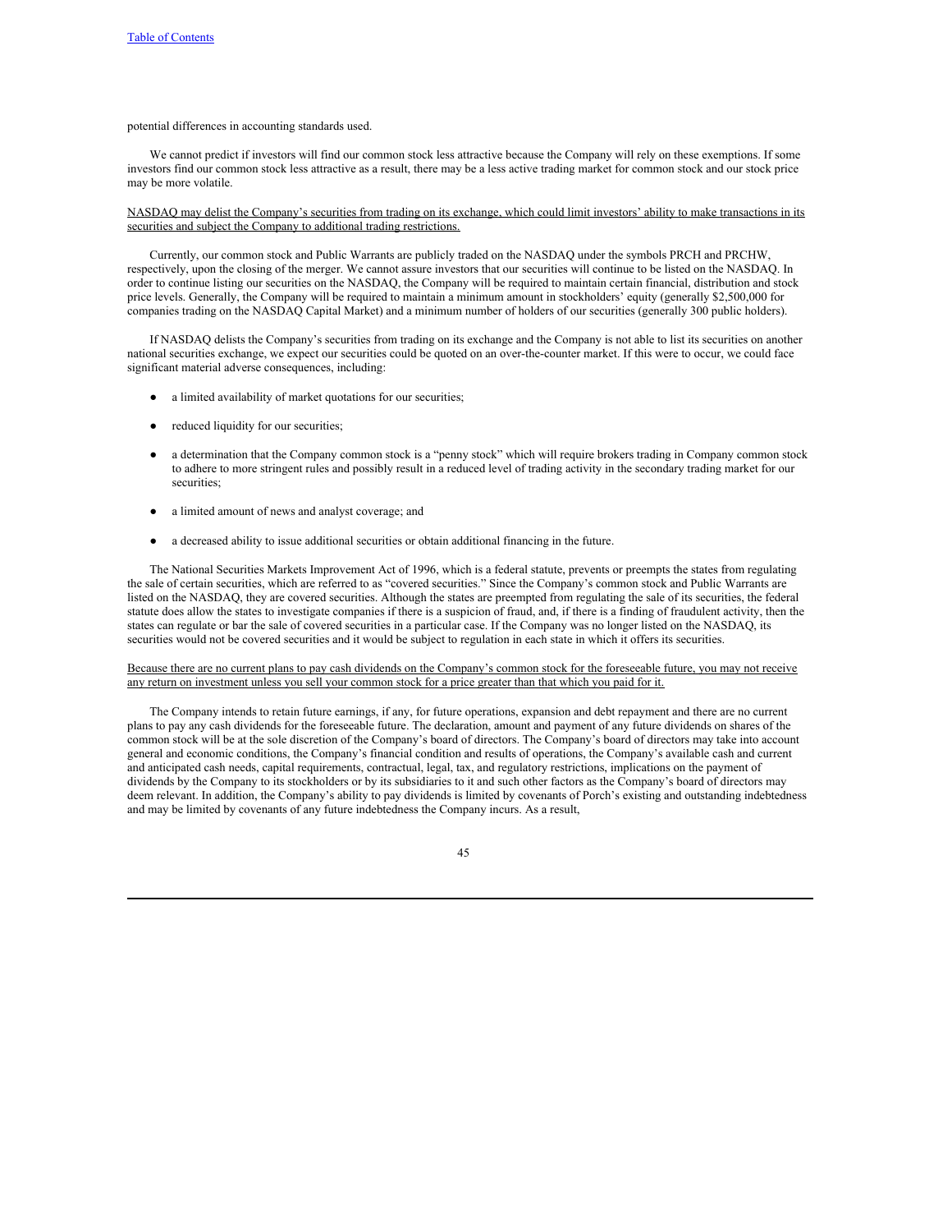potential differences in accounting standards used.

We cannot predict if investors will find our common stock less attractive because the Company will rely on these exemptions. If some investors find our common stock less attractive as a result, there may be a less active trading market for common stock and our stock price may be more volatile.

#### NASDAQ may delist the Company's securities from trading on its exchange, which could limit investors' ability to make transactions in its securities and subject the Company to additional trading restrictions.

Currently, our common stock and Public Warrants are publicly traded on the NASDAQ under the symbols PRCH and PRCHW, respectively, upon the closing of the merger. We cannot assure investors that our securities will continue to be listed on the NASDAQ. In order to continue listing our securities on the NASDAQ, the Company will be required to maintain certain financial, distribution and stock price levels. Generally, the Company will be required to maintain a minimum amount in stockholders' equity (generally \$2,500,000 for companies trading on the NASDAQ Capital Market) and a minimum number of holders of our securities (generally 300 public holders).

If NASDAQ delists the Company's securities from trading on its exchange and the Company is not able to list its securities on another national securities exchange, we expect our securities could be quoted on an over-the-counter market. If this were to occur, we could face significant material adverse consequences, including:

- a limited availability of market quotations for our securities;
- reduced liquidity for our securities;
- a determination that the Company common stock is a "penny stock" which will require brokers trading in Company common stock to adhere to more stringent rules and possibly result in a reduced level of trading activity in the secondary trading market for our securities;
- a limited amount of news and analyst coverage; and
- a decreased ability to issue additional securities or obtain additional financing in the future.

The National Securities Markets Improvement Act of 1996, which is a federal statute, prevents or preempts the states from regulating the sale of certain securities, which are referred to as "covered securities." Since the Company's common stock and Public Warrants are listed on the NASDAQ, they are covered securities. Although the states are preempted from regulating the sale of its securities, the federal statute does allow the states to investigate companies if there is a suspicion of fraud, and, if there is a finding of fraudulent activity, then the states can regulate or bar the sale of covered securities in a particular case. If the Company was no longer listed on the NASDAQ, its securities would not be covered securities and it would be subject to regulation in each state in which it offers its securities.

## Because there are no current plans to pay cash dividends on the Company's common stock for the foreseeable future, you may not receive any return on investment unless you sell your common stock for a price greater than that which you paid for it.

The Company intends to retain future earnings, if any, for future operations, expansion and debt repayment and there are no current plans to pay any cash dividends for the foreseeable future. The declaration, amount and payment of any future dividends on shares of the common stock will be at the sole discretion of the Company's board of directors. The Company's board of directors may take into account general and economic conditions, the Company's financial condition and results of operations, the Company's available cash and current and anticipated cash needs, capital requirements, contractual, legal, tax, and regulatory restrictions, implications on the payment of dividends by the Company to its stockholders or by its subsidiaries to it and such other factors as the Company's board of directors may deem relevant. In addition, the Company's ability to pay dividends is limited by covenants of Porch's existing and outstanding indebtedness and may be limited by covenants of any future indebtedness the Company incurs. As a result,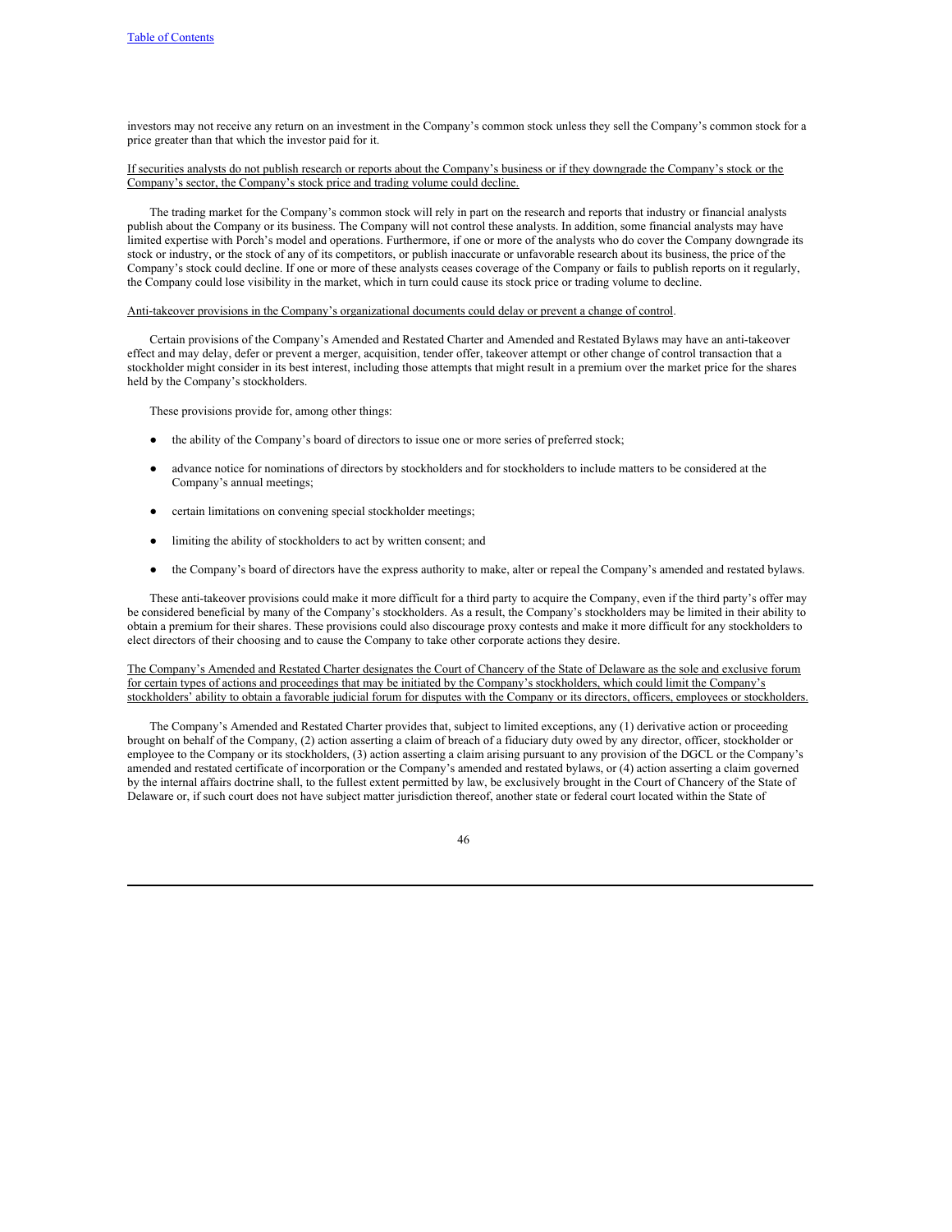investors may not receive any return on an investment in the Company's common stock unless they sell the Company's common stock for a price greater than that which the investor paid for it.

## If securities analysts do not publish research or reports about the Company's business or if they downgrade the Company's stock or the Company's sector, the Company's stock price and trading volume could decline.

The trading market for the Company's common stock will rely in part on the research and reports that industry or financial analysts publish about the Company or its business. The Company will not control these analysts. In addition, some financial analysts may have limited expertise with Porch's model and operations. Furthermore, if one or more of the analysts who do cover the Company downgrade its stock or industry, or the stock of any of its competitors, or publish inaccurate or unfavorable research about its business, the price of the Company's stock could decline. If one or more of these analysts ceases coverage of the Company or fails to publish reports on it regularly, the Company could lose visibility in the market, which in turn could cause its stock price or trading volume to decline.

#### Anti-takeover provisions in the Company's organizational documents could delay or prevent a change of control.

Certain provisions of the Company's Amended and Restated Charter and Amended and Restated Bylaws may have an anti-takeover effect and may delay, defer or prevent a merger, acquisition, tender offer, takeover attempt or other change of control transaction that a stockholder might consider in its best interest, including those attempts that might result in a premium over the market price for the shares held by the Company's stockholders.

These provisions provide for, among other things:

- the ability of the Company's board of directors to issue one or more series of preferred stock;
- advance notice for nominations of directors by stockholders and for stockholders to include matters to be considered at the Company's annual meetings;
- certain limitations on convening special stockholder meetings;
- limiting the ability of stockholders to act by written consent; and
- the Company's board of directors have the express authority to make, alter or repeal the Company's amended and restated bylaws.

These anti-takeover provisions could make it more difficult for a third party to acquire the Company, even if the third party's offer may be considered beneficial by many of the Company's stockholders. As a result, the Company's stockholders may be limited in their ability to obtain a premium for their shares. These provisions could also discourage proxy contests and make it more difficult for any stockholders to elect directors of their choosing and to cause the Company to take other corporate actions they desire.

The Company's Amended and Restated Charter designates the Court of Chancery of the State of Delaware as the sole and exclusive forum for certain types of actions and proceedings that may be initiated by the Company's stockholders, which could limit the Company's stockholders' ability to obtain a favorable judicial forum for disputes with the Company or its directors, officers, employees or stockholders.

The Company's Amended and Restated Charter provides that, subject to limited exceptions, any (1) derivative action or proceeding brought on behalf of the Company, (2) action asserting a claim of breach of a fiduciary duty owed by any director, officer, stockholder or employee to the Company or its stockholders, (3) action asserting a claim arising pursuant to any provision of the DGCL or the Company's amended and restated certificate of incorporation or the Company's amended and restated bylaws, or (4) action asserting a claim governed by the internal affairs doctrine shall, to the fullest extent permitted by law, be exclusively brought in the Court of Chancery of the State of Delaware or, if such court does not have subject matter jurisdiction thereof, another state or federal court located within the State of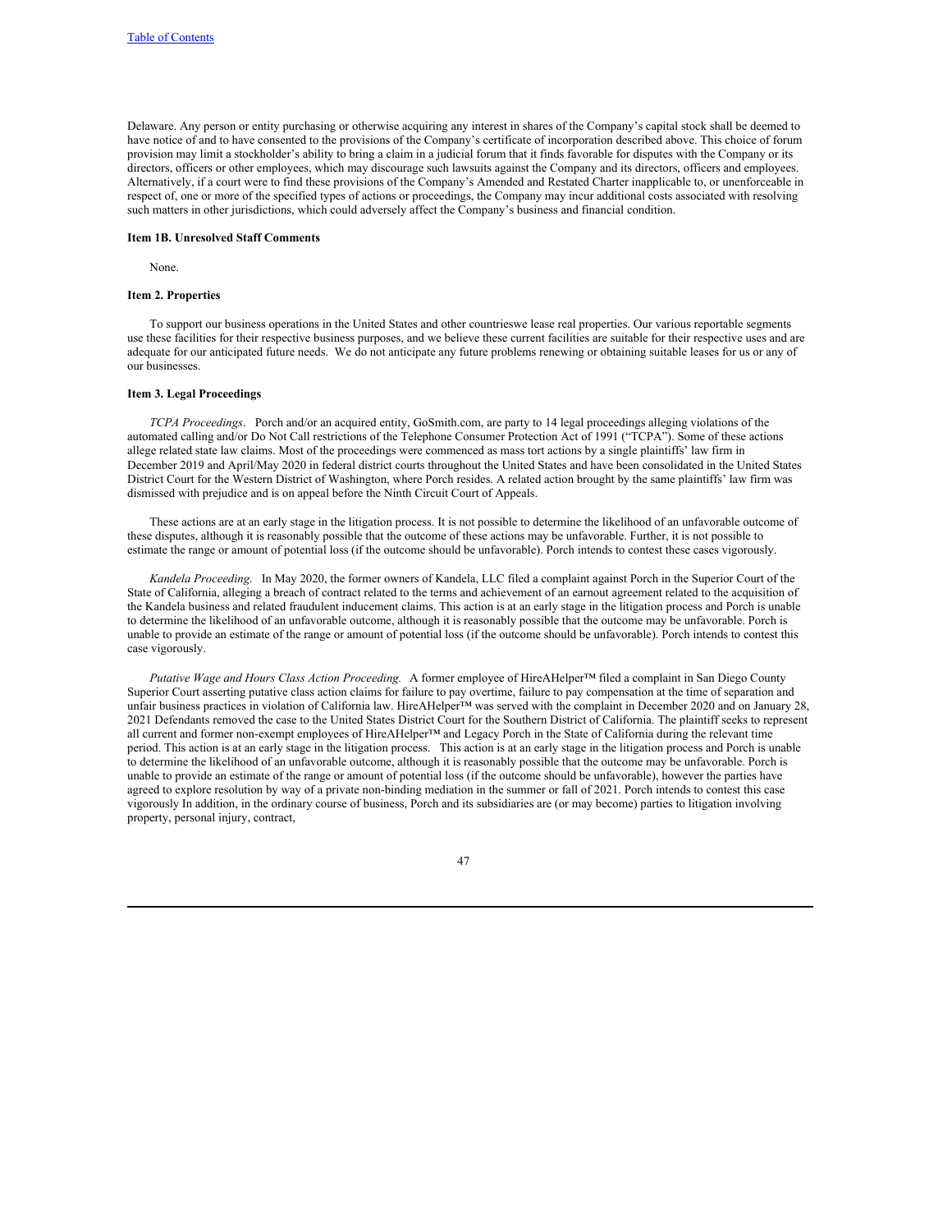Delaware. Any person or entity purchasing or otherwise acquiring any interest in shares of the Company's capital stock shall be deemed to have notice of and to have consented to the provisions of the Company's certificate of incorporation described above. This choice of forum provision may limit a stockholder's ability to bring a claim in a judicial forum that it finds favorable for disputes with the Company or its directors, officers or other employees, which may discourage such lawsuits against the Company and its directors, officers and employees. Alternatively, if a court were to find these provisions of the Company's Amended and Restated Charter inapplicable to, or unenforceable in respect of, one or more of the specified types of actions or proceedings, the Company may incur additional costs associated with resolving such matters in other jurisdictions, which could adversely affect the Company's business and financial condition.

## **Item 1B. Unresolved Staff Comments**

None.

#### **Item 2. Properties**

To support our business operations in the United States and other countrieswe lease real properties. Our various reportable segments use these facilities for their respective business purposes, and we believe these current facilities are suitable for their respective uses and are adequate for our anticipated future needs. We do not anticipate any future problems renewing or obtaining suitable leases for us or any of our businesses.

## **Item 3. Legal Proceedings**

*TCPA Proceedings*. Porch and/or an acquired entity, GoSmith.com, are party to 14 legal proceedings alleging violations of the automated calling and/or Do Not Call restrictions of the Telephone Consumer Protection Act of 1991 ("TCPA"). Some of these actions allege related state law claims. Most of the proceedings were commenced as mass tort actions by a single plaintiffs' law firm in December 2019 and April/May 2020 in federal district courts throughout the United States and have been consolidated in the United States District Court for the Western District of Washington, where Porch resides. A related action brought by the same plaintiffs' law firm was dismissed with prejudice and is on appeal before the Ninth Circuit Court of Appeals.

These actions are at an early stage in the litigation process. It is not possible to determine the likelihood of an unfavorable outcome of these disputes, although it is reasonably possible that the outcome of these actions may be unfavorable. Further, it is not possible to estimate the range or amount of potential loss (if the outcome should be unfavorable). Porch intends to contest these cases vigorously.

*Kandela Proceeding*. In May 2020, the former owners of Kandela, LLC filed a complaint against Porch in the Superior Court of the State of California, alleging a breach of contract related to the terms and achievement of an earnout agreement related to the acquisition of the Kandela business and related fraudulent inducement claims. This action is at an early stage in the litigation process and Porch is unable to determine the likelihood of an unfavorable outcome, although it is reasonably possible that the outcome may be unfavorable. Porch is unable to provide an estimate of the range or amount of potential loss (if the outcome should be unfavorable). Porch intends to contest this case vigorously.

*Putative Wage and Hours Class Action Proceeding.* A former employee of HireAHelper™ filed a complaint in San Diego County Superior Court asserting putative class action claims for failure to pay overtime, failure to pay compensation at the time of separation and unfair business practices in violation of California law. HireAHelper™ was served with the complaint in December 2020 and on January 28, 2021 Defendants removed the case to the United States District Court for the Southern District of California. The plaintiff seeks to represent all current and former non-exempt employees of HireAHelper™ and Legacy Porch in the State of California during the relevant time period. This action is at an early stage in the litigation process. This action is at an early stage in the litigation process and Porch is unable to determine the likelihood of an unfavorable outcome, although it is reasonably possible that the outcome may be unfavorable. Porch is unable to provide an estimate of the range or amount of potential loss (if the outcome should be unfavorable), however the parties have agreed to explore resolution by way of a private non-binding mediation in the summer or fall of 2021. Porch intends to contest this case vigorously In addition, in the ordinary course of business, Porch and its subsidiaries are (or may become) parties to litigation involving property, personal injury, contract,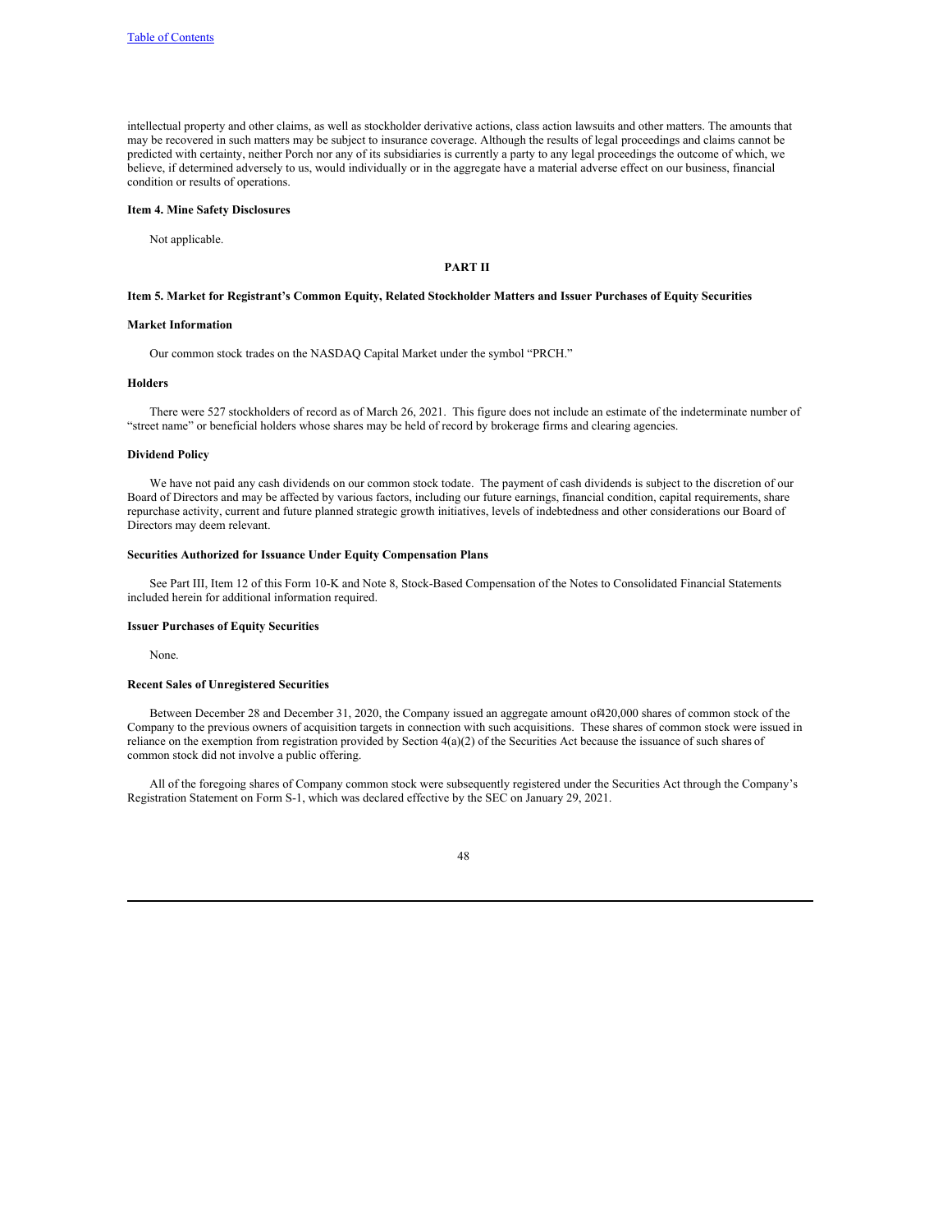intellectual property and other claims, as well as stockholder derivative actions, class action lawsuits and other matters. The amounts that may be recovered in such matters may be subject to insurance coverage. Although the results of legal proceedings and claims cannot be predicted with certainty, neither Porch nor any of its subsidiaries is currently a party to any legal proceedings the outcome of which, we believe, if determined adversely to us, would individually or in the aggregate have a material adverse effect on our business, financial condition or results of operations.

#### **Item 4. Mine Safety Disclosures**

Not applicable.

## **PART II**

### Item 5. Market for Registrant's Common Equity, Related Stockholder Matters and Issuer Purchases of Equity Securities

## **Market Information**

Our common stock trades on the NASDAQ Capital Market under the symbol "PRCH."

## **Holders**

There were 527 stockholders of record as of March 26, 2021. This figure does not include an estimate of the indeterminate number of "street name" or beneficial holders whose shares may be held of record by brokerage firms and clearing agencies.

#### **Dividend Policy**

We have not paid any cash dividends on our common stock todate. The payment of cash dividends is subject to the discretion of our Board of Directors and may be affected by various factors, including our future earnings, financial condition, capital requirements, share repurchase activity, current and future planned strategic growth initiatives, levels of indebtedness and other considerations our Board of Directors may deem relevant.

## **Securities Authorized for Issuance Under Equity Compensation Plans**

See Part III, Item 12 of this Form 10-K and Note 8, Stock-Based Compensation of the Notes to Consolidated Financial Statements included herein for additional information required.

## **Issuer Purchases of Equity Securities**

None.

#### **Recent Sales of Unregistered Securities**

Between December 28 and December 31, 2020, the Company issued an aggregate amount of420,000 shares of common stock of the Company to the previous owners of acquisition targets in connection with such acquisitions. These shares of common stock were issued in reliance on the exemption from registration provided by Section 4(a)(2) of the Securities Act because the issuance of such shares of common stock did not involve a public offering.

All of the foregoing shares of Company common stock were subsequently registered under the Securities Act through the Company's Registration Statement on Form S-1, which was declared effective by the SEC on January 29, 2021.

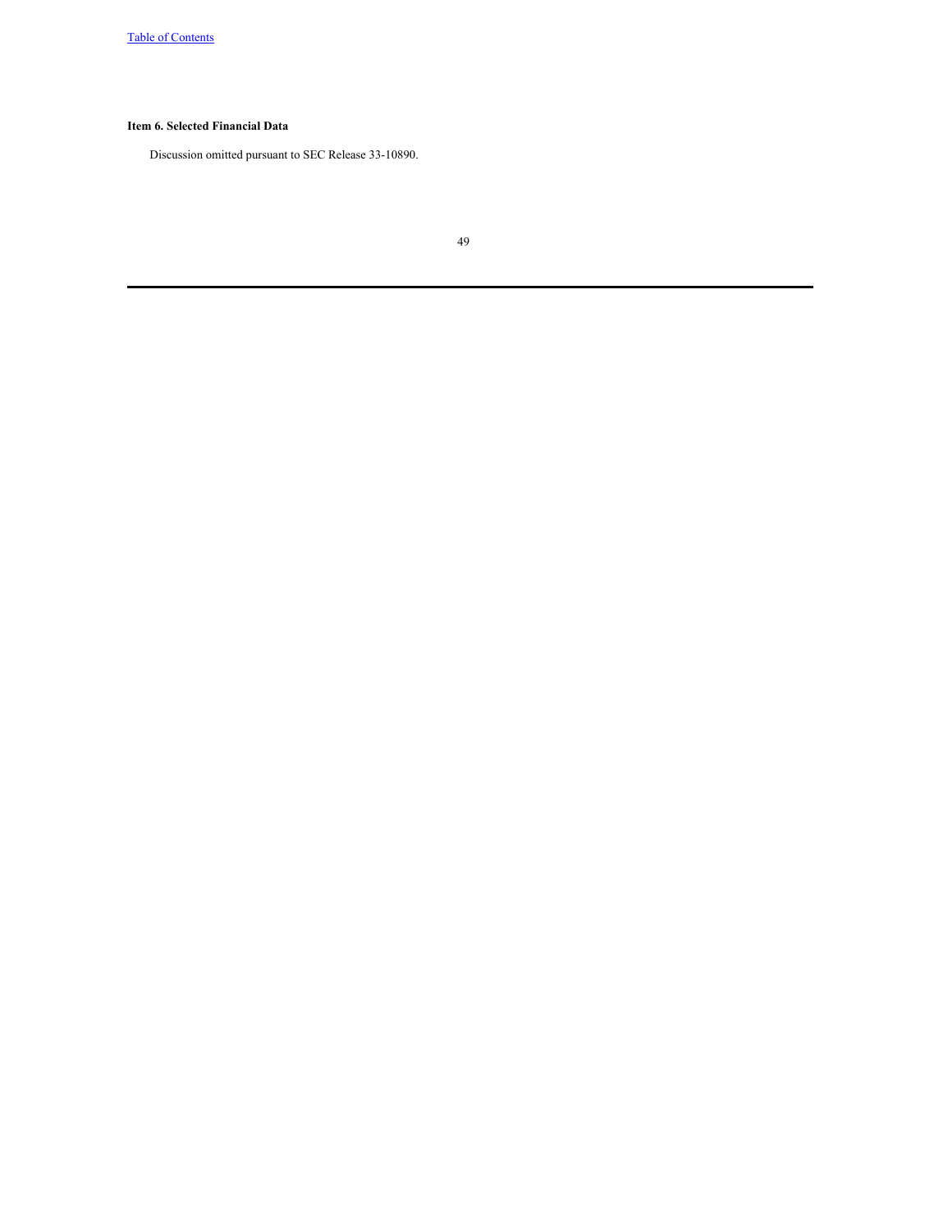## **Item 6. Selected Financial Data**

Discussion omitted pursuant to SEC Release 33-10890.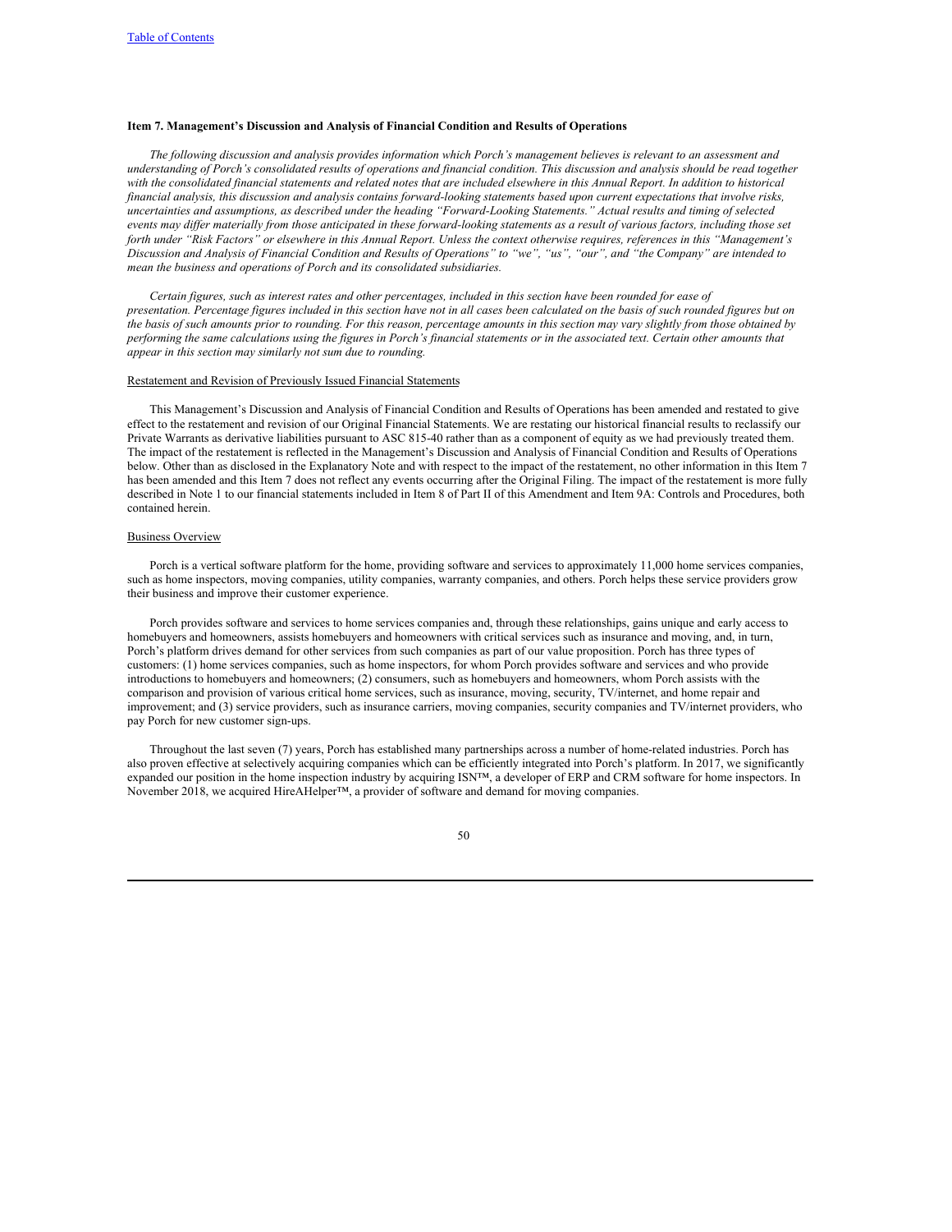## **Item 7. Management's Discussion and Analysis of Financial Condition and Results of Operations**

The following discussion and analysis provides information which Porch's management believes is relevant to an assessment and understanding of Porch's consolidated results of operations and financial condition. This discussion and analysis should be read together with the consolidated financial statements and related notes that are included elsewhere in this Annual Report. In addition to historical financial analysis, this discussion and analysis contains forward-looking statements based upon current expectations that involve risks, uncertainties and assumptions, as described under the heading "Forward-Looking Statements." Actual results and timing of selected events may differ materially from those anticipated in these forward-looking statements as a result of various factors, including those set forth under "Risk Factors" or elsewhere in this Annual Report. Unless the context otherwise requires, references in this "Management's Discussion and Analysis of Financial Condition and Results of Operations" to "we", "us", "our", and "the Company" are intended to *mean the business and operations of Porch and its consolidated subsidiaries.*

Certain figures, such as interest rates and other percentages, included in this section have been rounded for ease of presentation. Percentage figures included in this section have not in all cases been calculated on the basis of such rounded figures but on the basis of such amounts prior to rounding. For this reason, percentage amounts in this section may vary slightly from those obtained by performing the same calculations using the figures in Porch's financial statements or in the associated text. Certain other amounts that *appear in this section may similarly not sum due to rounding.*

#### Restatement and Revision of Previously Issued Financial Statements

This Management's Discussion and Analysis of Financial Condition and Results of Operations has been amended and restated to give effect to the restatement and revision of our Original Financial Statements. We are restating our historical financial results to reclassify our Private Warrants as derivative liabilities pursuant to ASC 815-40 rather than as a component of equity as we had previously treated them. The impact of the restatement is reflected in the Management's Discussion and Analysis of Financial Condition and Results of Operations below. Other than as disclosed in the Explanatory Note and with respect to the impact of the restatement, no other information in this Item 7 has been amended and this Item 7 does not reflect any events occurring after the Original Filing. The impact of the restatement is more fully described in Note 1 to our financial statements included in Item 8 of Part II of this Amendment and Item 9A: Controls and Procedures, both contained herein.

## Business Overview

Porch is a vertical software platform for the home, providing software and services to approximately 11,000 home services companies, such as home inspectors, moving companies, utility companies, warranty companies, and others. Porch helps these service providers grow their business and improve their customer experience.

Porch provides software and services to home services companies and, through these relationships, gains unique and early access to homebuyers and homeowners, assists homebuyers and homeowners with critical services such as insurance and moving, and, in turn, Porch's platform drives demand for other services from such companies as part of our value proposition. Porch has three types of customers: (1) home services companies, such as home inspectors, for whom Porch provides software and services and who provide introductions to homebuyers and homeowners; (2) consumers, such as homebuyers and homeowners, whom Porch assists with the comparison and provision of various critical home services, such as insurance, moving, security, TV/internet, and home repair and improvement; and (3) service providers, such as insurance carriers, moving companies, security companies and TV/internet providers, who pay Porch for new customer sign-ups.

Throughout the last seven (7) years, Porch has established many partnerships across a number of home-related industries. Porch has also proven effective at selectively acquiring companies which can be efficiently integrated into Porch's platform. In 2017, we significantly expanded our position in the home inspection industry by acquiring ISN™, a developer of ERP and CRM software for home inspectors. In November 2018, we acquired HireAHelper™, a provider of software and demand for moving companies.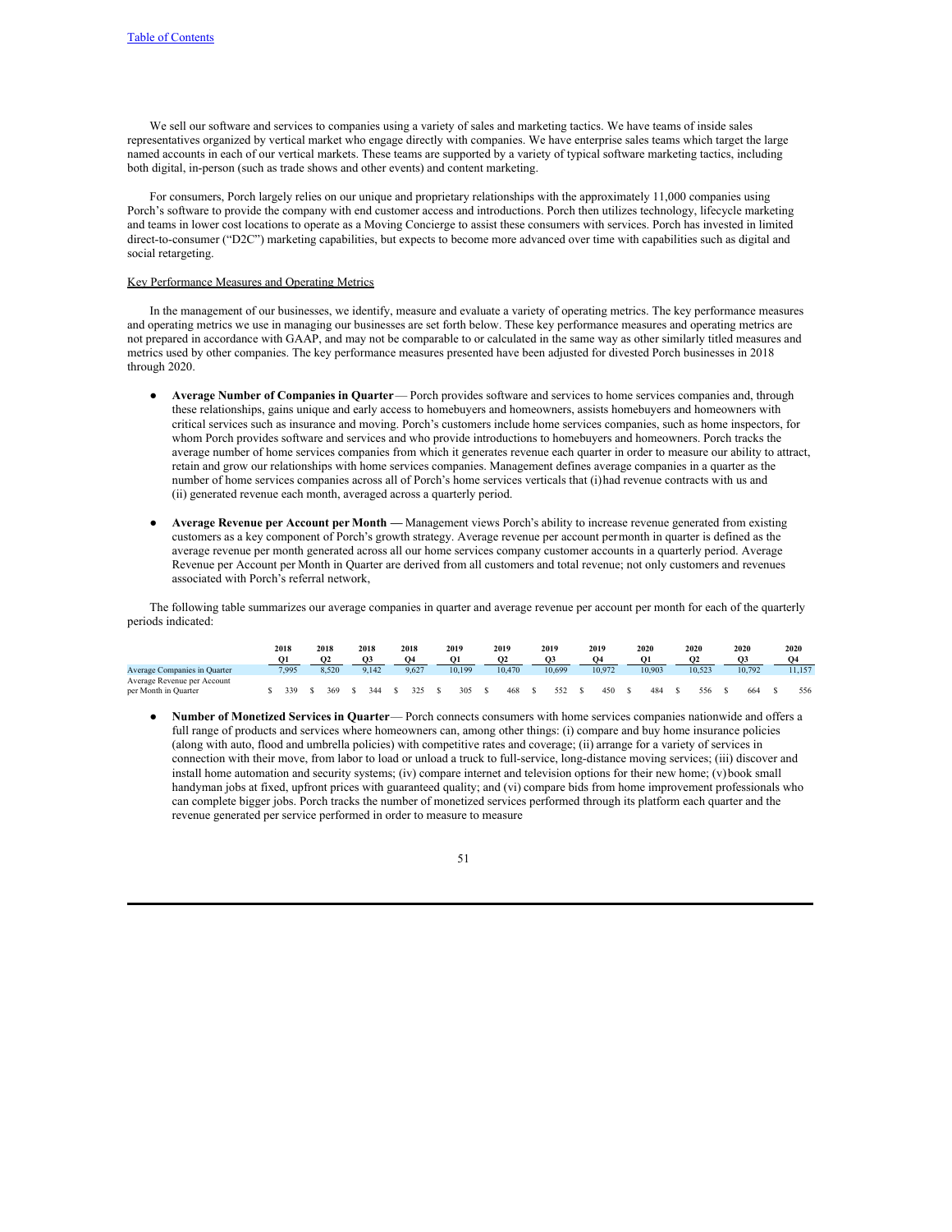We sell our software and services to companies using a variety of sales and marketing tactics. We have teams of inside sales representatives organized by vertical market who engage directly with companies. We have enterprise sales teams which target the large named accounts in each of our vertical markets. These teams are supported by a variety of typical software marketing tactics, including both digital, in-person (such as trade shows and other events) and content marketing.

For consumers, Porch largely relies on our unique and proprietary relationships with the approximately 11,000 companies using Porch's software to provide the company with end customer access and introductions. Porch then utilizes technology, lifecycle marketing and teams in lower cost locations to operate as a Moving Concierge to assist these consumers with services. Porch has invested in limited direct-to-consumer ("D2C") marketing capabilities, but expects to become more advanced over time with capabilities such as digital and social retargeting.

#### Key Performance Measures and Operating Metrics

In the management of our businesses, we identify, measure and evaluate a variety of operating metrics. The key performance measures and operating metrics we use in managing our businesses are set forth below. These key performance measures and operating metrics are not prepared in accordance with GAAP, and may not be comparable to or calculated in the same way as other similarly titled measures and metrics used by other companies. The key performance measures presented have been adjusted for divested Porch businesses in 2018 through 2020.

- **Average Number of Companies in Quarter** Porch provides software and services to home services companies and, through these relationships, gains unique and early access to homebuyers and homeowners, assists homebuyers and homeowners with critical services such as insurance and moving. Porch's customers include home services companies, such as home inspectors, for whom Porch provides software and services and who provide introductions to homebuyers and homeowners. Porch tracks the average number of home services companies from which it generates revenue each quarter in order to measure our ability to attract, retain and grow our relationships with home services companies. Management defines average companies in a quarter as the number of home services companies across all of Porch's home services verticals that (i)had revenue contracts with us and (ii) generated revenue each month, averaged across a quarterly period.
- **Average Revenue per Account per Month —** Management views Porch's ability to increase revenue generated from existing customers as a key component of Porch's growth strategy. Average revenue per account permonth in quarter is defined as the average revenue per month generated across all our home services company customer accounts in a quarterly period. Average Revenue per Account per Month in Quarter are derived from all customers and total revenue; not only customers and revenues associated with Porch's referral network,

The following table summarizes our average companies in quarter and average revenue per account per month for each of the quarterly periods indicated:

|                              | 2018  | 2018  | 2018<br>O3 | 2018<br>$\Omega$ | 2019<br>$\Omega$ | 2019   | 2019   | 2019<br>O4 | 2020<br>O1 | 2020<br>$^{\Omega}$ | 2020   | 2020   |
|------------------------------|-------|-------|------------|------------------|------------------|--------|--------|------------|------------|---------------------|--------|--------|
| Average Companies in Ouarter | 7.995 | 8.520 | 9.142      | 9.627            | 10.199           | 10.470 | 10.699 | 10.972     | 10.903     | 10.523              | 10.792 | 11.157 |
| Average Revenue per Account  |       |       |            |                  |                  |        |        |            |            |                     |        |        |
| ner Month in Quarter         | 330   | 360   |            |                  | 305              | 468    |        | 450        | 484        | 556.                | 664    | 556    |

● **Number of Monetized Services in Quarter**— Porch connects consumers with home services companies nationwide and offers a full range of products and services where homeowners can, among other things: (i) compare and buy home insurance policies (along with auto, flood and umbrella policies) with competitive rates and coverage; (ii) arrange for a variety of services in connection with their move, from labor to load or unload a truck to full-service, long-distance moving services; (iii) discover and install home automation and security systems; (iv) compare internet and television options for their new home; (v) book small handyman jobs at fixed, upfront prices with guaranteed quality; and (vi) compare bids from home improvement professionals who can complete bigger jobs. Porch tracks the number of monetized services performed through its platform each quarter and the revenue generated per service performed in order to measure to measure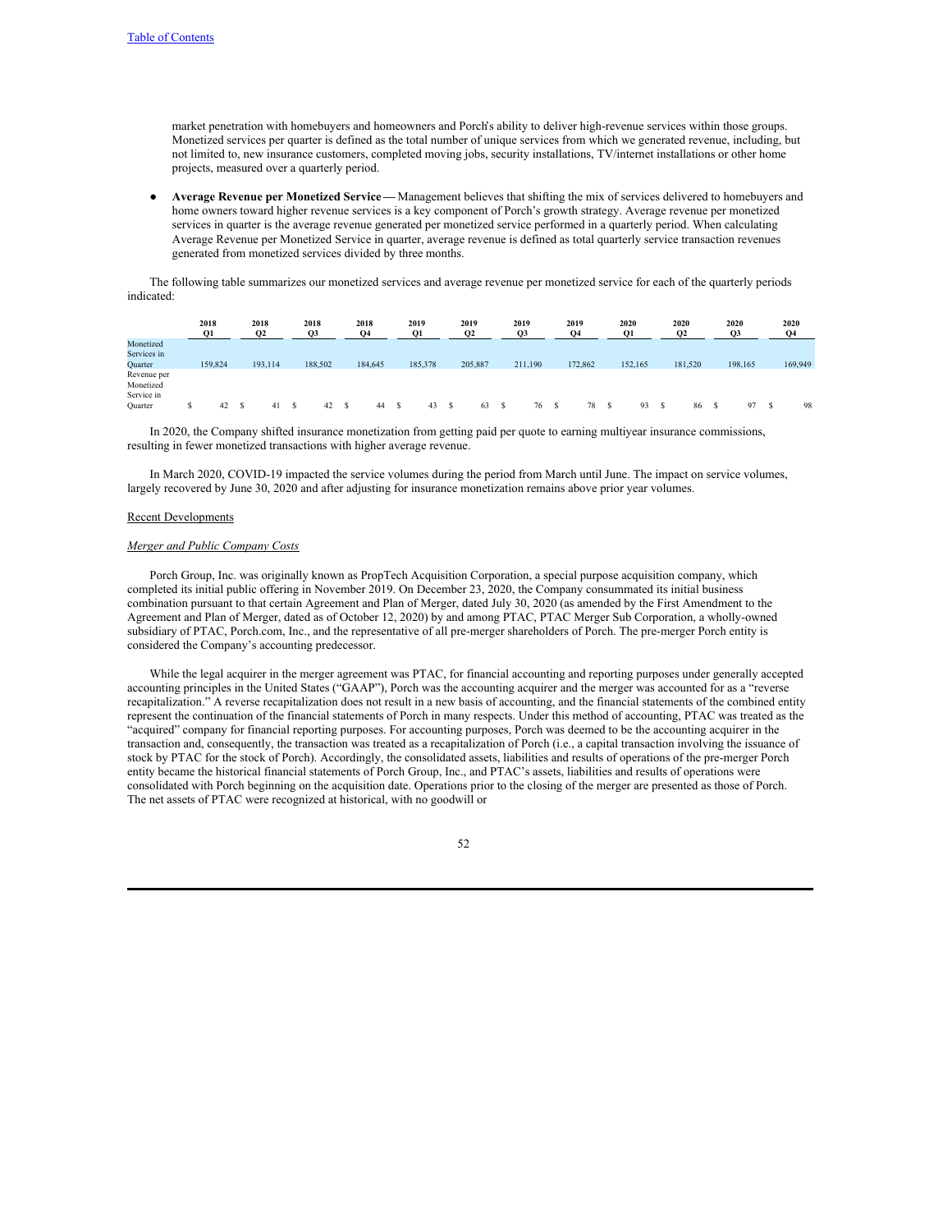market penetration with homebuyers and homeowners and Porch's ability to deliver high-revenue services within those groups. Monetized services per quarter is defined as the total number of unique services from which we generated revenue, including, but not limited to, new insurance customers, completed moving jobs, security installations, TV/internet installations or other home projects, measured over a quarterly period.

● **Average Revenue per Monetized Service—** Management believes that shifting the mix of services delivered to homebuyers and home owners toward higher revenue services is a key component of Porch's growth strategy. Average revenue per monetized services in quarter is the average revenue generated per monetized service performed in a quarterly period. When calculating Average Revenue per Monetized Service in quarter, average revenue is defined as total quarterly service transaction revenues generated from monetized services divided by three months.

The following table summarizes our monetized services and average revenue per monetized service for each of the quarterly periods indicated:

|                | 2018<br>$^{\Omega}$ |         |     | 2018<br>O <sub>2</sub> |   | 2018<br><b>O3</b> | 2018<br><b>O4</b> |     | 2019<br>01 |   | 2019<br>O <sub>2</sub> | 2019<br><b>O3</b> | 2019<br>$\Omega$ 4 | 2020<br>$\Omega$ | 2020<br>O <sub>2</sub> | 2020<br><b>O3</b> | 2020<br><b>O4</b> |
|----------------|---------------------|---------|-----|------------------------|---|-------------------|-------------------|-----|------------|---|------------------------|-------------------|--------------------|------------------|------------------------|-------------------|-------------------|
| Monetized      |                     |         |     |                        |   |                   |                   |     |            |   |                        |                   |                    |                  |                        |                   |                   |
| Services in    |                     |         |     |                        |   |                   |                   |     |            |   |                        |                   |                    |                  |                        |                   |                   |
| <b>Ouarter</b> |                     | 159,824 |     | 193.114                |   | 188.502           | 184,645           |     | 185,378    |   | 205,887                | 211.190           | 172,862            | 152.165          | 181.520                | 198.165           | 169,949           |
| Revenue per    |                     |         |     |                        |   |                   |                   |     |            |   |                        |                   |                    |                  |                        |                   |                   |
| Monetized      |                     |         |     |                        |   |                   |                   |     |            |   |                        |                   |                    |                  |                        |                   |                   |
| Service in     |                     |         |     |                        |   |                   |                   |     |            |   |                        |                   |                    |                  |                        |                   |                   |
| Ouarter        |                     | 42      | - S | 41                     | S | 42                | 44                | - S | 43         | s | 63                     | 76                | 78                 | 93               | 86                     | 97                | 98                |

In 2020, the Company shifted insurance monetization from getting paid per quote to earning multiyear insurance commissions, resulting in fewer monetized transactions with higher average revenue.

In March 2020, COVID-19 impacted the service volumes during the period from March until June. The impact on service volumes, largely recovered by June 30, 2020 and after adjusting for insurance monetization remains above prior year volumes.

#### Recent Developments

## *Merger and Public Company Costs*

Porch Group, Inc. was originally known as PropTech Acquisition Corporation, a special purpose acquisition company, which completed its initial public offering in November 2019. On December 23, 2020, the Company consummated its initial business combination pursuant to that certain Agreement and Plan of Merger, dated July 30, 2020 (as amended by the First Amendment to the Agreement and Plan of Merger, dated as of October 12, 2020) by and among PTAC, PTAC Merger Sub Corporation, a wholly-owned subsidiary of PTAC, Porch.com, Inc., and the representative of all pre-merger shareholders of Porch. The pre-merger Porch entity is considered the Company's accounting predecessor.

While the legal acquirer in the merger agreement was PTAC, for financial accounting and reporting purposes under generally accepted accounting principles in the United States ("GAAP"), Porch was the accounting acquirer and the merger was accounted for as a "reverse recapitalization." A reverse recapitalization does not result in a new basis of accounting, and the financial statements of the combined entity represent the continuation of the financial statements of Porch in many respects. Under this method of accounting, PTAC was treated as the "acquired" company for financial reporting purposes. For accounting purposes, Porch was deemed to be the accounting acquirer in the transaction and, consequently, the transaction was treated as a recapitalization of Porch (i.e., a capital transaction involving the issuance of stock by PTAC for the stock of Porch). Accordingly, the consolidated assets, liabilities and results of operations of the pre-merger Porch entity became the historical financial statements of Porch Group, Inc., and PTAC's assets, liabilities and results of operations were consolidated with Porch beginning on the acquisition date. Operations prior to the closing of the merger are presented as those of Porch. The net assets of PTAC were recognized at historical, with no goodwill or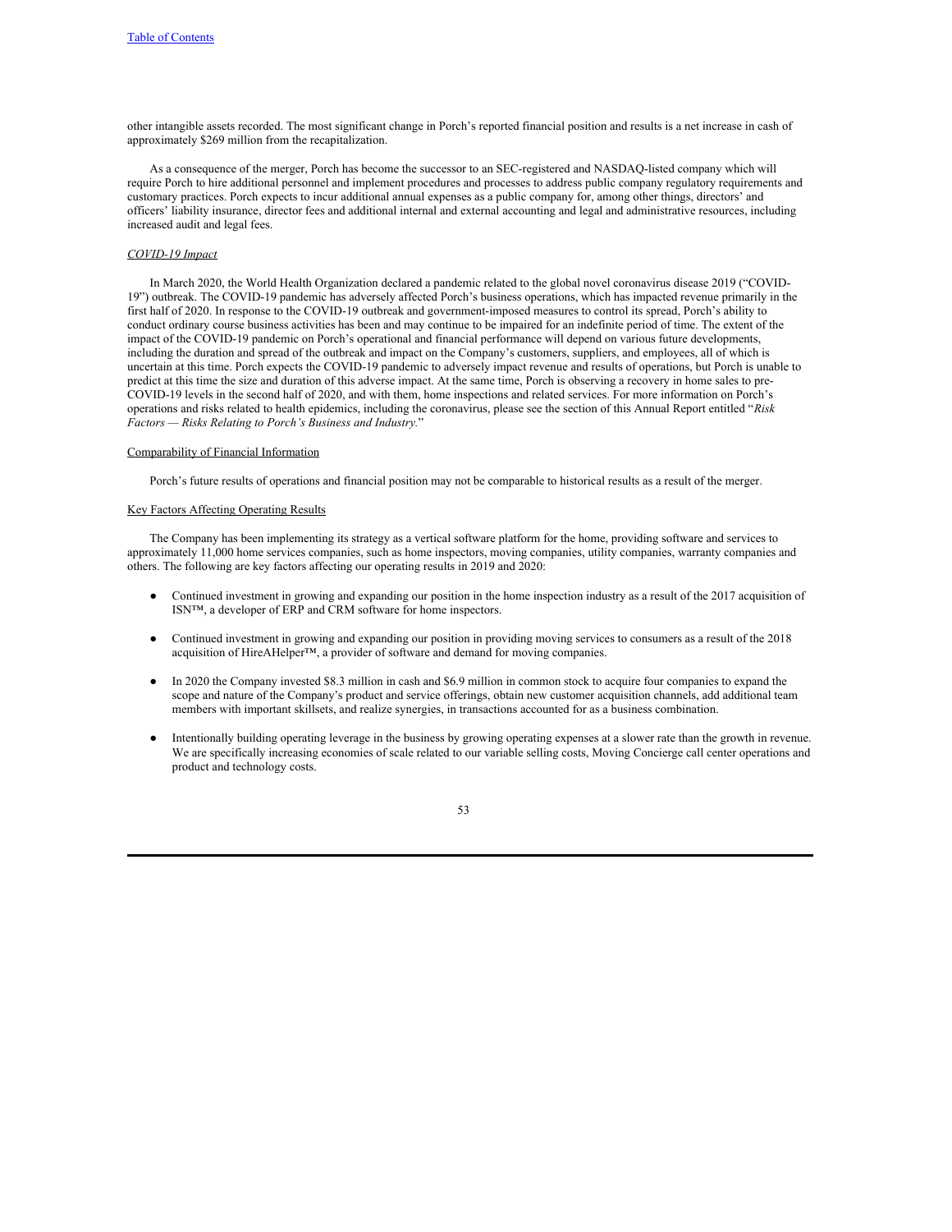other intangible assets recorded. The most significant change in Porch's reported financial position and results is a net increase in cash of approximately \$269 million from the recapitalization.

As a consequence of the merger, Porch has become the successor to an SEC-registered and NASDAQ-listed company which will require Porch to hire additional personnel and implement procedures and processes to address public company regulatory requirements and customary practices. Porch expects to incur additional annual expenses as a public company for, among other things, directors' and officers' liability insurance, director fees and additional internal and external accounting and legal and administrative resources, including increased audit and legal fees.

## *COVID-19 Impact*

In March 2020, the World Health Organization declared a pandemic related to the global novel coronavirus disease 2019 ("COVID-19") outbreak. The COVID-19 pandemic has adversely affected Porch's business operations, which has impacted revenue primarily in the first half of 2020. In response to the COVID-19 outbreak and government-imposed measures to control its spread, Porch's ability to conduct ordinary course business activities has been and may continue to be impaired for an indefinite period of time. The extent of the impact of the COVID-19 pandemic on Porch's operational and financial performance will depend on various future developments, including the duration and spread of the outbreak and impact on the Company's customers, suppliers, and employees, all of which is uncertain at this time. Porch expects the COVID-19 pandemic to adversely impact revenue and results of operations, but Porch is unable to predict at this time the size and duration of this adverse impact. At the same time, Porch is observing a recovery in home sales to pre-COVID-19 levels in the second half of 2020, and with them, home inspections and related services. For more information on Porch's operations and risks related to health epidemics, including the coronavirus, please see the section of this Annual Report entitled "*Risk Factors — Risks Relating to Porch's Business and Industry.*"

## Comparability of Financial Information

Porch's future results of operations and financial position may not be comparable to historical results as a result of the merger.

#### Key Factors Affecting Operating Results

The Company has been implementing its strategy as a vertical software platform for the home, providing software and services to approximately 11,000 home services companies, such as home inspectors, moving companies, utility companies, warranty companies and others. The following are key factors affecting our operating results in 2019 and 2020:

- Continued investment in growing and expanding our position in the home inspection industry as a result of the 2017 acquisition of ISN™, a developer of ERP and CRM software for home inspectors.
- Continued investment in growing and expanding our position in providing moving services to consumers as a result of the 2018 acquisition of HireAHelper™, a provider of software and demand for moving companies.
- In 2020 the Company invested \$8.3 million in cash and \$6.9 million in common stock to acquire four companies to expand the scope and nature of the Company's product and service offerings, obtain new customer acquisition channels, add additional team members with important skillsets, and realize synergies, in transactions accounted for as a business combination.
- Intentionally building operating leverage in the business by growing operating expenses at a slower rate than the growth in revenue. We are specifically increasing economies of scale related to our variable selling costs, Moving Concierge call center operations and product and technology costs.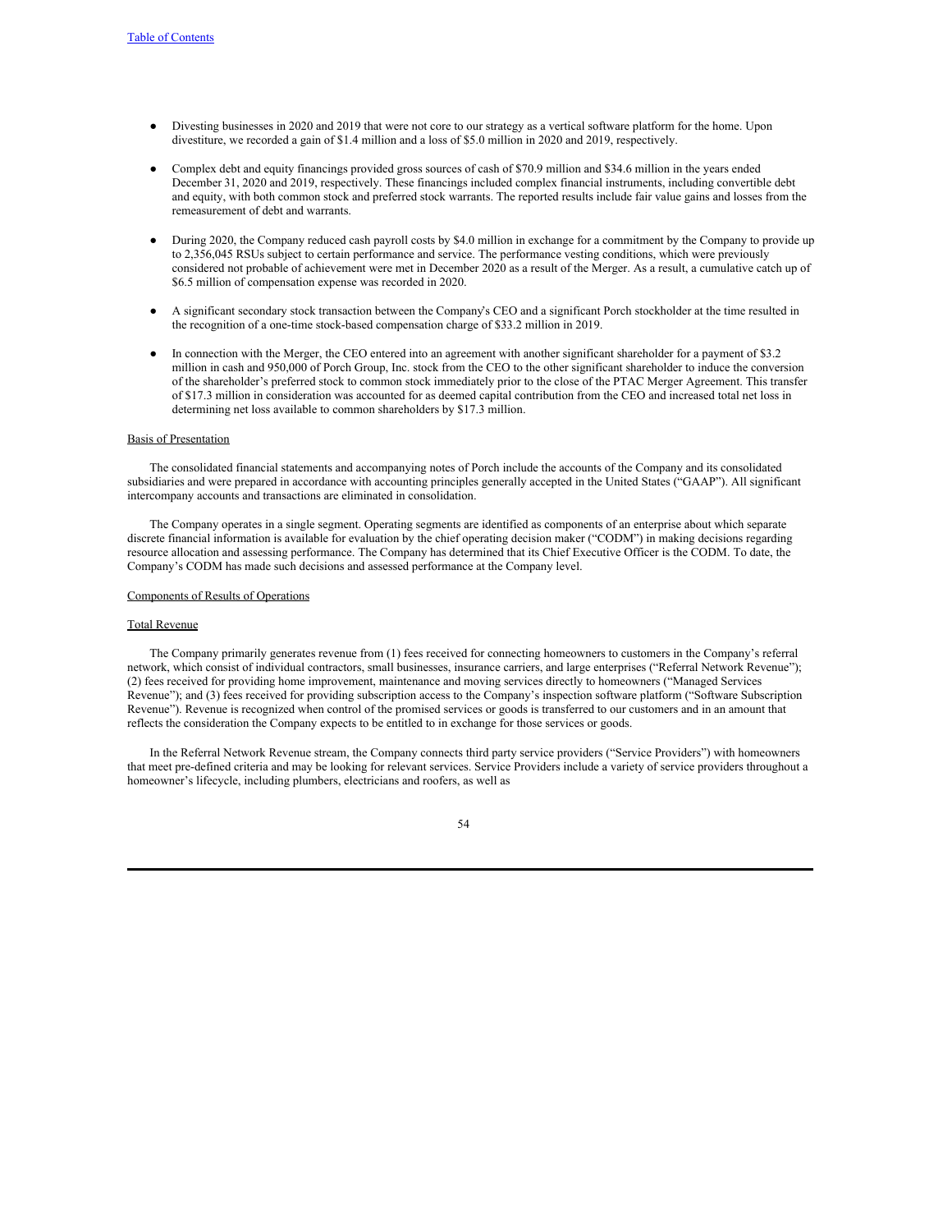- Divesting businesses in 2020 and 2019 that were not core to our strategy as a vertical software platform for the home. Upon divestiture, we recorded a gain of \$1.4 million and a loss of \$5.0 million in 2020 and 2019, respectively.
- Complex debt and equity financings provided gross sources of cash of \$70.9 million and \$34.6 million in the years ended December 31, 2020 and 2019, respectively. These financings included complex financial instruments, including convertible debt and equity, with both common stock and preferred stock warrants. The reported results include fair value gains and losses from the remeasurement of debt and warrants.
- During 2020, the Company reduced cash payroll costs by \$4.0 million in exchange for a commitment by the Company to provide up to 2,356,045 RSUs subject to certain performance and service. The performance vesting conditions, which were previously considered not probable of achievement were met in December 2020 as a result of the Merger. As a result, a cumulative catch up of \$6.5 million of compensation expense was recorded in 2020.
- A significant secondary stock transaction between the Company's CEO and a significant Porch stockholder at the time resulted in the recognition of a one-time stock-based compensation charge of \$33.2 million in 2019.
- In connection with the Merger, the CEO entered into an agreement with another significant shareholder for a payment of \$3.2 million in cash and 950,000 of Porch Group, Inc. stock from the CEO to the other significant shareholder to induce the conversion of the shareholder's preferred stock to common stock immediately prior to the close of the PTAC Merger Agreement. This transfer of \$17.3 million in consideration was accounted for as deemed capital contribution from the CEO and increased total net loss in determining net loss available to common shareholders by \$17.3 million.

### Basis of Presentation

The consolidated financial statements and accompanying notes of Porch include the accounts of the Company and its consolidated subsidiaries and were prepared in accordance with accounting principles generally accepted in the United States ("GAAP"). All significant intercompany accounts and transactions are eliminated in consolidation.

The Company operates in a single segment. Operating segments are identified as components of an enterprise about which separate discrete financial information is available for evaluation by the chief operating decision maker ("CODM") in making decisions regarding resource allocation and assessing performance. The Company has determined that its Chief Executive Officer is the CODM. To date, the Company's CODM has made such decisions and assessed performance at the Company level.

## Components of Results of Operations

## Total Revenue

The Company primarily generates revenue from (1) fees received for connecting homeowners to customers in the Company's referral network, which consist of individual contractors, small businesses, insurance carriers, and large enterprises ("Referral Network Revenue"); (2) fees received for providing home improvement, maintenance and moving services directly to homeowners ("Managed Services Revenue"); and (3) fees received for providing subscription access to the Company's inspection software platform ("Software Subscription Revenue"). Revenue is recognized when control of the promised services or goods is transferred to our customers and in an amount that reflects the consideration the Company expects to be entitled to in exchange for those services or goods.

In the Referral Network Revenue stream, the Company connects third party service providers ("Service Providers") with homeowners that meet pre-defined criteria and may be looking for relevant services. Service Providers include a variety of service providers throughout a homeowner's lifecycle, including plumbers, electricians and roofers, as well as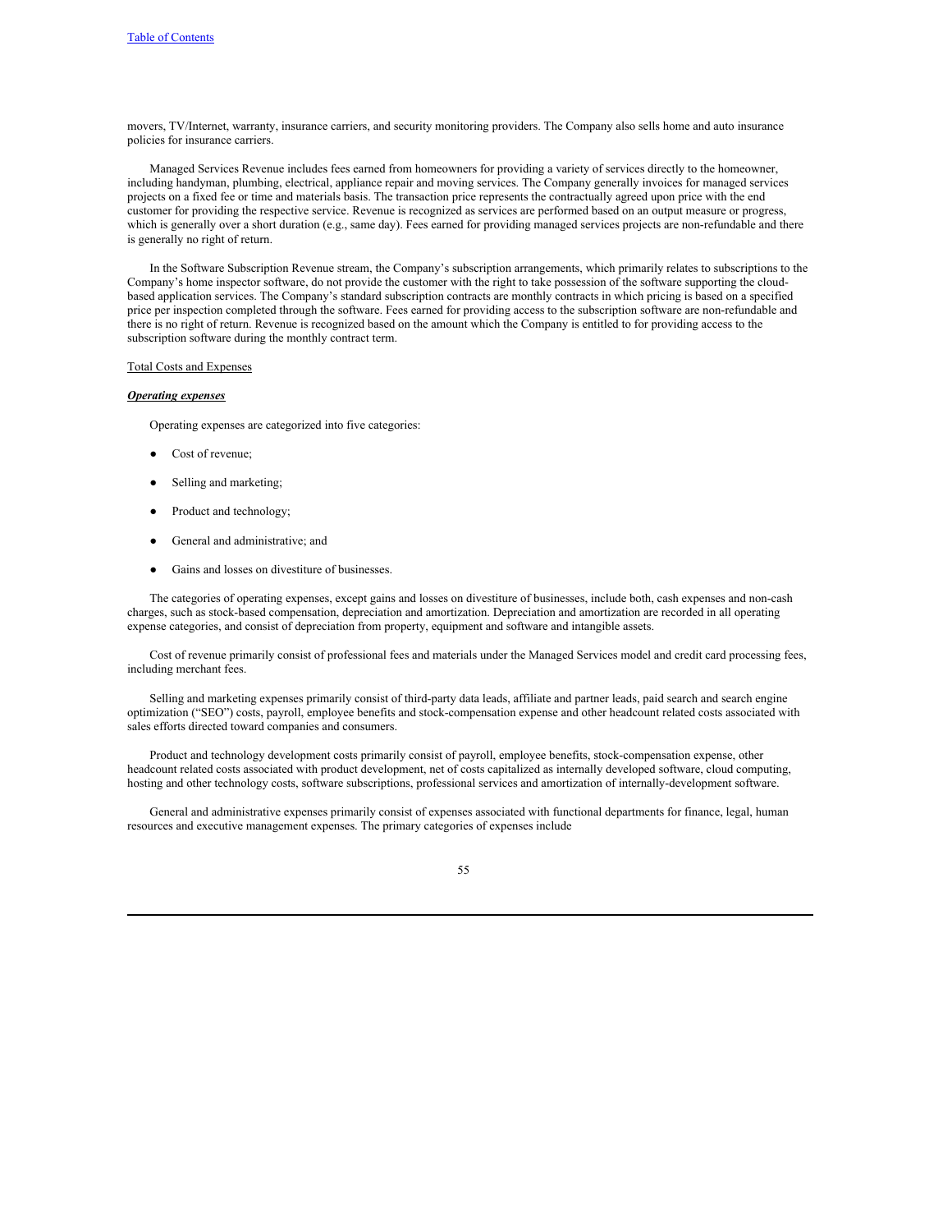movers, TV/Internet, warranty, insurance carriers, and security monitoring providers. The Company also sells home and auto insurance policies for insurance carriers.

Managed Services Revenue includes fees earned from homeowners for providing a variety of services directly to the homeowner, including handyman, plumbing, electrical, appliance repair and moving services. The Company generally invoices for managed services projects on a fixed fee or time and materials basis. The transaction price represents the contractually agreed upon price with the end customer for providing the respective service. Revenue is recognized as services are performed based on an output measure or progress, which is generally over a short duration (e.g., same day). Fees earned for providing managed services projects are non-refundable and there is generally no right of return.

In the Software Subscription Revenue stream, the Company's subscription arrangements, which primarily relates to subscriptions to the Company's home inspector software, do not provide the customer with the right to take possession of the software supporting the cloudbased application services. The Company's standard subscription contracts are monthly contracts in which pricing is based on a specified price per inspection completed through the software. Fees earned for providing access to the subscription software are non-refundable and there is no right of return. Revenue is recognized based on the amount which the Company is entitled to for providing access to the subscription software during the monthly contract term.

#### Total Costs and Expenses

#### *Operating expenses*

Operating expenses are categorized into five categories:

- Cost of revenue:
- Selling and marketing;
- Product and technology;
- General and administrative; and
- Gains and losses on divestiture of businesses.

The categories of operating expenses, except gains and losses on divestiture of businesses, include both, cash expenses and non-cash charges, such as stock-based compensation, depreciation and amortization. Depreciation and amortization are recorded in all operating expense categories, and consist of depreciation from property, equipment and software and intangible assets.

Cost of revenue primarily consist of professional fees and materials under the Managed Services model and credit card processing fees, including merchant fees.

Selling and marketing expenses primarily consist of third-party data leads, affiliate and partner leads, paid search and search engine optimization ("SEO") costs, payroll, employee benefits and stock-compensation expense and other headcount related costs associated with sales efforts directed toward companies and consumers.

Product and technology development costs primarily consist of payroll, employee benefits, stock-compensation expense, other headcount related costs associated with product development, net of costs capitalized as internally developed software, cloud computing, hosting and other technology costs, software subscriptions, professional services and amortization of internally-development software.

General and administrative expenses primarily consist of expenses associated with functional departments for finance, legal, human resources and executive management expenses. The primary categories of expenses include

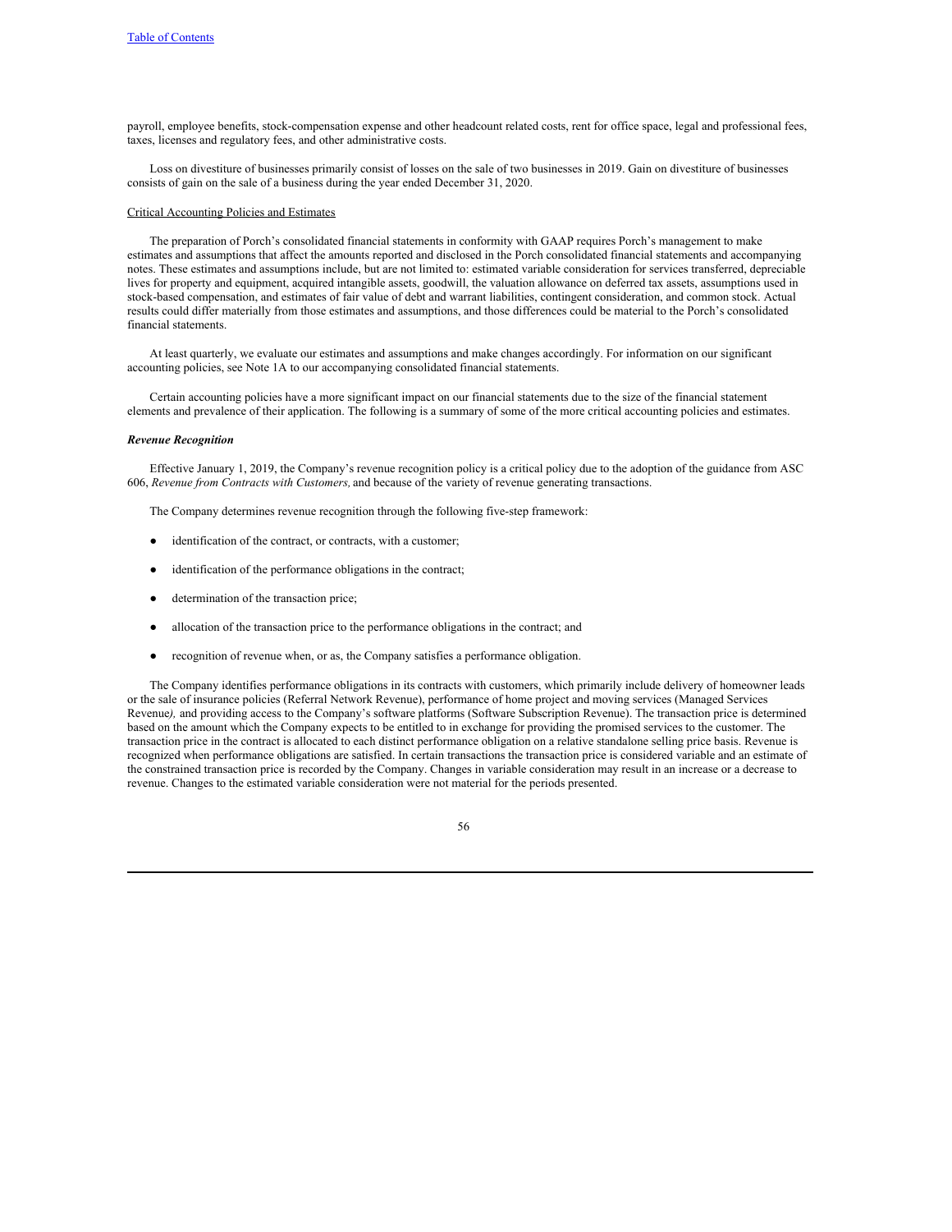payroll, employee benefits, stock-compensation expense and other headcount related costs, rent for office space, legal and professional fees, taxes, licenses and regulatory fees, and other administrative costs.

Loss on divestiture of businesses primarily consist of losses on the sale of two businesses in 2019. Gain on divestiture of businesses consists of gain on the sale of a business during the year ended December 31, 2020.

#### Critical Accounting Policies and Estimates

The preparation of Porch's consolidated financial statements in conformity with GAAP requires Porch's management to make estimates and assumptions that affect the amounts reported and disclosed in the Porch consolidated financial statements and accompanying notes. These estimates and assumptions include, but are not limited to: estimated variable consideration for services transferred, depreciable lives for property and equipment, acquired intangible assets, goodwill, the valuation allowance on deferred tax assets, assumptions used in stock-based compensation, and estimates of fair value of debt and warrant liabilities, contingent consideration, and common stock. Actual results could differ materially from those estimates and assumptions, and those differences could be material to the Porch's consolidated financial statements.

At least quarterly, we evaluate our estimates and assumptions and make changes accordingly. For information on our significant accounting policies, see Note 1A to our accompanying consolidated financial statements.

Certain accounting policies have a more significant impact on our financial statements due to the size of the financial statement elements and prevalence of their application. The following is a summary of some of the more critical accounting policies and estimates.

#### *Revenue Recognition*

Effective January 1, 2019, the Company's revenue recognition policy is a critical policy due to the adoption of the guidance from ASC 606, *Revenue from Contracts with Customers,* and because of the variety of revenue generating transactions.

The Company determines revenue recognition through the following five-step framework:

- identification of the contract, or contracts, with a customer;
- identification of the performance obligations in the contract;
- determination of the transaction price;
- allocation of the transaction price to the performance obligations in the contract; and
- recognition of revenue when, or as, the Company satisfies a performance obligation.

The Company identifies performance obligations in its contracts with customers, which primarily include delivery of homeowner leads or the sale of insurance policies (Referral Network Revenue), performance of home project and moving services (Managed Services Revenue*),* and providing access to the Company's software platforms (Software Subscription Revenue). The transaction price is determined based on the amount which the Company expects to be entitled to in exchange for providing the promised services to the customer. The transaction price in the contract is allocated to each distinct performance obligation on a relative standalone selling price basis. Revenue is recognized when performance obligations are satisfied. In certain transactions the transaction price is considered variable and an estimate of the constrained transaction price is recorded by the Company. Changes in variable consideration may result in an increase or a decrease to revenue. Changes to the estimated variable consideration were not material for the periods presented.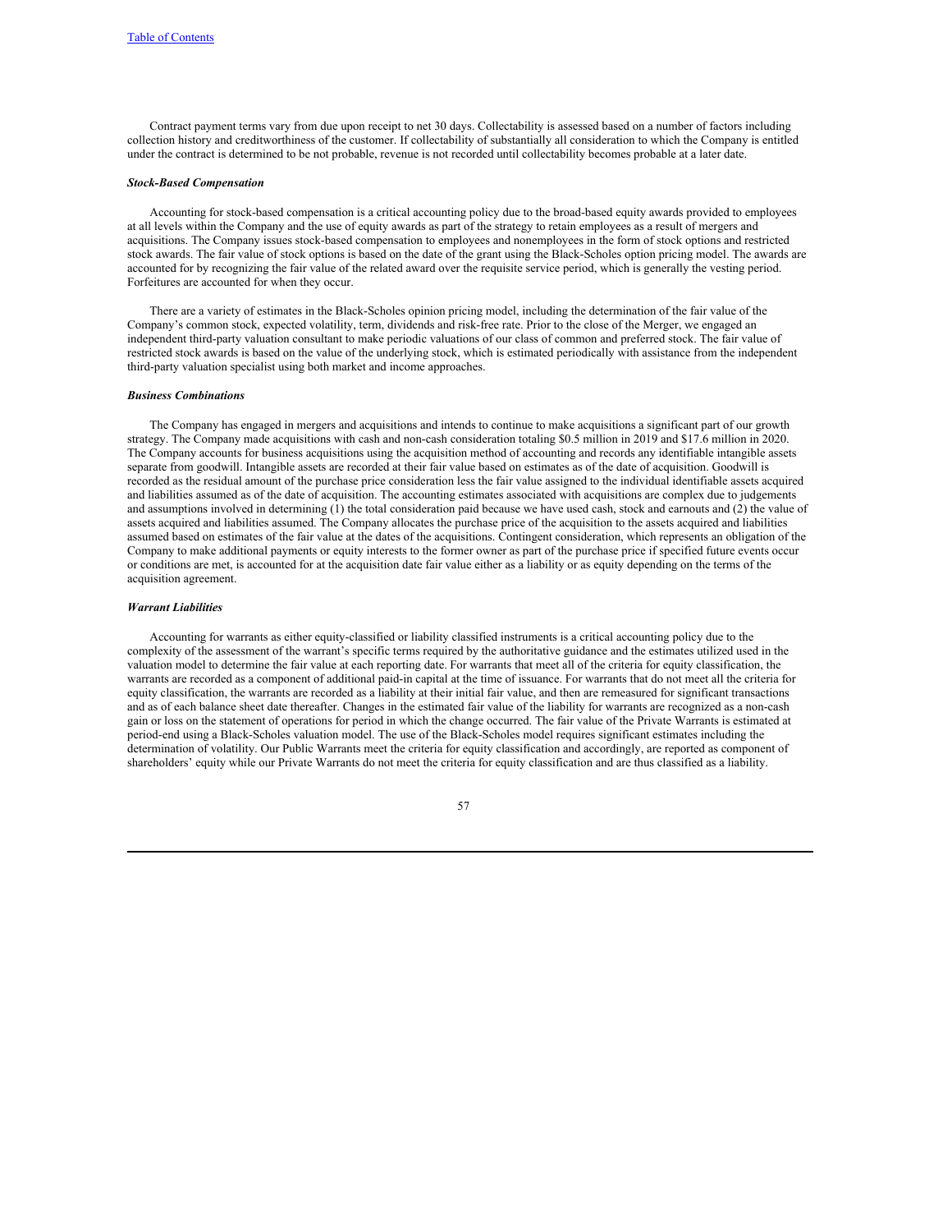Contract payment terms vary from due upon receipt to net 30 days. Collectability is assessed based on a number of factors including collection history and creditworthiness of the customer. If collectability of substantially all consideration to which the Company is entitled under the contract is determined to be not probable, revenue is not recorded until collectability becomes probable at a later date.

#### *Stock-Based Compensation*

Accounting for stock-based compensation is a critical accounting policy due to the broad-based equity awards provided to employees at all levels within the Company and the use of equity awards as part of the strategy to retain employees as a result of mergers and acquisitions. The Company issues stock-based compensation to employees and nonemployees in the form of stock options and restricted stock awards. The fair value of stock options is based on the date of the grant using the Black-Scholes option pricing model. The awards are accounted for by recognizing the fair value of the related award over the requisite service period, which is generally the vesting period. Forfeitures are accounted for when they occur.

There are a variety of estimates in the Black-Scholes opinion pricing model, including the determination of the fair value of the Company's common stock, expected volatility, term, dividends and risk-free rate. Prior to the close of the Merger, we engaged an independent third-party valuation consultant to make periodic valuations of our class of common and preferred stock. The fair value of restricted stock awards is based on the value of the underlying stock, which is estimated periodically with assistance from the independent third-party valuation specialist using both market and income approaches.

#### *Business Combinations*

The Company has engaged in mergers and acquisitions and intends to continue to make acquisitions a significant part of our growth strategy. The Company made acquisitions with cash and non-cash consideration totaling \$0.5 million in 2019 and \$17.6 million in 2020. The Company accounts for business acquisitions using the acquisition method of accounting and records any identifiable intangible assets separate from goodwill. Intangible assets are recorded at their fair value based on estimates as of the date of acquisition. Goodwill is recorded as the residual amount of the purchase price consideration less the fair value assigned to the individual identifiable assets acquired and liabilities assumed as of the date of acquisition. The accounting estimates associated with acquisitions are complex due to judgements and assumptions involved in determining (1) the total consideration paid because we have used cash, stock and earnouts and (2) the value of assets acquired and liabilities assumed. The Company allocates the purchase price of the acquisition to the assets acquired and liabilities assumed based on estimates of the fair value at the dates of the acquisitions. Contingent consideration, which represents an obligation of the Company to make additional payments or equity interests to the former owner as part of the purchase price if specified future events occur or conditions are met, is accounted for at the acquisition date fair value either as a liability or as equity depending on the terms of the acquisition agreement.

#### *Warrant Liabilities*

Accounting for warrants as either equity-classified or liability classified instruments is a critical accounting policy due to the complexity of the assessment of the warrant's specific terms required by the authoritative guidance and the estimates utilized used in the valuation model to determine the fair value at each reporting date. For warrants that meet all of the criteria for equity classification, the warrants are recorded as a component of additional paid-in capital at the time of issuance. For warrants that do not meet all the criteria for equity classification, the warrants are recorded as a liability at their initial fair value, and then are remeasured for significant transactions and as of each balance sheet date thereafter. Changes in the estimated fair value of the liability for warrants are recognized as a non-cash gain or loss on the statement of operations for period in which the change occurred. The fair value of the Private Warrants is estimated at period-end using a Black-Scholes valuation model. The use of the Black-Scholes model requires significant estimates including the determination of volatility. Our Public Warrants meet the criteria for equity classification and accordingly, are reported as component of shareholders' equity while our Private Warrants do not meet the criteria for equity classification and are thus classified as a liability.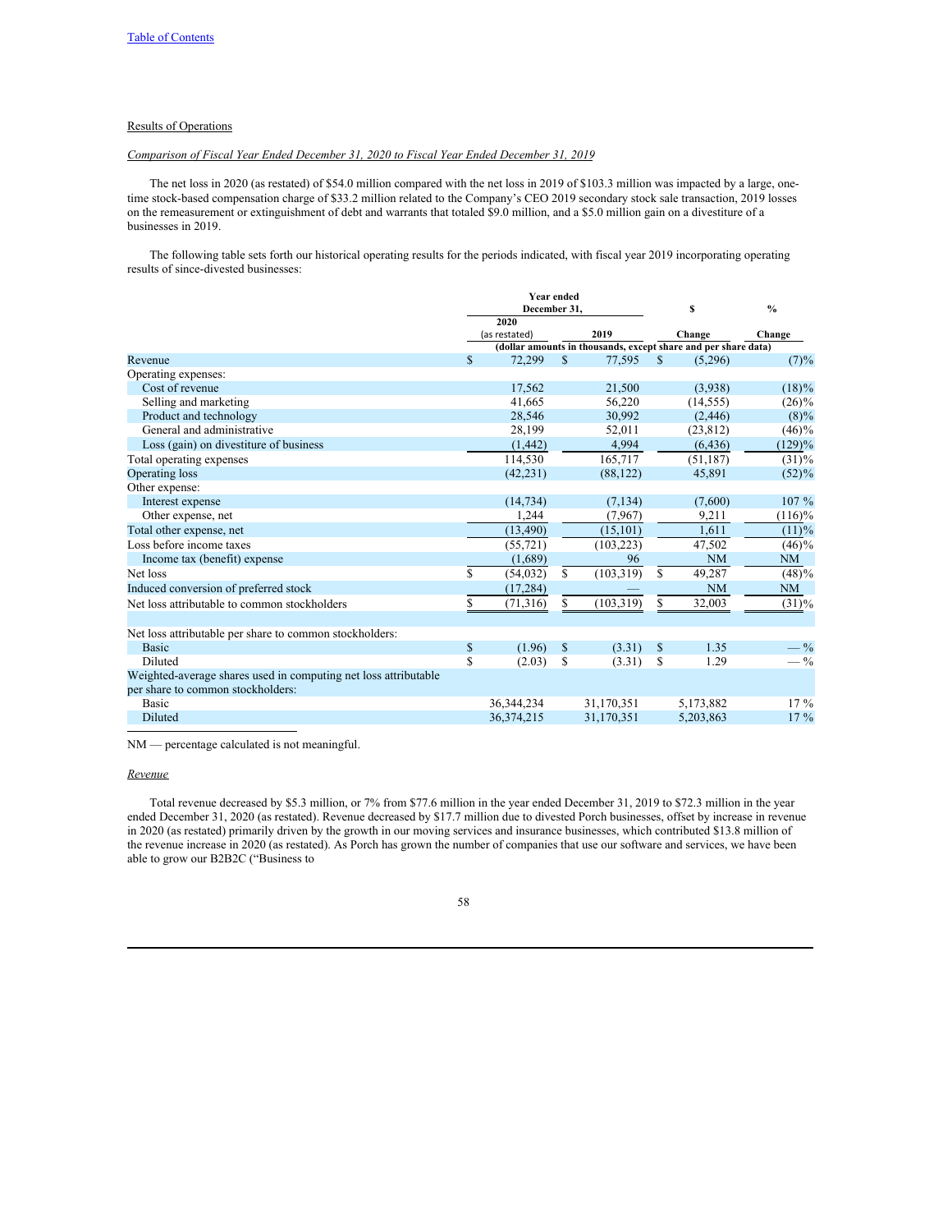## Results of Operations

## *Comparison of Fiscal Year Ended December 31, 2020 to Fiscal Year Ended December 31, 2019*

The net loss in 2020 (as restated) of \$54.0 million compared with the net loss in 2019 of \$103.3 million was impacted by a large, onetime stock-based compensation charge of \$33.2 million related to the Company's CEO 2019 secondary stock sale transaction, 2019 losses on the remeasurement or extinguishment of debt and warrants that totaled \$9.0 million, and a \$5.0 million gain on a divestiture of a businesses in 2019.

The following table sets forth our historical operating results for the periods indicated, with fiscal year 2019 incorporating operating results of since-divested businesses:

|                                                                 | Year ended<br>December 31. |               |             |                                                                |               | S         | $\frac{0}{0}$ |
|-----------------------------------------------------------------|----------------------------|---------------|-------------|----------------------------------------------------------------|---------------|-----------|---------------|
|                                                                 |                            | 2020          |             |                                                                |               |           |               |
|                                                                 |                            | (as restated) |             | 2019                                                           |               | Change    | Change        |
|                                                                 |                            |               |             | (dollar amounts in thousands, except share and per share data) |               |           |               |
| Revenue                                                         | \$                         | 72,299        | $\mathbf S$ | 77,595                                                         | $\mathbf S$   | (5,296)   | (7)%          |
| Operating expenses:                                             |                            |               |             |                                                                |               |           |               |
| Cost of revenue                                                 |                            | 17,562        |             | 21,500                                                         |               | (3,938)   | $(18)\%$      |
| Selling and marketing                                           |                            | 41,665        |             | 56,220                                                         |               | (14, 555) | $(26)\%$      |
| Product and technology                                          |                            | 28,546        |             | 30,992                                                         |               | (2, 446)  | $(8)\%$       |
| General and administrative                                      |                            | 28,199        |             | 52,011                                                         |               | (23, 812) | $(46)\%$      |
| Loss (gain) on divestiture of business                          |                            | (1, 442)      |             | 4.994                                                          |               | (6, 436)  | $(129)\%$     |
| Total operating expenses                                        |                            | 114,530       |             | 165,717                                                        |               | (51, 187) | $(31)\%$      |
| Operating loss                                                  |                            | (42, 231)     |             | (88, 122)                                                      |               | 45,891    | $(52)\%$      |
| Other expense:                                                  |                            |               |             |                                                                |               |           |               |
| Interest expense                                                |                            | (14, 734)     |             | (7, 134)                                                       |               | (7,600)   | 107 %         |
| Other expense, net                                              |                            | 1,244         |             | (7,967)                                                        |               | 9,211     | $(116)\%$     |
| Total other expense, net                                        |                            | (13, 490)     |             | (15, 101)                                                      |               | 1,611     | (11)%         |
| Loss before income taxes                                        |                            | (55, 721)     |             | (103, 223)                                                     |               | 47,502    | $(46)\%$      |
| Income tax (benefit) expense                                    |                            | (1,689)       |             | 96                                                             |               | <b>NM</b> | NM            |
| Net loss                                                        | Ŝ.                         | (54, 032)     | $\mathbf S$ | (103, 319)                                                     | S             | 49,287    | $(48)\%$      |
| Induced conversion of preferred stock                           |                            | (17, 284)     |             |                                                                |               | <b>NM</b> | NM            |
| Net loss attributable to common stockholders                    | \$                         | (71, 316)     | \$          | (103, 319)                                                     | S             | 32,003    | $(31)\%$      |
| Net loss attributable per share to common stockholders:         |                            |               |             |                                                                |               |           |               |
| <b>Basic</b>                                                    | \$                         | (1.96)        | S           | (3.31)                                                         | <sup>\$</sup> | 1.35      | $-9/0$        |
| Diluted                                                         | \$                         | (2.03)        | S           | (3.31)                                                         | S             | 1.29      | $-$ %         |
| Weighted-average shares used in computing net loss attributable |                            |               |             |                                                                |               |           |               |
| per share to common stockholders:                               |                            |               |             |                                                                |               |           |               |
| <b>Basic</b>                                                    |                            | 36, 344, 234  |             | 31,170,351                                                     |               | 5,173,882 | $17\%$        |
| Diluted                                                         |                            | 36, 374, 215  |             | 31,170,351                                                     |               | 5,203,863 | 17 %          |

NM — percentage calculated is not meaningful.

#### *Revenue*

Total revenue decreased by \$5.3 million, or 7% from \$77.6 million in the year ended December 31, 2019 to \$72.3 million in the year ended December 31, 2020 (as restated). Revenue decreased by \$17.7 million due to divested Porch businesses, offset by increase in revenue in 2020 (as restated) primarily driven by the growth in our moving services and insurance businesses, which contributed \$13.8 million of the revenue increase in 2020 (as restated). As Porch has grown the number of companies that use our software and services, we have been able to grow our B2B2C ("Business to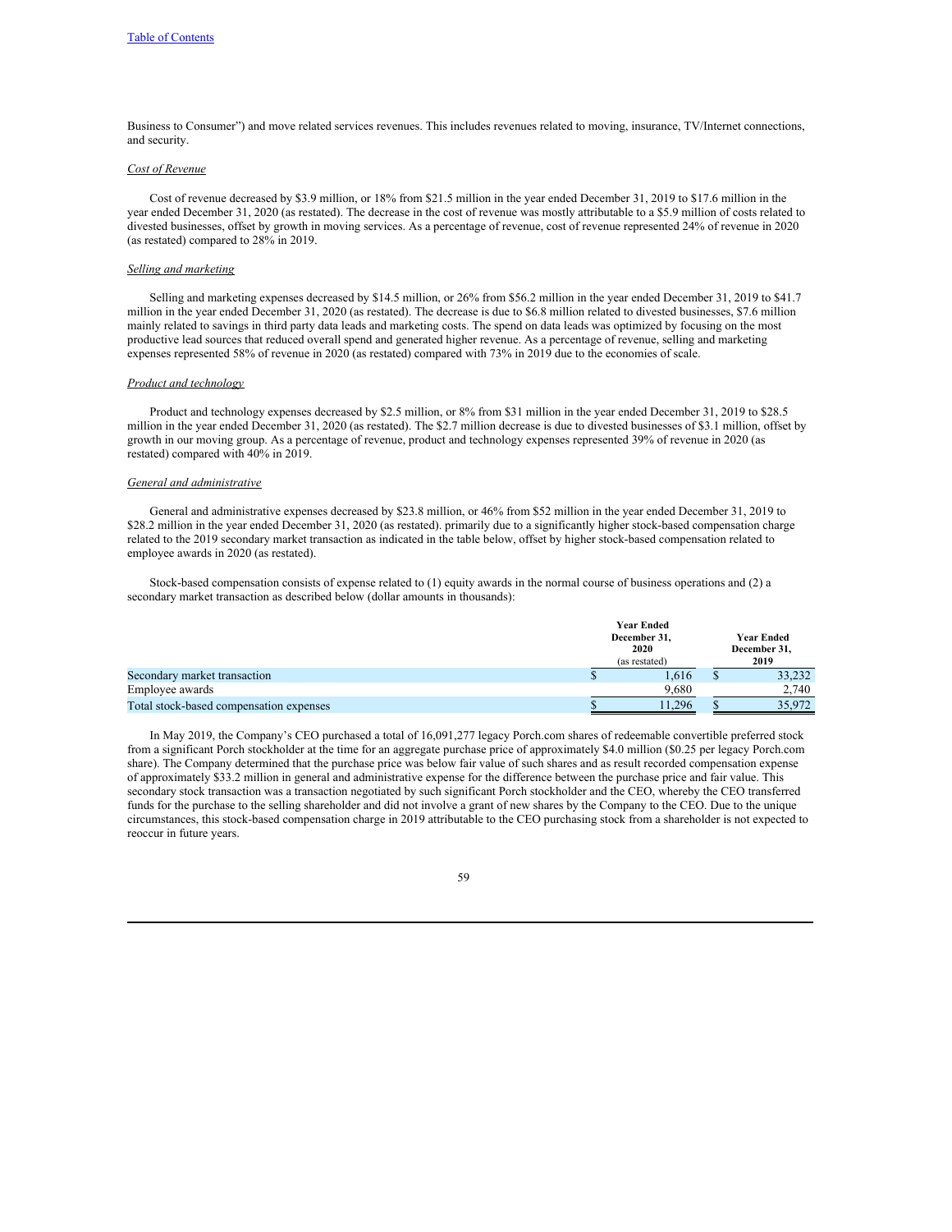Business to Consumer") and move related services revenues. This includes revenues related to moving, insurance, TV/Internet connections, and security.

## *Cost of Revenue*

Cost of revenue decreased by \$3.9 million, or 18% from \$21.5 million in the year ended December 31, 2019 to \$17.6 million in the year ended December 31, 2020 (as restated). The decrease in the cost of revenue was mostly attributable to a \$5.9 million of costs related to divested businesses, offset by growth in moving services. As a percentage of revenue, cost of revenue represented 24% of revenue in 2020 (as restated) compared to 28% in 2019.

#### *Selling and marketing*

Selling and marketing expenses decreased by \$14.5 million, or 26% from \$56.2 million in the year ended December 31, 2019 to \$41.7 million in the year ended December 31, 2020 (as restated). The decrease is due to \$6.8 million related to divested businesses, \$7.6 million mainly related to savings in third party data leads and marketing costs. The spend on data leads was optimized by focusing on the most productive lead sources that reduced overall spend and generated higher revenue. As a percentage of revenue, selling and marketing expenses represented 58% of revenue in 2020 (as restated) compared with 73% in 2019 due to the economies of scale.

#### *Product and technology*

Product and technology expenses decreased by \$2.5 million, or 8% from \$31 million in the year ended December 31, 2019 to \$28.5 million in the year ended December 31, 2020 (as restated). The \$2.7 million decrease is due to divested businesses of \$3.1 million, offset by growth in our moving group. As a percentage of revenue, product and technology expenses represented 39% of revenue in 2020 (as restated) compared with 40% in 2019.

#### *General and administrative*

General and administrative expenses decreased by \$23.8 million, or 46% from \$52 million in the year ended December 31, 2019 to \$28.2 million in the year ended December 31, 2020 (as restated). primarily due to a significantly higher stock-based compensation charge related to the 2019 secondary market transaction as indicated in the table below, offset by higher stock-based compensation related to employee awards in 2020 (as restated).

Stock-based compensation consists of expense related to (1) equity awards in the normal course of business operations and (2) a secondary market transaction as described below (dollar amounts in thousands):

|                                         | Year Ended<br>December 31,<br>2020<br>(as restated) | <b>Year Ended</b><br>December 31,<br>2019 |
|-----------------------------------------|-----------------------------------------------------|-------------------------------------------|
| Secondary market transaction            | 1.616                                               | 33.232                                    |
| Employee awards                         | 9.680                                               | 2.740                                     |
| Total stock-based compensation expenses | 11.296                                              | 35.972                                    |

In May 2019, the Company's CEO purchased a total of 16,091,277 legacy Porch.com shares of redeemable convertible preferred stock from a significant Porch stockholder at the time for an aggregate purchase price of approximately \$4.0 million (\$0.25 per legacy Porch.com share). The Company determined that the purchase price was below fair value of such shares and as result recorded compensation expense of approximately \$33.2 million in general and administrative expense for the difference between the purchase price and fair value. This secondary stock transaction was a transaction negotiated by such significant Porch stockholder and the CEO, whereby the CEO transferred funds for the purchase to the selling shareholder and did not involve a grant of new shares by the Company to the CEO. Due to the unique circumstances, this stock-based compensation charge in 2019 attributable to the CEO purchasing stock from a shareholder is not expected to reoccur in future years.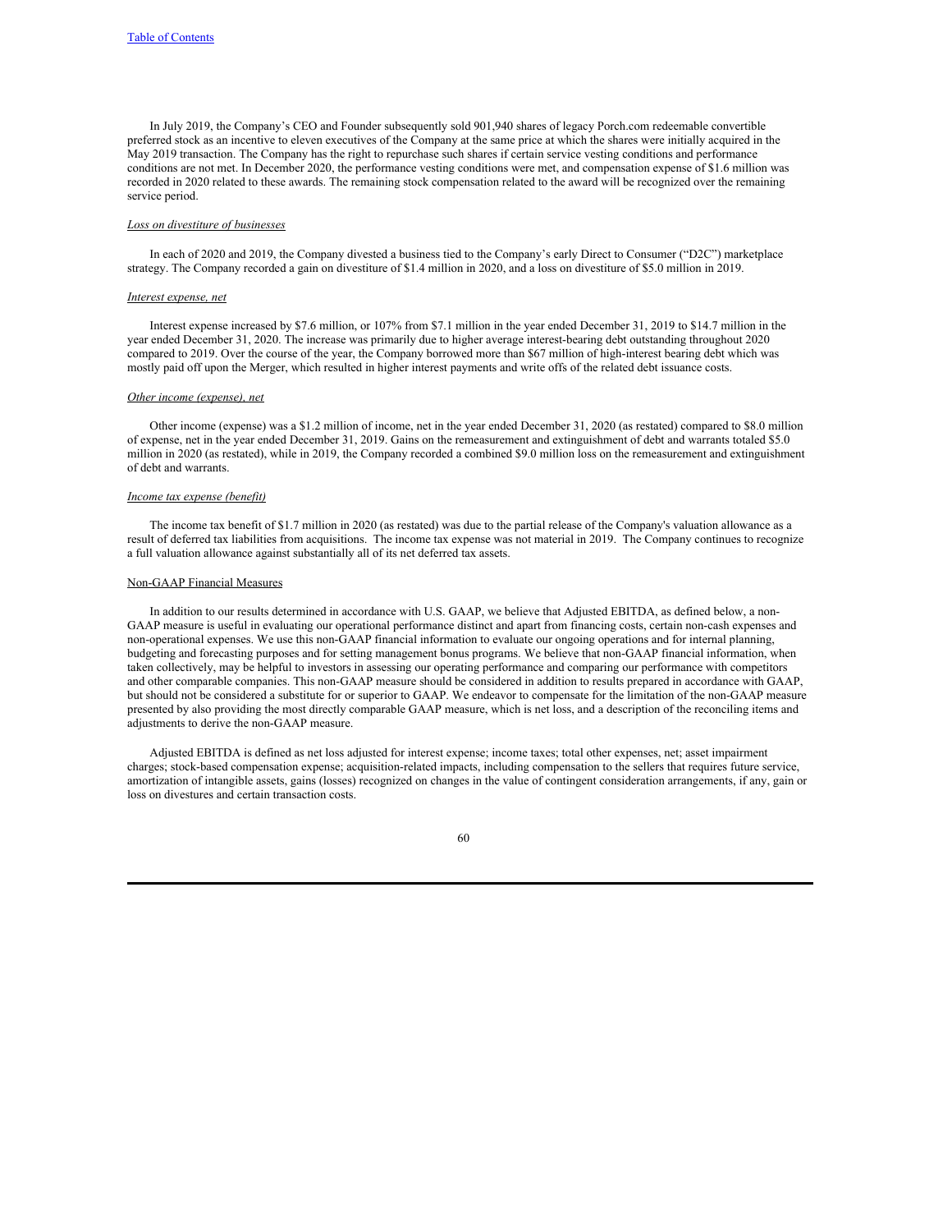In July 2019, the Company's CEO and Founder subsequently sold 901,940 shares of legacy Porch.com redeemable convertible preferred stock as an incentive to eleven executives of the Company at the same price at which the shares were initially acquired in the May 2019 transaction. The Company has the right to repurchase such shares if certain service vesting conditions and performance conditions are not met. In December 2020, the performance vesting conditions were met, and compensation expense of \$1.6 million was recorded in 2020 related to these awards. The remaining stock compensation related to the award will be recognized over the remaining service period.

#### *Loss on divestiture of businesses*

In each of 2020 and 2019, the Company divested a business tied to the Company's early Direct to Consumer ("D2C") marketplace strategy. The Company recorded a gain on divestiture of \$1.4 million in 2020, and a loss on divestiture of \$5.0 million in 2019.

#### *Interest expense, net*

Interest expense increased by \$7.6 million, or 107% from \$7.1 million in the year ended December 31, 2019 to \$14.7 million in the year ended December 31, 2020. The increase was primarily due to higher average interest-bearing debt outstanding throughout 2020 compared to 2019. Over the course of the year, the Company borrowed more than \$67 million of high-interest bearing debt which was mostly paid off upon the Merger, which resulted in higher interest payments and write offs of the related debt issuance costs.

#### *Other income (expense), net*

Other income (expense) was a \$1.2 million of income, net in the year ended December 31, 2020 (as restated) compared to \$8.0 million of expense, net in the year ended December 31, 2019. Gains on the remeasurement and extinguishment of debt and warrants totaled \$5.0 million in 2020 (as restated), while in 2019, the Company recorded a combined \$9.0 million loss on the remeasurement and extinguishment of debt and warrants.

#### *Income tax expense (benefit)*

The income tax benefit of \$1.7 million in 2020 (as restated) was due to the partial release of the Company's valuation allowance as a result of deferred tax liabilities from acquisitions. The income tax expense was not material in 2019. The Company continues to recognize a full valuation allowance against substantially all of its net deferred tax assets.

#### Non-GAAP Financial Measures

In addition to our results determined in accordance with U.S. GAAP, we believe that Adjusted EBITDA, as defined below, a non-GAAP measure is useful in evaluating our operational performance distinct and apart from financing costs, certain non-cash expenses and non-operational expenses. We use this non-GAAP financial information to evaluate our ongoing operations and for internal planning, budgeting and forecasting purposes and for setting management bonus programs. We believe that non-GAAP financial information, when taken collectively, may be helpful to investors in assessing our operating performance and comparing our performance with competitors and other comparable companies. This non-GAAP measure should be considered in addition to results prepared in accordance with GAAP, but should not be considered a substitute for or superior to GAAP. We endeavor to compensate for the limitation of the non-GAAP measure presented by also providing the most directly comparable GAAP measure, which is net loss, and a description of the reconciling items and adjustments to derive the non-GAAP measure.

Adjusted EBITDA is defined as net loss adjusted for interest expense; income taxes; total other expenses, net; asset impairment charges; stock-based compensation expense; acquisition-related impacts, including compensation to the sellers that requires future service, amortization of intangible assets, gains (losses) recognized on changes in the value of contingent consideration arrangements, if any, gain or loss on divestures and certain transaction costs.

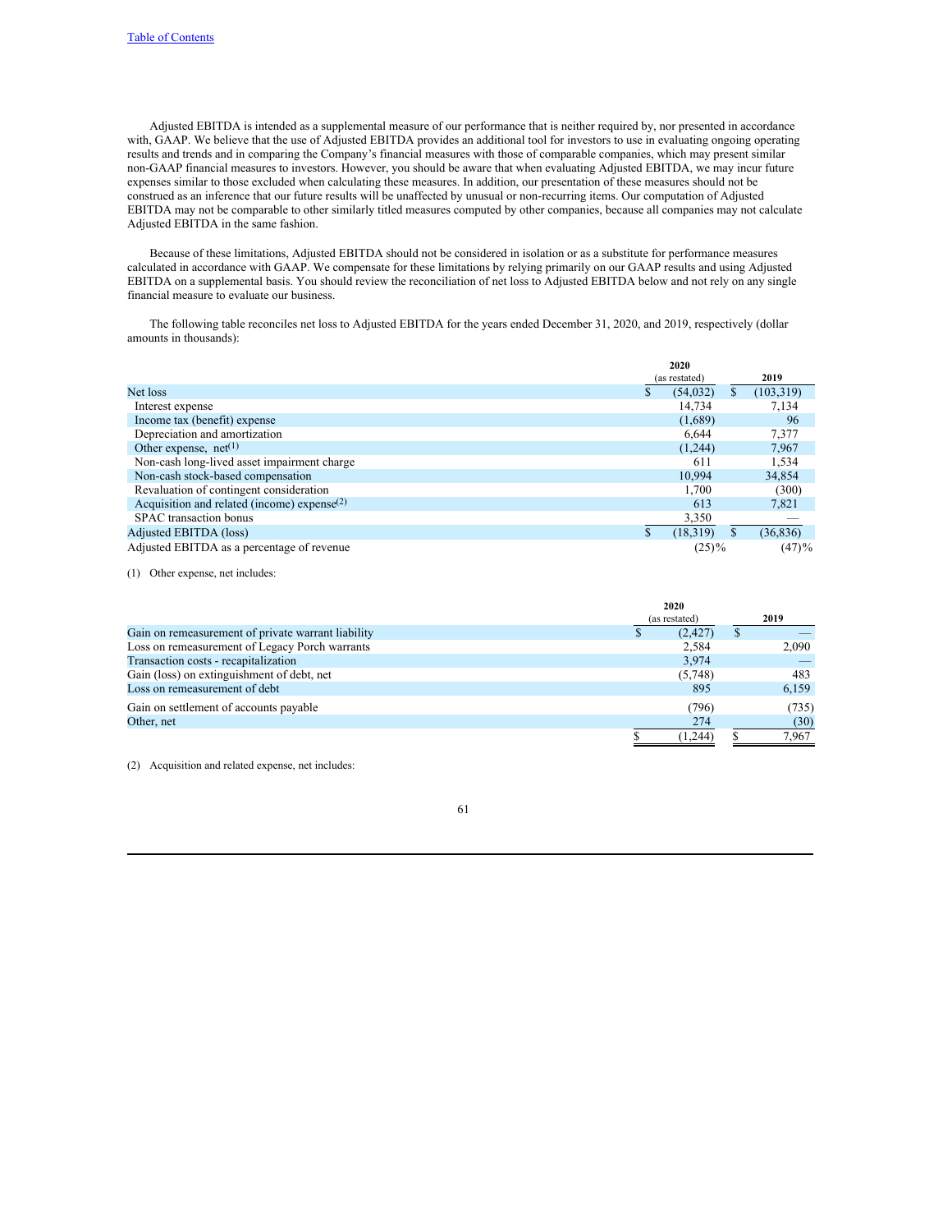Adjusted EBITDA is intended as a supplemental measure of our performance that is neither required by, nor presented in accordance with, GAAP. We believe that the use of Adjusted EBITDA provides an additional tool for investors to use in evaluating ongoing operating results and trends and in comparing the Company's financial measures with those of comparable companies, which may present similar non-GAAP financial measures to investors. However, you should be aware that when evaluating Adjusted EBITDA, we may incur future expenses similar to those excluded when calculating these measures. In addition, our presentation of these measures should not be construed as an inference that our future results will be unaffected by unusual or non-recurring items. Our computation of Adjusted EBITDA may not be comparable to other similarly titled measures computed by other companies, because all companies may not calculate Adjusted EBITDA in the same fashion.

Because of these limitations, Adjusted EBITDA should not be considered in isolation or as a substitute for performance measures calculated in accordance with GAAP. We compensate for these limitations by relying primarily on our GAAP results and using Adjusted EBITDA on a supplemental basis. You should review the reconciliation of net loss to Adjusted EBITDA below and not rely on any single financial measure to evaluate our business.

The following table reconciles net loss to Adjusted EBITDA for the years ended December 31, 2020, and 2019, respectively (dollar amounts in thousands):

|                                                         |    | 2020          |    |            |
|---------------------------------------------------------|----|---------------|----|------------|
|                                                         |    | (as restated) |    | 2019       |
| Net loss                                                | S. | (54, 032)     | S. | (103, 319) |
| Interest expense                                        |    | 14,734        |    | 7,134      |
| Income tax (benefit) expense                            |    | (1,689)       |    | 96         |
| Depreciation and amortization                           |    | 6.644         |    | 7,377      |
| Other expense, $net^{(1)}$                              |    | (1,244)       |    | 7,967      |
| Non-cash long-lived asset impairment charge             |    | 611           |    | 1,534      |
| Non-cash stock-based compensation                       |    | 10.994        |    | 34,854     |
| Revaluation of contingent consideration                 |    | 1.700         |    | (300)      |
| Acquisition and related (income) expense <sup>(2)</sup> |    | 613           |    | 7,821      |
| SPAC transaction bonus                                  |    | 3,350         |    |            |
| Adjusted EBITDA (loss)                                  |    | (18, 319)     |    | (36, 836)  |
| Adjusted EBITDA as a percentage of revenue              |    | $(25)\%$      |    | (47)%      |

(1) Other expense, net includes:

|                                                    | 2020          |   |       |
|----------------------------------------------------|---------------|---|-------|
|                                                    | (as restated) |   | 2019  |
| Gain on remeasurement of private warrant liability | (2, 427)      | S |       |
| Loss on remeasurement of Legacy Porch warrants     | 2.584         |   | 2,090 |
| Transaction costs - recapitalization               | 3.974         |   |       |
| Gain (loss) on extinguishment of debt, net         | (5,748)       |   | 483   |
| Loss on remeasurement of debt                      | 895           |   | 6,159 |
| Gain on settlement of accounts payable             | (796)         |   | (735) |
| Other, net                                         | 274           |   | (30)  |
|                                                    | (1,244)       |   | 7,967 |

(2) Acquisition and related expense, net includes: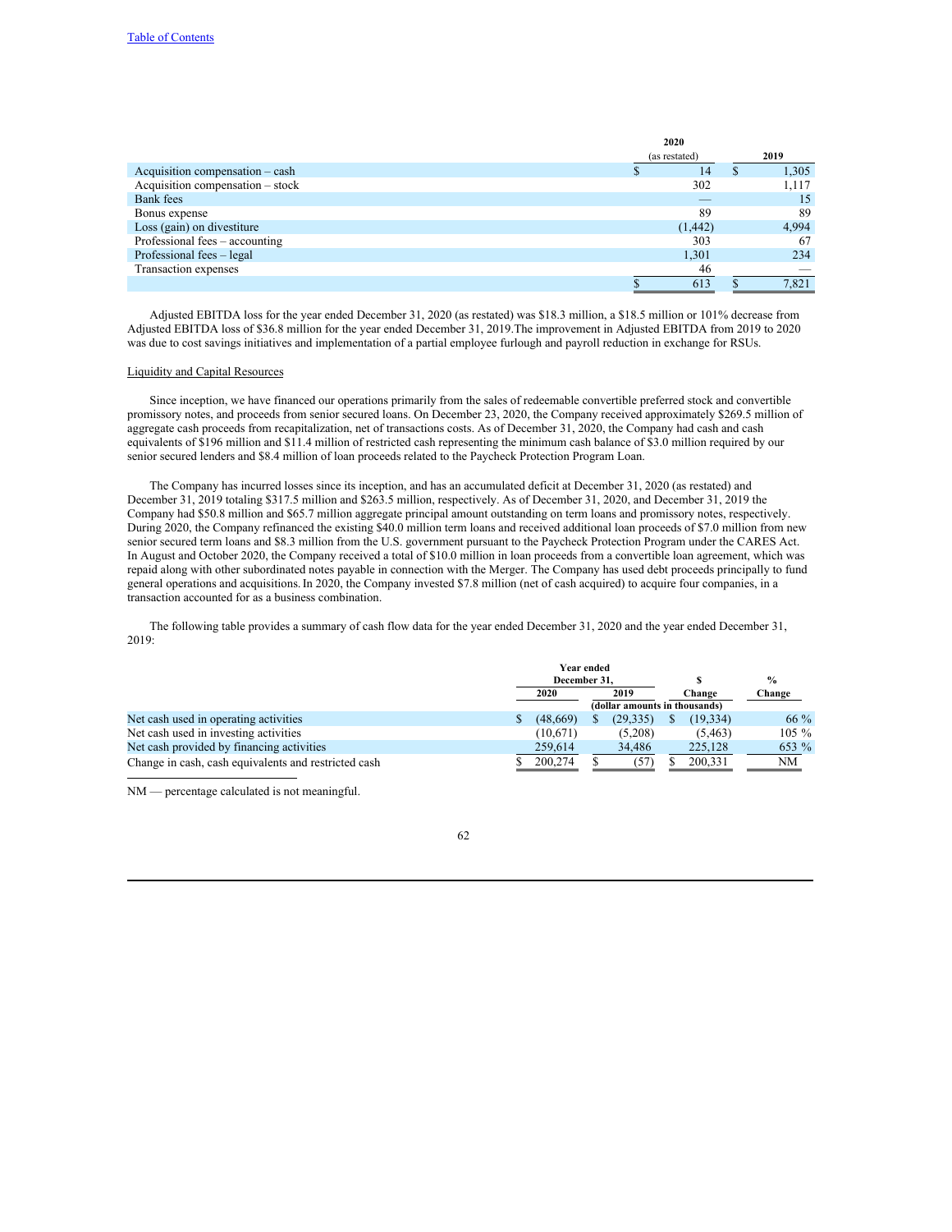|                                  | 2020          |   |       |
|----------------------------------|---------------|---|-------|
|                                  | (as restated) |   | 2019  |
| Acquisition compensation – cash  | 14            | S | 1,305 |
| Acquisition compensation - stock | 302           |   | 1,117 |
| Bank fees                        | _             |   | 15    |
| Bonus expense                    | 89            |   | 89    |
| Loss (gain) on divestiture       | (1, 442)      |   | 4,994 |
| Professional fees – accounting   | 303           |   | 67    |
| Professional fees – legal        | 1,301         |   | 234   |
| Transaction expenses             | 46            |   |       |
|                                  | 613           |   | 7,821 |

Adjusted EBITDA loss for the year ended December 31, 2020 (as restated) was \$18.3 million, a \$18.5 million or 101% decrease from Adjusted EBITDA loss of \$36.8 million for the year ended December 31, 2019.The improvement in Adjusted EBITDA from 2019 to 2020 was due to cost savings initiatives and implementation of a partial employee furlough and payroll reduction in exchange for RSUs.

#### Liquidity and Capital Resources

Since inception, we have financed our operations primarily from the sales of redeemable convertible preferred stock and convertible promissory notes, and proceeds from senior secured loans. On December 23, 2020, the Company received approximately \$269.5 million of aggregate cash proceeds from recapitalization, net of transactions costs. As of December 31, 2020, the Company had cash and cash equivalents of \$196 million and \$11.4 million of restricted cash representing the minimum cash balance of \$3.0 million required by our senior secured lenders and \$8.4 million of loan proceeds related to the Paycheck Protection Program Loan.

The Company has incurred losses since its inception, and has an accumulated deficit at December 31, 2020 (as restated) and December 31, 2019 totaling \$317.5 million and \$263.5 million, respectively. As of December 31, 2020, and December 31, 2019 the Company had \$50.8 million and \$65.7 million aggregate principal amount outstanding on term loans and promissory notes, respectively. During 2020, the Company refinanced the existing \$40.0 million term loans and received additional loan proceeds of \$7.0 million from new senior secured term loans and \$8.3 million from the U.S. government pursuant to the Paycheck Protection Program under the CARES Act. In August and October 2020, the Company received a total of \$10.0 million in loan proceeds from a convertible loan agreement, which was repaid along with other subordinated notes payable in connection with the Merger. The Company has used debt proceeds principally to fund general operations and acquisitions.In 2020, the Company invested \$7.8 million (net of cash acquired) to acquire four companies, in a transaction accounted for as a business combination.

The following table provides a summary of cash flow data for the year ended December 31, 2020 and the year ended December 31, 2019:

|                                                      | Year ended<br>December 31. |      |                               |  |          | $\frac{0}{0}$ |
|------------------------------------------------------|----------------------------|------|-------------------------------|--|----------|---------------|
|                                                      | 2020                       | 2019 |                               |  | Change   | Change        |
|                                                      |                            |      | (dollar amounts in thousands) |  |          |               |
| Net cash used in operating activities                | (48,669)                   |      | (29.335)                      |  | (19.334) | 66 %          |
| Net cash used in investing activities                | (10,671)                   |      | (5,208)                       |  | (5, 463) | $105 \%$      |
| Net cash provided by financing activities            | 259.614                    |      | 34.486                        |  | 225,128  | 653 %         |
| Change in cash, cash equivalents and restricted cash | 200,274                    |      | (57)                          |  | 200.331  | NΜ            |

NM — percentage calculated is not meaningful.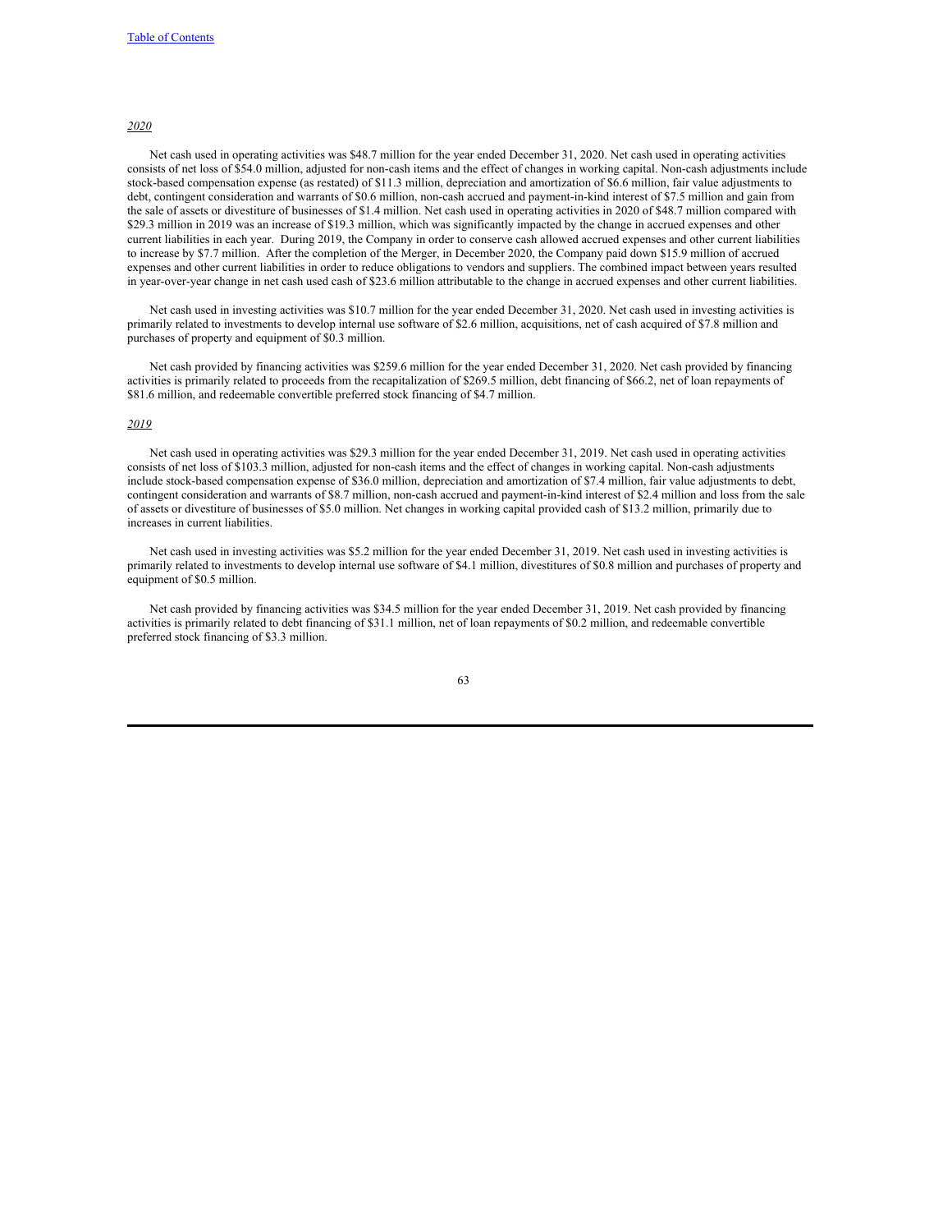## *2020*

Net cash used in operating activities was \$48.7 million for the year ended December 31, 2020. Net cash used in operating activities consists of net loss of \$54.0 million, adjusted for non-cash items and the effect of changes in working capital. Non-cash adjustments include stock-based compensation expense (as restated) of \$11.3 million, depreciation and amortization of \$6.6 million, fair value adjustments to debt, contingent consideration and warrants of \$0.6 million, non-cash accrued and payment-in-kind interest of \$7.5 million and gain from the sale of assets or divestiture of businesses of \$1.4 million. Net cash used in operating activities in 2020 of \$48.7 million compared with \$29.3 million in 2019 was an increase of \$19.3 million, which was significantly impacted by the change in accrued expenses and other current liabilities in each year. During 2019, the Company in order to conserve cash allowed accrued expenses and other current liabilities to increase by \$7.7 million. After the completion of the Merger, in December 2020, the Company paid down \$15.9 million of accrued expenses and other current liabilities in order to reduce obligations to vendors and suppliers. The combined impact between years resulted in year-over-year change in net cash used cash of \$23.6 million attributable to the change in accrued expenses and other current liabilities.

Net cash used in investing activities was \$10.7 million for the year ended December 31, 2020. Net cash used in investing activities is primarily related to investments to develop internal use software of \$2.6 million, acquisitions, net of cash acquired of \$7.8 million and purchases of property and equipment of \$0.3 million.

Net cash provided by financing activities was \$259.6 million for the year ended December 31, 2020. Net cash provided by financing activities is primarily related to proceeds from the recapitalization of \$269.5 million, debt financing of \$66.2, net of loan repayments of \$81.6 million, and redeemable convertible preferred stock financing of \$4.7 million.

## *2019*

Net cash used in operating activities was \$29.3 million for the year ended December 31, 2019. Net cash used in operating activities consists of net loss of \$103.3 million, adjusted for non-cash items and the effect of changes in working capital. Non-cash adjustments include stock-based compensation expense of \$36.0 million, depreciation and amortization of \$7.4 million, fair value adjustments to debt, contingent consideration and warrants of \$8.7 million, non-cash accrued and payment-in-kind interest of \$2.4 million and loss from the sale of assets or divestiture of businesses of \$5.0 million. Net changes in working capital provided cash of \$13.2 million, primarily due to increases in current liabilities.

Net cash used in investing activities was \$5.2 million for the year ended December 31, 2019. Net cash used in investing activities is primarily related to investments to develop internal use software of \$4.1 million, divestitures of \$0.8 million and purchases of property and equipment of \$0.5 million.

Net cash provided by financing activities was \$34.5 million for the year ended December 31, 2019. Net cash provided by financing activities is primarily related to debt financing of \$31.1 million, net of loan repayments of \$0.2 million, and redeemable convertible preferred stock financing of \$3.3 million.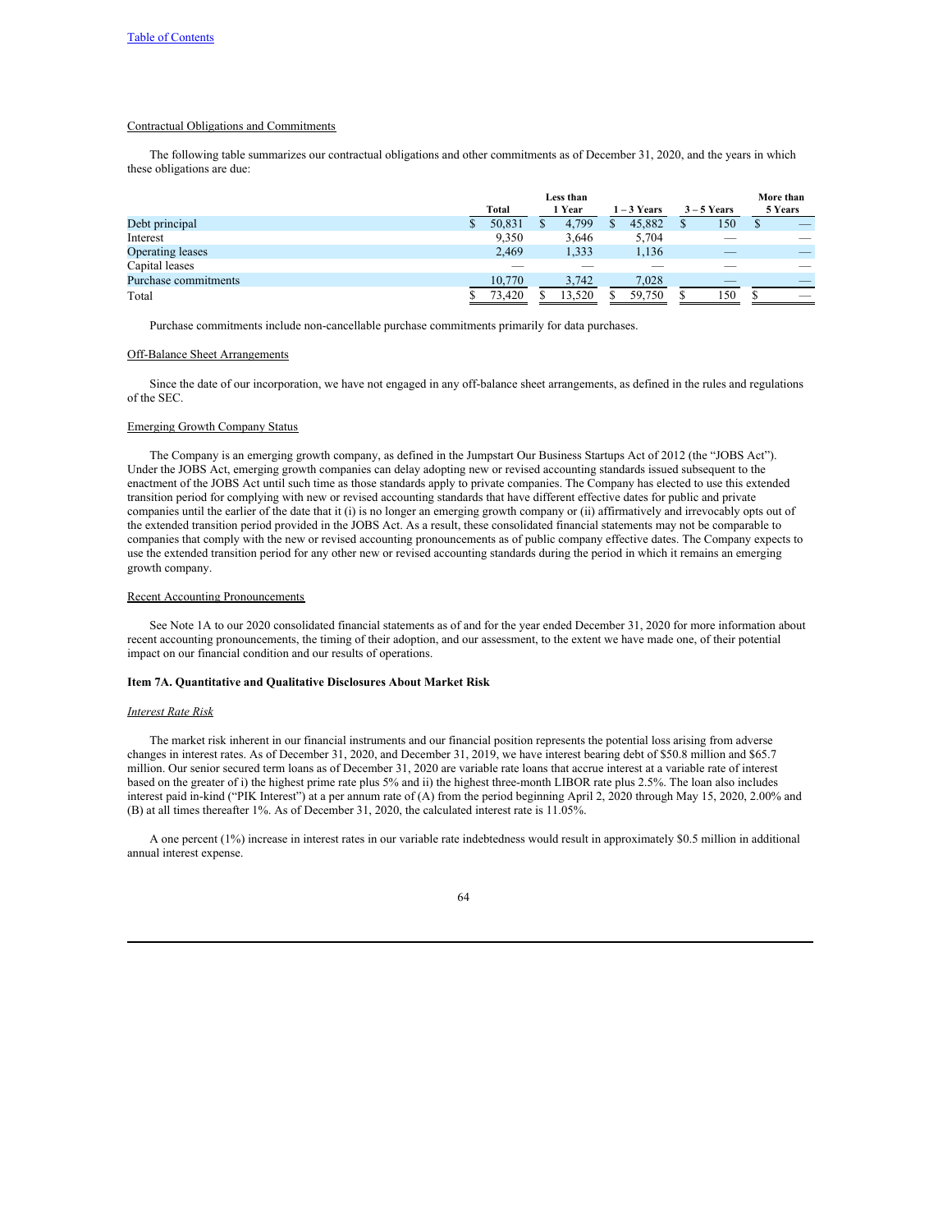## Contractual Obligations and Commitments

The following table summarizes our contractual obligations and other commitments as of December 31, 2020, and the years in which these obligations are due:

|                         |       |        | Less than |             |        |               |   | More than |  |
|-------------------------|-------|--------|-----------|-------------|--------|---------------|---|-----------|--|
|                         | Total |        | 1 Year    | $1-3$ Years |        | $3 - 5$ Years |   | 5 Years   |  |
| Debt principal          |       | 50.831 | 4,799     |             | 45,882 | 150           | S |           |  |
| Interest                |       | 9.350  | 3,646     |             | 5,704  |               |   |           |  |
| <b>Operating leases</b> |       | 2.469  | 1,333     |             | 1.136  |               |   |           |  |
| Capital leases          |       |        |           |             |        |               |   |           |  |
| Purchase commitments    |       | 10.770 | 3.742     |             | 7.028  | _             |   |           |  |
| Total                   |       | 73,420 | 13.520    |             | 59,750 | 150           |   | $-$       |  |

Purchase commitments include non-cancellable purchase commitments primarily for data purchases.

## Off-Balance Sheet Arrangements

Since the date of our incorporation, we have not engaged in any off-balance sheet arrangements, as defined in the rules and regulations of the SEC.

## Emerging Growth Company Status

The Company is an emerging growth company, as defined in the Jumpstart Our Business Startups Act of 2012 (the "JOBS Act"). Under the JOBS Act, emerging growth companies can delay adopting new or revised accounting standards issued subsequent to the enactment of the JOBS Act until such time as those standards apply to private companies. The Company has elected to use this extended transition period for complying with new or revised accounting standards that have different effective dates for public and private companies until the earlier of the date that it (i) is no longer an emerging growth company or (ii) affirmatively and irrevocably opts out of the extended transition period provided in the JOBS Act. As a result, these consolidated financial statements may not be comparable to companies that comply with the new or revised accounting pronouncements as of public company effective dates. The Company expects to use the extended transition period for any other new or revised accounting standards during the period in which it remains an emerging growth company.

## Recent Accounting Pronouncements

See Note 1A to our 2020 consolidated financial statements as of and for the year ended December 31, 2020 for more information about recent accounting pronouncements, the timing of their adoption, and our assessment, to the extent we have made one, of their potential impact on our financial condition and our results of operations.

## **Item 7A. Quantitative and Qualitative Disclosures About Market Risk**

## *Interest Rate Risk*

The market risk inherent in our financial instruments and our financial position represents the potential loss arising from adverse changes in interest rates. As of December 31, 2020, and December 31, 2019, we have interest bearing debt of \$50.8 million and \$65.7 million. Our senior secured term loans as of December 31, 2020 are variable rate loans that accrue interest at a variable rate of interest based on the greater of i) the highest prime rate plus 5% and ii) the highest three-month LIBOR rate plus 2.5%. The loan also includes interest paid in-kind ("PIK Interest") at a per annum rate of (A) from the period beginning April 2, 2020 through May 15, 2020, 2.00% and (B) at all times thereafter 1%. As of December 31, 2020, the calculated interest rate is 11.05%.

A one percent (1%) increase in interest rates in our variable rate indebtedness would result in approximately \$0.5 million in additional annual interest expense.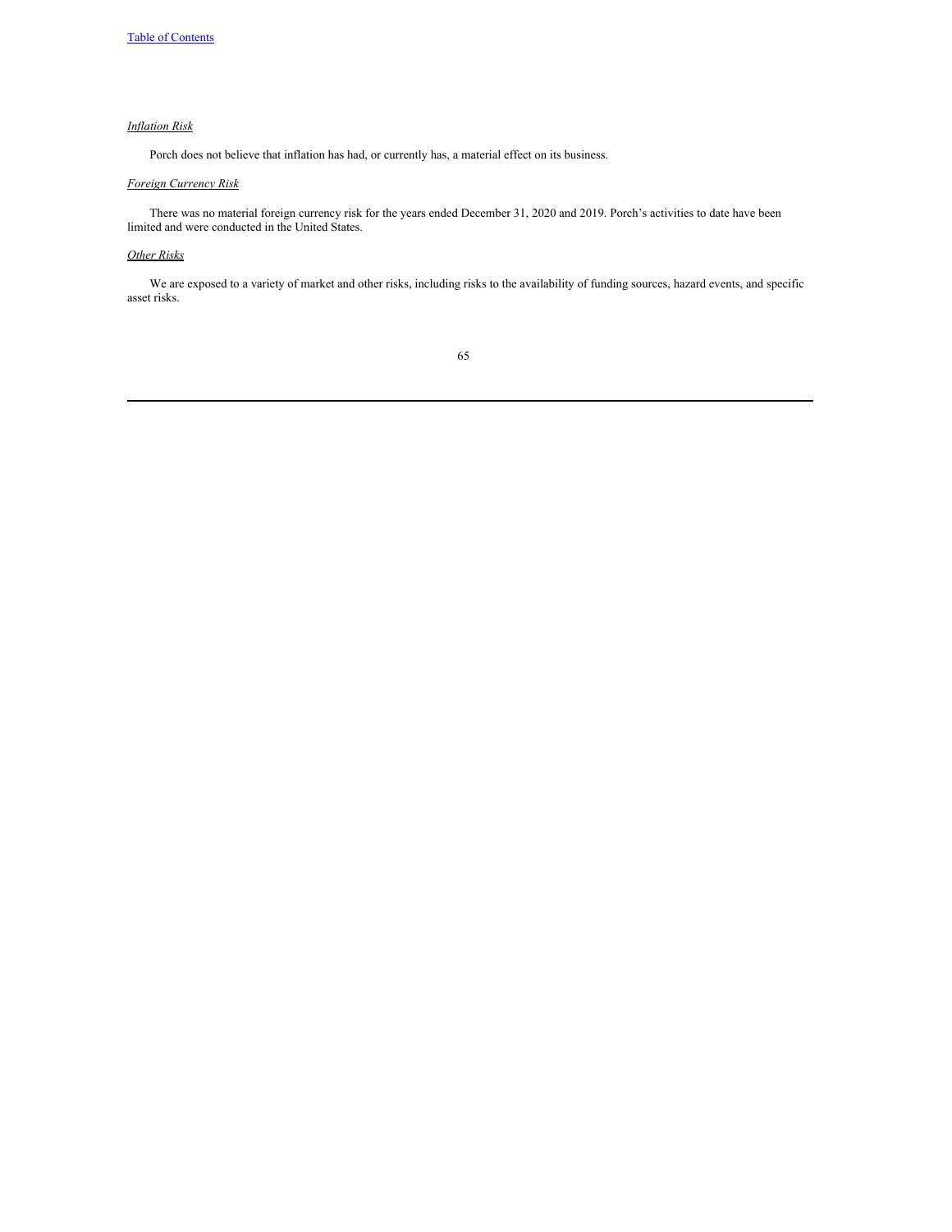## *Inflation Risk*

Porch does not believe that inflation has had, or currently has, a material effect on its business.

## *Foreign Currency Risk*

There was no material foreign currency risk for the years ended December 31, 2020 and 2019. Porch's activities to date have been limited and were conducted in the United States.

## *Other Risks*

We are exposed to a variety of market and other risks, including risks to the availability of funding sources, hazard events, and specific asset risks.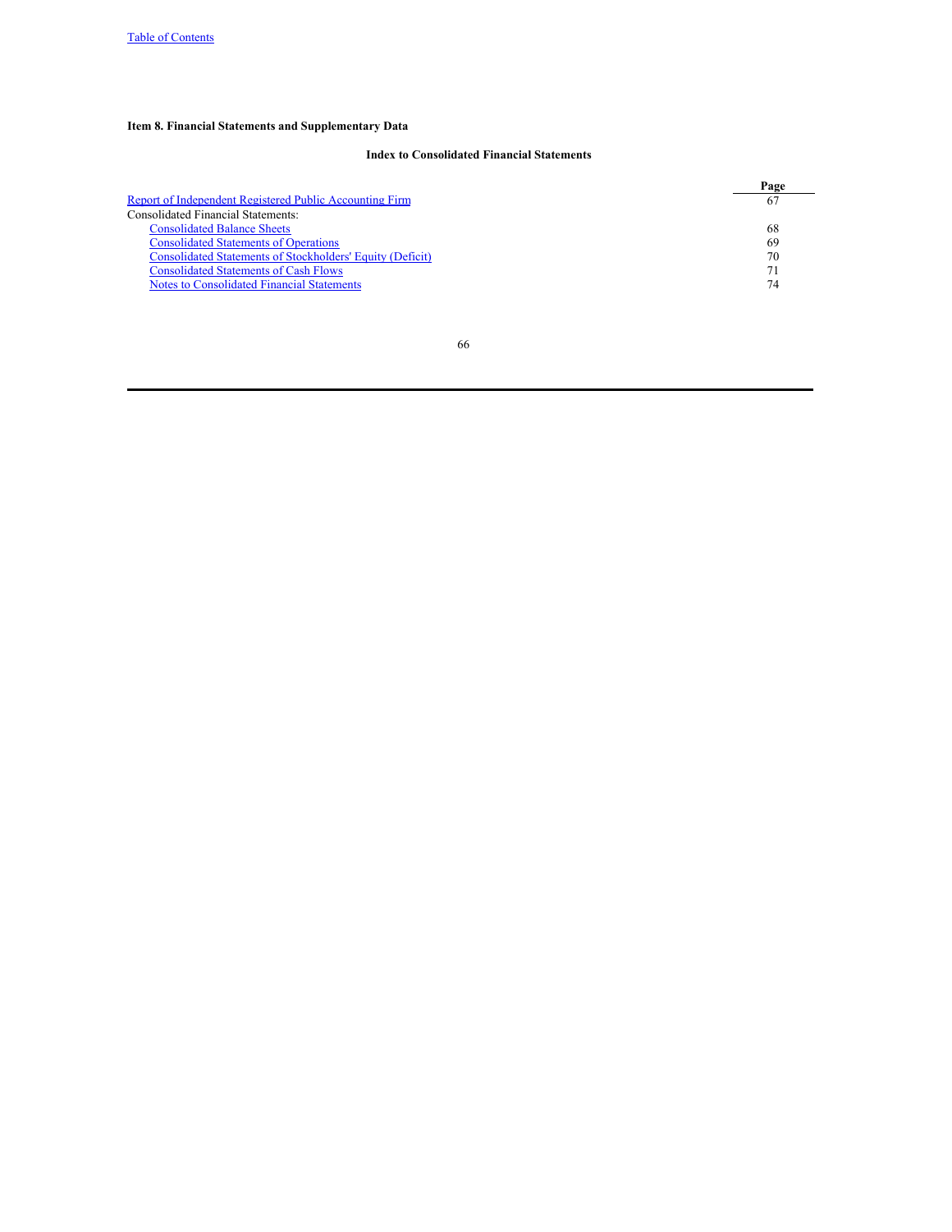## **Item 8. Financial Statements and Supplementary Data**

## **Index to Consolidated Financial Statements**

|                                                                  | Page |
|------------------------------------------------------------------|------|
| Report of Independent Registered Public Accounting Firm          | -67  |
| <b>Consolidated Financial Statements:</b>                        |      |
| <b>Consolidated Balance Sheets</b>                               | 68   |
| <b>Consolidated Statements of Operations</b>                     | 69   |
| <b>Consolidated Statements of Stockholders' Equity (Deficit)</b> | 70   |
| <b>Consolidated Statements of Cash Flows</b>                     | 71   |
| Notes to Consolidated Financial Statements                       | 74   |
|                                                                  |      |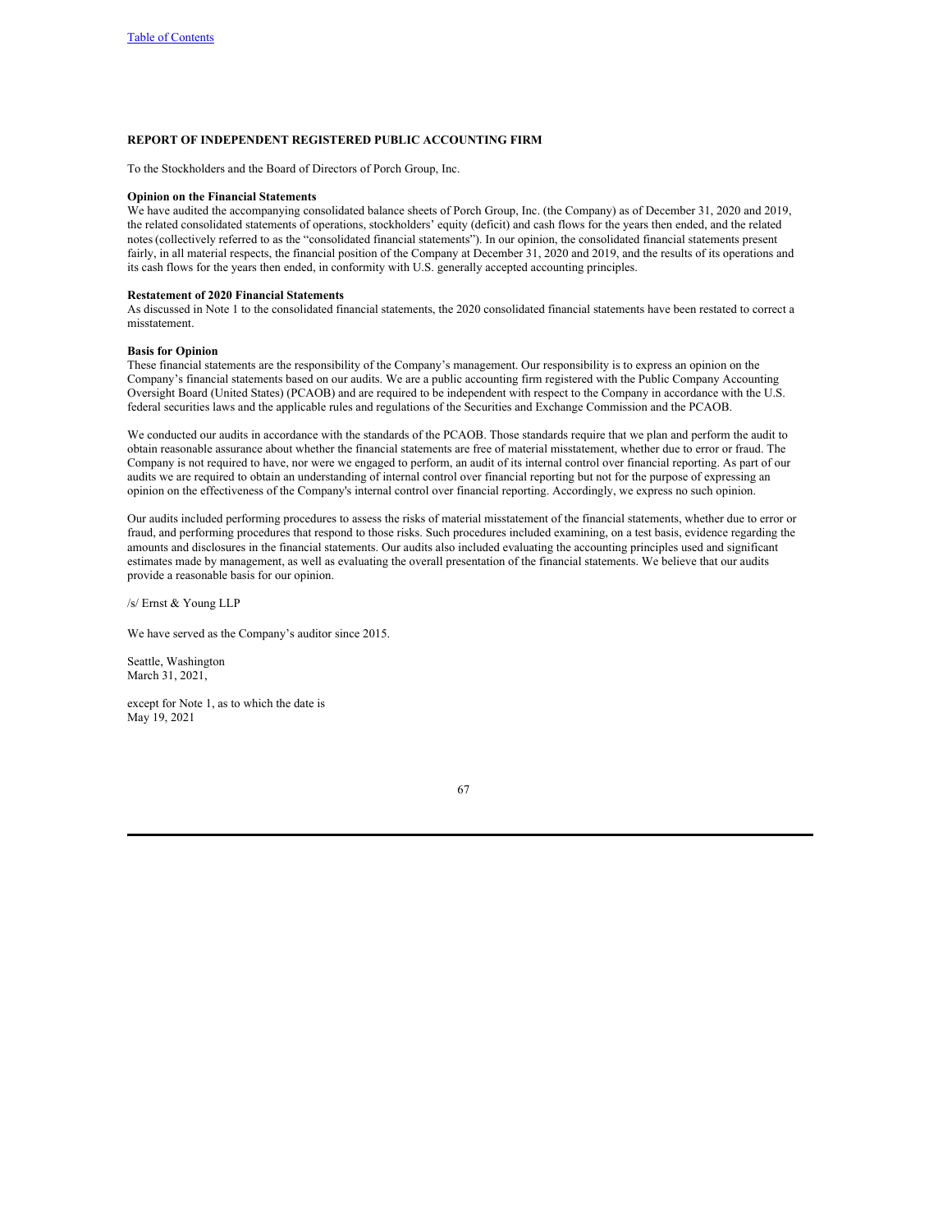## **REPORT OF INDEPENDENT REGISTERED PUBLIC ACCOUNTING FIRM**

To the Stockholders and the Board of Directors of Porch Group, Inc.

## **Opinion on the Financial Statements**

We have audited the accompanying consolidated balance sheets of Porch Group, Inc. (the Company) as of December 31, 2020 and 2019, the related consolidated statements of operations, stockholders' equity (deficit) and cash flows for the years then ended, and the related notes (collectively referred to as the "consolidated financial statements"). In our opinion, the consolidated financial statements present fairly, in all material respects, the financial position of the Company at December 31, 2020 and 2019, and the results of its operations and its cash flows for the years then ended, in conformity with U.S. generally accepted accounting principles.

#### **Restatement of 2020 Financial Statements**

As discussed in Note 1 to the consolidated financial statements, the 2020 consolidated financial statements have been restated to correct a misstatement.

## **Basis for Opinion**

These financial statements are the responsibility of the Company's management. Our responsibility is to express an opinion on the Company's financial statements based on our audits. We are a public accounting firm registered with the Public Company Accounting Oversight Board (United States) (PCAOB) and are required to be independent with respect to the Company in accordance with the U.S. federal securities laws and the applicable rules and regulations of the Securities and Exchange Commission and the PCAOB.

We conducted our audits in accordance with the standards of the PCAOB. Those standards require that we plan and perform the audit to obtain reasonable assurance about whether the financial statements are free of material misstatement, whether due to error or fraud. The Company is not required to have, nor were we engaged to perform, an audit of its internal control over financial reporting. As part of our audits we are required to obtain an understanding of internal control over financial reporting but not for the purpose of expressing an opinion on the effectiveness of the Company's internal control over financial reporting. Accordingly, we express no such opinion.

Our audits included performing procedures to assess the risks of material misstatement of the financial statements, whether due to error or fraud, and performing procedures that respond to those risks. Such procedures included examining, on a test basis, evidence regarding the amounts and disclosures in the financial statements. Our audits also included evaluating the accounting principles used and significant estimates made by management, as well as evaluating the overall presentation of the financial statements. We believe that our audits provide a reasonable basis for our opinion.

/s/ Ernst & Young LLP

We have served as the Company's auditor since 2015.

Seattle, Washington March 31, 2021,

except for Note 1, as to which the date is May 19, 2021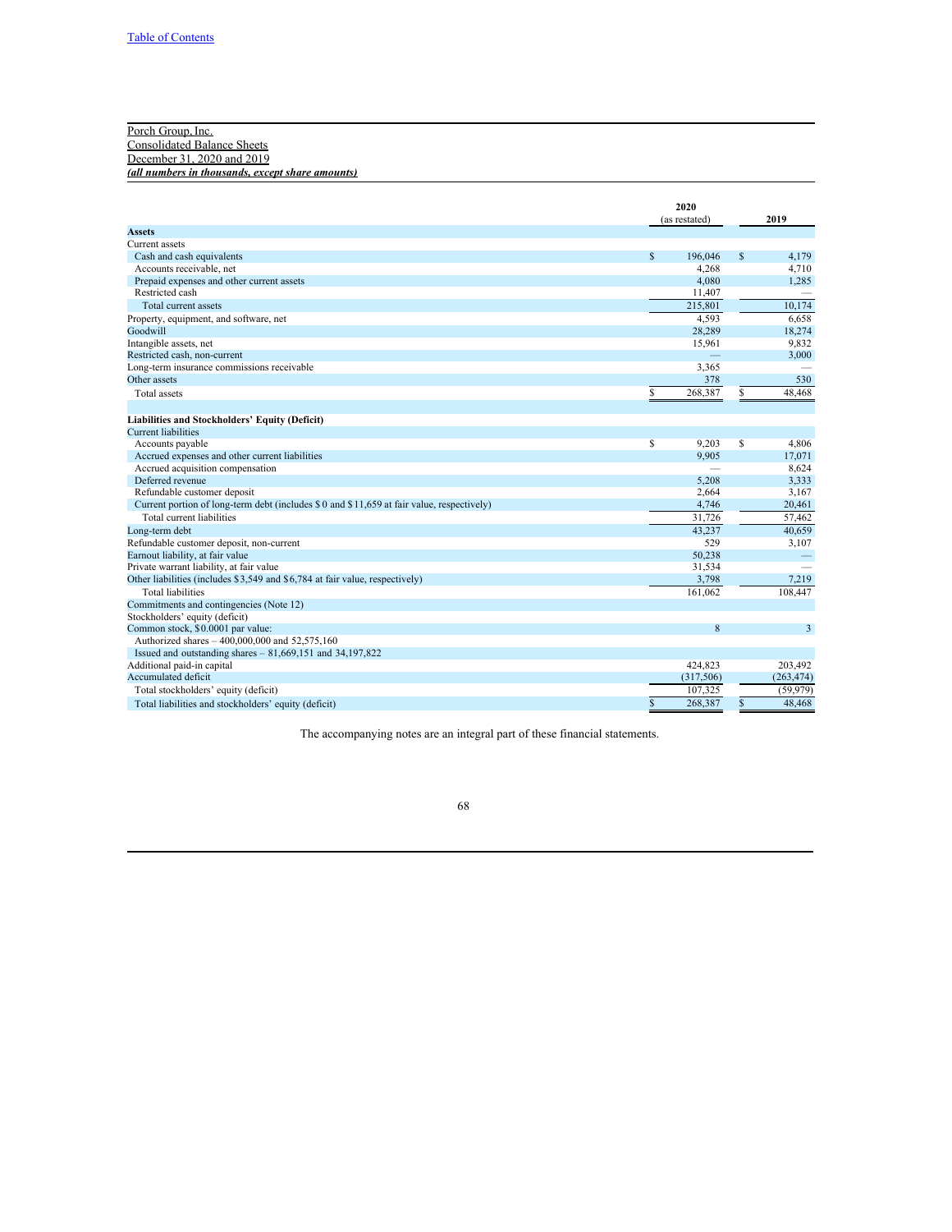| Porch Group, Inc.                                |
|--------------------------------------------------|
| <b>Consolidated Balance Sheets</b>               |
| December 31, 2020 and 2019                       |
| (all numbers in thousands, except share amounts) |

|                                                                                           |              | 2020<br>(as restated) |               | 2019       |
|-------------------------------------------------------------------------------------------|--------------|-----------------------|---------------|------------|
| <b>Assets</b>                                                                             |              |                       |               |            |
| Current assets                                                                            |              |                       |               |            |
| Cash and cash equivalents                                                                 | $\mathbb{S}$ | 196,046               | <sup>\$</sup> | 4,179      |
| Accounts receivable, net                                                                  |              | 4,268                 |               | 4,710      |
| Prepaid expenses and other current assets                                                 |              | 4,080                 |               | 1,285      |
| Restricted cash                                                                           |              | 11,407                |               |            |
| Total current assets                                                                      |              | 215,801               |               | 10.174     |
| Property, equipment, and software, net                                                    |              | 4,593                 |               | 6,658      |
| Goodwill                                                                                  |              | 28.289                |               | 18,274     |
| Intangible assets, net                                                                    |              | 15,961                |               | 9,832      |
| Restricted cash, non-current                                                              |              |                       |               | 3,000      |
| Long-term insurance commissions receivable                                                |              | 3,365                 |               |            |
| Other assets                                                                              |              | 378                   |               | 530        |
| Total assets                                                                              | S            | 268,387               | \$            | 48,468     |
|                                                                                           |              |                       |               |            |
| Liabilities and Stockholders' Equity (Deficit)                                            |              |                       |               |            |
| <b>Current liabilities</b>                                                                |              |                       |               |            |
| Accounts payable                                                                          | S            | 9.203                 | S             | 4,806      |
| Accrued expenses and other current liabilities                                            |              | 9,905                 |               | 17,071     |
| Accrued acquisition compensation                                                          |              |                       |               | 8,624      |
| Deferred revenue                                                                          |              | 5,208                 |               | 3,333      |
| Refundable customer deposit                                                               |              | 2,664                 |               | 3,167      |
| Current portion of long-term debt (includes \$0 and \$11,659 at fair value, respectively) |              | 4,746                 |               | 20,461     |
| Total current liabilities                                                                 |              | 31.726                |               | 57,462     |
| Long-term debt                                                                            |              | 43.237                |               | 40.659     |
| Refundable customer deposit, non-current                                                  |              | 529                   |               | 3,107      |
| Earnout liability, at fair value                                                          |              | 50.238                |               | -          |
| Private warrant liability, at fair value                                                  |              | 31,534                |               |            |
| Other liabilities (includes \$3,549 and \$6,784 at fair value, respectively)              |              | 3,798                 |               | 7,219      |
| <b>Total liabilities</b>                                                                  |              | 161,062               |               | 108,447    |
| Commitments and contingencies (Note 12)                                                   |              |                       |               |            |
| Stockholders' equity (deficit)                                                            |              |                       |               |            |
| Common stock, \$0.0001 par value:                                                         |              | 8                     |               | 3          |
| Authorized shares - 400,000,000 and 52,575,160                                            |              |                       |               |            |
| Issued and outstanding shares $-81,669,151$ and $34,197,822$                              |              |                       |               |            |
| Additional paid-in capital                                                                |              | 424,823               |               | 203,492    |
| Accumulated deficit                                                                       |              | (317, 506)            |               | (263, 474) |
| Total stockholders' equity (deficit)                                                      |              | 107,325               |               | (59, 979)  |
| Total liabilities and stockholders' equity (deficit)                                      | $\mathbf S$  | 268,387               | $\mathbf S$   | 48,468     |

The accompanying notes are an integral part of these financial statements.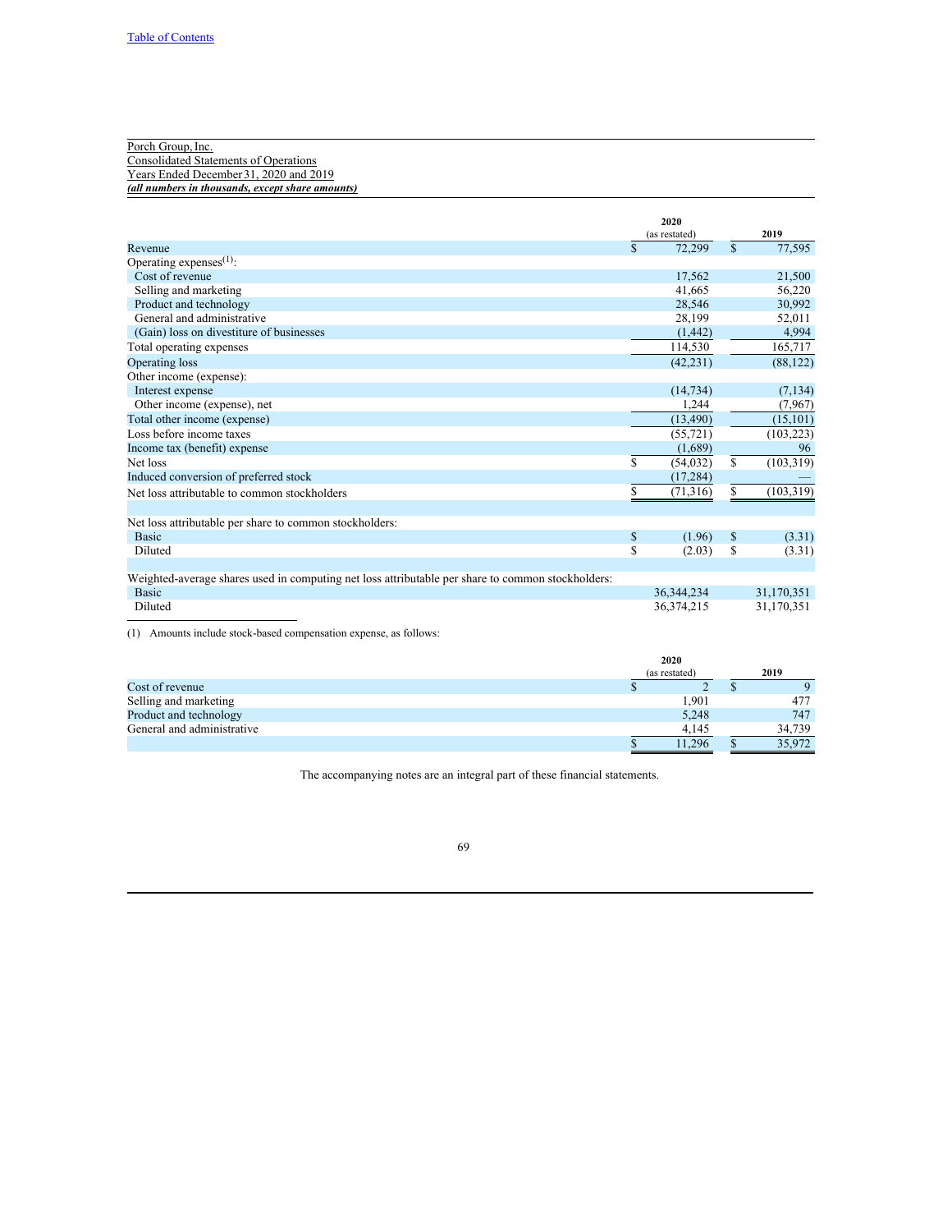Porch Group, Inc.

Consolidated Statements of Operations Years Ended December 31, 2020 and 2019 *(all numbers in thousands, except share amounts)*

|                                                                                                   |             | 2020          |              |            |
|---------------------------------------------------------------------------------------------------|-------------|---------------|--------------|------------|
|                                                                                                   |             | (as restated) |              | 2019       |
| Revenue                                                                                           | $\mathbf S$ | 72,299        | $\mathbb{S}$ | 77,595     |
| Operating expenses $(1)$ :                                                                        |             |               |              |            |
| Cost of revenue                                                                                   |             | 17,562        |              | 21,500     |
| Selling and marketing                                                                             |             | 41,665        |              | 56,220     |
| Product and technology                                                                            |             | 28,546        |              | 30,992     |
| General and administrative                                                                        |             | 28,199        |              | 52,011     |
| (Gain) loss on divestiture of businesses                                                          |             | (1, 442)      |              | 4,994      |
| Total operating expenses                                                                          |             | 114,530       |              | 165,717    |
| Operating loss                                                                                    |             | (42, 231)     |              | (88, 122)  |
| Other income (expense):                                                                           |             |               |              |            |
| Interest expense                                                                                  |             | (14, 734)     |              | (7, 134)   |
| Other income (expense), net                                                                       |             | 1.244         |              | (7, 967)   |
| Total other income (expense)                                                                      |             | (13, 490)     |              | (15, 101)  |
| Loss before income taxes                                                                          |             | (55, 721)     |              | (103, 223) |
| Income tax (benefit) expense                                                                      |             | (1,689)       |              | 96         |
| Net loss                                                                                          | \$          | (54, 032)     | \$           | (103, 319) |
| Induced conversion of preferred stock                                                             |             | (17, 284)     |              |            |
| Net loss attributable to common stockholders                                                      | \$          | (71,316)      | \$           | (103, 319) |
|                                                                                                   |             |               |              |            |
| Net loss attributable per share to common stockholders:                                           |             |               |              |            |
| <b>Basic</b>                                                                                      | \$          | (1.96)        | \$           | (3.31)     |
| Diluted                                                                                           | \$          | (2.03)        | \$           | (3.31)     |
|                                                                                                   |             |               |              |            |
| Weighted-average shares used in computing net loss attributable per share to common stockholders: |             |               |              |            |
| <b>Basic</b>                                                                                      |             | 36, 344, 234  |              | 31,170,351 |
| Diluted                                                                                           |             | 36, 374, 215  |              | 31,170,351 |

(1) Amounts include stock-based compensation expense, as follows:

|                            | 2020<br>(as restated) | 2019 |        |  |
|----------------------------|-----------------------|------|--------|--|
| Cost of revenue            |                       |      | Q      |  |
| Selling and marketing      | 1,901                 |      | 477    |  |
| Product and technology     | 5,248                 |      | 747    |  |
| General and administrative | 4.145                 |      | 34.739 |  |
|                            | 11.296                |      | 35,972 |  |

The accompanying notes are an integral part of these financial statements.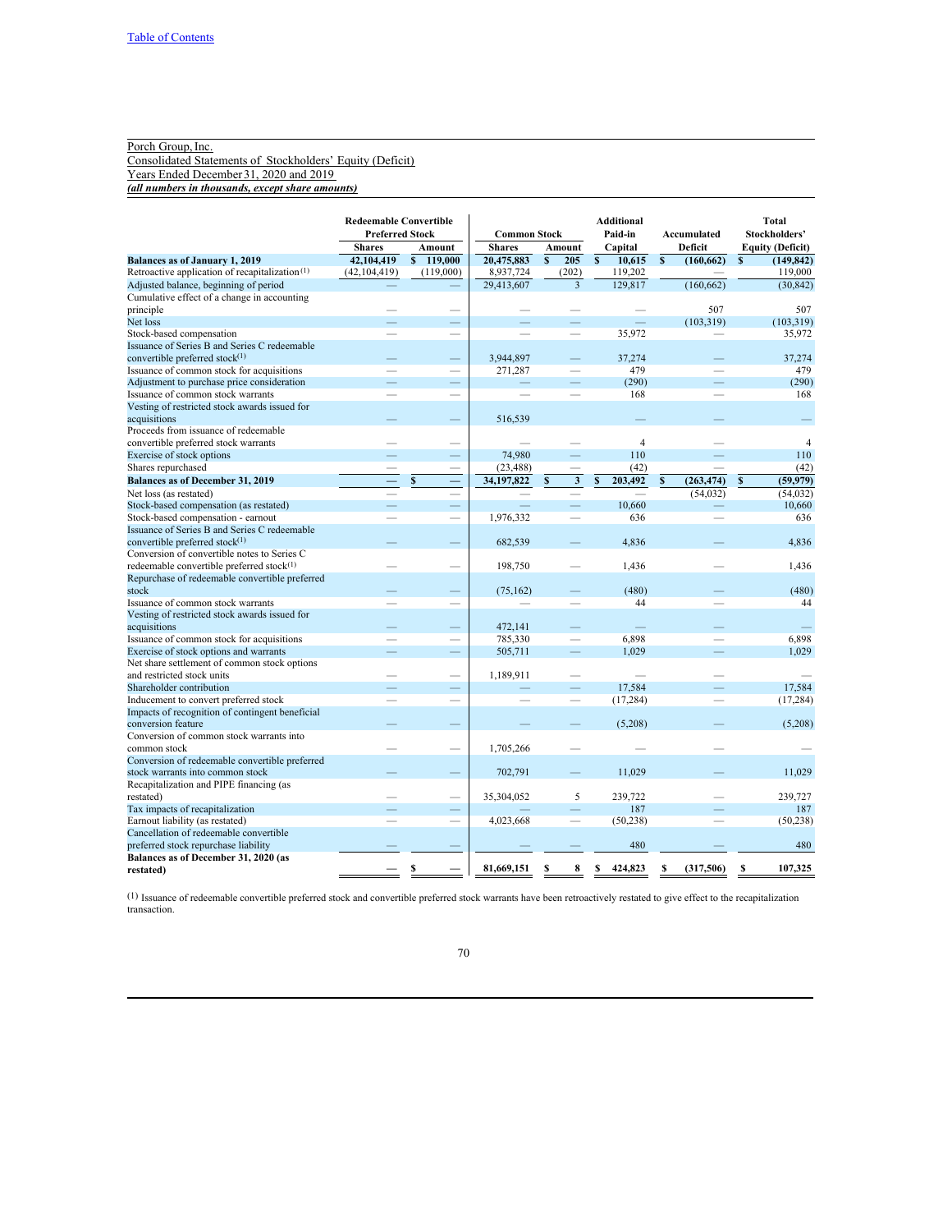## Porch Group, Inc.

Consolidated Statements of Stockholders' Equity (Deficit) Years Ended December 31, 2020 and 2019

*(all numbers in thousands, except share amounts)*

|                                                            | <b>Redeemable Convertible</b><br><b>Preferred Stock</b> |                                | <b>Common Stock</b> |                              | <b>Additional</b><br>Paid-in | Accumulated      | Total<br>Stockholders'  |
|------------------------------------------------------------|---------------------------------------------------------|--------------------------------|---------------------|------------------------------|------------------------------|------------------|-------------------------|
|                                                            | <b>Shares</b>                                           | Amount                         | <b>Shares</b>       | Amount                       | Capital                      | Deficit          | <b>Equity (Deficit)</b> |
| Balances as of January 1, 2019                             | 42,104,419                                              | 119,000<br>S                   | 20,475,883          | $\mathbf{s}$<br>205          | $\mathbf S$<br>10,615        | \$<br>(160, 662) | S<br>(149, 842)         |
| Retroactive application of recapitalization <sup>(1)</sup> | (42, 104, 419)                                          | (119,000)                      | 8,937,724           | (202)                        | 119,202                      |                  | 119,000                 |
| Adjusted balance, beginning of period                      |                                                         |                                | 29,413,607          | $\overline{3}$               | 129,817                      | (160, 662)       | (30, 842)               |
| Cumulative effect of a change in accounting                |                                                         |                                |                     |                              |                              |                  |                         |
| principle                                                  |                                                         |                                |                     |                              |                              | 507              | 507                     |
| Net loss                                                   |                                                         |                                |                     |                              |                              | (103, 319)       | (103, 319)              |
| Stock-based compensation                                   |                                                         |                                |                     |                              | 35,972                       |                  | 35,972                  |
| Issuance of Series B and Series C redeemable               |                                                         |                                |                     |                              |                              |                  |                         |
| convertible preferred stock <sup>(1)</sup>                 |                                                         |                                | 3,944,897           |                              | 37.274                       |                  | 37,274                  |
| Issuance of common stock for acquisitions                  |                                                         |                                | 271,287             |                              | 479                          |                  | 479                     |
| Adjustment to purchase price consideration                 |                                                         |                                |                     |                              | (290)                        |                  | (290)                   |
| Issuance of common stock warrants                          |                                                         |                                |                     |                              | 168                          |                  | 168                     |
| Vesting of restricted stock awards issued for              |                                                         |                                |                     |                              |                              |                  |                         |
| acquisitions                                               |                                                         |                                | 516,539             |                              |                              |                  |                         |
|                                                            |                                                         |                                |                     |                              |                              |                  |                         |
| Proceeds from issuance of redeemable                       |                                                         |                                |                     |                              |                              |                  |                         |
| convertible preferred stock warrants                       |                                                         | $\overline{\phantom{0}}$       |                     |                              | $\overline{4}$               |                  | 4                       |
| Exercise of stock options                                  |                                                         |                                | 74.980              |                              | 110                          |                  | 110                     |
| Shares repurchased                                         |                                                         |                                | (23, 488)           |                              | (42)                         |                  | (42)                    |
| Balances as of December 31, 2019                           |                                                         | \$<br>$\overline{\phantom{0}}$ | 34,197,822          | $\overline{\mathbf{3}}$<br>S | \$<br>203.492                | (263, 474)<br>S  | \$<br>(59.979)          |
| Net loss (as restated)                                     |                                                         |                                |                     |                              |                              | (54, 032)        | (54, 032)               |
| Stock-based compensation (as restated)                     |                                                         |                                |                     |                              | 10,660                       |                  | 10,660                  |
| Stock-based compensation - earnout                         |                                                         |                                | 1,976,332           |                              | 636                          |                  | 636                     |
| Issuance of Series B and Series C redeemable               |                                                         |                                |                     |                              |                              |                  |                         |
| convertible preferred stock $(1)$                          |                                                         |                                | 682,539             |                              | 4.836                        |                  | 4,836                   |
| Conversion of convertible notes to Series C                |                                                         |                                |                     |                              |                              |                  |                         |
| redeemable convertible preferred stock <sup>(1)</sup>      |                                                         |                                | 198,750             |                              | 1,436                        |                  | 1,436                   |
| Repurchase of redeemable convertible preferred             |                                                         |                                |                     |                              |                              |                  |                         |
| stock                                                      |                                                         |                                | (75, 162)           |                              | (480)                        |                  | (480)                   |
| Issuance of common stock warrants                          |                                                         |                                |                     |                              | 44                           |                  | 44                      |
| Vesting of restricted stock awards issued for              |                                                         |                                |                     |                              |                              |                  |                         |
| acquisitions                                               |                                                         |                                | 472.141             |                              |                              |                  |                         |
| Issuance of common stock for acquisitions                  |                                                         |                                | 785,330             |                              | 6,898                        |                  | 6,898                   |
| Exercise of stock options and warrants                     |                                                         | ═                              | 505,711             |                              | 1.029                        |                  | 1.029                   |
| Net share settlement of common stock options               |                                                         |                                |                     |                              |                              |                  |                         |
| and restricted stock units                                 |                                                         |                                | 1,189,911           |                              |                              |                  |                         |
| Shareholder contribution                                   |                                                         |                                |                     |                              | 17.584                       |                  | 17.584                  |
| Inducement to convert preferred stock                      |                                                         |                                |                     |                              | (17, 284)                    |                  | (17, 284)               |
| Impacts of recognition of contingent beneficial            |                                                         |                                |                     |                              |                              |                  |                         |
| conversion feature                                         |                                                         |                                |                     |                              | (5,208)                      |                  | (5,208)                 |
| Conversion of common stock warrants into                   |                                                         |                                |                     |                              |                              |                  |                         |
| common stock                                               |                                                         |                                | 1,705,266           |                              |                              |                  |                         |
| Conversion of redeemable convertible preferred             |                                                         |                                |                     |                              |                              |                  |                         |
| stock warrants into common stock                           |                                                         |                                | 702,791             |                              | 11,029                       |                  | 11,029                  |
| Recapitalization and PIPE financing (as                    |                                                         |                                |                     |                              |                              |                  |                         |
| restated)                                                  |                                                         |                                | 35,304,052          | 5                            | 239,722                      |                  | 239,727                 |
| Tax impacts of recapitalization                            |                                                         | $\overline{\phantom{0}}$       |                     | and the                      | 187                          |                  | 187                     |
| Earnout liability (as restated)                            |                                                         |                                | 4,023,668           |                              | (50, 238)                    |                  | (50, 238)               |
| Cancellation of redeemable convertible                     |                                                         |                                |                     |                              |                              |                  |                         |
| preferred stock repurchase liability                       |                                                         |                                |                     |                              | 480                          |                  | 480                     |
| Balances as of December 31, 2020 (as                       |                                                         |                                |                     |                              |                              |                  |                         |
| restated)                                                  |                                                         | S                              | 81,669,151          | S<br>8                       | s<br>424,823                 | (317,506)<br>s   | S<br>107,325            |
|                                                            |                                                         |                                |                     |                              |                              |                  |                         |

(1) Issuance of redeemable convertible preferred stock and convertible preferred stock warrants have been retroactively restated to give effect to the recapitalization transaction.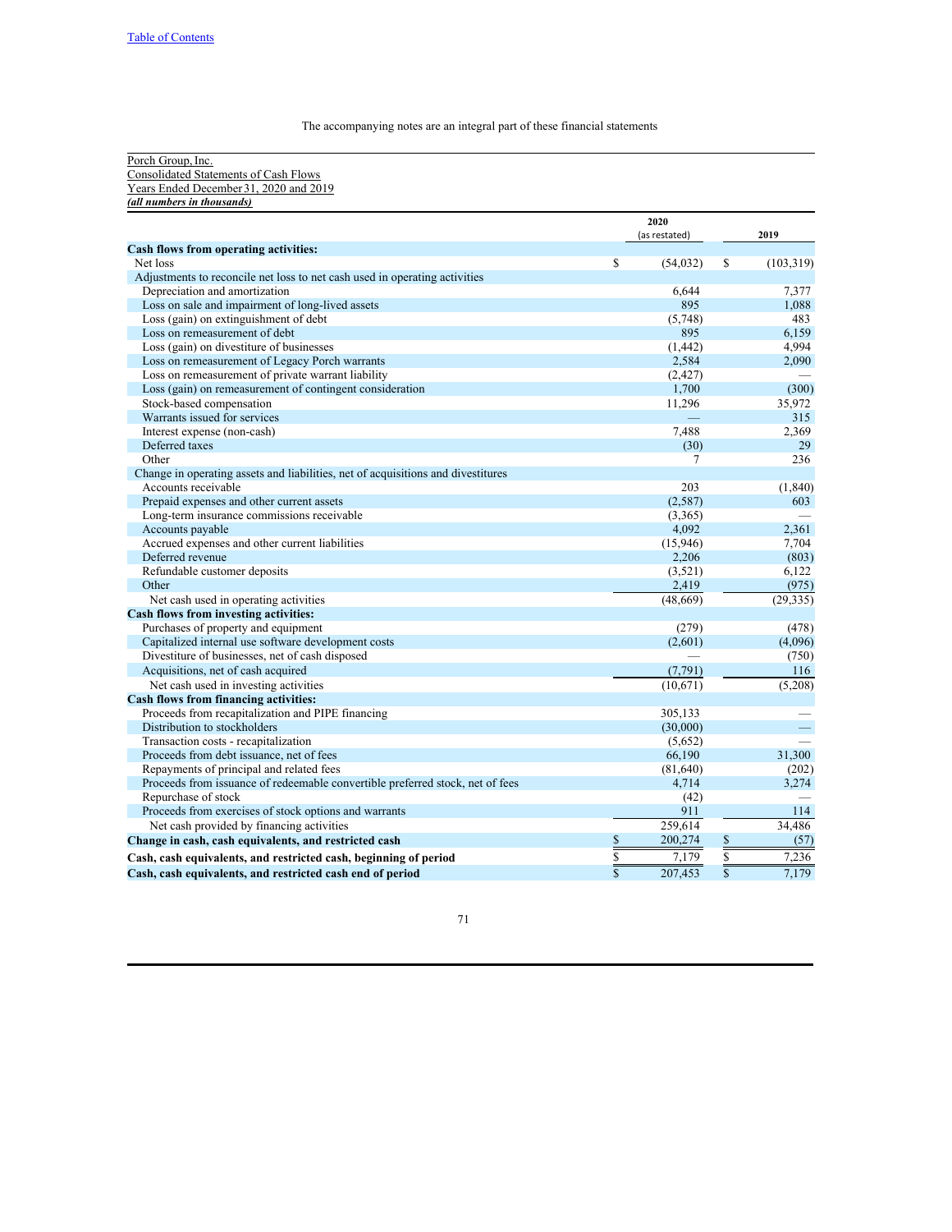The accompanying notes are an integral part of these financial statements

# Porch Group, Inc.

Consolidated Statements of Cash Flows Years Ended December 31, 2020 and 2019

*(all numbers in thousands)*

|                                                                                  |               | 2020          |               |            |  |
|----------------------------------------------------------------------------------|---------------|---------------|---------------|------------|--|
|                                                                                  |               | (as restated) | 2019          |            |  |
| Cash flows from operating activities:                                            |               |               |               |            |  |
| Net loss                                                                         | \$            | (54, 032)     | $\mathcal{S}$ | (103, 319) |  |
| Adjustments to reconcile net loss to net cash used in operating activities       |               |               |               |            |  |
| Depreciation and amortization                                                    |               | 6,644         |               | 7,377      |  |
| Loss on sale and impairment of long-lived assets                                 |               | 895           |               | 1,088      |  |
| Loss (gain) on extinguishment of debt                                            |               | (5,748)       |               | 483        |  |
| Loss on remeasurement of debt                                                    |               | 895           |               | 6.159      |  |
| Loss (gain) on divestiture of businesses                                         |               | (1, 442)      |               | 4,994      |  |
| Loss on remeasurement of Legacy Porch warrants                                   |               | 2,584         |               | 2,090      |  |
| Loss on remeasurement of private warrant liability                               |               | (2, 427)      |               |            |  |
| Loss (gain) on remeasurement of contingent consideration                         |               | 1,700         |               | (300)      |  |
| Stock-based compensation                                                         |               | 11,296        |               | 35,972     |  |
| Warrants issued for services                                                     |               |               |               | 315        |  |
| Interest expense (non-cash)                                                      |               | 7,488         |               | 2,369      |  |
| Deferred taxes                                                                   |               | (30)          |               | 29         |  |
| Other                                                                            |               | 7             |               | 236        |  |
| Change in operating assets and liabilities, net of acquisitions and divestitures |               |               |               |            |  |
| Accounts receivable                                                              |               | 203           |               | (1, 840)   |  |
| Prepaid expenses and other current assets                                        |               | (2,587)       |               | 603        |  |
| Long-term insurance commissions receivable                                       |               | (3,365)       |               |            |  |
| Accounts payable                                                                 |               | 4,092         |               | 2,361      |  |
| Accrued expenses and other current liabilities                                   |               | (15,946)      |               | 7,704      |  |
| Deferred revenue                                                                 |               | 2,206         |               | (803)      |  |
| Refundable customer deposits                                                     |               | (3,521)       |               | 6,122      |  |
| Other                                                                            |               | 2,419         |               | (975)      |  |
| Net cash used in operating activities                                            |               | (48,669)      |               | (29, 335)  |  |
| <b>Cash flows from investing activities:</b>                                     |               |               |               |            |  |
| Purchases of property and equipment                                              |               | (279)         |               | (478)      |  |
| Capitalized internal use software development costs                              |               | (2,601)       |               | (4,096)    |  |
| Divestiture of businesses, net of cash disposed                                  |               |               |               | (750)      |  |
| Acquisitions, net of cash acquired                                               |               | (7, 791)      |               | 116        |  |
| Net cash used in investing activities                                            |               | (10,671)      |               | (5,208)    |  |
| <b>Cash flows from financing activities:</b>                                     |               |               |               |            |  |
| Proceeds from recapitalization and PIPE financing                                |               | 305,133       |               |            |  |
| Distribution to stockholders                                                     |               | (30,000)      |               |            |  |
| Transaction costs - recapitalization                                             |               | (5,652)       |               |            |  |
| Proceeds from debt issuance, net of fees                                         |               | 66,190        |               | 31,300     |  |
| Repayments of principal and related fees                                         |               | (81,640)      |               | (202)      |  |
| Proceeds from issuance of redeemable convertible preferred stock, net of fees    |               | 4,714         |               | 3,274      |  |
| Repurchase of stock                                                              |               | (42)          |               |            |  |
| Proceeds from exercises of stock options and warrants                            |               | 911           |               | 114        |  |
| Net cash provided by financing activities                                        |               | 259,614       |               | 34,486     |  |
| Change in cash, cash equivalents, and restricted cash                            | \$            | 200,274       | \$            | (57)       |  |
|                                                                                  |               | 7,179         |               | 7,236      |  |
| Cash, cash equivalents, and restricted cash, beginning of period                 | $\frac{1}{2}$ |               | $\frac{1}{2}$ |            |  |
| Cash, cash equivalents, and restricted cash end of period                        | $\mathbb{S}$  | 207,453       | $\mathbf S$   | 7,179      |  |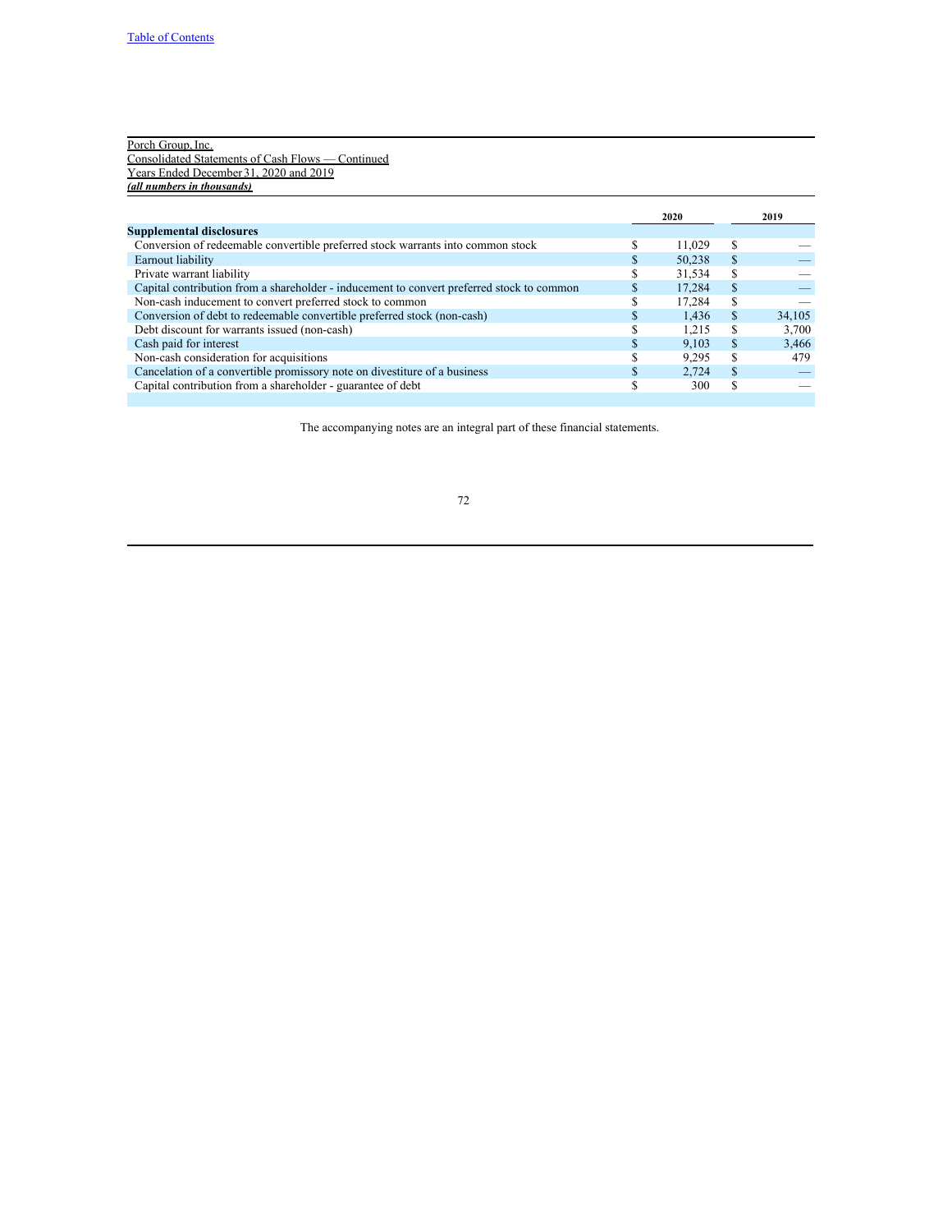## Porch Group, Inc. Consolidated Statements of Cash Flows — Continued Years Ended December 31, 2020 and 2019 *(all numbers in thousands)*

|                                                                                           | 2020 |        | 2019 |        |
|-------------------------------------------------------------------------------------------|------|--------|------|--------|
| <b>Supplemental disclosures</b>                                                           |      |        |      |        |
| Conversion of redeemable convertible preferred stock warrants into common stock           |      | 11.029 | S    |        |
| Earnout liability                                                                         |      | 50,238 | \$.  |        |
| Private warrant liability                                                                 |      | 31.534 | S    |        |
| Capital contribution from a shareholder - inducement to convert preferred stock to common |      | 17.284 | S    |        |
| Non-cash inducement to convert preferred stock to common                                  |      | 17.284 | S    |        |
| Conversion of debt to redeemable convertible preferred stock (non-cash)                   |      | 1.436  | S    | 34,105 |
| Debt discount for warrants issued (non-cash)                                              |      | 1.215  | S    | 3,700  |
| Cash paid for interest                                                                    |      | 9.103  | S.   | 3,466  |
| Non-cash consideration for acquisitions                                                   |      | 9.295  | S    | 479    |
| Cancelation of a convertible promissory note on divestiture of a business                 |      | 2.724  | \$.  |        |
| Capital contribution from a shareholder - guarantee of debt                               |      | 300    | S    |        |

The accompanying notes are an integral part of these financial statements.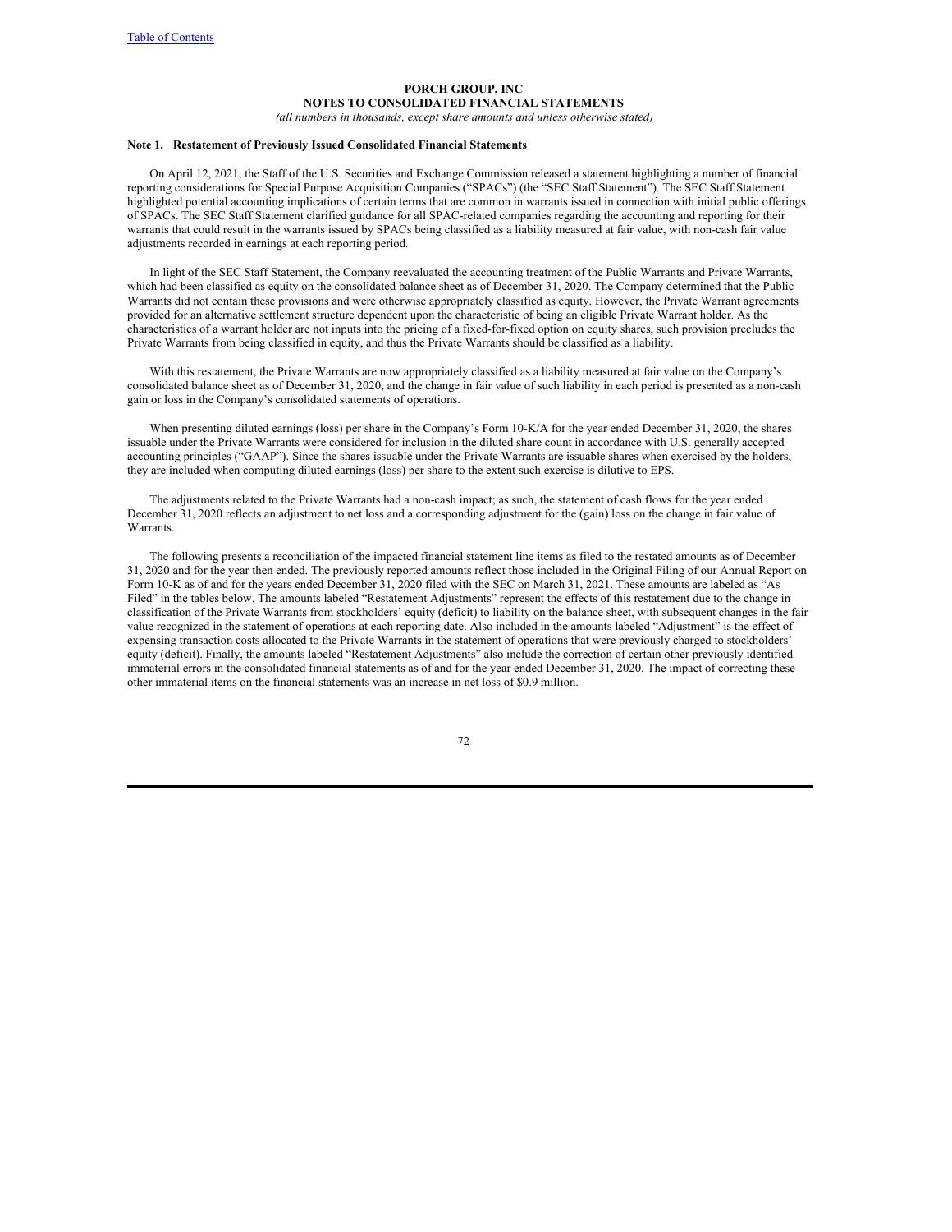*(all numbers in thousands, except share amounts and unless otherwise stated)*

# **Note 1. Restatement of Previously Issued Consolidated Financial Statements**

On April 12, 2021, the Staff of the U.S. Securities and Exchange Commission released a statement highlighting a number of financial reporting considerations for Special Purpose Acquisition Companies ("SPACs") (the "SEC Staff Statement"). The SEC Staff Statement highlighted potential accounting implications of certain terms that are common in warrants issued in connection with initial public offerings of SPACs. The SEC Staff Statement clarified guidance for all SPAC-related companies regarding the accounting and reporting for their warrants that could result in the warrants issued by SPACs being classified as a liability measured at fair value, with non-cash fair value adjustments recorded in earnings at each reporting period.

In light of the SEC Staff Statement, the Company reevaluated the accounting treatment of the Public Warrants and Private Warrants, which had been classified as equity on the consolidated balance sheet as of December 31, 2020. The Company determined that the Public Warrants did not contain these provisions and were otherwise appropriately classified as equity. However, the Private Warrant agreements provided for an alternative settlement structure dependent upon the characteristic of being an eligible Private Warrant holder. As the characteristics of a warrant holder are not inputs into the pricing of a fixed-for-fixed option on equity shares, such provision precludes the Private Warrants from being classified in equity, and thus the Private Warrants should be classified as a liability.

With this restatement, the Private Warrants are now appropriately classified as a liability measured at fair value on the Company's consolidated balance sheet as of December 31, 2020, and the change in fair value of such liability in each period is presented as a non-cash gain or loss in the Company's consolidated statements of operations.

When presenting diluted earnings (loss) per share in the Company's Form 10-K/A for the year ended December 31, 2020, the shares issuable under the Private Warrants were considered for inclusion in the diluted share count in accordance with U.S. generally accepted accounting principles ("GAAP"). Since the shares issuable under the Private Warrants are issuable shares when exercised by the holders, they are included when computing diluted earnings (loss) per share to the extent such exercise is dilutive to EPS.

The adjustments related to the Private Warrants had a non-cash impact; as such, the statement of cash flows for the year ended December 31, 2020 reflects an adjustment to net loss and a corresponding adjustment for the (gain) loss on the change in fair value of Warrants.

The following presents a reconciliation of the impacted financial statement line items as filed to the restated amounts as of December 31, 2020 and for the year then ended. The previously reported amounts reflect those included in the Original Filing of our Annual Report on Form 10-K as of and for the years ended December 31, 2020 filed with the SEC on March 31, 2021. These amounts are labeled as "As Filed" in the tables below. The amounts labeled "Restatement Adjustments" represent the effects of this restatement due to the change in classification of the Private Warrants from stockholders' equity (deficit) to liability on the balance sheet, with subsequent changes in the fair value recognized in the statement of operations at each reporting date. Also included in the amounts labeled "Adjustment" is the effect of expensing transaction costs allocated to the Private Warrants in the statement of operations that were previously charged to stockholders' equity (deficit). Finally, the amounts labeled "Restatement Adjustments" also include the correction of certain other previously identified immaterial errors in the consolidated financial statements as of and for the year ended December 31, 2020. The impact of correcting these other immaterial items on the financial statements was an increase in net loss of \$0.9 million.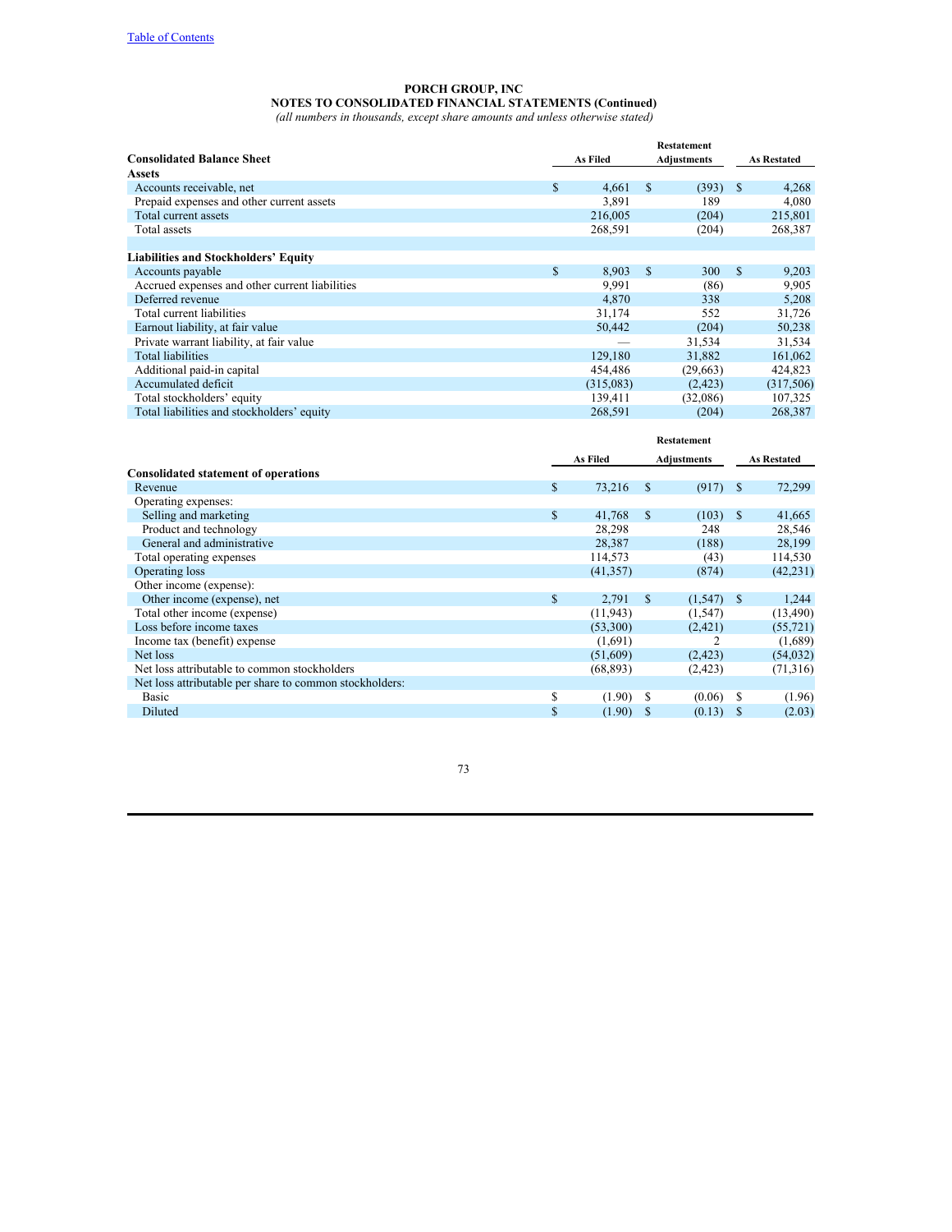*(all numbers in thousands, except share amounts and unless otherwise stated)*

|                                                |                                |           |               | <b>Restatement</b> |   |           |  |  |  |  |  |  |  |  |  |
|------------------------------------------------|--------------------------------|-----------|---------------|--------------------|---|-----------|--|--|--|--|--|--|--|--|--|
| <b>Consolidated Balance Sheet</b>              | As Filed<br><b>Adjustments</b> |           |               |                    |   |           |  |  |  |  |  |  |  |  |  |
| <b>Assets</b>                                  |                                |           |               |                    |   |           |  |  |  |  |  |  |  |  |  |
| Accounts receivable, net                       | \$                             | 4,661     | <sup>\$</sup> | (393)              | S | 4,268     |  |  |  |  |  |  |  |  |  |
| Prepaid expenses and other current assets      |                                | 3,891     |               | 189                |   | 4,080     |  |  |  |  |  |  |  |  |  |
| Total current assets                           |                                | 216,005   |               | (204)              |   | 215,801   |  |  |  |  |  |  |  |  |  |
| Total assets                                   |                                | 268,591   |               | (204)              |   | 268,387   |  |  |  |  |  |  |  |  |  |
|                                                |                                |           |               |                    |   |           |  |  |  |  |  |  |  |  |  |
| <b>Liabilities and Stockholders' Equity</b>    |                                |           |               |                    |   |           |  |  |  |  |  |  |  |  |  |
| Accounts payable                               | \$                             | 8,903     | -S            | 300                | S | 9,203     |  |  |  |  |  |  |  |  |  |
| Accrued expenses and other current liabilities |                                | 9,991     |               | (86)               |   | 9,905     |  |  |  |  |  |  |  |  |  |
| Deferred revenue                               |                                | 4,870     |               | 338                |   | 5,208     |  |  |  |  |  |  |  |  |  |
| Total current liabilities                      |                                | 31,174    |               | 552                |   | 31,726    |  |  |  |  |  |  |  |  |  |
| Earnout liability, at fair value               |                                | 50,442    |               | (204)              |   | 50,238    |  |  |  |  |  |  |  |  |  |
| Private warrant liability, at fair value       |                                |           |               | 31,534             |   | 31,534    |  |  |  |  |  |  |  |  |  |
| <b>Total liabilities</b>                       |                                | 129,180   |               | 31,882             |   | 161,062   |  |  |  |  |  |  |  |  |  |
| Additional paid-in capital                     |                                | 454,486   |               | (29,663)           |   | 424,823   |  |  |  |  |  |  |  |  |  |
| Accumulated deficit                            |                                | (315,083) |               | (2, 423)           |   | (317,506) |  |  |  |  |  |  |  |  |  |
| Total stockholders' equity                     |                                | 139,411   |               | (32,086)           |   | 107,325   |  |  |  |  |  |  |  |  |  |
| Total liabilities and stockholders' equity     |                                | 268,591   |               | (204)              |   | 268,387   |  |  |  |  |  |  |  |  |  |

|                                                         | <b>Restatement</b> |           |                    |          |    |                    |  |
|---------------------------------------------------------|--------------------|-----------|--------------------|----------|----|--------------------|--|
|                                                         |                    | As Filed  | <b>Adjustments</b> |          |    | <b>As Restated</b> |  |
| <b>Consolidated statement of operations</b>             |                    |           |                    |          |    |                    |  |
| Revenue                                                 | \$                 | 73,216    | <b>S</b>           | (917)    | S  | 72,299             |  |
| Operating expenses:                                     |                    |           |                    |          |    |                    |  |
| Selling and marketing                                   | \$                 | 41,768    | <sup>\$</sup>      | (103)    | S  | 41,665             |  |
| Product and technology                                  |                    | 28,298    |                    | 248      |    | 28,546             |  |
| General and administrative                              |                    | 28,387    |                    | (188)    |    | 28,199             |  |
| Total operating expenses                                |                    | 114,573   |                    | (43)     |    | 114,530            |  |
| Operating loss                                          |                    | (41, 357) |                    | (874)    |    | (42, 231)          |  |
| Other income (expense):                                 |                    |           |                    |          |    |                    |  |
| Other income (expense), net                             | \$                 | 2,791     | <sup>\$</sup>      | (1, 547) | S  | 1,244              |  |
| Total other income (expense)                            |                    | (11, 943) |                    | (1, 547) |    | (13, 490)          |  |
| Loss before income taxes                                |                    | (53,300)  |                    | (2,421)  |    | (55, 721)          |  |
| Income tax (benefit) expense                            |                    | (1,691)   |                    |          |    | (1,689)            |  |
| Net loss                                                |                    | (51,609)  |                    | (2, 423) |    | (54, 032)          |  |
| Net loss attributable to common stockholders            |                    | (68, 893) |                    | (2,423)  |    | (71,316)           |  |
| Net loss attributable per share to common stockholders: |                    |           |                    |          |    |                    |  |
| Basic                                                   | \$                 | (1.90)    | S                  | (0.06)   | S  | (1.96)             |  |
| Diluted                                                 | \$                 | (1.90)    | \$                 | (0.13)   | \$ | (2.03)             |  |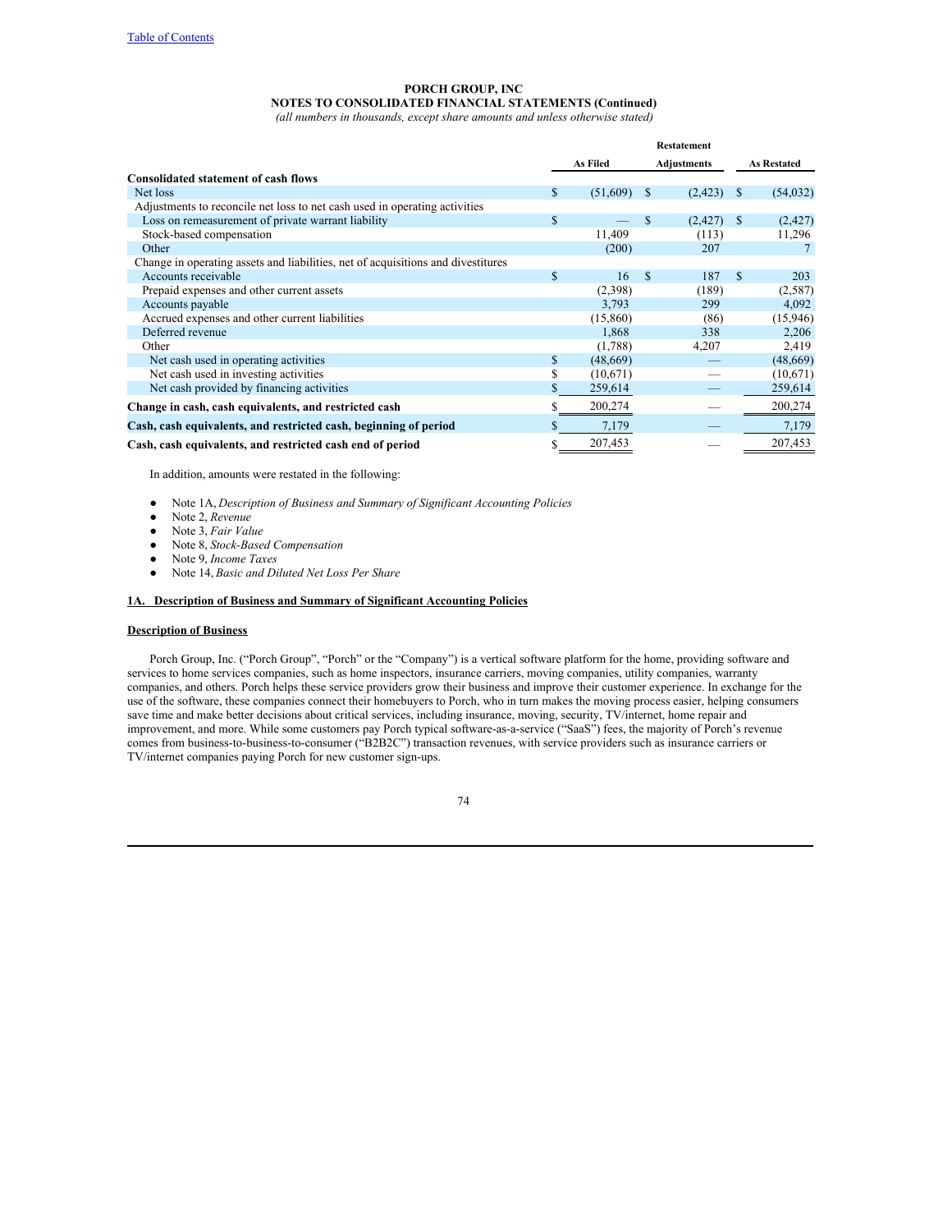*(all numbers in thousands, except share amounts and unless otherwise stated)*

|                                                                                  | <b>Restatement</b> |          |               |             |               |                    |
|----------------------------------------------------------------------------------|--------------------|----------|---------------|-------------|---------------|--------------------|
|                                                                                  | As Filed           |          |               | Adjustments |               | <b>As Restated</b> |
| <b>Consolidated statement of cash flows</b>                                      |                    |          |               |             |               |                    |
| Net loss                                                                         | \$                 | (51,609) | S             | (2,423)     | S             | (54, 032)          |
| Adjustments to reconcile net loss to net cash used in operating activities       |                    |          |               |             |               |                    |
| Loss on remeasurement of private warrant liability                               | \$                 |          | \$            | (2, 427)    | <sup>\$</sup> | (2, 427)           |
| Stock-based compensation                                                         |                    | 11,409   |               | (113)       |               | 11,296             |
| Other                                                                            |                    | (200)    |               | 207         |               |                    |
| Change in operating assets and liabilities, net of acquisitions and divestitures |                    |          |               |             |               |                    |
| Accounts receivable                                                              | \$                 | 16       | <sup>\$</sup> | 187         | <sup>\$</sup> | 203                |
| Prepaid expenses and other current assets                                        |                    | (2,398)  |               | (189)       |               | (2,587)            |
| Accounts payable                                                                 |                    | 3,793    |               | 299         |               | 4,092              |
| Accrued expenses and other current liabilities                                   |                    | (15,860) |               | (86)        |               | (15,946)           |
| Deferred revenue                                                                 |                    | 1,868    |               | 338         |               | 2,206              |
| Other                                                                            |                    | (1,788)  |               | 4,207       |               | 2,419              |
| Net cash used in operating activities                                            | \$                 | (48,669) |               |             |               | (48, 669)          |
| Net cash used in investing activities                                            | \$                 | (10,671) |               |             |               | (10,671)           |
| Net cash provided by financing activities                                        | \$                 | 259,614  |               |             |               | 259,614            |
| Change in cash, cash equivalents, and restricted cash                            |                    | 200,274  |               |             |               | 200,274            |
| Cash, cash equivalents, and restricted cash, beginning of period                 | \$                 | 7,179    |               |             |               | 7,179              |
| Cash, cash equivalents, and restricted cash end of period                        |                    | 207,453  |               |             |               | 207,453            |

In addition, amounts were restated in the following:

- Note 1A, *Description of Business and Summary of Significant Accounting Policies*
- Note 2, *Revenue*
- Note 3, *Fair Value*
- Note 8, *Stock-Based Compensation*
- Note 9, *Income Taxes*
- Note 14, *Basic and Diluted Net Loss Per Share*

## **1A. Description of Business and Summary of Significant Accounting Policies**

# **Description of Business**

Porch Group, Inc. ("Porch Group", "Porch" or the "Company") is a vertical software platform for the home, providing software and services to home services companies, such as home inspectors, insurance carriers, moving companies, utility companies, warranty companies, and others. Porch helps these service providers grow their business and improve their customer experience. In exchange for the use of the software, these companies connect their homebuyers to Porch, who in turn makes the moving process easier, helping consumers save time and make better decisions about critical services, including insurance, moving, security, TV/internet, home repair and improvement, and more. While some customers pay Porch typical software-as-a-service ("SaaS") fees, the majority of Porch's revenue comes from business-to-business-to-consumer ("B2B2C") transaction revenues, with service providers such as insurance carriers or TV/internet companies paying Porch for new customer sign-ups.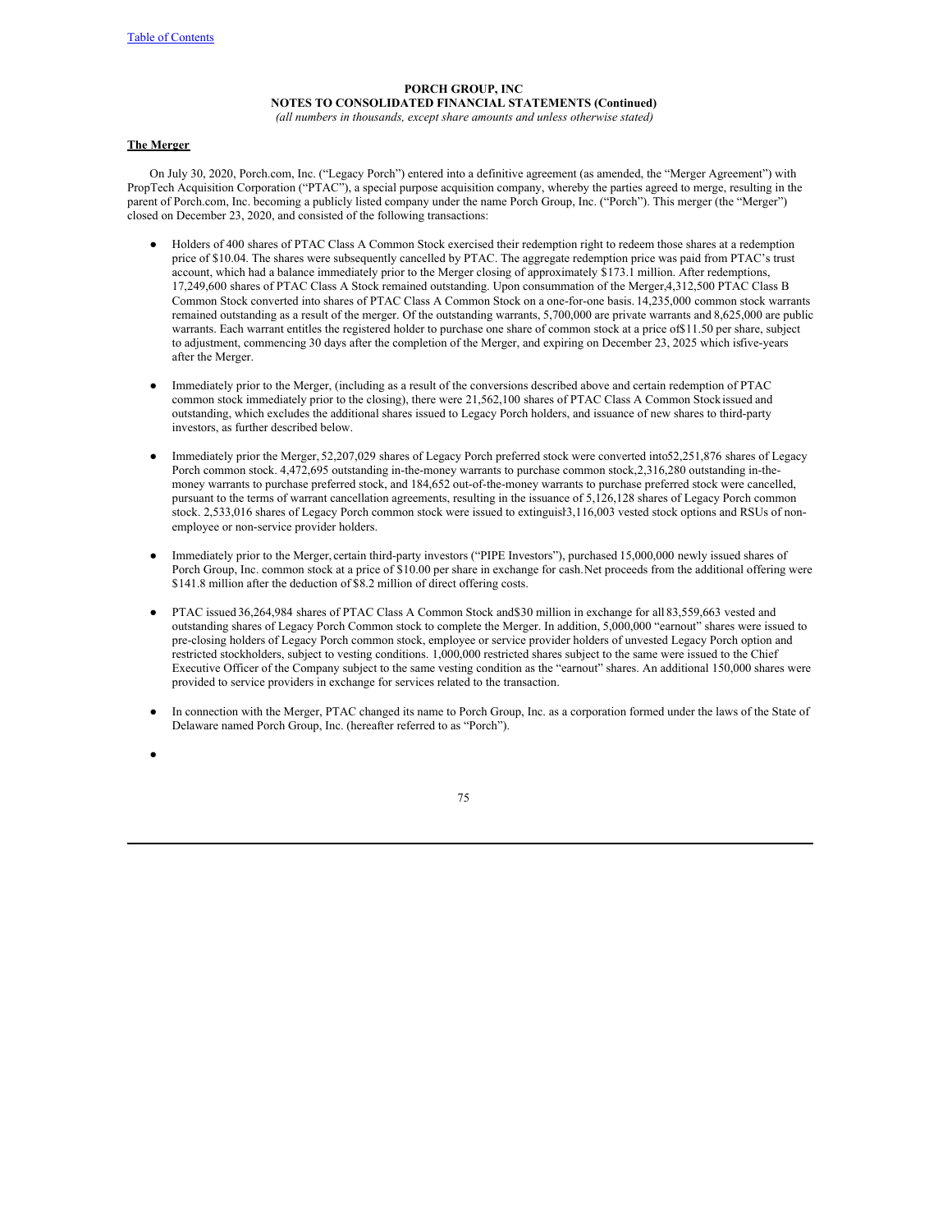*(all numbers in thousands, except share amounts and unless otherwise stated)*

# **The Merger**

On July 30, 2020, Porch.com, Inc. ("Legacy Porch") entered into a definitive agreement (as amended, the "Merger Agreement") with PropTech Acquisition Corporation ("PTAC"), a special purpose acquisition company, whereby the parties agreed to merge, resulting in the parent of Porch.com, Inc. becoming a publicly listed company under the name Porch Group, Inc. ("Porch"). This merger (the "Merger") closed on December 23, 2020, and consisted of the following transactions:

- Holders of 400 shares of PTAC Class A Common Stock exercised their redemption right to redeem those shares at a redemption price of \$10.04. The shares were subsequently cancelled by PTAC. The aggregate redemption price was paid from PTAC's trust account, which had a balance immediately prior to the Merger closing of approximately \$173.1 million. After redemptions, 17,249,600 shares of PTAC Class A Stock remained outstanding. Upon consummation of the Merger,4,312,500 PTAC Class B Common Stock converted into shares of PTAC Class A Common Stock on a one-for-one basis. 14,235,000 common stock warrants remained outstanding as a result of the merger. Of the outstanding warrants, 5,700,000 are private warrants and 8,625,000 are public warrants. Each warrant entitles the registered holder to purchase one share of common stock at a price of\$11.50 per share, subject to adjustment, commencing 30 days after the completion of the Merger, and expiring on December 23, 2025 which isfive-years after the Merger.
- Immediately prior to the Merger, (including as a result of the conversions described above and certain redemption of PTAC common stock immediately prior to the closing), there were 21,562,100 shares of PTAC Class A Common Stockissued and outstanding, which excludes the additional shares issued to Legacy Porch holders, and issuance of new shares to third-party investors, as further described below.
- Immediately prior the Merger, 52,207,029 shares of Legacy Porch preferred stock were converted into52,251,876 shares of Legacy Porch common stock. 4,472,695 outstanding in-the-money warrants to purchase common stock,2,316,280 outstanding in-themoney warrants to purchase preferred stock, and 184,652 out-of-the-money warrants to purchase preferred stock were cancelled, pursuant to the terms of warrant cancellation agreements, resulting in the issuance of 5,126,128 shares of Legacy Porch common stock. 2,533,016 shares of Legacy Porch common stock were issued to extinguish3,116,003 vested stock options and RSUs of nonemployee or non-service provider holders.
- Immediately prior to the Merger, certain third-party investors ("PIPE Investors"), purchased 15,000,000 newly issued shares of Porch Group, Inc. common stock at a price of \$10.00 per share in exchange for cash.Net proceeds from the additional offering were \$141.8 million after the deduction of \$8.2 million of direct offering costs.
- PTAC issued 36,264,984 shares of PTAC Class A Common Stock and \$30 million in exchange for all 83,559,663 vested and outstanding shares of Legacy Porch Common stock to complete the Merger. In addition, 5,000,000 "earnout" shares were issued to pre-closing holders of Legacy Porch common stock, employee or service provider holders of unvested Legacy Porch option and restricted stockholders, subject to vesting conditions. 1,000,000 restricted shares subject to the same were issued to the Chief Executive Officer of the Company subject to the same vesting condition as the "earnout" shares. An additional 150,000 shares were provided to service providers in exchange for services related to the transaction.
- In connection with the Merger, PTAC changed its name to Porch Group, Inc. as a corporation formed under the laws of the State of Delaware named Porch Group, Inc. (hereafter referred to as "Porch").

75

●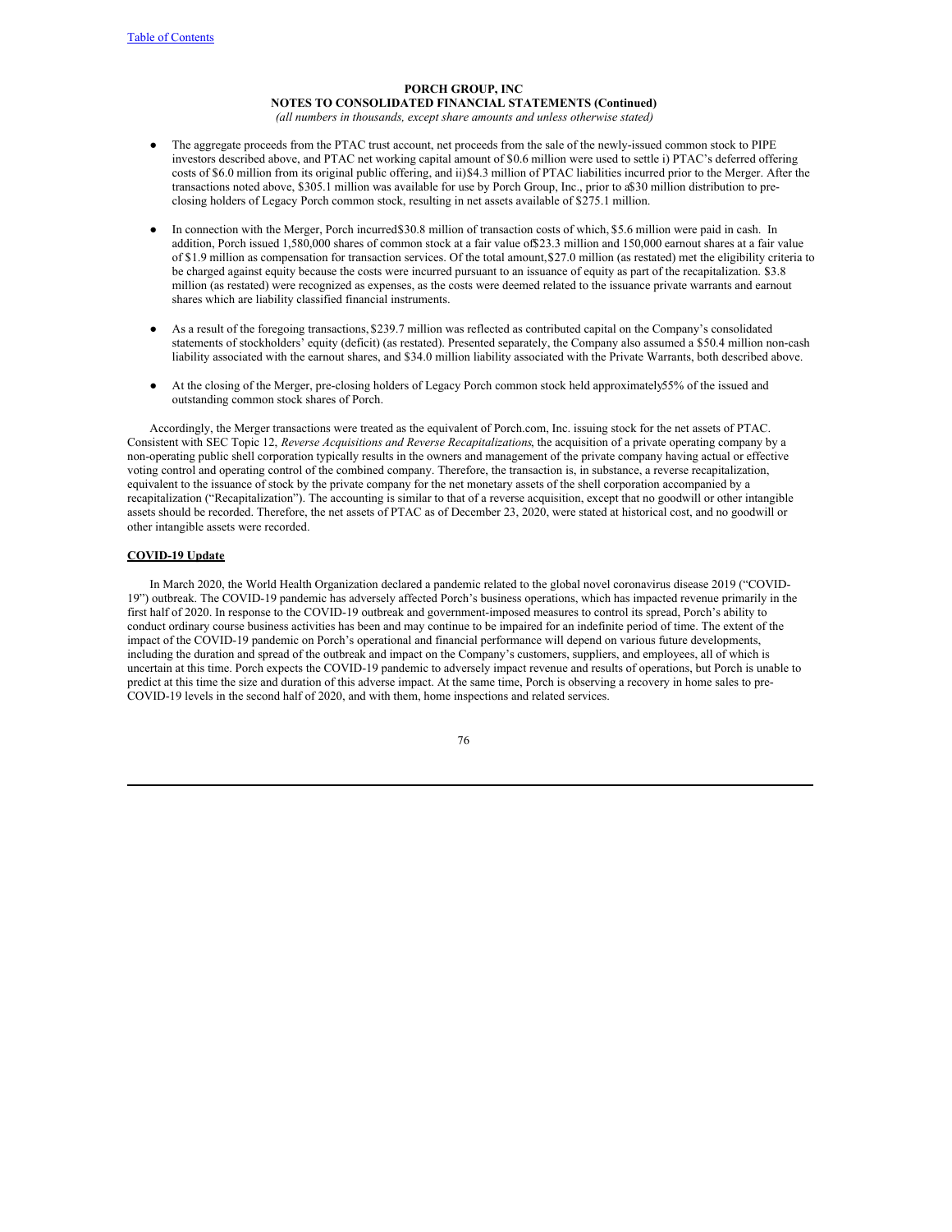*(all numbers in thousands, except share amounts and unless otherwise stated)*

- The aggregate proceeds from the PTAC trust account, net proceeds from the sale of the newly-issued common stock to PIPE investors described above, and PTAC net working capital amount of \$0.6 million were used to settle i) PTAC's deferred offering costs of \$6.0 million from its original public offering, and ii)\$4.3 million of PTAC liabilities incurred prior to the Merger. After the transactions noted above, \$305.1 million was available for use by Porch Group, Inc., prior to a\$30 million distribution to preclosing holders of Legacy Porch common stock, resulting in net assets available of \$275.1 million.
- In connection with the Merger, Porch incurred\$30.8 million of transaction costs of which, \$5.6 million were paid in cash. In addition, Porch issued 1,580,000 shares of common stock at a fair value of\$23.3 million and 150,000 earnout shares at a fair value of \$1.9 million as compensation for transaction services. Of the total amount,\$27.0 million (as restated) met the eligibility criteria to be charged against equity because the costs were incurred pursuant to an issuance of equity as part of the recapitalization. \$3.8 million (as restated) were recognized as expenses, as the costs were deemed related to the issuance private warrants and earnout shares which are liability classified financial instruments.
- As a result of the foregoing transactions, \$239.7 million was reflected as contributed capital on the Company's consolidated statements of stockholders' equity (deficit) (as restated). Presented separately, the Company also assumed a \$50.4 million non-cash liability associated with the earnout shares, and \$34.0 million liability associated with the Private Warrants, both described above.
- At the closing of the Merger, pre-closing holders of Legacy Porch common stock held approximately55% of the issued and outstanding common stock shares of Porch.

Accordingly, the Merger transactions were treated as the equivalent of Porch.com, Inc. issuing stock for the net assets of PTAC. Consistent with SEC Topic 12, *Reverse Acquisitions and Reverse Recapitalizations*, the acquisition of a private operating company by a non-operating public shell corporation typically results in the owners and management of the private company having actual or effective voting control and operating control of the combined company. Therefore, the transaction is, in substance, a reverse recapitalization, equivalent to the issuance of stock by the private company for the net monetary assets of the shell corporation accompanied by a recapitalization ("Recapitalization"). The accounting is similar to that of a reverse acquisition, except that no goodwill or other intangible assets should be recorded. Therefore, the net assets of PTAC as of December 23, 2020, were stated at historical cost, and no goodwill or other intangible assets were recorded.

# **COVID-19 Update**

In March 2020, the World Health Organization declared a pandemic related to the global novel coronavirus disease 2019 ("COVID-19") outbreak. The COVID-19 pandemic has adversely affected Porch's business operations, which has impacted revenue primarily in the first half of 2020. In response to the COVID-19 outbreak and government-imposed measures to control its spread, Porch's ability to conduct ordinary course business activities has been and may continue to be impaired for an indefinite period of time. The extent of the impact of the COVID-19 pandemic on Porch's operational and financial performance will depend on various future developments, including the duration and spread of the outbreak and impact on the Company's customers, suppliers, and employees, all of which is uncertain at this time. Porch expects the COVID-19 pandemic to adversely impact revenue and results of operations, but Porch is unable to predict at this time the size and duration of this adverse impact. At the same time, Porch is observing a recovery in home sales to pre-COVID-19 levels in the second half of 2020, and with them, home inspections and related services.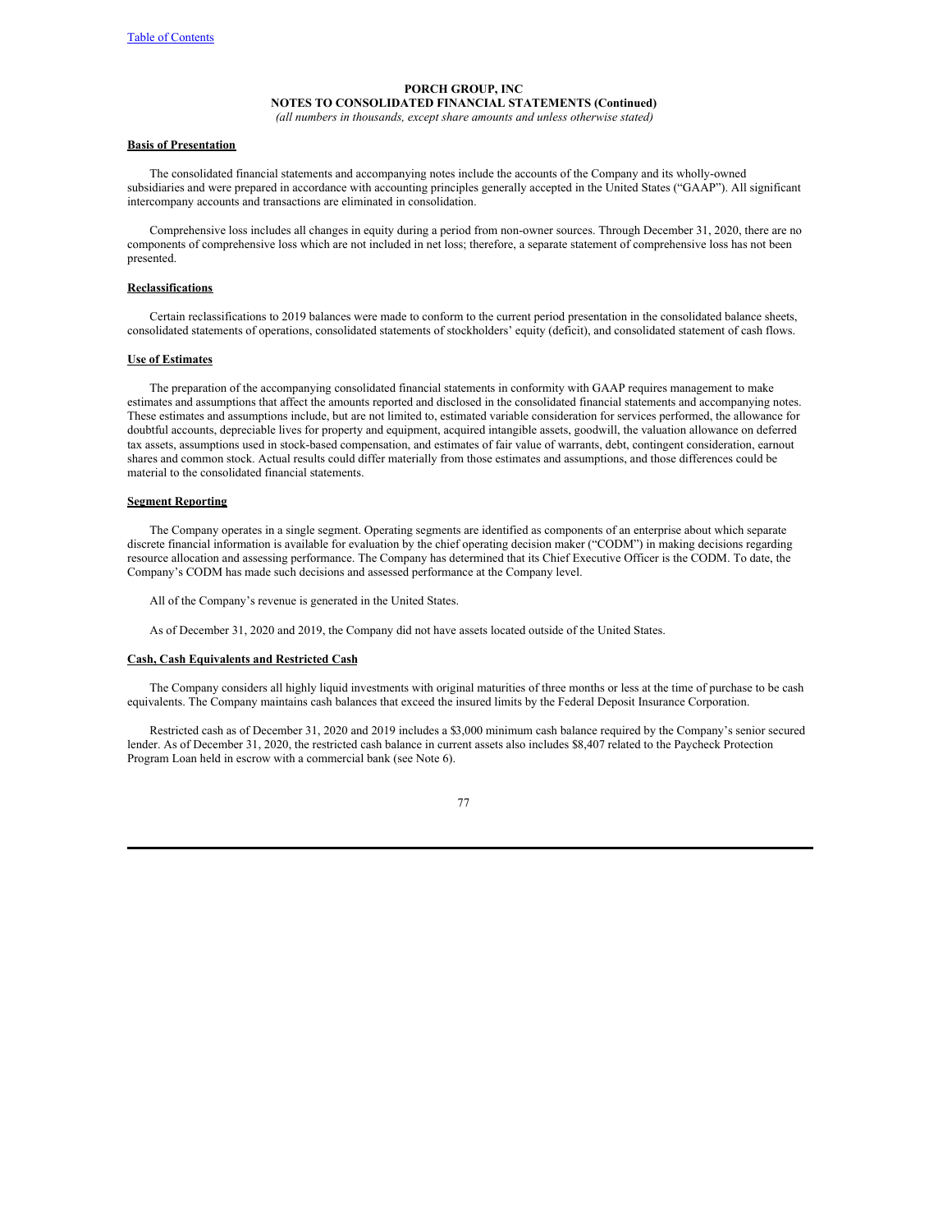*(all numbers in thousands, except share amounts and unless otherwise stated)*

# **Basis of Presentation**

The consolidated financial statements and accompanying notes include the accounts of the Company and its wholly-owned subsidiaries and were prepared in accordance with accounting principles generally accepted in the United States ("GAAP"). All significant intercompany accounts and transactions are eliminated in consolidation.

Comprehensive loss includes all changes in equity during a period from non-owner sources. Through December 31, 2020, there are no components of comprehensive loss which are not included in net loss; therefore, a separate statement of comprehensive loss has not been presented.

#### **Reclassifications**

Certain reclassifications to 2019 balances were made to conform to the current period presentation in the consolidated balance sheets, consolidated statements of operations, consolidated statements of stockholders' equity (deficit), and consolidated statement of cash flows.

#### **Use of Estimates**

The preparation of the accompanying consolidated financial statements in conformity with GAAP requires management to make estimates and assumptions that affect the amounts reported and disclosed in the consolidated financial statements and accompanying notes. These estimates and assumptions include, but are not limited to, estimated variable consideration for services performed, the allowance for doubtful accounts, depreciable lives for property and equipment, acquired intangible assets, goodwill, the valuation allowance on deferred tax assets, assumptions used in stock-based compensation, and estimates of fair value of warrants, debt, contingent consideration, earnout shares and common stock. Actual results could differ materially from those estimates and assumptions, and those differences could be material to the consolidated financial statements.

### **Segment Reporting**

The Company operates in a single segment. Operating segments are identified as components of an enterprise about which separate discrete financial information is available for evaluation by the chief operating decision maker ("CODM") in making decisions regarding resource allocation and assessing performance. The Company has determined that its Chief Executive Officer is the CODM. To date, the Company's CODM has made such decisions and assessed performance at the Company level.

All of the Company's revenue is generated in the United States.

As of December 31, 2020 and 2019, the Company did not have assets located outside of the United States.

#### **Cash, Cash Equivalents and Restricted Cash**

The Company considers all highly liquid investments with original maturities of three months or less at the time of purchase to be cash equivalents. The Company maintains cash balances that exceed the insured limits by the Federal Deposit Insurance Corporation.

Restricted cash as of December 31, 2020 and 2019 includes a \$3,000 minimum cash balance required by the Company's senior secured lender. As of December 31, 2020, the restricted cash balance in current assets also includes \$8,407 related to the Paycheck Protection Program Loan held in escrow with a commercial bank (see Note 6).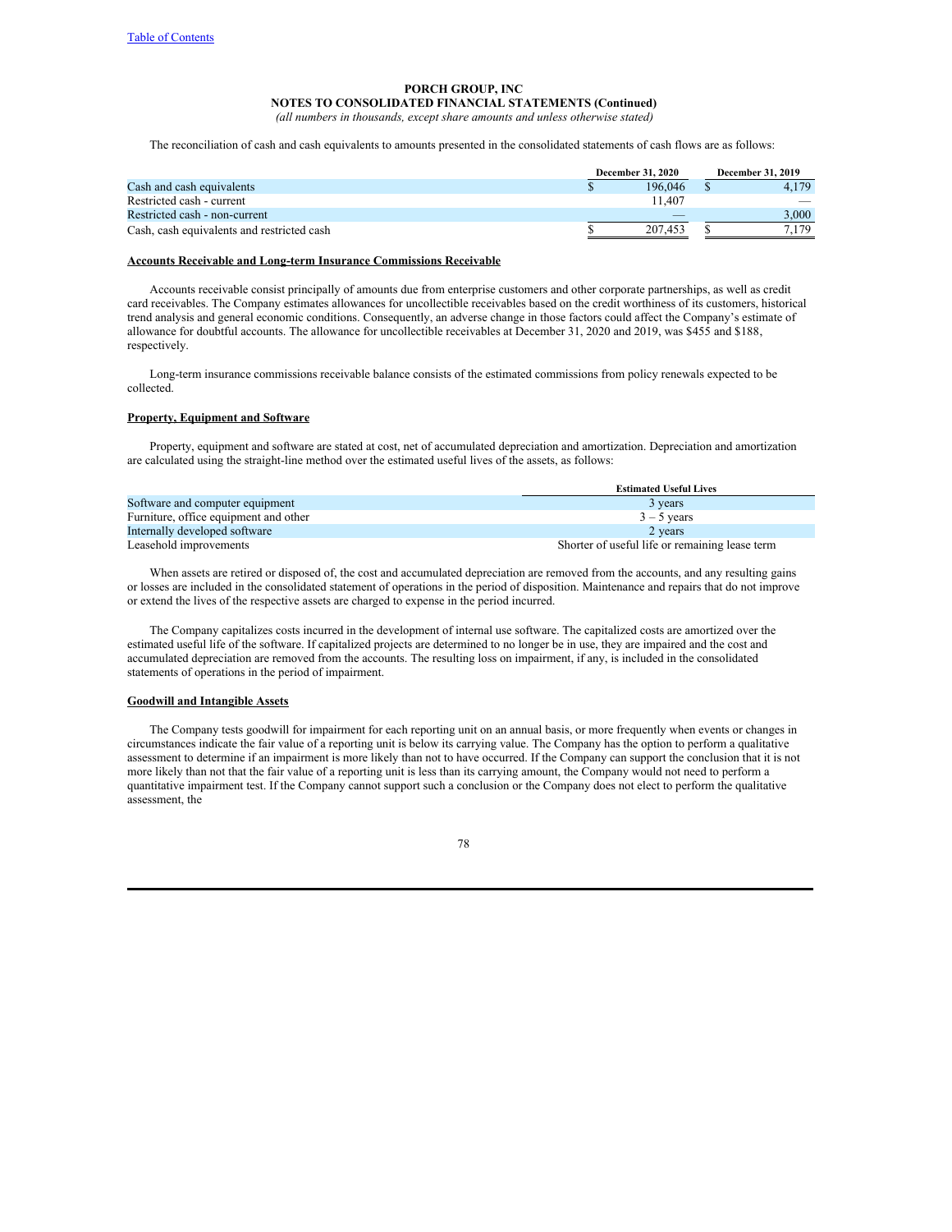*(all numbers in thousands, except share amounts and unless otherwise stated)*

The reconciliation of cash and cash equivalents to amounts presented in the consolidated statements of cash flows are as follows:

|                                            | <b>December 31, 2020</b> | <b>December 31, 2019</b> |
|--------------------------------------------|--------------------------|--------------------------|
| Cash and cash equivalents                  | 196.046                  | 4.179                    |
| Restricted cash - current                  | 11.407                   |                          |
| Restricted cash - non-current              |                          | 3.000                    |
| Cash, cash equivalents and restricted cash | 207.453                  | 7.179                    |

#### **Accounts Receivable and Long-term Insurance Commissions Receivable**

Accounts receivable consist principally of amounts due from enterprise customers and other corporate partnerships, as well as credit card receivables. The Company estimates allowances for uncollectible receivables based on the credit worthiness of its customers, historical trend analysis and general economic conditions. Consequently, an adverse change in those factors could affect the Company's estimate of allowance for doubtful accounts. The allowance for uncollectible receivables at December 31, 2020 and 2019, was \$455 and \$188, respectively.

Long-term insurance commissions receivable balance consists of the estimated commissions from policy renewals expected to be collected.

## **Property, Equipment and Software**

Property, equipment and software are stated at cost, net of accumulated depreciation and amortization. Depreciation and amortization are calculated using the straight-line method over the estimated useful lives of the assets, as follows:

|                                       | <b>Estimated Useful Lives</b>                  |
|---------------------------------------|------------------------------------------------|
| Software and computer equipment       | 3 years                                        |
| Furniture, office equipment and other | $3 - 5$ vears                                  |
| Internally developed software         | 2 years                                        |
| Leasehold improvements                | Shorter of useful life or remaining lease term |

When assets are retired or disposed of, the cost and accumulated depreciation are removed from the accounts, and any resulting gains or losses are included in the consolidated statement of operations in the period of disposition. Maintenance and repairs that do not improve or extend the lives of the respective assets are charged to expense in the period incurred.

The Company capitalizes costs incurred in the development of internal use software. The capitalized costs are amortized over the estimated useful life of the software. If capitalized projects are determined to no longer be in use, they are impaired and the cost and accumulated depreciation are removed from the accounts. The resulting loss on impairment, if any, is included in the consolidated statements of operations in the period of impairment.

### **Goodwill and Intangible Assets**

The Company tests goodwill for impairment for each reporting unit on an annual basis, or more frequently when events or changes in circumstances indicate the fair value of a reporting unit is below its carrying value. The Company has the option to perform a qualitative assessment to determine if an impairment is more likely than not to have occurred. If the Company can support the conclusion that it is not more likely than not that the fair value of a reporting unit is less than its carrying amount, the Company would not need to perform a quantitative impairment test. If the Company cannot support such a conclusion or the Company does not elect to perform the qualitative assessment, the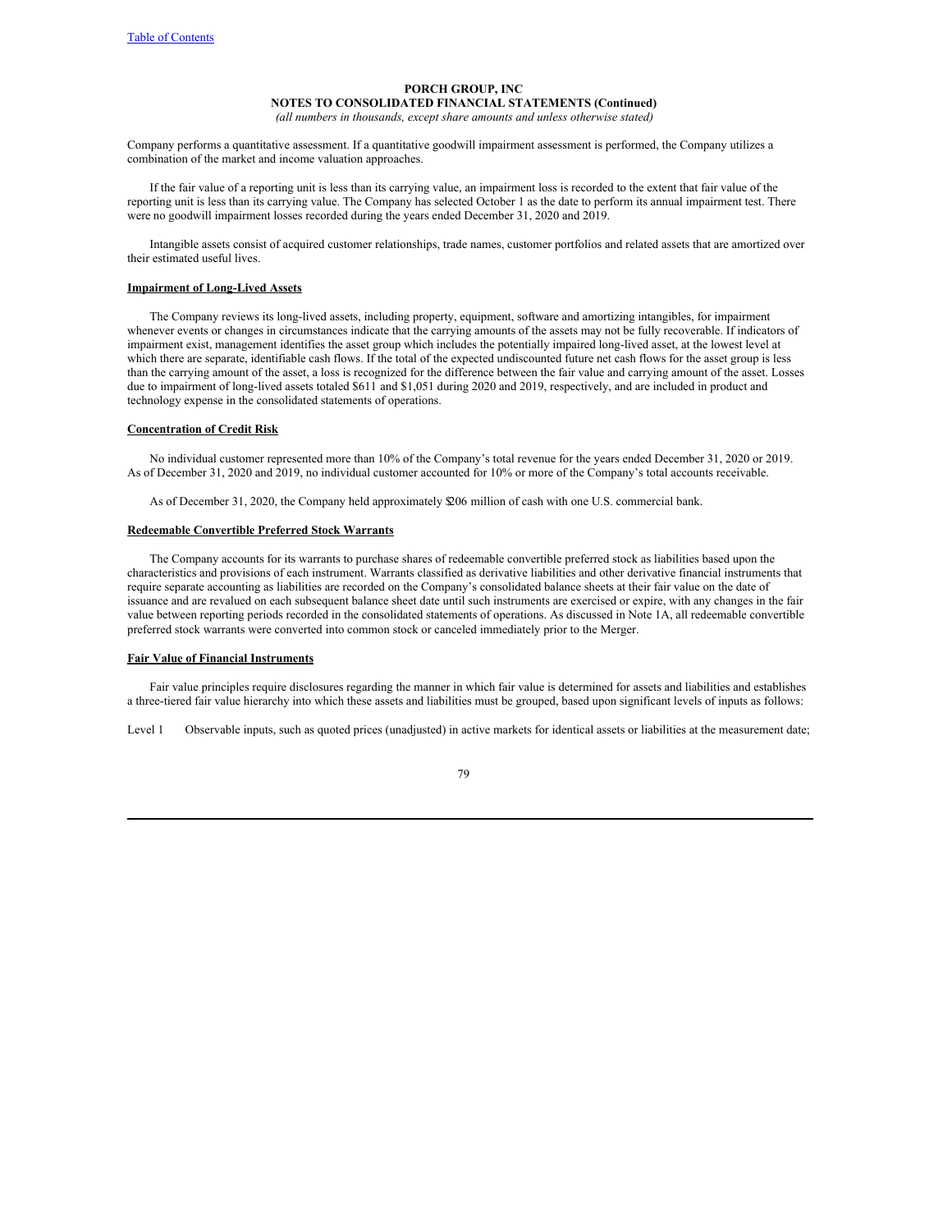*(all numbers in thousands, except share amounts and unless otherwise stated)*

Company performs a quantitative assessment. If a quantitative goodwill impairment assessment is performed, the Company utilizes a combination of the market and income valuation approaches.

If the fair value of a reporting unit is less than its carrying value, an impairment loss is recorded to the extent that fair value of the reporting unit is less than its carrying value. The Company has selected October 1 as the date to perform its annual impairment test. There were no goodwill impairment losses recorded during the years ended December 31, 2020 and 2019.

Intangible assets consist of acquired customer relationships, trade names, customer portfolios and related assets that are amortized over their estimated useful lives.

### **Impairment of Long-Lived Assets**

The Company reviews its long-lived assets, including property, equipment, software and amortizing intangibles, for impairment whenever events or changes in circumstances indicate that the carrying amounts of the assets may not be fully recoverable. If indicators of impairment exist, management identifies the asset group which includes the potentially impaired long-lived asset, at the lowest level at which there are separate, identifiable cash flows. If the total of the expected undiscounted future net cash flows for the asset group is less than the carrying amount of the asset, a loss is recognized for the difference between the fair value and carrying amount of the asset. Losses due to impairment of long-lived assets totaled \$611 and \$1,051 during 2020 and 2019, respectively, and are included in product and technology expense in the consolidated statements of operations.

## **Concentration of Credit Risk**

No individual customer represented more than 10% of the Company's total revenue for the years ended December 31, 2020 or 2019. As of December 31, 2020 and 2019, no individual customer accounted for 10% or more of the Company's total accounts receivable.

As of December 31, 2020, the Company held approximately \$206 million of cash with one U.S. commercial bank.

## **Redeemable Convertible Preferred Stock Warrants**

The Company accounts for its warrants to purchase shares of redeemable convertible preferred stock as liabilities based upon the characteristics and provisions of each instrument. Warrants classified as derivative liabilities and other derivative financial instruments that require separate accounting as liabilities are recorded on the Company's consolidated balance sheets at their fair value on the date of issuance and are revalued on each subsequent balance sheet date until such instruments are exercised or expire, with any changes in the fair value between reporting periods recorded in the consolidated statements of operations. As discussed in Note 1A, all redeemable convertible preferred stock warrants were converted into common stock or canceled immediately prior to the Merger.

## **Fair Value of Financial Instruments**

Fair value principles require disclosures regarding the manner in which fair value is determined for assets and liabilities and establishes a three-tiered fair value hierarchy into which these assets and liabilities must be grouped, based upon significant levels of inputs as follows:

Level 1 Observable inputs, such as quoted prices (unadjusted) in active markets for identical assets or liabilities at the measurement date;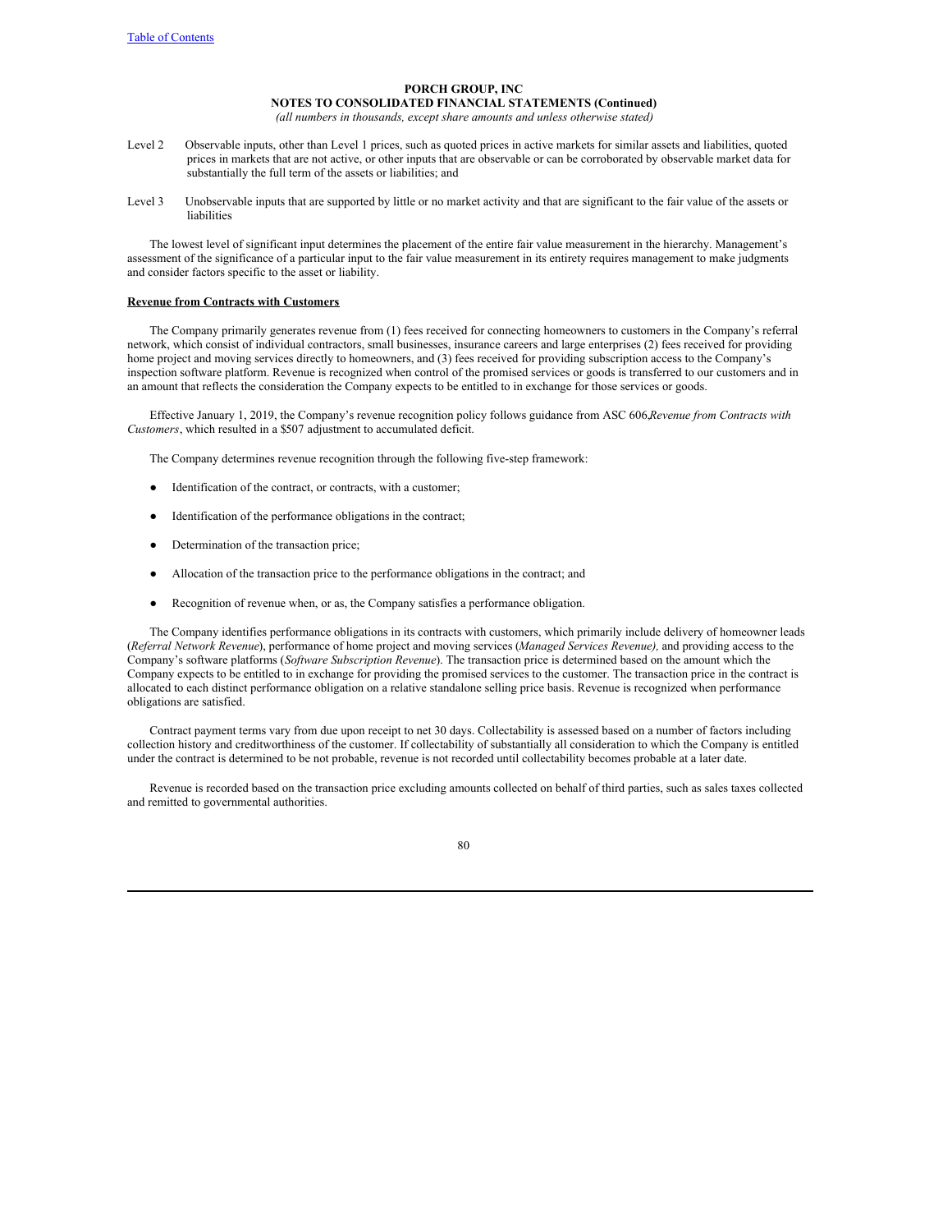*(all numbers in thousands, except share amounts and unless otherwise stated)*

- Level 2 Observable inputs, other than Level 1 prices, such as quoted prices in active markets for similar assets and liabilities, quoted prices in markets that are not active, or other inputs that are observable or can be corroborated by observable market data for substantially the full term of the assets or liabilities; and
- Level 3 Unobservable inputs that are supported by little or no market activity and that are significant to the fair value of the assets or liabilities

The lowest level of significant input determines the placement of the entire fair value measurement in the hierarchy. Management's assessment of the significance of a particular input to the fair value measurement in its entirety requires management to make judgments and consider factors specific to the asset or liability.

## **Revenue from Contracts with Customers**

The Company primarily generates revenue from (1) fees received for connecting homeowners to customers in the Company's referral network, which consist of individual contractors, small businesses, insurance careers and large enterprises (2) fees received for providing home project and moving services directly to homeowners, and (3) fees received for providing subscription access to the Company's inspection software platform. Revenue is recognized when control of the promised services or goods is transferred to our customers and in an amount that reflects the consideration the Company expects to be entitled to in exchange for those services or goods.

Effective January 1, 2019, the Company's revenue recognition policy follows guidance from ASC 606,*Revenue from Contracts with Customers*, which resulted in a \$507 adjustment to accumulated deficit.

The Company determines revenue recognition through the following five-step framework:

- Identification of the contract, or contracts, with a customer;
- Identification of the performance obligations in the contract;
- Determination of the transaction price;
- Allocation of the transaction price to the performance obligations in the contract; and
- Recognition of revenue when, or as, the Company satisfies a performance obligation.

The Company identifies performance obligations in its contracts with customers, which primarily include delivery of homeowner leads (*Referral Network Revenue*), performance of home project and moving services (*Managed Services Revenue),* and providing access to the Company's software platforms (*Software Subscription Revenue*). The transaction price is determined based on the amount which the Company expects to be entitled to in exchange for providing the promised services to the customer. The transaction price in the contract is allocated to each distinct performance obligation on a relative standalone selling price basis. Revenue is recognized when performance obligations are satisfied.

Contract payment terms vary from due upon receipt to net 30 days. Collectability is assessed based on a number of factors including collection history and creditworthiness of the customer. If collectability of substantially all consideration to which the Company is entitled under the contract is determined to be not probable, revenue is not recorded until collectability becomes probable at a later date.

Revenue is recorded based on the transaction price excluding amounts collected on behalf of third parties, such as sales taxes collected and remitted to governmental authorities.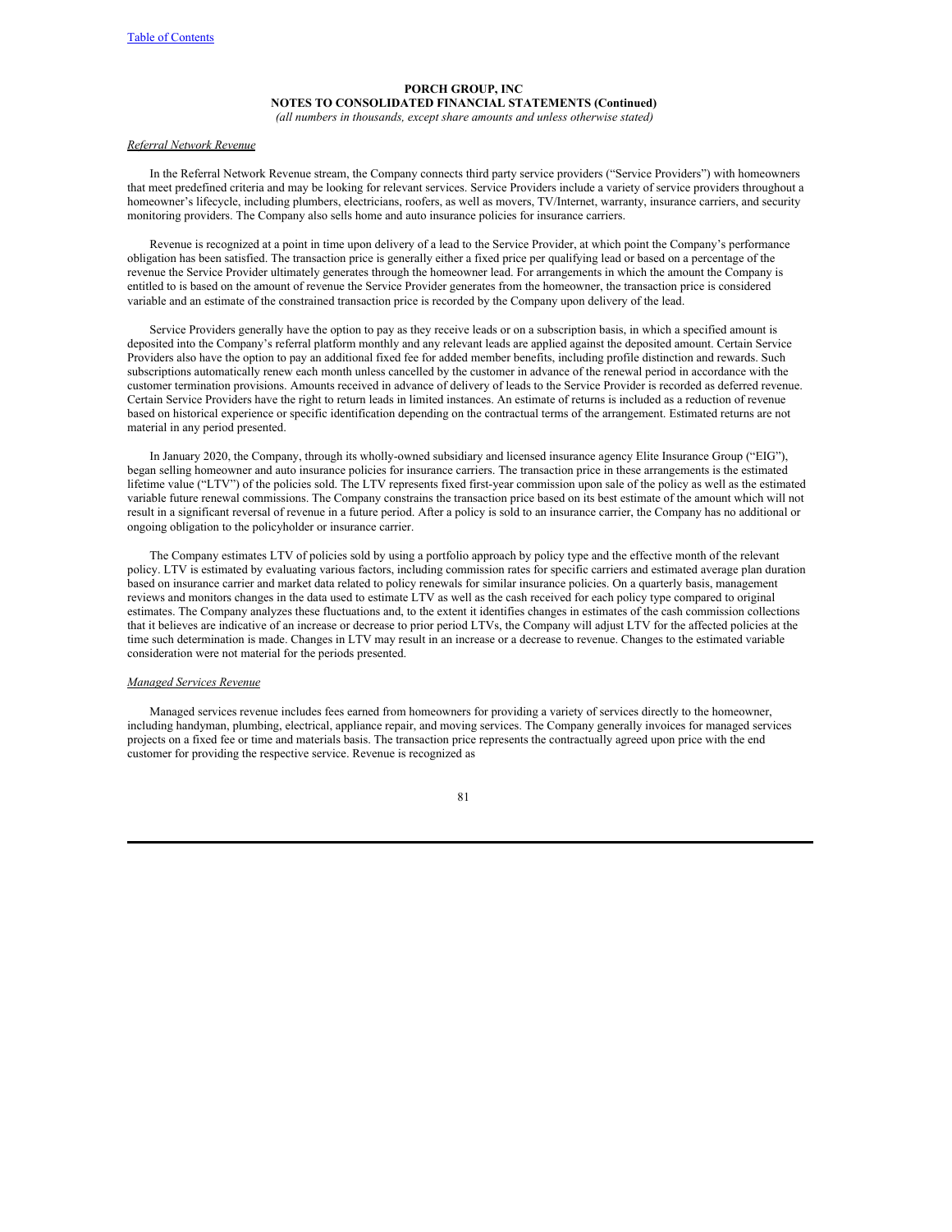*(all numbers in thousands, except share amounts and unless otherwise stated)*

# *Referral Network Revenue*

In the Referral Network Revenue stream, the Company connects third party service providers ("Service Providers") with homeowners that meet predefined criteria and may be looking for relevant services. Service Providers include a variety of service providers throughout a homeowner's lifecycle, including plumbers, electricians, roofers, as well as movers, TV/Internet, warranty, insurance carriers, and security monitoring providers. The Company also sells home and auto insurance policies for insurance carriers.

Revenue is recognized at a point in time upon delivery of a lead to the Service Provider, at which point the Company's performance obligation has been satisfied. The transaction price is generally either a fixed price per qualifying lead or based on a percentage of the revenue the Service Provider ultimately generates through the homeowner lead. For arrangements in which the amount the Company is entitled to is based on the amount of revenue the Service Provider generates from the homeowner, the transaction price is considered variable and an estimate of the constrained transaction price is recorded by the Company upon delivery of the lead.

Service Providers generally have the option to pay as they receive leads or on a subscription basis, in which a specified amount is deposited into the Company's referral platform monthly and any relevant leads are applied against the deposited amount. Certain Service Providers also have the option to pay an additional fixed fee for added member benefits, including profile distinction and rewards. Such subscriptions automatically renew each month unless cancelled by the customer in advance of the renewal period in accordance with the customer termination provisions. Amounts received in advance of delivery of leads to the Service Provider is recorded as deferred revenue. Certain Service Providers have the right to return leads in limited instances. An estimate of returns is included as a reduction of revenue based on historical experience or specific identification depending on the contractual terms of the arrangement. Estimated returns are not material in any period presented.

In January 2020, the Company, through its wholly-owned subsidiary and licensed insurance agency Elite Insurance Group ("EIG"), began selling homeowner and auto insurance policies for insurance carriers. The transaction price in these arrangements is the estimated lifetime value ("LTV") of the policies sold. The LTV represents fixed first-year commission upon sale of the policy as well as the estimated variable future renewal commissions. The Company constrains the transaction price based on its best estimate of the amount which will not result in a significant reversal of revenue in a future period. After a policy is sold to an insurance carrier, the Company has no additional or ongoing obligation to the policyholder or insurance carrier.

The Company estimates LTV of policies sold by using a portfolio approach by policy type and the effective month of the relevant policy. LTV is estimated by evaluating various factors, including commission rates for specific carriers and estimated average plan duration based on insurance carrier and market data related to policy renewals for similar insurance policies. On a quarterly basis, management reviews and monitors changes in the data used to estimate LTV as well as the cash received for each policy type compared to original estimates. The Company analyzes these fluctuations and, to the extent it identifies changes in estimates of the cash commission collections that it believes are indicative of an increase or decrease to prior period LTVs, the Company will adjust LTV for the affected policies at the time such determination is made. Changes in LTV may result in an increase or a decrease to revenue. Changes to the estimated variable consideration were not material for the periods presented.

## *Managed Services Revenue*

Managed services revenue includes fees earned from homeowners for providing a variety of services directly to the homeowner, including handyman, plumbing, electrical, appliance repair, and moving services. The Company generally invoices for managed services projects on a fixed fee or time and materials basis. The transaction price represents the contractually agreed upon price with the end customer for providing the respective service. Revenue is recognized as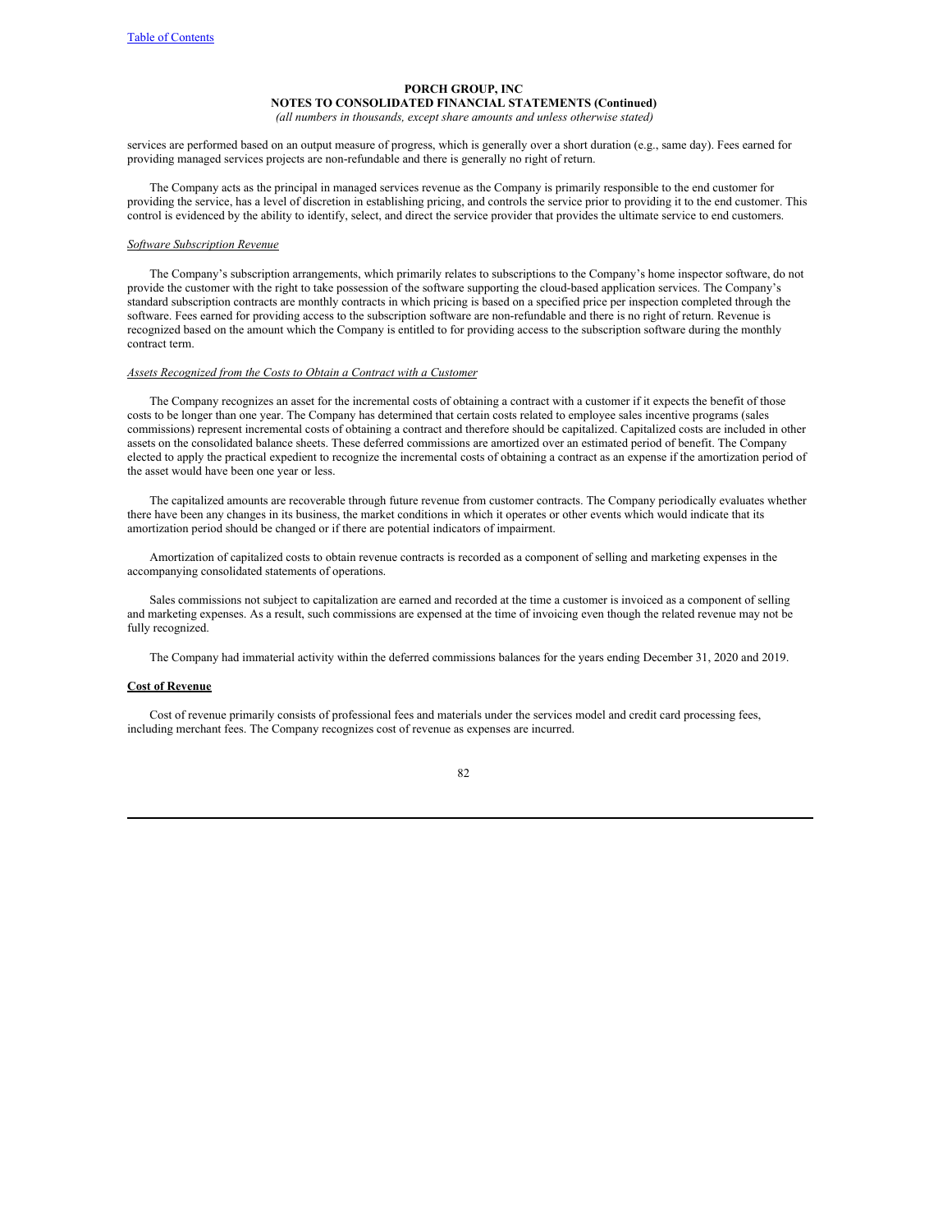*(all numbers in thousands, except share amounts and unless otherwise stated)*

services are performed based on an output measure of progress, which is generally over a short duration (e.g., same day). Fees earned for providing managed services projects are non-refundable and there is generally no right of return.

The Company acts as the principal in managed services revenue as the Company is primarily responsible to the end customer for providing the service, has a level of discretion in establishing pricing, and controls the service prior to providing it to the end customer. This control is evidenced by the ability to identify, select, and direct the service provider that provides the ultimate service to end customers.

#### *Software Subscription Revenue*

The Company's subscription arrangements, which primarily relates to subscriptions to the Company's home inspector software, do not provide the customer with the right to take possession of the software supporting the cloud-based application services. The Company's standard subscription contracts are monthly contracts in which pricing is based on a specified price per inspection completed through the software. Fees earned for providing access to the subscription software are non-refundable and there is no right of return. Revenue is recognized based on the amount which the Company is entitled to for providing access to the subscription software during the monthly contract term.

#### *Assets Recognized from the Costs to Obtain a Contract with a Customer*

The Company recognizes an asset for the incremental costs of obtaining a contract with a customer if it expects the benefit of those costs to be longer than one year. The Company has determined that certain costs related to employee sales incentive programs (sales commissions) represent incremental costs of obtaining a contract and therefore should be capitalized. Capitalized costs are included in other assets on the consolidated balance sheets. These deferred commissions are amortized over an estimated period of benefit. The Company elected to apply the practical expedient to recognize the incremental costs of obtaining a contract as an expense if the amortization period of the asset would have been one year or less.

The capitalized amounts are recoverable through future revenue from customer contracts. The Company periodically evaluates whether there have been any changes in its business, the market conditions in which it operates or other events which would indicate that its amortization period should be changed or if there are potential indicators of impairment.

Amortization of capitalized costs to obtain revenue contracts is recorded as a component of selling and marketing expenses in the accompanying consolidated statements of operations.

Sales commissions not subject to capitalization are earned and recorded at the time a customer is invoiced as a component of selling and marketing expenses. As a result, such commissions are expensed at the time of invoicing even though the related revenue may not be fully recognized.

The Company had immaterial activity within the deferred commissions balances for the years ending December 31, 2020 and 2019.

### **Cost of Revenue**

Cost of revenue primarily consists of professional fees and materials under the services model and credit card processing fees, including merchant fees. The Company recognizes cost of revenue as expenses are incurred.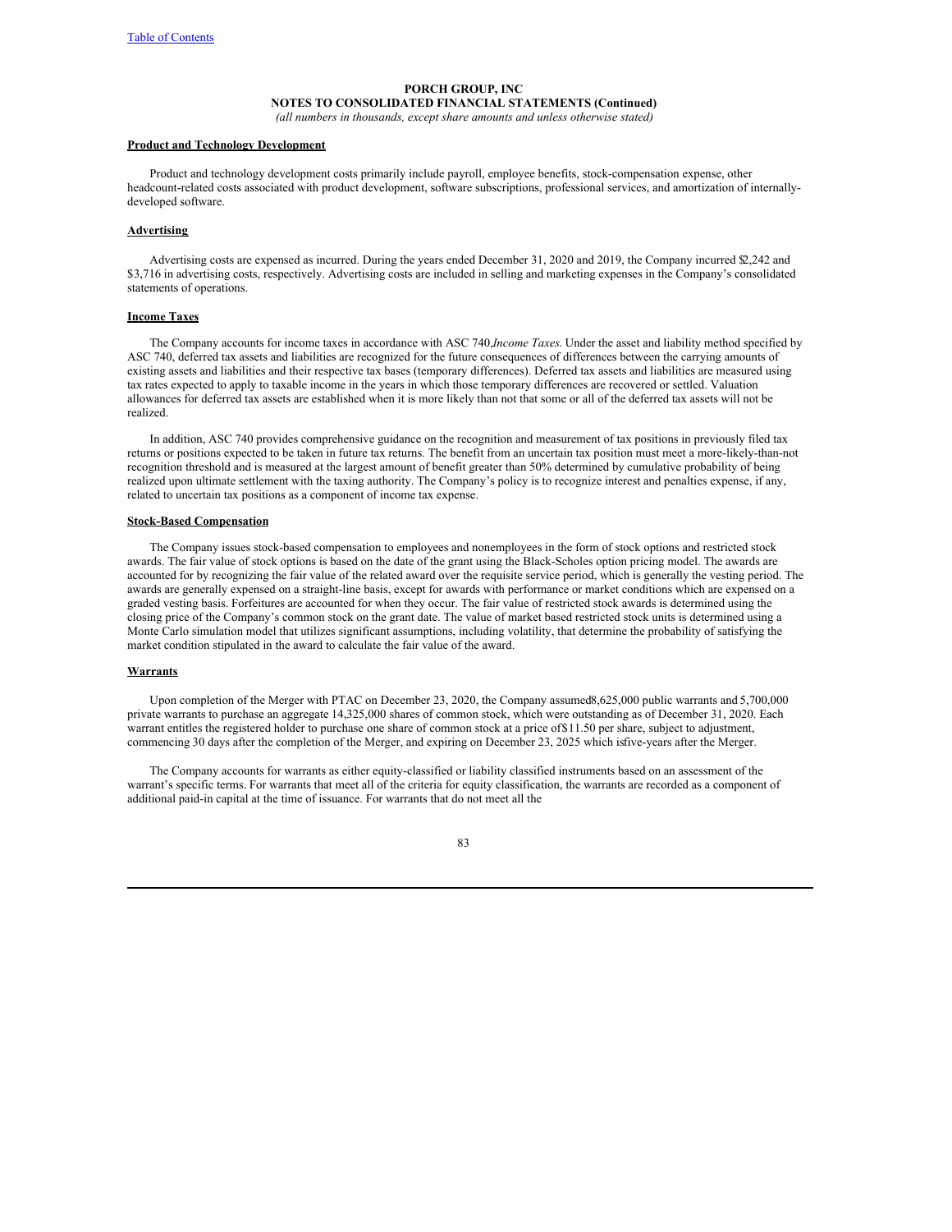*(all numbers in thousands, except share amounts and unless otherwise stated)*

## **Product and Technology Development**

Product and technology development costs primarily include payroll, employee benefits, stock-compensation expense, other headcount-related costs associated with product development, software subscriptions, professional services, and amortization of internallydeveloped software.

## **Advertising**

Advertising costs are expensed as incurred. During the years ended December 31, 2020 and 2019, the Company incurred \$2,242 and \$3,716 in advertising costs, respectively. Advertising costs are included in selling and marketing expenses in the Company's consolidated statements of operations.

### **Income Taxes**

The Company accounts for income taxes in accordance with ASC 740,*Income Taxes*. Under the asset and liability method specified by ASC 740, deferred tax assets and liabilities are recognized for the future consequences of differences between the carrying amounts of existing assets and liabilities and their respective tax bases (temporary differences). Deferred tax assets and liabilities are measured using tax rates expected to apply to taxable income in the years in which those temporary differences are recovered or settled. Valuation allowances for deferred tax assets are established when it is more likely than not that some or all of the deferred tax assets will not be realized.

In addition, ASC 740 provides comprehensive guidance on the recognition and measurement of tax positions in previously filed tax returns or positions expected to be taken in future tax returns. The benefit from an uncertain tax position must meet a more-likely-than-not recognition threshold and is measured at the largest amount of benefit greater than 50% determined by cumulative probability of being realized upon ultimate settlement with the taxing authority. The Company's policy is to recognize interest and penalties expense, if any, related to uncertain tax positions as a component of income tax expense.

### **Stock-Based Compensation**

The Company issues stock-based compensation to employees and nonemployees in the form of stock options and restricted stock awards. The fair value of stock options is based on the date of the grant using the Black-Scholes option pricing model. The awards are accounted for by recognizing the fair value of the related award over the requisite service period, which is generally the vesting period. The awards are generally expensed on a straight-line basis, except for awards with performance or market conditions which are expensed on a graded vesting basis. Forfeitures are accounted for when they occur. The fair value of restricted stock awards is determined using the closing price of the Company's common stock on the grant date. The value of market based restricted stock units is determined using a Monte Carlo simulation model that utilizes significant assumptions, including volatility, that determine the probability of satisfying the market condition stipulated in the award to calculate the fair value of the award.

#### **Warrants**

Upon completion of the Merger with PTAC on December 23, 2020, the Company assumed8,625,000 public warrants and 5,700,000 private warrants to purchase an aggregate 14,325,000 shares of common stock, which were outstanding as of December 31, 2020. Each warrant entitles the registered holder to purchase one share of common stock at a price of\$11.50 per share, subject to adjustment, commencing 30 days after the completion of the Merger, and expiring on December 23, 2025 which isfive-years after the Merger.

The Company accounts for warrants as either equity-classified or liability classified instruments based on an assessment of the warrant's specific terms. For warrants that meet all of the criteria for equity classification, the warrants are recorded as a component of additional paid-in capital at the time of issuance. For warrants that do not meet all the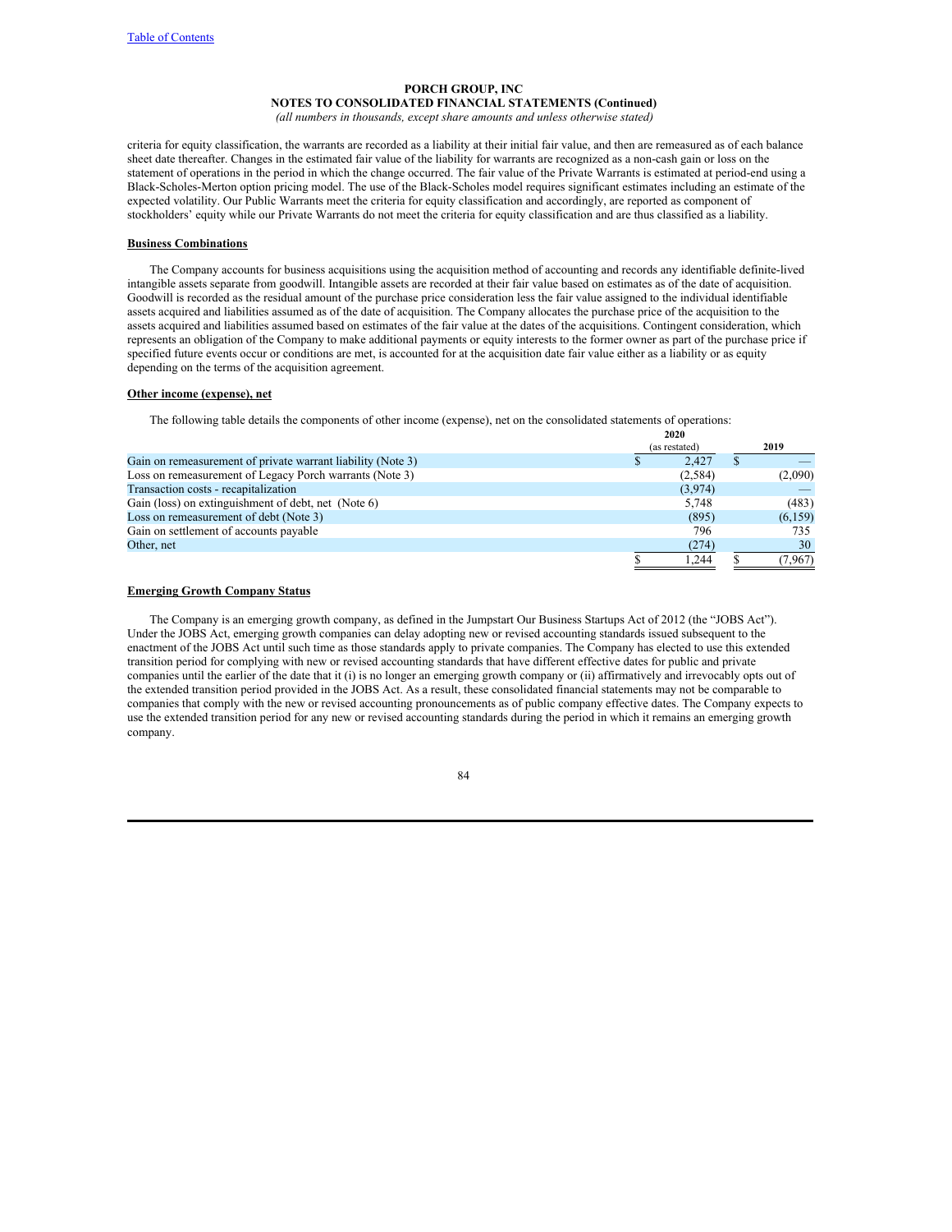*(all numbers in thousands, except share amounts and unless otherwise stated)*

criteria for equity classification, the warrants are recorded as a liability at their initial fair value, and then are remeasured as of each balance sheet date thereafter. Changes in the estimated fair value of the liability for warrants are recognized as a non-cash gain or loss on the statement of operations in the period in which the change occurred. The fair value of the Private Warrants is estimated at period-end using a Black-Scholes-Merton option pricing model. The use of the Black-Scholes model requires significant estimates including an estimate of the expected volatility. Our Public Warrants meet the criteria for equity classification and accordingly, are reported as component of stockholders' equity while our Private Warrants do not meet the criteria for equity classification and are thus classified as a liability.

#### **Business Combinations**

The Company accounts for business acquisitions using the acquisition method of accounting and records any identifiable definite-lived intangible assets separate from goodwill. Intangible assets are recorded at their fair value based on estimates as of the date of acquisition. Goodwill is recorded as the residual amount of the purchase price consideration less the fair value assigned to the individual identifiable assets acquired and liabilities assumed as of the date of acquisition. The Company allocates the purchase price of the acquisition to the assets acquired and liabilities assumed based on estimates of the fair value at the dates of the acquisitions. Contingent consideration, which represents an obligation of the Company to make additional payments or equity interests to the former owner as part of the purchase price if specified future events occur or conditions are met, is accounted for at the acquisition date fair value either as a liability or as equity depending on the terms of the acquisition agreement.

### **Other income (expense), net**

The following table details the components of other income (expense), net on the consolidated statements of operations:

|                                                             | 2020          |  |          |  |
|-------------------------------------------------------------|---------------|--|----------|--|
|                                                             | (as restated) |  | 2019     |  |
| Gain on remeasurement of private warrant liability (Note 3) | 2.427         |  |          |  |
| Loss on remeasurement of Legacy Porch warrants (Note 3)     | (2,584)       |  | (2,090)  |  |
| Transaction costs - recapitalization                        | (3,974)       |  |          |  |
| Gain (loss) on extinguishment of debt, net (Note 6)         | 5,748         |  | (483)    |  |
| Loss on remeasurement of debt (Note 3)                      | (895)         |  | (6, 159) |  |
| Gain on settlement of accounts payable                      | 796           |  | 735      |  |
| Other, net                                                  | (274)         |  | 30       |  |
|                                                             | 1.244         |  | (7.967)  |  |

# **Emerging Growth Company Status**

The Company is an emerging growth company, as defined in the Jumpstart Our Business Startups Act of 2012 (the "JOBS Act"). Under the JOBS Act, emerging growth companies can delay adopting new or revised accounting standards issued subsequent to the enactment of the JOBS Act until such time as those standards apply to private companies. The Company has elected to use this extended transition period for complying with new or revised accounting standards that have different effective dates for public and private companies until the earlier of the date that it (i) is no longer an emerging growth company or (ii) affirmatively and irrevocably opts out of the extended transition period provided in the JOBS Act. As a result, these consolidated financial statements may not be comparable to companies that comply with the new or revised accounting pronouncements as of public company effective dates. The Company expects to use the extended transition period for any new or revised accounting standards during the period in which it remains an emerging growth company.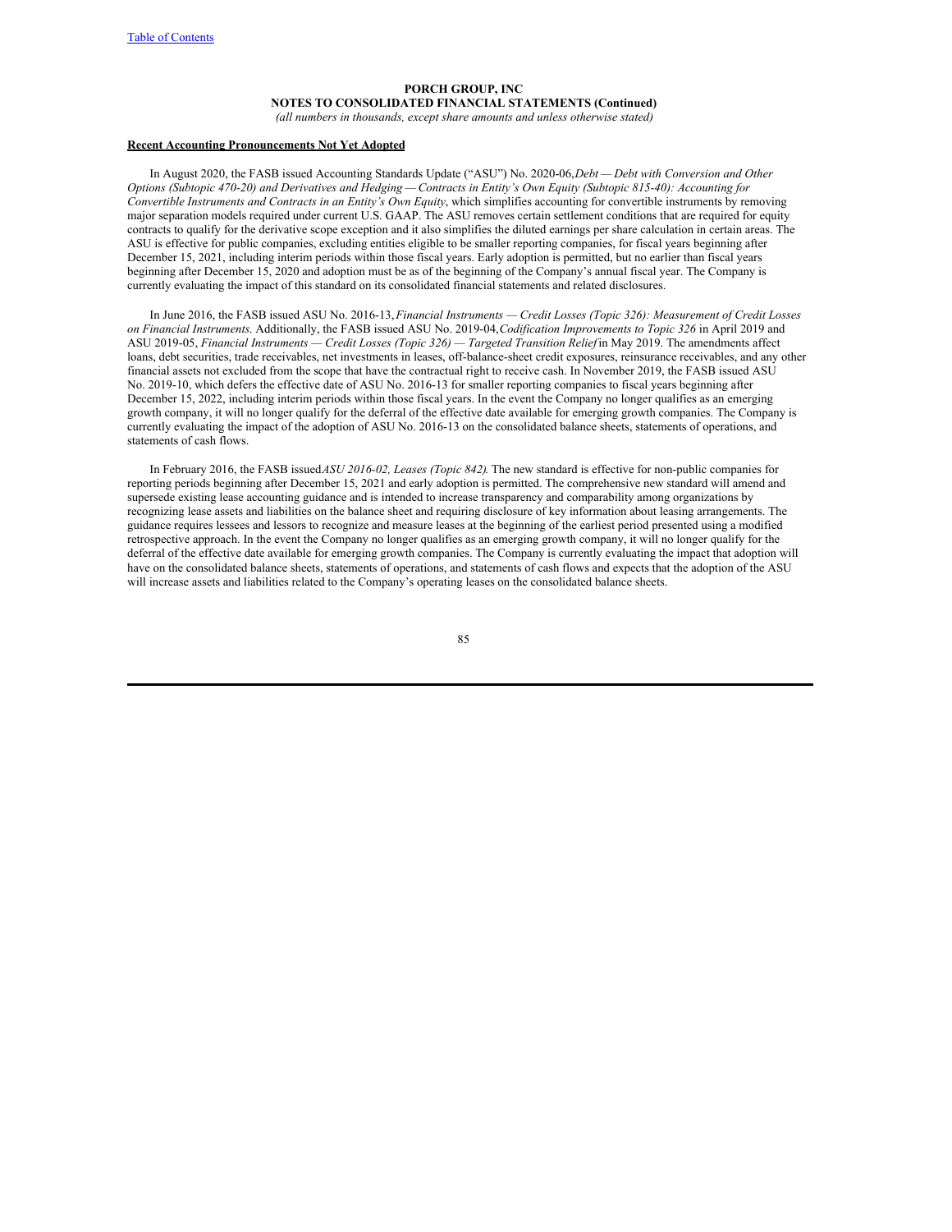# *(all numbers in thousands, except share amounts and unless otherwise stated)*

### **Recent Accounting Pronouncements Not Yet Adopted**

In August 2020, the FASB issued Accounting Standards Update ("ASU") No. 2020-06,*Debt — Debt with Conversion and Other* Options (Subtopic 470-20) and Derivatives and Hedging - Contracts in Entity's Own Equity (Subtopic 815-40): Accounting for *Convertible Instruments and Contracts in an Entity's Own Equity*, which simplifies accounting for convertible instruments by removing major separation models required under current U.S. GAAP. The ASU removes certain settlement conditions that are required for equity contracts to qualify for the derivative scope exception and it also simplifies the diluted earnings per share calculation in certain areas. The ASU is effective for public companies, excluding entities eligible to be smaller reporting companies, for fiscal years beginning after December 15, 2021, including interim periods within those fiscal years. Early adoption is permitted, but no earlier than fiscal years beginning after December 15, 2020 and adoption must be as of the beginning of the Company's annual fiscal year. The Company is currently evaluating the impact of this standard on its consolidated financial statements and related disclosures.

In June 2016, the FASB issued ASU No. 2016-13,*Financial Instruments — Credit Losses (Topic 326): Measurement of Credit Losses on Financial Instruments*. Additionally, the FASB issued ASU No. 2019-04,*Codification Improvements to Topic 326* in April 2019 and ASU 2019-05, *Financial Instruments — Credit Losses (Topic 326) — Targeted Transition Relief* in May 2019. The amendments affect loans, debt securities, trade receivables, net investments in leases, off-balance-sheet credit exposures, reinsurance receivables, and any other financial assets not excluded from the scope that have the contractual right to receive cash. In November 2019, the FASB issued ASU No. 2019-10, which defers the effective date of ASU No. 2016-13 for smaller reporting companies to fiscal years beginning after December 15, 2022, including interim periods within those fiscal years. In the event the Company no longer qualifies as an emerging growth company, it will no longer qualify for the deferral of the effective date available for emerging growth companies. The Company is currently evaluating the impact of the adoption of ASU No. 2016-13 on the consolidated balance sheets, statements of operations, and statements of cash flows.

In February 2016, the FASB issued*ASU 2016-02, Leases (Topic 842)*. The new standard is effective for non-public companies for reporting periods beginning after December 15, 2021 and early adoption is permitted. The comprehensive new standard will amend and supersede existing lease accounting guidance and is intended to increase transparency and comparability among organizations by recognizing lease assets and liabilities on the balance sheet and requiring disclosure of key information about leasing arrangements. The guidance requires lessees and lessors to recognize and measure leases at the beginning of the earliest period presented using a modified retrospective approach. In the event the Company no longer qualifies as an emerging growth company, it will no longer qualify for the deferral of the effective date available for emerging growth companies. The Company is currently evaluating the impact that adoption will have on the consolidated balance sheets, statements of operations, and statements of cash flows and expects that the adoption of the ASU will increase assets and liabilities related to the Company's operating leases on the consolidated balance sheets.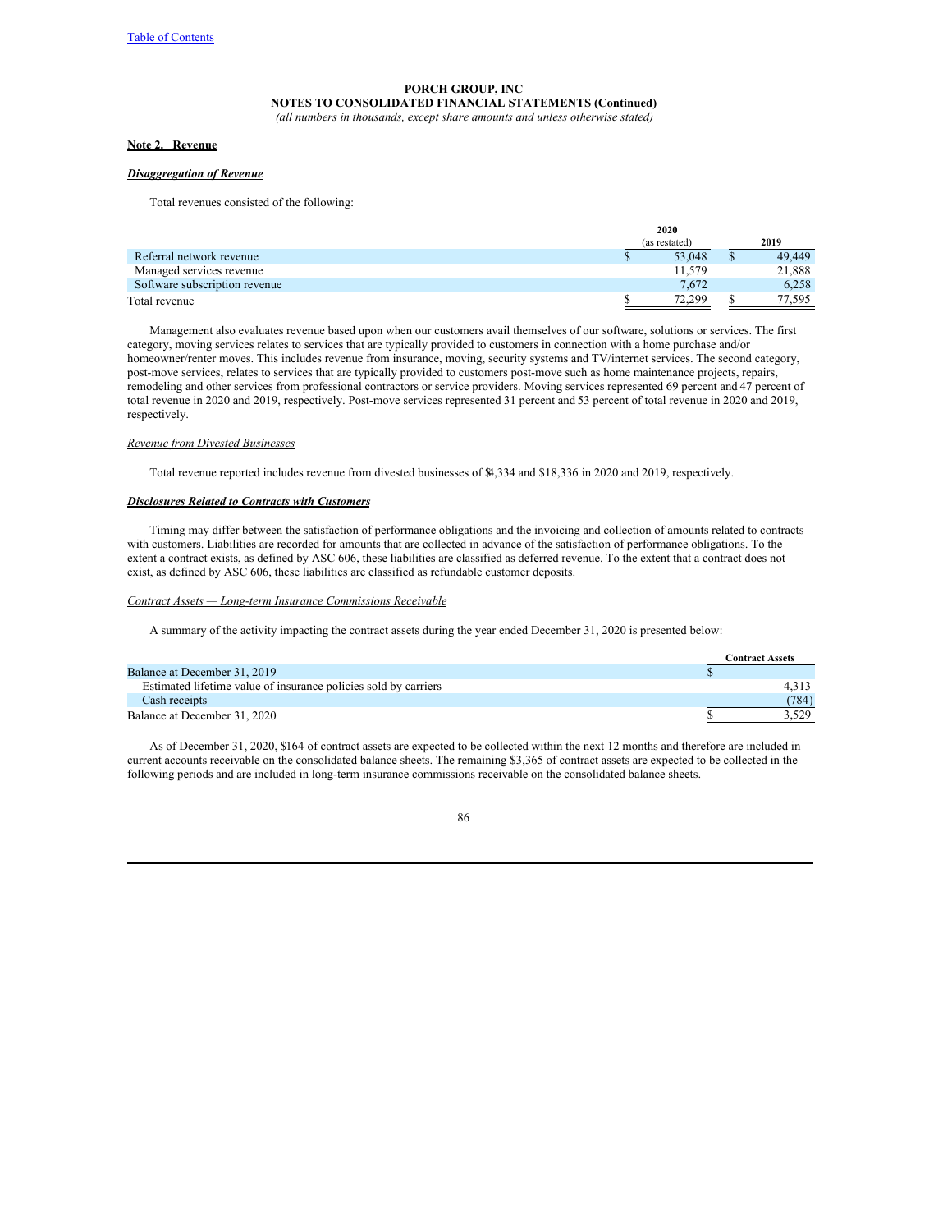*(all numbers in thousands, except share amounts and unless otherwise stated)*

# **Note 2. Revenue**

# *Disaggregation of Revenue*

Total revenues consisted of the following:

|                               | (as restated) |        |  | 2019   |
|-------------------------------|---------------|--------|--|--------|
| Referral network revenue      |               | 53,048 |  | 49.449 |
| Managed services revenue      |               | 11.579 |  | 21.888 |
| Software subscription revenue |               | 7.672  |  | 6.258  |
| Total revenue                 |               | 72.299 |  | 77.595 |

Management also evaluates revenue based upon when our customers avail themselves of our software, solutions or services. The first category, moving services relates to services that are typically provided to customers in connection with a home purchase and/or homeowner/renter moves. This includes revenue from insurance, moving, security systems and TV/internet services. The second category, post-move services, relates to services that are typically provided to customers post-move such as home maintenance projects, repairs, remodeling and other services from professional contractors or service providers. Moving services represented 69 percent and 47 percent of total revenue in 2020 and 2019, respectively. Post-move services represented 31 percent and 53 percent of total revenue in 2020 and 2019, respectively.

## *Revenue from Divested Businesses*

Total revenue reported includes revenue from divested businesses of \$4,334 and \$18,336 in 2020 and 2019, respectively.

### *Disclosures Related to Contracts with Customers*

Timing may differ between the satisfaction of performance obligations and the invoicing and collection of amounts related to contracts with customers. Liabilities are recorded for amounts that are collected in advance of the satisfaction of performance obligations. To the extent a contract exists, as defined by ASC 606, these liabilities are classified as deferred revenue. To the extent that a contract does not exist, as defined by ASC 606, these liabilities are classified as refundable customer deposits.

#### *Contract Assets — Long-term Insurance Commissions Receivable*

A summary of the activity impacting the contract assets during the year ended December 31, 2020 is presented below:

|                                                                 | <b>Contract Assets</b> |
|-----------------------------------------------------------------|------------------------|
| Balance at December 31, 2019                                    |                        |
| Estimated lifetime value of insurance policies sold by carriers | 4.313                  |
| Cash receipts                                                   | (784)                  |
| Balance at December 31, 2020                                    | 5,529                  |

As of December 31, 2020, \$164 of contract assets are expected to be collected within the next 12 months and therefore are included in current accounts receivable on the consolidated balance sheets. The remaining \$3,365 of contract assets are expected to be collected in the following periods and are included in long-term insurance commissions receivable on the consolidated balance sheets.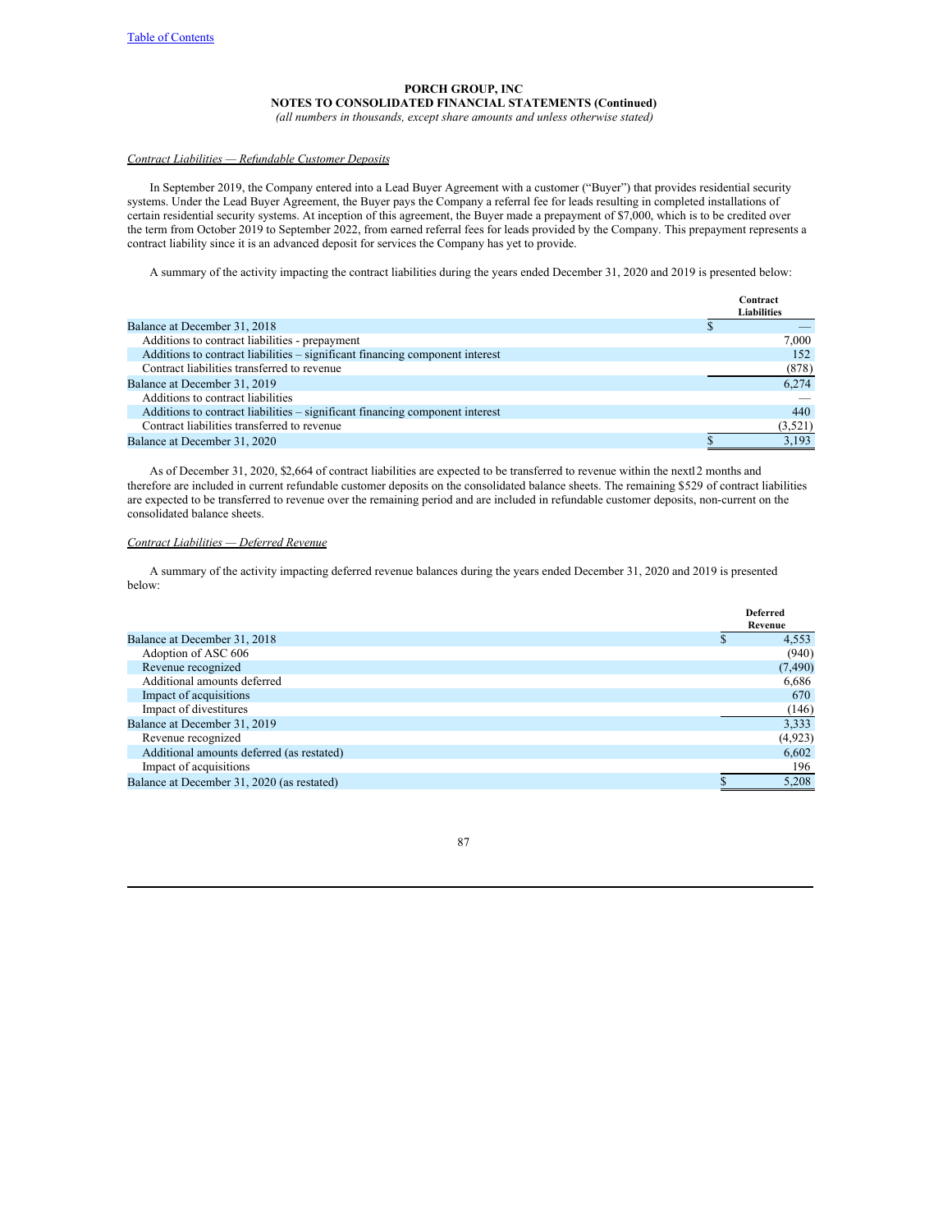*(all numbers in thousands, except share amounts and unless otherwise stated)*

### *Contract Liabilities — Refundable Customer Deposits*

In September 2019, the Company entered into a Lead Buyer Agreement with a customer ("Buyer") that provides residential security systems. Under the Lead Buyer Agreement, the Buyer pays the Company a referral fee for leads resulting in completed installations of certain residential security systems. At inception of this agreement, the Buyer made a prepayment of \$7,000, which is to be credited over the term from October 2019 to September 2022, from earned referral fees for leads provided by the Company. This prepayment represents a contract liability since it is an advanced deposit for services the Company has yet to provide.

A summary of the activity impacting the contract liabilities during the years ended December 31, 2020 and 2019 is presented below:

|                                                                              | Contract           |
|------------------------------------------------------------------------------|--------------------|
|                                                                              | <b>Liabilities</b> |
| Balance at December 31, 2018                                                 |                    |
| Additions to contract liabilities - prepayment                               | 7.000              |
| Additions to contract liabilities – significant financing component interest | 152                |
| Contract liabilities transferred to revenue                                  | (878)              |
| Balance at December 31, 2019                                                 | 6,274              |
| Additions to contract liabilities                                            |                    |
| Additions to contract liabilities – significant financing component interest | 440                |
| Contract liabilities transferred to revenue                                  | (3,521)            |
| Balance at December 31, 2020                                                 | 3,193              |

As of December 31, 2020, \$2,664 of contract liabilities are expected to be transferred to revenue within the next12 months and therefore are included in current refundable customer deposits on the consolidated balance sheets. The remaining \$529 of contract liabilities are expected to be transferred to revenue over the remaining period and are included in refundable customer deposits, non-current on the consolidated balance sheets.

# *Contract Liabilities — Deferred Revenue*

A summary of the activity impacting deferred revenue balances during the years ended December 31, 2020 and 2019 is presented below:

|                                            | <b>Deferred</b> |
|--------------------------------------------|-----------------|
|                                            | Revenue         |
| Balance at December 31, 2018               | 4,553           |
| Adoption of ASC 606                        | (940)           |
| Revenue recognized                         | (7,490)         |
| Additional amounts deferred                | 6,686           |
| Impact of acquisitions                     | 670             |
| Impact of divestitures                     | (146)           |
| Balance at December 31, 2019               | 3,333           |
| Revenue recognized                         | (4, 923)        |
| Additional amounts deferred (as restated)  | 6,602           |
| Impact of acquisitions                     | 196             |
| Balance at December 31, 2020 (as restated) | 5,208           |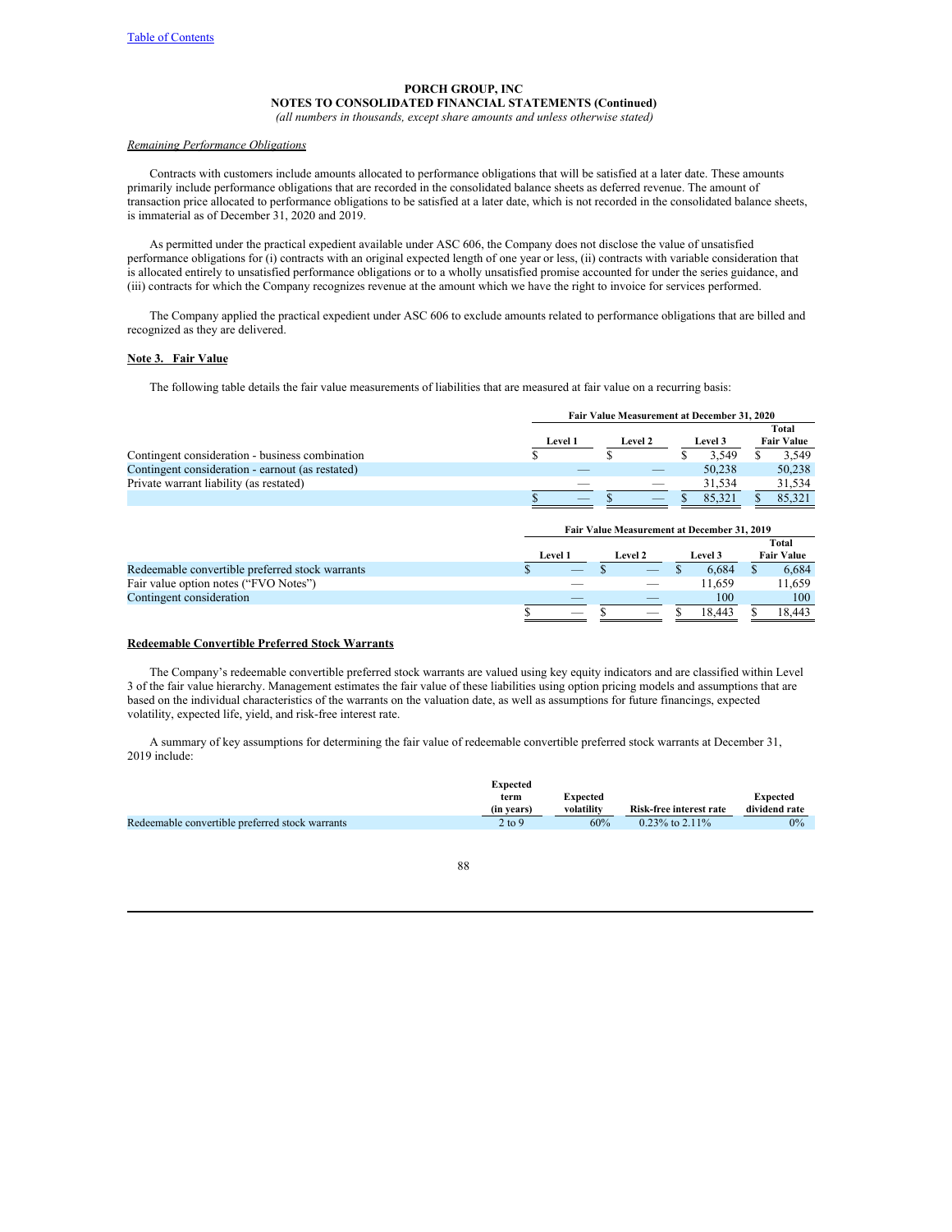*(all numbers in thousands, except share amounts and unless otherwise stated)*

## *Remaining Performance Obligations*

Contracts with customers include amounts allocated to performance obligations that will be satisfied at a later date. These amounts primarily include performance obligations that are recorded in the consolidated balance sheets as deferred revenue. The amount of transaction price allocated to performance obligations to be satisfied at a later date, which is not recorded in the consolidated balance sheets, is immaterial as of December 31, 2020 and 2019.

As permitted under the practical expedient available under ASC 606, the Company does not disclose the value of unsatisfied performance obligations for (i) contracts with an original expected length of one year or less, (ii) contracts with variable consideration that is allocated entirely to unsatisfied performance obligations or to a wholly unsatisfied promise accounted for under the series guidance, and (iii) contracts for which the Company recognizes revenue at the amount which we have the right to invoice for services performed.

The Company applied the practical expedient under ASC 606 to exclude amounts related to performance obligations that are billed and recognized as they are delivered.

### **Note 3. Fair Value**

The following table details the fair value measurements of liabilities that are measured at fair value on a recurring basis:

|                                                  |  | Fair Value Measurement at December 31, 2020 |  |         |         |        |  |                            |  |  |
|--------------------------------------------------|--|---------------------------------------------|--|---------|---------|--------|--|----------------------------|--|--|
|                                                  |  | Level 1                                     |  | Level 2 | Level 3 |        |  | Total<br><b>Fair Value</b> |  |  |
| Contingent consideration - business combination  |  |                                             |  |         |         | 3.549  |  | 3.549                      |  |  |
| Contingent consideration - earnout (as restated) |  |                                             |  |         |         | 50,238 |  | 50,238                     |  |  |
| Private warrant liability (as restated)          |  |                                             |  |         |         | 31.534 |  | 31.534                     |  |  |
|                                                  |  |                                             |  |         |         | 85.321 |  | 85.321                     |  |  |
|                                                  |  |                                             |  |         |         |        |  |                            |  |  |

|                                                 |         | Fair Value Measurement at December 31, 2019 |         |    |  |        |  |        |  |                |  |                   |
|-------------------------------------------------|---------|---------------------------------------------|---------|----|--|--------|--|--------|--|----------------|--|-------------------|
|                                                 |         |                                             |         |    |  |        |  | Total  |  |                |  |                   |
|                                                 | Level 1 |                                             | Level 2 |    |  |        |  |        |  | <b>Level 3</b> |  | <b>Fair Value</b> |
| Redeemable convertible preferred stock warrants |         |                                             |         |    |  | 6.684  |  | 6.684  |  |                |  |                   |
| Fair value option notes ("FVO Notes")           |         |                                             |         |    |  | 11.659 |  | 11.659 |  |                |  |                   |
| Contingent consideration                        |         |                                             |         |    |  | 100    |  | 100    |  |                |  |                   |
|                                                 |         | $\overline{\phantom{a}}$                    |         | __ |  | 18.443 |  | 18.443 |  |                |  |                   |

### **Redeemable Convertible Preferred Stock Warrants**

The Company's redeemable convertible preferred stock warrants are valued using key equity indicators and are classified within Level 3 of the fair value hierarchy. Management estimates the fair value of these liabilities using option pricing models and assumptions that are based on the individual characteristics of the warrants on the valuation date, as well as assumptions for future financings, expected volatility, expected life, yield, and risk-free interest rate.

A summary of key assumptions for determining the fair value of redeemable convertible preferred stock warrants at December 31, 2019 include:

|                                                 | <b>Expected</b> |            |                         |               |
|-------------------------------------------------|-----------------|------------|-------------------------|---------------|
|                                                 | term            | Expected   |                         | Expected      |
|                                                 | (in years)      | volatility | Risk-free interest rate | dividend rate |
| Redeemable convertible preferred stock warrants | 2 to 9          | 60%        | 0.23\% to 2.11\%        | 0%            |

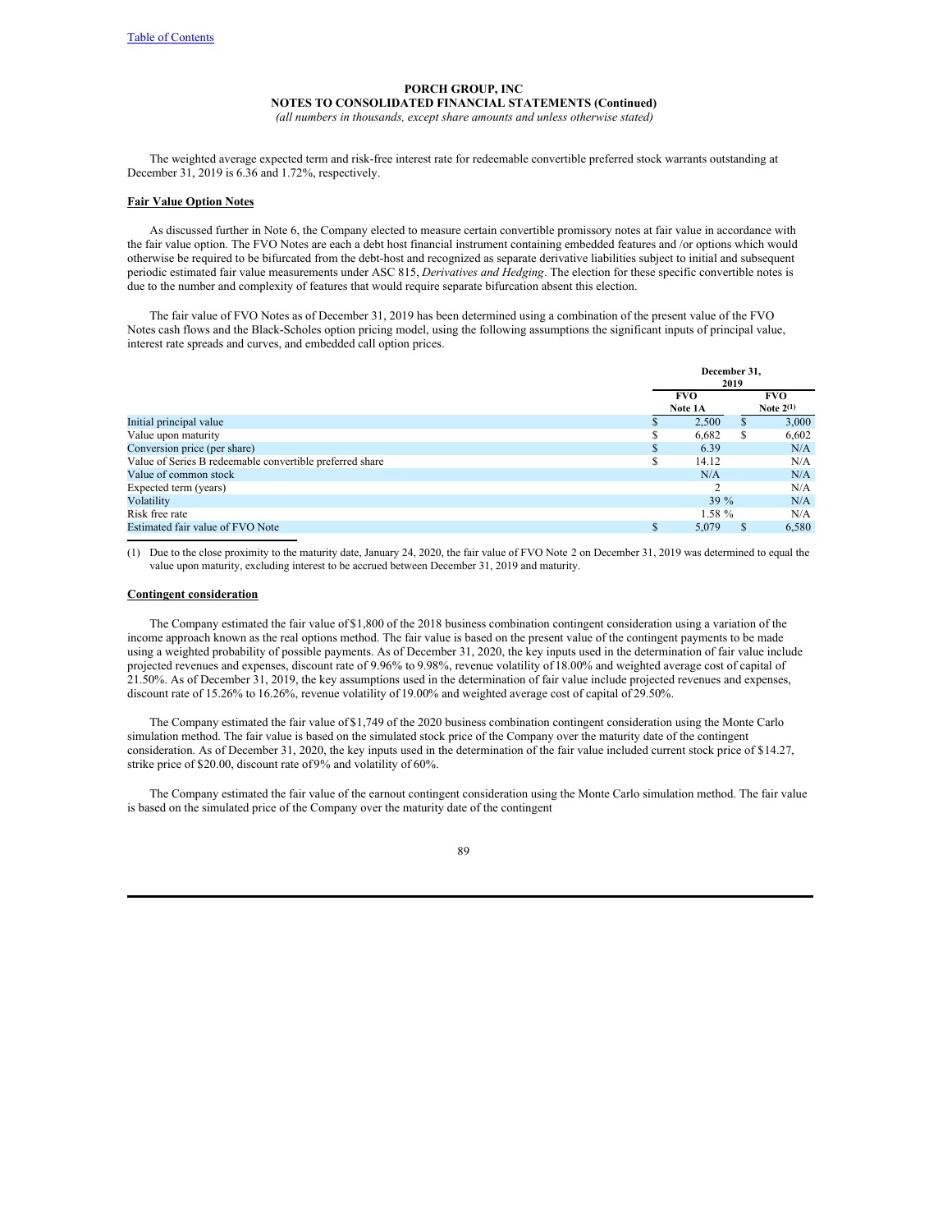*(all numbers in thousands, except share amounts and unless otherwise stated)*

The weighted average expected term and risk-free interest rate for redeemable convertible preferred stock warrants outstanding at December 31, 2019 is 6.36 and 1.72%, respectively.

### **Fair Value Option Notes**

As discussed further in Note 6, the Company elected to measure certain convertible promissory notes at fair value in accordance with the fair value option. The FVO Notes are each a debt host financial instrument containing embedded features and /or options which would otherwise be required to be bifurcated from the debt-host and recognized as separate derivative liabilities subject to initial and subsequent periodic estimated fair value measurements under ASC 815, *Derivatives and Hedging*. The election for these specific convertible notes is due to the number and complexity of features that would require separate bifurcation absent this election.

The fair value of FVO Notes as of December 31, 2019 has been determined using a combination of the present value of the FVO Notes cash flows and the Black-Scholes option pricing model, using the following assumptions the significant inputs of principal value, interest rate spreads and curves, and embedded call option prices.

|                                                          | December 31.          | 2019 |                              |
|----------------------------------------------------------|-----------------------|------|------------------------------|
|                                                          | <b>FVO</b><br>Note 1A |      | <b>FVO</b><br>Note $2^{(1)}$ |
| Initial principal value                                  | 2,500                 | S.   | 3,000                        |
| Value upon maturity                                      | 6,682                 | S    | 6,602                        |
| Conversion price (per share)                             | 6.39                  |      | N/A                          |
| Value of Series B redeemable convertible preferred share | 14.12                 |      | N/A                          |
| Value of common stock                                    | N/A                   |      | N/A                          |
| Expected term (years)                                    | ∍                     |      | N/A                          |
| Volatility                                               | $39\%$                |      | N/A                          |
| Risk free rate                                           | 1.58 %                |      | N/A                          |
| Estimated fair value of FVO Note                         | \$<br>5.079           | S    | 6.580                        |

(1) Due to the close proximity to the maturity date, January 24, 2020, the fair value of FVO Note 2 on December 31, 2019 was determined to equal the value upon maturity, excluding interest to be accrued between December 31, 2019 and maturity.

## **Contingent consideration**

The Company estimated the fair value of \$1,800 of the 2018 business combination contingent consideration using a variation of the income approach known as the real options method. The fair value is based on the present value of the contingent payments to be made using a weighted probability of possible payments. As of December 31, 2020, the key inputs used in the determination of fair value include projected revenues and expenses, discount rate of 9.96% to 9.98%, revenue volatility of 18.00% and weighted average cost of capital of 21.50%. As of December 31, 2019, the key assumptions used in the determination of fair value include projected revenues and expenses, discount rate of 15.26% to 16.26%, revenue volatility of 19.00% and weighted average cost of capital of 29.50%.

The Company estimated the fair value of \$1,749 of the 2020 business combination contingent consideration using the Monte Carlo simulation method. The fair value is based on the simulated stock price of the Company over the maturity date of the contingent consideration. As of December 31, 2020, the key inputs used in the determination of the fair value included current stock price of \$14.27, strike price of \$20.00, discount rate of 9% and volatility of 60%.

The Company estimated the fair value of the earnout contingent consideration using the Monte Carlo simulation method. The fair value is based on the simulated price of the Company over the maturity date of the contingent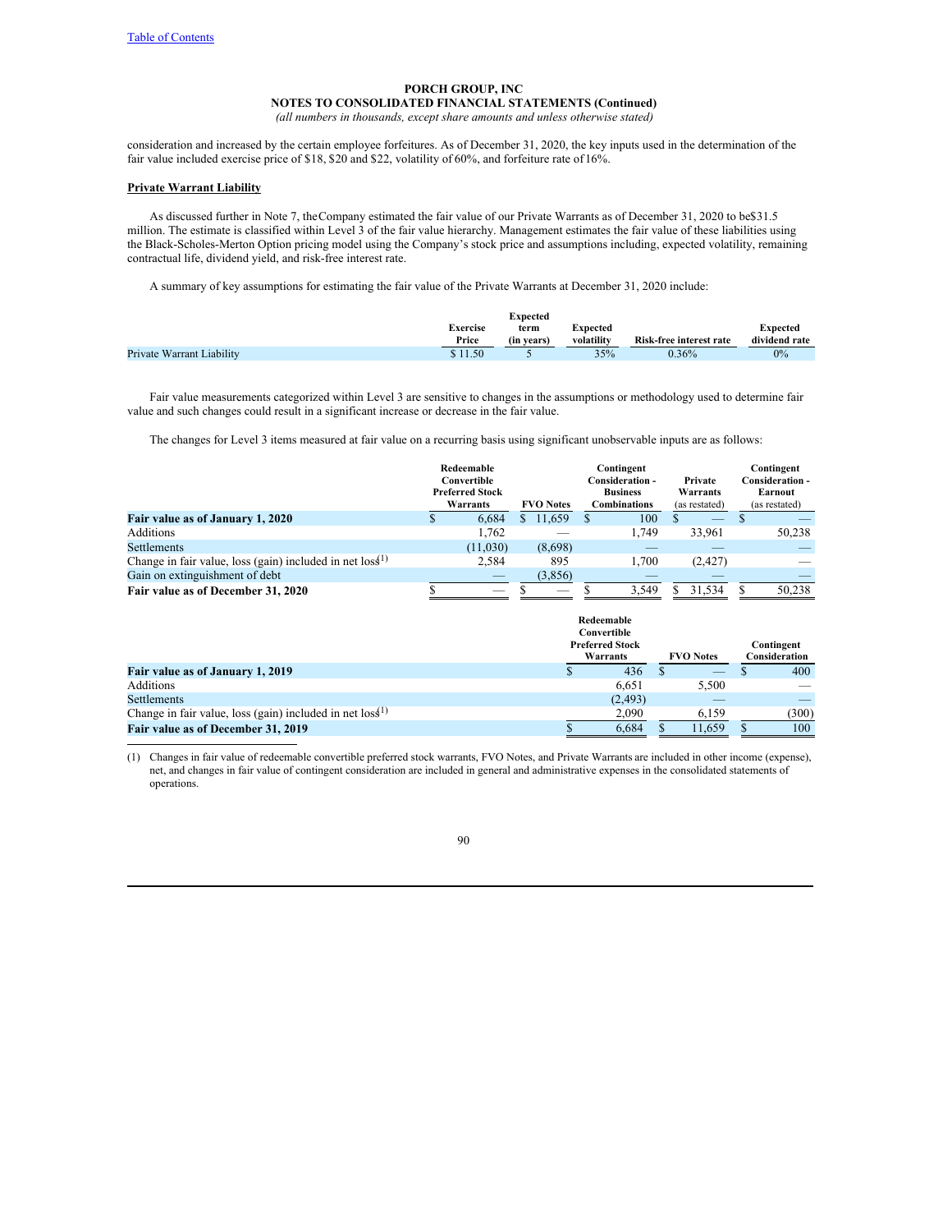*(all numbers in thousands, except share amounts and unless otherwise stated)*

consideration and increased by the certain employee forfeitures. As of December 31, 2020, the key inputs used in the determination of the fair value included exercise price of \$18, \$20 and \$22, volatility of 60%, and forfeiture rate of 16%.

# **Private Warrant Liability**

As discussed further in Note 7, the Company estimated the fair value of our Private Warrants as of December 31, 2020 to be\$31.5 million. The estimate is classified within Level 3 of the fair value hierarchy. Management estimates the fair value of these liabilities using the Black-Scholes-Merton Option pricing model using the Company's stock price and assumptions including, expected volatility, remaining contractual life, dividend yield, and risk-free interest rate.

A summary of key assumptions for estimating the fair value of the Private Warrants at December 31, 2020 include:

|                           |                 | <b>Expected</b> |                 |                         |                 |
|---------------------------|-----------------|-----------------|-----------------|-------------------------|-----------------|
|                           | <b>Exercise</b> | term            | <b>Expected</b> |                         | <b>Expected</b> |
|                           | Price           | (in vears)      | volatility      | Risk-free interest rate | dividend rate   |
| Private Warrant Liability | \$11.50         |                 | 35%             | $0.36\%$                | $0\%$           |

Fair value measurements categorized within Level 3 are sensitive to changes in the assumptions or methodology used to determine fair value and such changes could result in a significant increase or decrease in the fair value.

The changes for Level 3 items measured at fair value on a recurring basis using significant unobservable inputs are as follows:

|                                                              | Redeemable<br>Convertible<br><b>Preferred Stock</b><br>Warrants | <b>FVO</b> Notes |   | Contingent<br>Consideration -<br><b>Business</b><br><b>Combinations</b> | Private<br>Warrants<br>(as restated) | Contingent<br>Consideration -<br>Earnout<br>(as restated) |
|--------------------------------------------------------------|-----------------------------------------------------------------|------------------|---|-------------------------------------------------------------------------|--------------------------------------|-----------------------------------------------------------|
| Fair value as of January 1, 2020                             | 6.684                                                           | \$11,659         | S | 100                                                                     | $-$                                  |                                                           |
| Additions                                                    | 1.762                                                           |                  |   | 1.749                                                                   | 33.961                               | 50,238                                                    |
| <b>Settlements</b>                                           | (11,030)                                                        | (8,698)          |   |                                                                         |                                      |                                                           |
| Change in fair value, loss (gain) included in net $\log^{1}$ | 2,584                                                           | 895              |   | 1.700                                                                   | (2, 427)                             |                                                           |
| Gain on extinguishment of debt                               | _                                                               | (3,856)          |   |                                                                         |                                      |                                                           |
| Fair value as of December 31, 2020                           | $\overline{\phantom{a}}$                                        | _                |   | 3.549                                                                   | 31.534                               | 50,238                                                    |

|                                                              | Redeemable<br>Convertible<br><b>Preferred Stock</b><br>Warrants | <b>FVO</b> Notes | Contingent<br>Consideration |
|--------------------------------------------------------------|-----------------------------------------------------------------|------------------|-----------------------------|
| Fair value as of January 1, 2019                             | 436                                                             | $-$              | 400                         |
| Additions                                                    | 6.651                                                           | 5.500            |                             |
| <b>Settlements</b>                                           | (2, 493)                                                        |                  |                             |
| Change in fair value, loss (gain) included in net $\log^{1}$ | 2.090                                                           | 6.159            | (300)                       |
| Fair value as of December 31, 2019                           | 6,684                                                           | 11.659           | 100                         |

(1) Changes in fair value of redeemable convertible preferred stock warrants, FVO Notes, and Private Warrants are included in other income (expense), net, and changes in fair value of contingent consideration are included in general and administrative expenses in the consolidated statements of operations.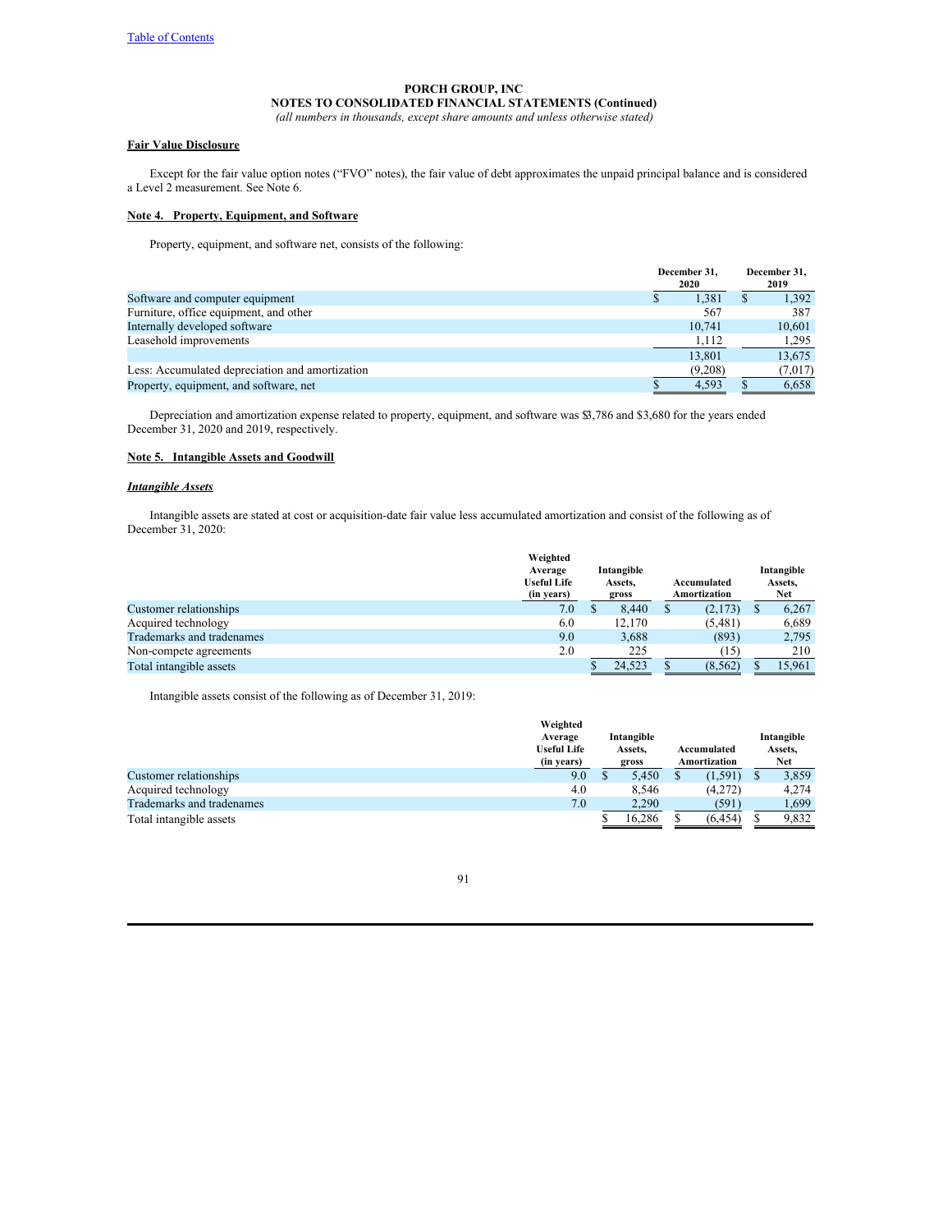*(all numbers in thousands, except share amounts and unless otherwise stated)*

# **Fair Value Disclosure**

Except for the fair value option notes ("FVO" notes), the fair value of debt approximates the unpaid principal balance and is considered a Level 2 measurement. See Note 6.

# **Note 4. Property, Equipment, and Software**

Property, equipment, and software net, consists of the following:

|                                                 |  | December 31.<br>2020 | December 31.<br>2019 |  |
|-------------------------------------------------|--|----------------------|----------------------|--|
| Software and computer equipment                 |  | 1.381                | 1,392                |  |
| Furniture, office equipment, and other          |  | 567                  | 387                  |  |
| Internally developed software                   |  | 10.741               | 10.601               |  |
| Leasehold improvements                          |  | 1.112                | 1.295                |  |
|                                                 |  | 13.801               | 13,675               |  |
| Less: Accumulated depreciation and amortization |  | (9,208)              | (7,017)              |  |
| Property, equipment, and software, net          |  | 4.593                | 6,658                |  |

Depreciation and amortization expense related to property, equipment, and software was \$3,786 and \$3,680 for the years ended December 31, 2020 and 2019, respectively.

## **Note 5. Intangible Assets and Goodwill**

# *Intangible Assets*

Intangible assets are stated at cost or acquisition-date fair value less accumulated amortization and consist of the following as of December 31, 2020:

|                           | Weighted<br>Average<br><b>Useful Life</b><br>(in years) | Intangible<br>Assets,<br>gross | Accumulated<br>Amortization | Intangible<br>Assets,<br>Net |
|---------------------------|---------------------------------------------------------|--------------------------------|-----------------------------|------------------------------|
| Customer relationships    | 7.0                                                     | 8.440                          | (2,173)                     | 6,267                        |
| Acquired technology       | 6.0                                                     | 12.170                         | (5,481)                     | 6,689                        |
| Trademarks and tradenames | 9.0                                                     | 3,688                          | (893)                       | 2,795                        |
| Non-compete agreements    | 2.0                                                     | 225                            | (15)                        | 210                          |
| Total intangible assets   |                                                         | 24.523                         | (8, 562)                    | 15.961                       |

Intangible assets consist of the following as of December 31, 2019:

|                           | Weighted<br>Average<br><b>Useful Life</b><br>(in years) | Intangible<br>Assets,<br>gross | Accumulated<br>Amortization | Intangible<br>Assets,<br><b>Net</b> |
|---------------------------|---------------------------------------------------------|--------------------------------|-----------------------------|-------------------------------------|
| Customer relationships    | 9.0                                                     | 5.450                          | (1, 591)                    | 3,859                               |
| Acquired technology       | 4.0                                                     | 8.546                          | (4,272)                     | 4,274                               |
| Trademarks and tradenames | 7.0                                                     | 2.290                          | (591)                       | 1,699                               |
| Total intangible assets   |                                                         | 16.286                         | (6, 454)                    | 9,832                               |

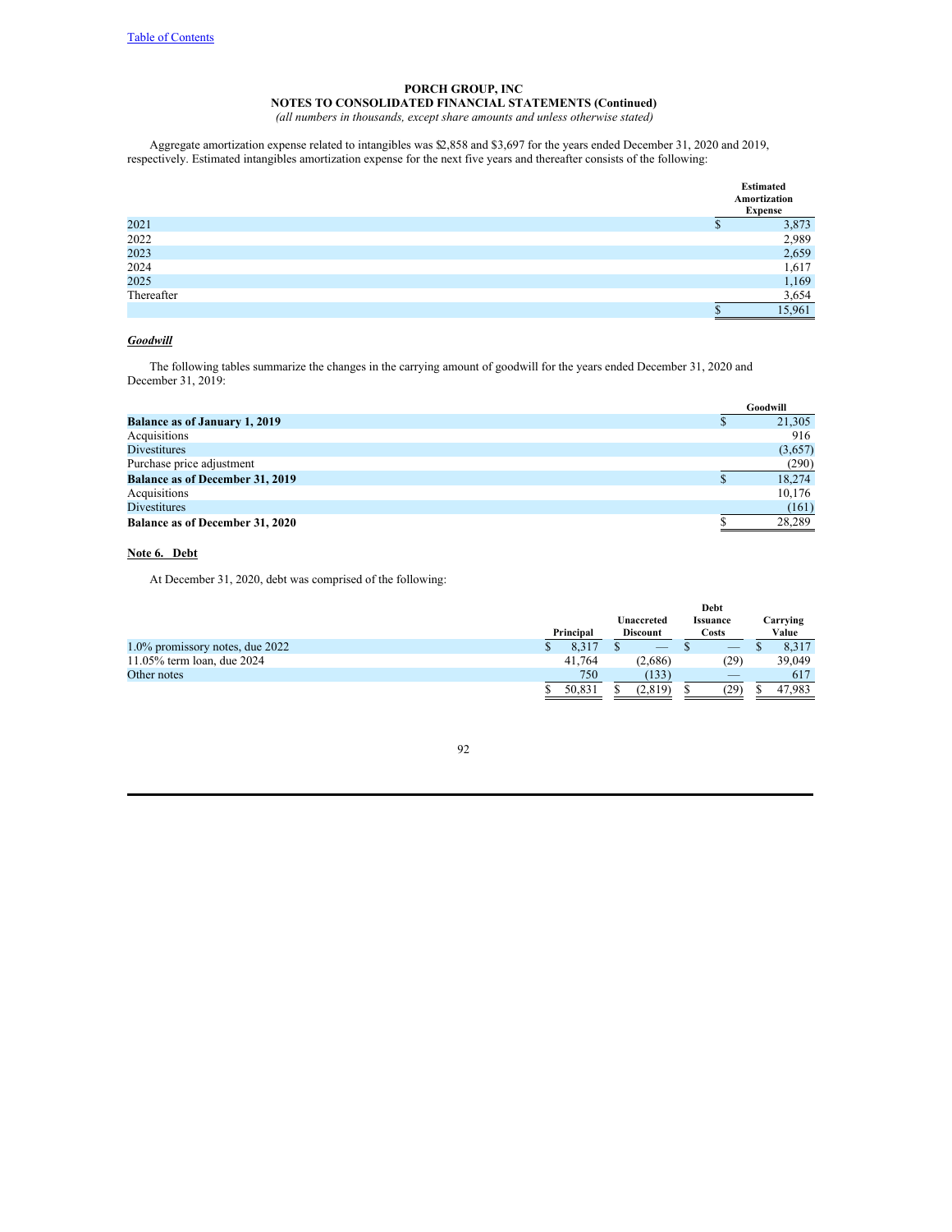*(all numbers in thousands, except share amounts and unless otherwise stated)*

Aggregate amortization expense related to intangibles was \$2,858 and \$3,697 for the years ended December 31, 2020 and 2019, respectively. Estimated intangibles amortization expense for the next five years and thereafter consists of the following:

|            |    | <b>Estimated</b><br>Amortization |
|------------|----|----------------------------------|
|            |    | <b>Expense</b>                   |
| 2021       | Φ  | 3,873                            |
| 2022       |    | 2,989                            |
| 2023       |    | 2,659                            |
| 2024       |    | 1,617                            |
| 2025       |    | 1,169                            |
| Thereafter |    | 3,654                            |
|            | ۰D | 15,961                           |

# *Goodwill*

The following tables summarize the changes in the carrying amount of goodwill for the years ended December 31, 2020 and December 31, 2019:

|                                        | Goodwill |
|----------------------------------------|----------|
| <b>Balance as of January 1, 2019</b>   | 21,305   |
| Acquisitions                           | 916      |
| <b>Divestitures</b>                    | (3,657)  |
| Purchase price adjustment              | (290)    |
| <b>Balance as of December 31, 2019</b> | 18,274   |
| Acquisitions                           | 10,176   |
| <b>Divestitures</b>                    | (161)    |
| Balance as of December 31, 2020        | 28,289   |

## **Note 6. Debt**

At December 31, 2020, debt was comprised of the following:

|                                 |  |           |  |                 |                          | Debt                     |       |          |
|---------------------------------|--|-----------|--|-----------------|--------------------------|--------------------------|-------|----------|
|                                 |  | Principal |  | Unaccreted      | <b>Issuance</b><br>Costs |                          |       | Carrving |
|                                 |  |           |  | <b>Discount</b> |                          |                          | Value |          |
| 1.0% promissory notes, due 2022 |  | 8.317     |  | _               |                          |                          |       | 8.317    |
| 11.05% term loan, due 2024      |  | 41,764    |  | (2,686)         |                          | (29)                     |       | 39,049   |
| Other notes                     |  | 750       |  | (133)           |                          | $\overline{\phantom{a}}$ |       | 617      |
|                                 |  | 50.831    |  | (2, 819)        |                          | (29)                     |       | 47.983   |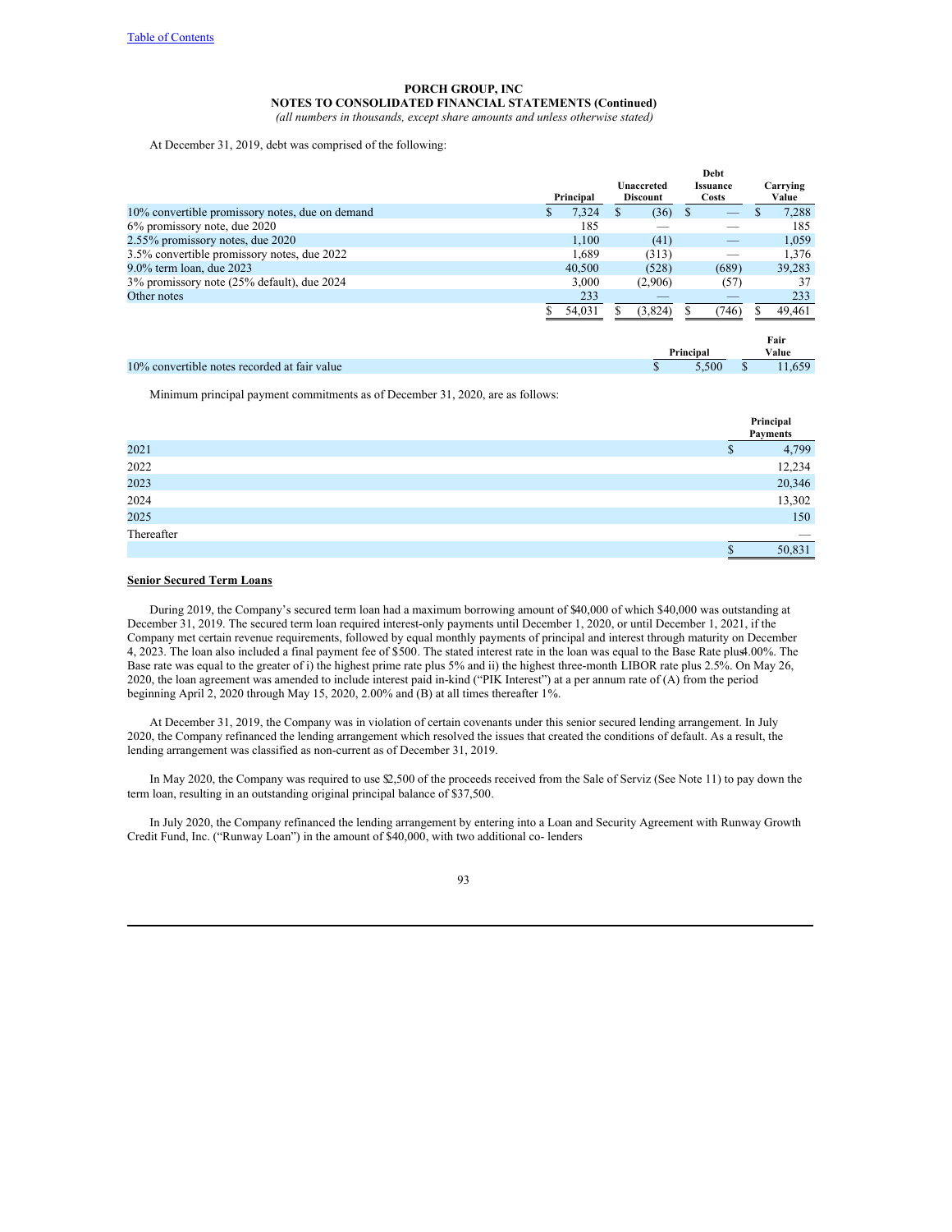*(all numbers in thousands, except share amounts and unless otherwise stated)*

At December 31, 2019, debt was comprised of the following:

|                                                 |  |           |            |                 |                 | Debt  |       |          |  |
|-------------------------------------------------|--|-----------|------------|-----------------|-----------------|-------|-------|----------|--|
|                                                 |  |           | Unaccreted |                 | <b>Issuance</b> |       |       | Carrying |  |
|                                                 |  | Principal |            | <b>Discount</b> | Costs           |       | Value |          |  |
| 10% convertible promissory notes, due on demand |  | 7.324     | S          | (36)            |                 | _     |       | 7,288    |  |
| 6% promissory note, due 2020                    |  | 185       |            |                 |                 |       |       | 185      |  |
| 2.55% promissory notes, due 2020                |  | 1.100     |            | (41)            |                 | _     |       | 1.059    |  |
| 3.5% convertible promissory notes, due 2022     |  | 1.689     |            | (313)           |                 |       |       | 1.376    |  |
| 9.0% term loan, due 2023                        |  | 40,500    |            | (528)           |                 | (689) |       | 39,283   |  |
| 3% promissory note (25% default), due 2024      |  | 3,000     |            | (2,906)         |                 | (57)  |       | 37       |  |
| Other notes                                     |  | 233       |            |                 |                 |       |       | 233      |  |
|                                                 |  | 54,031    |            | (3,824)         |                 | (746) |       | 49,461   |  |
|                                                 |  |           |            |                 |                 |       |       |          |  |

|                                              |           | Fair   |
|----------------------------------------------|-----------|--------|
|                                              | Principal | Value  |
| 10% convertible notes recorded at fair value | 5.500     | 11.659 |

Minimum principal payment commitments as of December 31, 2020, are as follows:

|            |   | Principal<br><b>Payments</b> |
|------------|---|------------------------------|
| 2021       | S | 4,799                        |
| 2022       |   | 12,234                       |
| 2023       |   | 20,346                       |
| 2024       |   | 13,302                       |
| 2025       |   | 150                          |
| Thereafter |   | $\overline{\phantom{a}}$     |
|            |   | 50,831                       |

# **Senior Secured Term Loans**

During 2019, the Company's secured term loan had a maximum borrowing amount of \$40,000 of which \$40,000 was outstanding at December 31, 2019. The secured term loan required interest-only payments until December 1, 2020, or until December 1, 2021, if the Company met certain revenue requirements, followed by equal monthly payments of principal and interest through maturity on December 4, 2023. The loan also included a final payment fee of \$500. The stated interest rate in the loan was equal to the Base Rate plus4.00%. The Base rate was equal to the greater of i) the highest prime rate plus 5% and ii) the highest three-month LIBOR rate plus 2.5%. On May 26, 2020, the loan agreement was amended to include interest paid in-kind ("PIK Interest") at a per annum rate of (A) from the period beginning April 2, 2020 through May 15, 2020, 2.00% and (B) at all times thereafter 1%.

At December 31, 2019, the Company was in violation of certain covenants under this senior secured lending arrangement. In July 2020, the Company refinanced the lending arrangement which resolved the issues that created the conditions of default. As a result, the lending arrangement was classified as non-current as of December 31, 2019.

In May 2020, the Company was required to use \$2,500 of the proceeds received from the Sale of Serviz (See Note 11) to pay down the term loan, resulting in an outstanding original principal balance of \$37,500.

In July 2020, the Company refinanced the lending arrangement by entering into a Loan and Security Agreement with Runway Growth Credit Fund, Inc. ("Runway Loan") in the amount of \$40,000, with two additional co- lenders

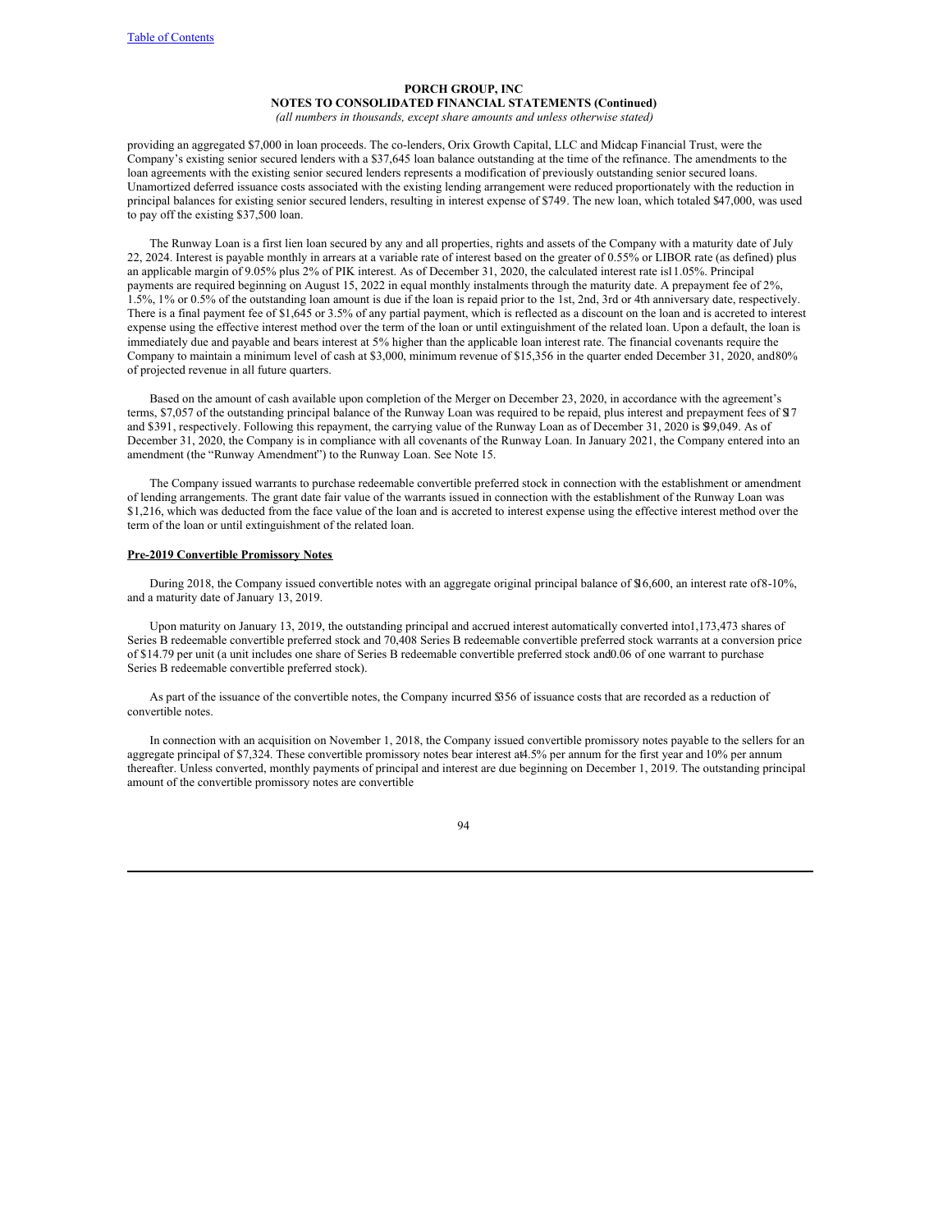*(all numbers in thousands, except share amounts and unless otherwise stated)*

providing an aggregated \$7,000 in loan proceeds. The co-lenders, Orix Growth Capital, LLC and Midcap Financial Trust, were the Company's existing senior secured lenders with a \$37,645 loan balance outstanding at the time of the refinance. The amendments to the loan agreements with the existing senior secured lenders represents a modification of previously outstanding senior secured loans. Unamortized deferred issuance costs associated with the existing lending arrangement were reduced proportionately with the reduction in principal balances for existing senior secured lenders, resulting in interest expense of \$749. The new loan, which totaled \$47,000, was used to pay off the existing \$37,500 loan.

The Runway Loan is a first lien loan secured by any and all properties, rights and assets of the Company with a maturity date of July 22, 2024. Interest is payable monthly in arrears at a variable rate of interest based on the greater of 0.55% or LIBOR rate (as defined) plus an applicable margin of 9.05% plus 2% of PIK interest. As of December 31, 2020, the calculated interest rate is11.05%. Principal payments are required beginning on August 15, 2022 in equal monthly instalments through the maturity date. A prepayment fee of 2%, 1.5%, 1% or 0.5% of the outstanding loan amount is due if the loan is repaid prior to the 1st, 2nd, 3rd or 4th anniversary date, respectively. There is a final payment fee of \$1,645 or 3.5% of any partial payment, which is reflected as a discount on the loan and is accreted to interest expense using the effective interest method over the term of the loan or until extinguishment of the related loan. Upon a default, the loan is immediately due and payable and bears interest at 5% higher than the applicable loan interest rate. The financial covenants require the Company to maintain a minimum level of cash at \$3,000, minimum revenue of \$15,356 in the quarter ended December 31, 2020, and80% of projected revenue in all future quarters.

Based on the amount of cash available upon completion of the Merger on December 23, 2020, in accordance with the agreement's terms, \$7,057 of the outstanding principal balance of the Runway Loan was required to be repaid, plus interest and prepayment fees of \$17 and \$391, respectively. Following this repayment, the carrying value of the Runway Loan as of December 31, 2020 is \$39,049. As of December 31, 2020, the Company is in compliance with all covenants of the Runway Loan. In January 2021, the Company entered into an amendment (the "Runway Amendment") to the Runway Loan. See Note 15.

The Company issued warrants to purchase redeemable convertible preferred stock in connection with the establishment or amendment of lending arrangements. The grant date fair value of the warrants issued in connection with the establishment of the Runway Loan was \$1,216, which was deducted from the face value of the loan and is accreted to interest expense using the effective interest method over the term of the loan or until extinguishment of the related loan.

# **Pre-2019 Convertible Promissory Notes**

During 2018, the Company issued convertible notes with an aggregate original principal balance of \$16,600, an interest rate of 8-10%, and a maturity date of January 13, 2019.

Upon maturity on January 13, 2019, the outstanding principal and accrued interest automatically converted into1,173,473 shares of Series B redeemable convertible preferred stock and 70,408 Series B redeemable convertible preferred stock warrants at a conversion price of \$14.79 per unit (a unit includes one share of Series B redeemable convertible preferred stock and0.06 of one warrant to purchase Series B redeemable convertible preferred stock).

As part of the issuance of the convertible notes, the Company incurred \$356 of issuance costs that are recorded as a reduction of convertible notes.

In connection with an acquisition on November 1, 2018, the Company issued convertible promissory notes payable to the sellers for an aggregate principal of \$7,324. These convertible promissory notes bear interest at4.5% per annum for the first year and 10% per annum thereafter. Unless converted, monthly payments of principal and interest are due beginning on December 1, 2019. The outstanding principal amount of the convertible promissory notes are convertible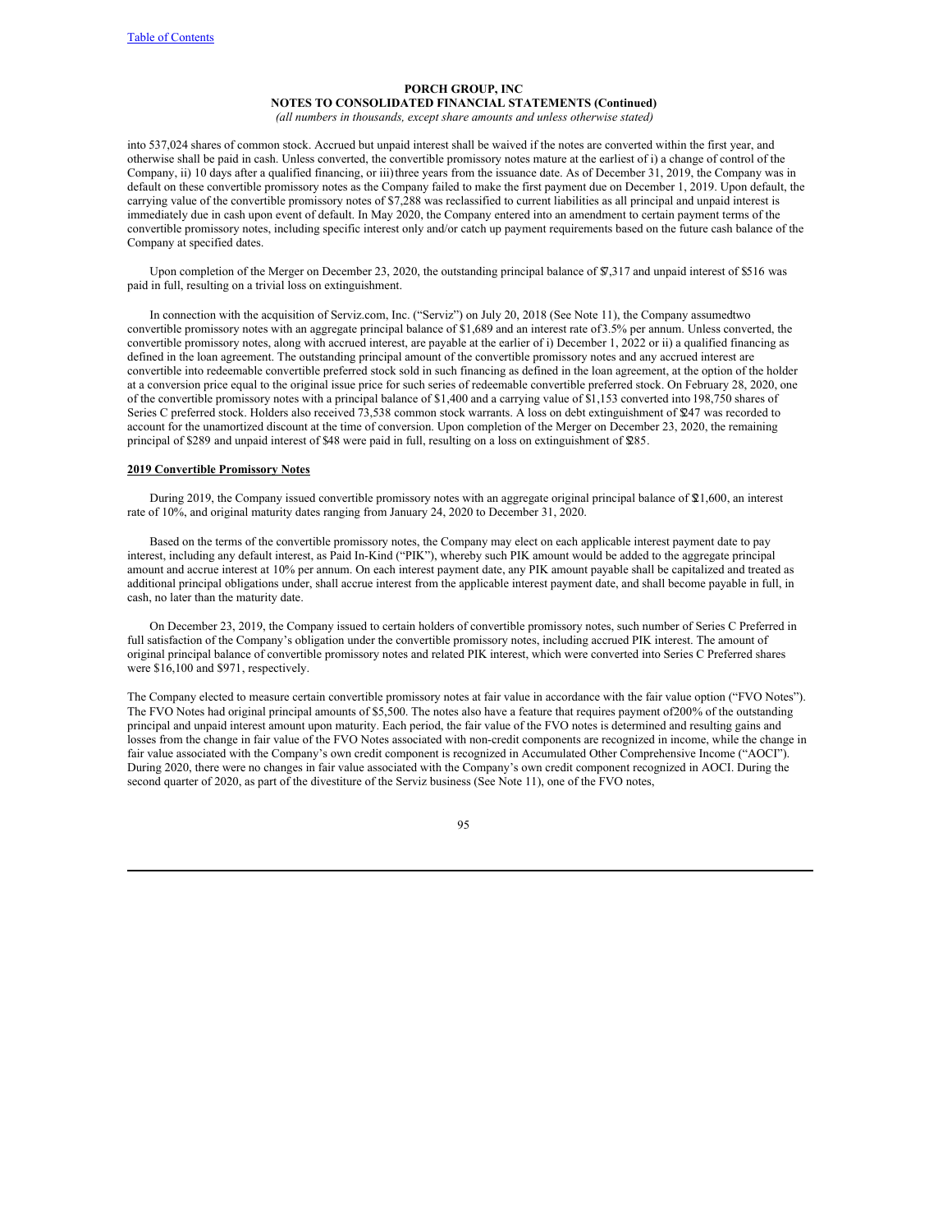*(all numbers in thousands, except share amounts and unless otherwise stated)*

into 537,024 shares of common stock. Accrued but unpaid interest shall be waived if the notes are converted within the first year, and otherwise shall be paid in cash. Unless converted, the convertible promissory notes mature at the earliest of i) a change of control of the Company, ii) 10 days after a qualified financing, or iii)three years from the issuance date. As of December 31, 2019, the Company was in default on these convertible promissory notes as the Company failed to make the first payment due on December 1, 2019. Upon default, the carrying value of the convertible promissory notes of \$7,288 was reclassified to current liabilities as all principal and unpaid interest is immediately due in cash upon event of default. In May 2020, the Company entered into an amendment to certain payment terms of the convertible promissory notes, including specific interest only and/or catch up payment requirements based on the future cash balance of the Company at specified dates.

Upon completion of the Merger on December 23, 2020, the outstanding principal balance of \$7,317 and unpaid interest of \$516 was paid in full, resulting on a trivial loss on extinguishment.

In connection with the acquisition of Serviz.com, Inc. ("Serviz") on July 20, 2018 (See Note 11), the Company assumedtwo convertible promissory notes with an aggregate principal balance of \$1,689 and an interest rate of3.5% per annum. Unless converted, the convertible promissory notes, along with accrued interest, are payable at the earlier of i) December 1, 2022 or ii) a qualified financing as defined in the loan agreement. The outstanding principal amount of the convertible promissory notes and any accrued interest are convertible into redeemable convertible preferred stock sold in such financing as defined in the loan agreement, at the option of the holder at a conversion price equal to the original issue price for such series of redeemable convertible preferred stock. On February 28, 2020, one of the convertible promissory notes with a principal balance of \$1,400 and a carrying value of \$1,153 converted into 198,750 shares of Series C preferred stock. Holders also received 73,538 common stock warrants. A loss on debt extinguishment of \$247 was recorded to account for the unamortized discount at the time of conversion. Upon completion of the Merger on December 23, 2020, the remaining principal of \$289 and unpaid interest of \$48 were paid in full, resulting on a loss on extinguishment of \$285.

### **2019 Convertible Promissory Notes**

During 2019, the Company issued convertible promissory notes with an aggregate original principal balance of \$21,600, an interest rate of 10%, and original maturity dates ranging from January 24, 2020 to December 31, 2020.

Based on the terms of the convertible promissory notes, the Company may elect on each applicable interest payment date to pay interest, including any default interest, as Paid In-Kind ("PIK"), whereby such PIK amount would be added to the aggregate principal amount and accrue interest at 10% per annum. On each interest payment date, any PIK amount payable shall be capitalized and treated as additional principal obligations under, shall accrue interest from the applicable interest payment date, and shall become payable in full, in cash, no later than the maturity date.

On December 23, 2019, the Company issued to certain holders of convertible promissory notes, such number of Series C Preferred in full satisfaction of the Company's obligation under the convertible promissory notes, including accrued PIK interest. The amount of original principal balance of convertible promissory notes and related PIK interest, which were converted into Series C Preferred shares were \$16,100 and \$971, respectively.

The Company elected to measure certain convertible promissory notes at fair value in accordance with the fair value option ("FVO Notes"). The FVO Notes had original principal amounts of \$5,500. The notes also have a feature that requires payment of200% of the outstanding principal and unpaid interest amount upon maturity. Each period, the fair value of the FVO notes is determined and resulting gains and losses from the change in fair value of the FVO Notes associated with non-credit components are recognized in income, while the change in fair value associated with the Company's own credit component is recognized in Accumulated Other Comprehensive Income ("AOCI"). During 2020, there were no changes in fair value associated with the Company's own credit component recognized in AOCI. During the second quarter of 2020, as part of the divestiture of the Serviz business (See Note 11), one of the FVO notes,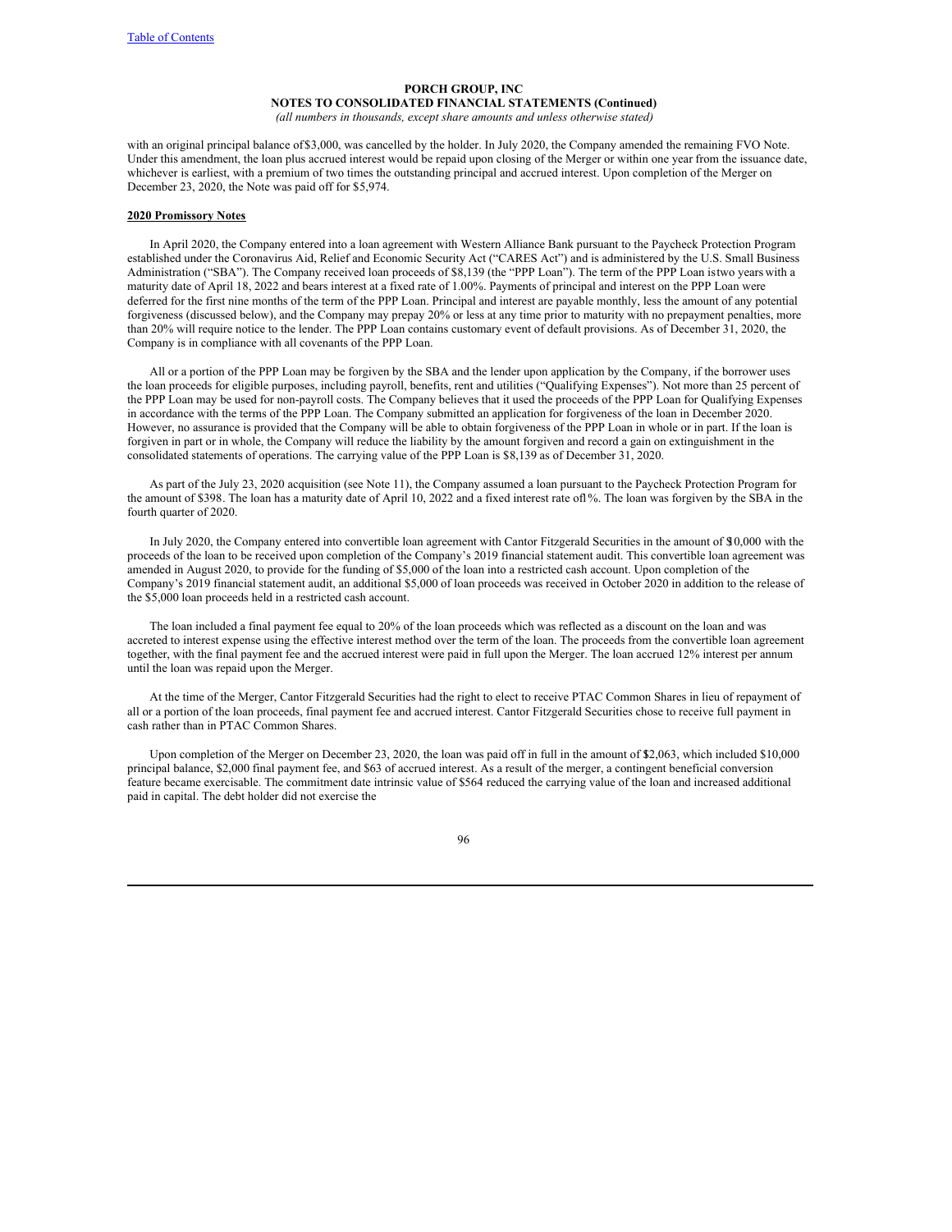*(all numbers in thousands, except share amounts and unless otherwise stated)*

with an original principal balance of\$3,000, was cancelled by the holder. In July 2020, the Company amended the remaining FVO Note. Under this amendment, the loan plus accrued interest would be repaid upon closing of the Merger or within one year from the issuance date, whichever is earliest, with a premium of two times the outstanding principal and accrued interest. Upon completion of the Merger on December 23, 2020, the Note was paid off for \$5,974.

#### **2020 Promissory Notes**

In April 2020, the Company entered into a loan agreement with Western Alliance Bank pursuant to the Paycheck Protection Program established under the Coronavirus Aid, Relief and Economic Security Act ("CARES Act") and is administered by the U.S. Small Business Administration ("SBA"). The Company received loan proceeds of \$8,139 (the "PPP Loan"). The term of the PPP Loan istwo years with a maturity date of April 18, 2022 and bears interest at a fixed rate of 1.00%. Payments of principal and interest on the PPP Loan were deferred for the first nine months of the term of the PPP Loan. Principal and interest are payable monthly, less the amount of any potential forgiveness (discussed below), and the Company may prepay 20% or less at any time prior to maturity with no prepayment penalties, more than 20% will require notice to the lender. The PPP Loan contains customary event of default provisions. As of December 31, 2020, the Company is in compliance with all covenants of the PPP Loan.

All or a portion of the PPP Loan may be forgiven by the SBA and the lender upon application by the Company, if the borrower uses the loan proceeds for eligible purposes, including payroll, benefits, rent and utilities ("Qualifying Expenses"). Not more than 25 percent of the PPP Loan may be used for non-payroll costs. The Company believes that it used the proceeds of the PPP Loan for Qualifying Expenses in accordance with the terms of the PPP Loan. The Company submitted an application for forgiveness of the loan in December 2020. However, no assurance is provided that the Company will be able to obtain forgiveness of the PPP Loan in whole or in part. If the loan is forgiven in part or in whole, the Company will reduce the liability by the amount forgiven and record a gain on extinguishment in the consolidated statements of operations. The carrying value of the PPP Loan is \$8,139 as of December 31, 2020.

As part of the July 23, 2020 acquisition (see Note 11), the Company assumed a loan pursuant to the Paycheck Protection Program for the amount of \$398. The loan has a maturity date of April 10, 2022 and a fixed interest rate of1%. The loan was forgiven by the SBA in the fourth quarter of 2020.

In July 2020, the Company entered into convertible loan agreement with Cantor Fitzgerald Securities in the amount of \$10,000 with the proceeds of the loan to be received upon completion of the Company's 2019 financial statement audit. This convertible loan agreement was amended in August 2020, to provide for the funding of \$5,000 of the loan into a restricted cash account. Upon completion of the Company's 2019 financial statement audit, an additional \$5,000 of loan proceeds was received in October 2020 in addition to the release of the \$5,000 loan proceeds held in a restricted cash account.

The loan included a final payment fee equal to 20% of the loan proceeds which was reflected as a discount on the loan and was accreted to interest expense using the effective interest method over the term of the loan. The proceeds from the convertible loan agreement together, with the final payment fee and the accrued interest were paid in full upon the Merger. The loan accrued 12% interest per annum until the loan was repaid upon the Merger.

At the time of the Merger, Cantor Fitzgerald Securities had the right to elect to receive PTAC Common Shares in lieu of repayment of all or a portion of the loan proceeds, final payment fee and accrued interest. Cantor Fitzgerald Securities chose to receive full payment in cash rather than in PTAC Common Shares.

Upon completion of the Merger on December 23, 2020, the loan was paid off in full in the amount of \$2,063, which included \$10,000 principal balance, \$2,000 final payment fee, and \$63 of accrued interest. As a result of the merger, a contingent beneficial conversion feature became exercisable. The commitment date intrinsic value of \$564 reduced the carrying value of the loan and increased additional paid in capital. The debt holder did not exercise the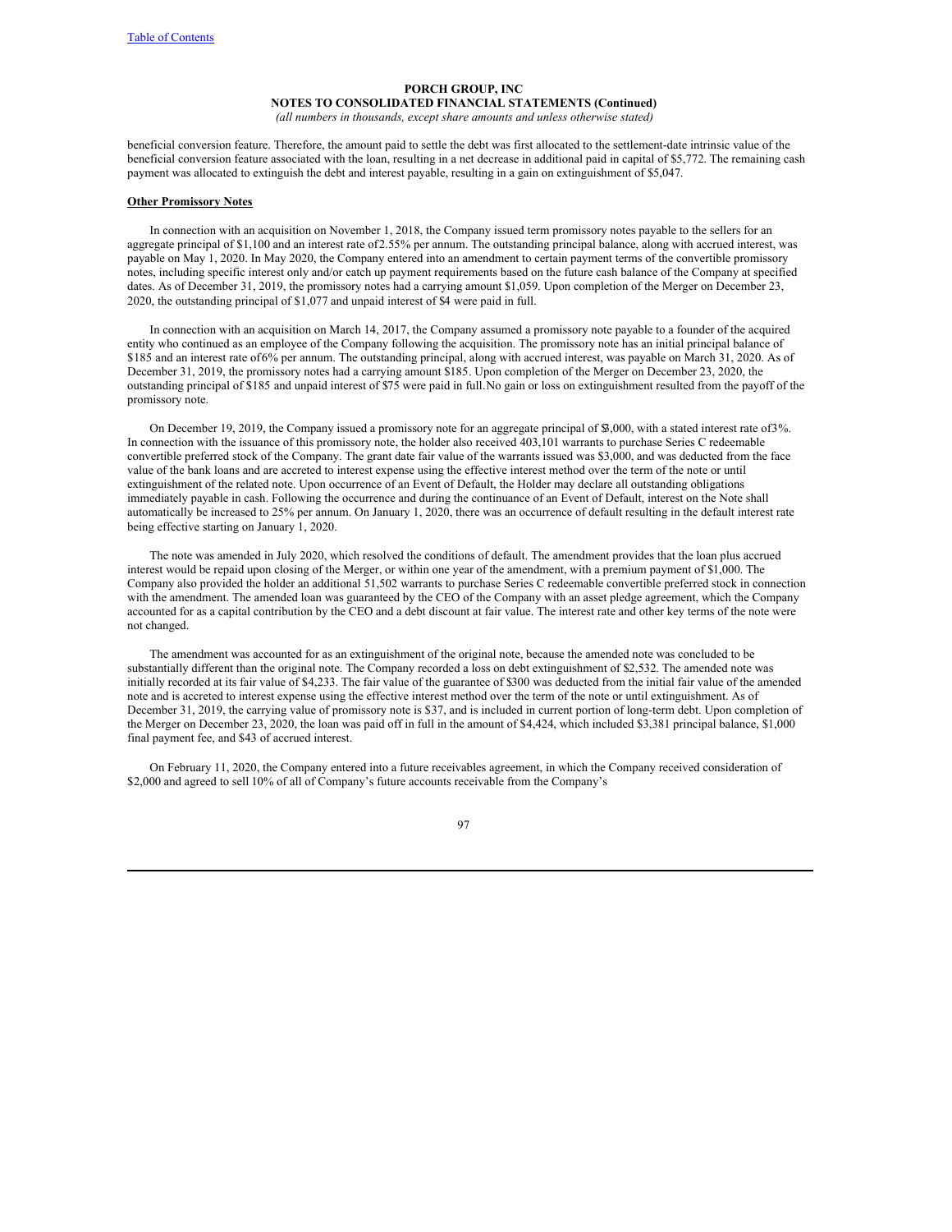*(all numbers in thousands, except share amounts and unless otherwise stated)*

beneficial conversion feature. Therefore, the amount paid to settle the debt was first allocated to the settlement-date intrinsic value of the beneficial conversion feature associated with the loan, resulting in a net decrease in additional paid in capital of \$5,772. The remaining cash payment was allocated to extinguish the debt and interest payable, resulting in a gain on extinguishment of \$5,047.

#### **Other Promissory Notes**

In connection with an acquisition on November 1, 2018, the Company issued term promissory notes payable to the sellers for an aggregate principal of \$1,100 and an interest rate of2.55% per annum. The outstanding principal balance, along with accrued interest, was payable on May 1, 2020. In May 2020, the Company entered into an amendment to certain payment terms of the convertible promissory notes, including specific interest only and/or catch up payment requirements based on the future cash balance of the Company at specified dates. As of December 31, 2019, the promissory notes had a carrying amount \$1,059. Upon completion of the Merger on December 23, 2020, the outstanding principal of \$1,077 and unpaid interest of \$4 were paid in full.

In connection with an acquisition on March 14, 2017, the Company assumed a promissory note payable to a founder of the acquired entity who continued as an employee of the Company following the acquisition. The promissory note has an initial principal balance of \$185 and an interest rate of6% per annum. The outstanding principal, along with accrued interest, was payable on March 31, 2020. As of December 31, 2019, the promissory notes had a carrying amount \$185. Upon completion of the Merger on December 23, 2020, the outstanding principal of \$185 and unpaid interest of \$75 were paid in full.No gain or loss on extinguishment resulted from the payoff of the promissory note.

On December 19, 2019, the Company issued a promissory note for an aggregate principal of \$3,000, with a stated interest rate of3%. In connection with the issuance of this promissory note, the holder also received 403,101 warrants to purchase Series C redeemable convertible preferred stock of the Company. The grant date fair value of the warrants issued was \$3,000, and was deducted from the face value of the bank loans and are accreted to interest expense using the effective interest method over the term of the note or until extinguishment of the related note. Upon occurrence of an Event of Default, the Holder may declare all outstanding obligations immediately payable in cash. Following the occurrence and during the continuance of an Event of Default, interest on the Note shall automatically be increased to 25% per annum. On January 1, 2020, there was an occurrence of default resulting in the default interest rate being effective starting on January 1, 2020.

The note was amended in July 2020, which resolved the conditions of default. The amendment provides that the loan plus accrued interest would be repaid upon closing of the Merger, or within one year of the amendment, with a premium payment of \$1,000. The Company also provided the holder an additional 51,502 warrants to purchase Series C redeemable convertible preferred stock in connection with the amendment. The amended loan was guaranteed by the CEO of the Company with an asset pledge agreement, which the Company accounted for as a capital contribution by the CEO and a debt discount at fair value. The interest rate and other key terms of the note were not changed.

The amendment was accounted for as an extinguishment of the original note, because the amended note was concluded to be substantially different than the original note. The Company recorded a loss on debt extinguishment of \$2,532. The amended note was initially recorded at its fair value of \$4,233. The fair value of the guarantee of \$300 was deducted from the initial fair value of the amended note and is accreted to interest expense using the effective interest method over the term of the note or until extinguishment. As of December 31, 2019, the carrying value of promissory note is \$37, and is included in current portion of long-term debt. Upon completion of the Merger on December 23, 2020, the loan was paid off in full in the amount of \$4,424, which included \$3,381 principal balance, \$1,000 final payment fee, and \$43 of accrued interest.

On February 11, 2020, the Company entered into a future receivables agreement, in which the Company received consideration of \$2,000 and agreed to sell 10% of all of Company's future accounts receivable from the Company's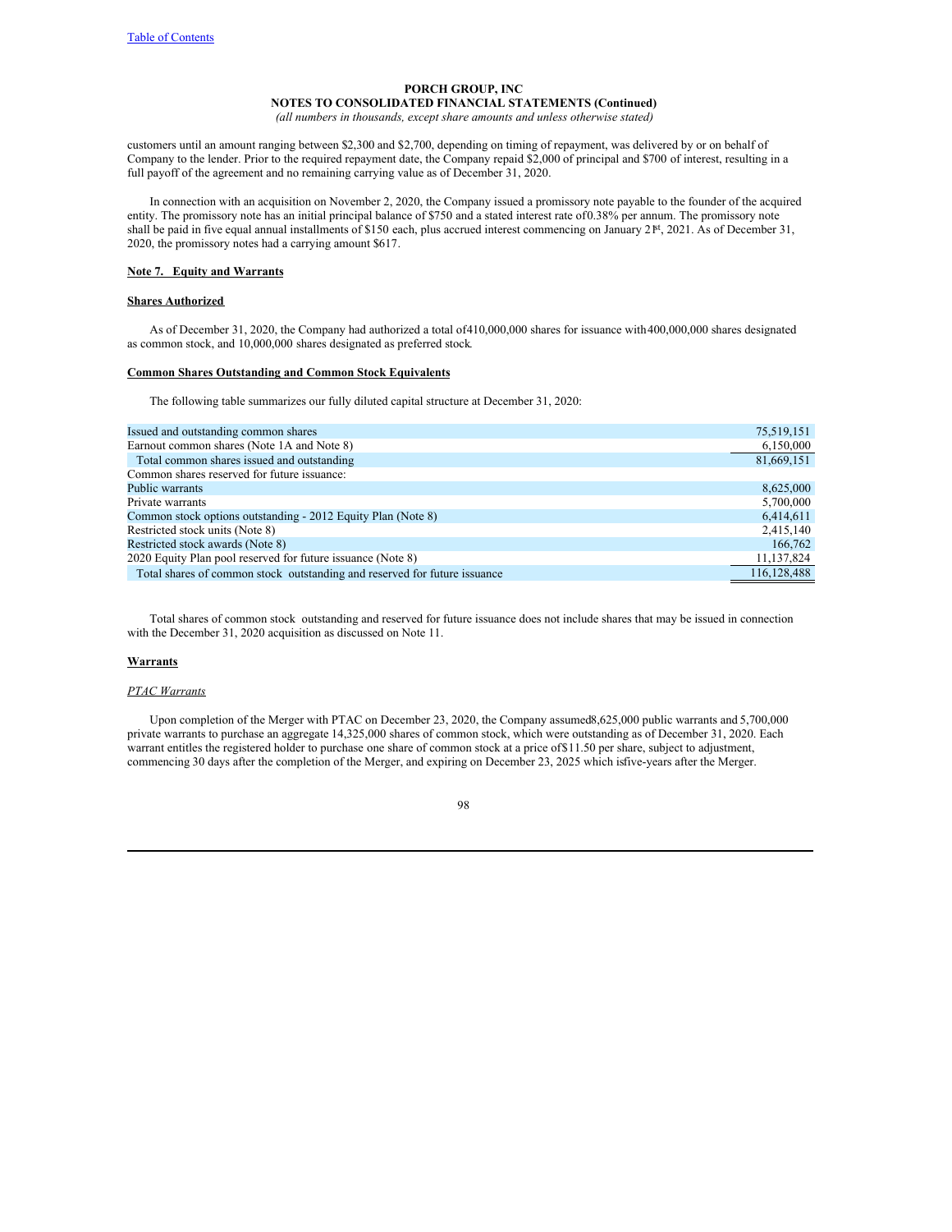*(all numbers in thousands, except share amounts and unless otherwise stated)*

customers until an amount ranging between \$2,300 and \$2,700, depending on timing of repayment, was delivered by or on behalf of Company to the lender. Prior to the required repayment date, the Company repaid \$2,000 of principal and \$700 of interest, resulting in a full payoff of the agreement and no remaining carrying value as of December 31, 2020.

In connection with an acquisition on November 2, 2020, the Company issued a promissory note payable to the founder of the acquired entity. The promissory note has an initial principal balance of \$750 and a stated interest rate of0.38% per annum. The promissory note shall be paid in five equal annual installments of \$150 each, plus accrued interest commencing on January 2<sup>pt</sup>, 2021. As of December 31, 2020, the promissory notes had a carrying amount \$617.

## **Note 7. Equity and Warrants**

# **Shares Authorized**

As of December 31, 2020, the Company had authorized a total of 410,000,000 shares for issuance with 400,000,000 shares designated as common stock, and 10,000,000 shares designated as preferred stock.

### **Common Shares Outstanding and Common Stock Equivalents**

The following table summarizes our fully diluted capital structure at December 31, 2020:

| Issued and outstanding common shares                                      | 75,519,151   |
|---------------------------------------------------------------------------|--------------|
| Earnout common shares (Note 1A and Note 8)                                | 6,150,000    |
| Total common shares issued and outstanding                                | 81,669,151   |
| Common shares reserved for future issuance:                               |              |
| Public warrants                                                           | 8,625,000    |
| Private warrants                                                          | 5,700,000    |
| Common stock options outstanding - 2012 Equity Plan (Note 8)              | 6,414,611    |
| Restricted stock units (Note 8)                                           | 2,415,140    |
| Restricted stock awards (Note 8)                                          | 166,762      |
| 2020 Equity Plan pool reserved for future issuance (Note 8)               | 11, 137, 824 |
| Total shares of common stock outstanding and reserved for future issuance | 116,128,488  |

Total shares of common stock outstanding and reserved for future issuance does not include shares that may be issued in connection with the December 31, 2020 acquisition as discussed on Note 11.

## **Warrants**

# *PTAC Warrants*

Upon completion of the Merger with PTAC on December 23, 2020, the Company assumed8,625,000 public warrants and 5,700,000 private warrants to purchase an aggregate 14,325,000 shares of common stock, which were outstanding as of December 31, 2020. Each warrant entitles the registered holder to purchase one share of common stock at a price of\$11.50 per share, subject to adjustment, commencing 30 days after the completion of the Merger, and expiring on December 23, 2025 which isfive-years after the Merger.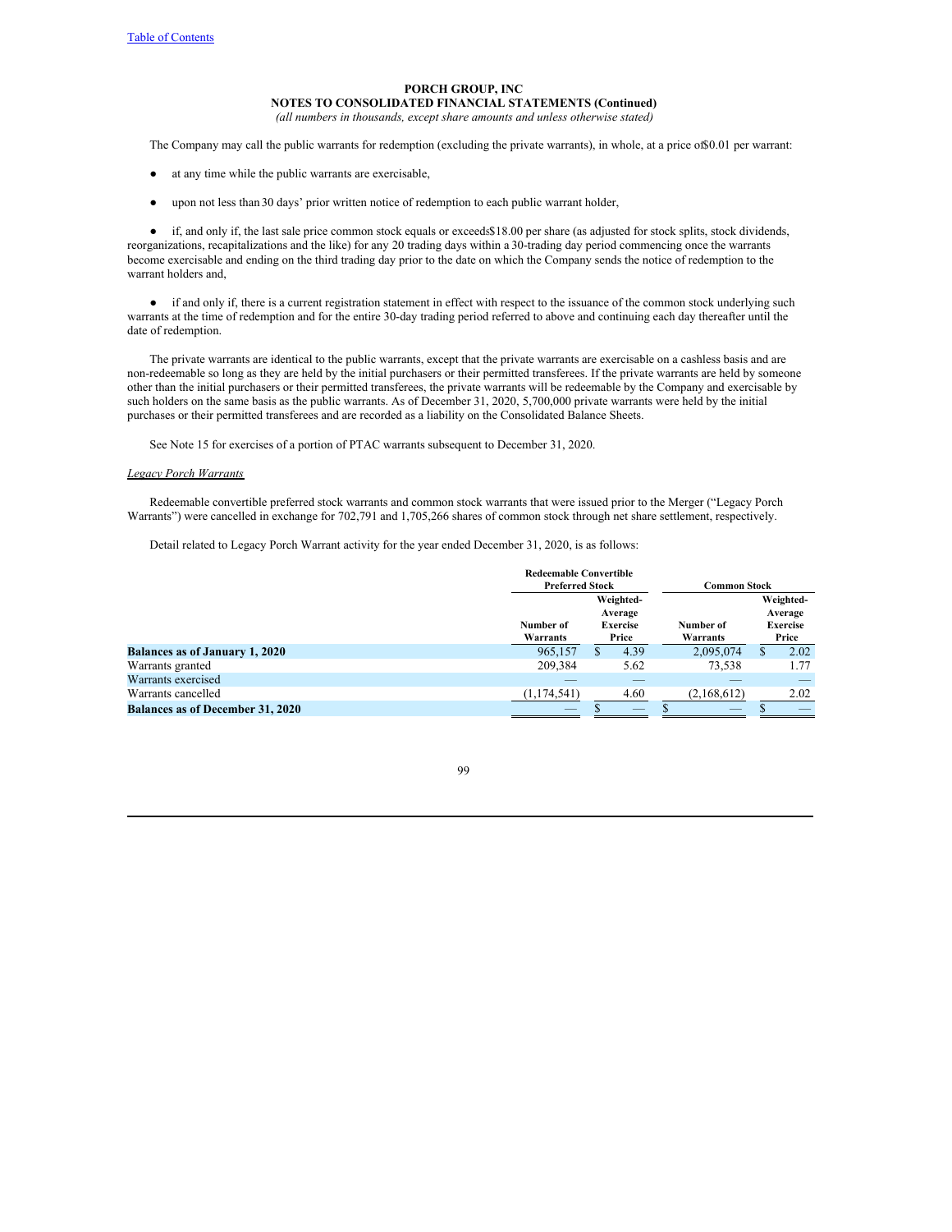*(all numbers in thousands, except share amounts and unless otherwise stated)*

The Company may call the public warrants for redemption (excluding the private warrants), in whole, at a price of\$0.01 per warrant:

- at any time while the public warrants are exercisable,
- upon not less than 30 days' prior written notice of redemption to each public warrant holder,

● if, and only if, the last sale price common stock equals or exceeds\$18.00 per share (as adjusted for stock splits, stock dividends, reorganizations, recapitalizations and the like) for any 20 trading days within a 30-trading day period commencing once the warrants become exercisable and ending on the third trading day prior to the date on which the Company sends the notice of redemption to the warrant holders and,

● if and only if, there is a current registration statement in effect with respect to the issuance of the common stock underlying such warrants at the time of redemption and for the entire 30-day trading period referred to above and continuing each day thereafter until the date of redemption.

The private warrants are identical to the public warrants, except that the private warrants are exercisable on a cashless basis and are non-redeemable so long as they are held by the initial purchasers or their permitted transferees. If the private warrants are held by someone other than the initial purchasers or their permitted transferees, the private warrants will be redeemable by the Company and exercisable by such holders on the same basis as the public warrants. As of December 31, 2020, 5,700,000 private warrants were held by the initial purchases or their permitted transferees and are recorded as a liability on the Consolidated Balance Sheets.

See Note 15 for exercises of a portion of PTAC warrants subsequent to December 31, 2020.

### *Legacy Porch Warrants*

Redeemable convertible preferred stock warrants and common stock warrants that were issued prior to the Merger ("Legacy Porch Warrants") were cancelled in exchange for 702,791 and 1,705,266 shares of common stock through net share settlement, respectively.

Detail related to Legacy Porch Warrant activity for the year ended December 31, 2020, is as follows:

|                                         |                       | Redeemable Convertible<br><b>Preferred Stock</b> |      |                       | <b>Common Stock</b> |                                                  |      |
|-----------------------------------------|-----------------------|--------------------------------------------------|------|-----------------------|---------------------|--------------------------------------------------|------|
|                                         | Number of<br>Warrants | Weighted-<br>Average<br><b>Exercise</b><br>Price |      | Number of<br>Warrants |                     | Weighted-<br>Average<br><b>Exercise</b><br>Price |      |
| <b>Balances as of January 1, 2020</b>   | 965,157               |                                                  | 4.39 |                       | 2,095,074           |                                                  | 2.02 |
| Warrants granted                        | 209.384               |                                                  | 5.62 |                       | 73,538              |                                                  | 1.77 |
| Warrants exercised                      |                       |                                                  | _    |                       |                     |                                                  |      |
| Warrants cancelled                      | (1, 174, 541)         |                                                  | 4.60 |                       | (2,168,612)         |                                                  | 2.02 |
| <b>Balances as of December 31, 2020</b> |                       |                                                  | _    |                       | __                  |                                                  |      |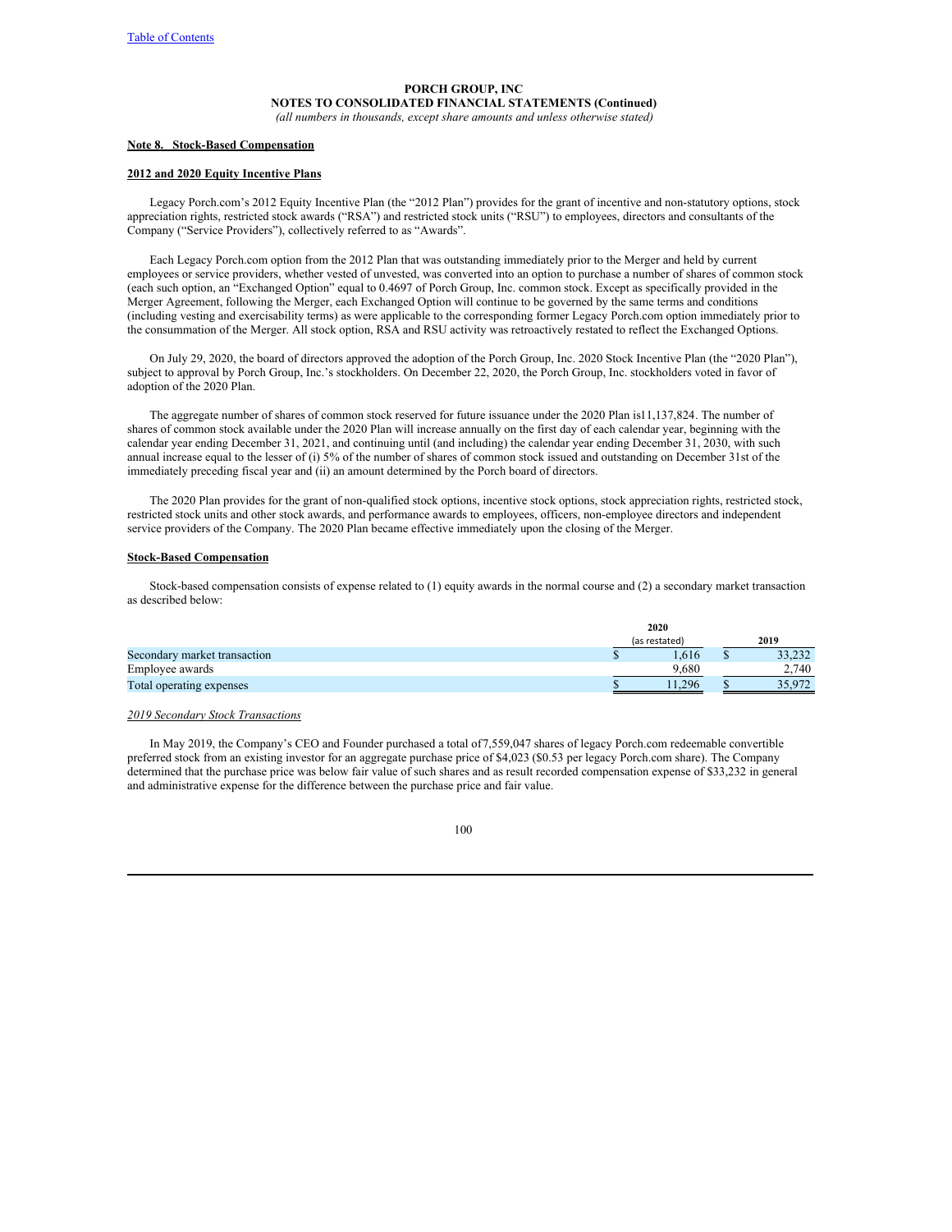*(all numbers in thousands, except share amounts and unless otherwise stated)*

## **Note 8. Stock-Based Compensation**

#### **2012 and 2020 Equity Incentive Plans**

Legacy Porch.com's 2012 Equity Incentive Plan (the "2012 Plan") provides for the grant of incentive and non-statutory options, stock appreciation rights, restricted stock awards ("RSA") and restricted stock units ("RSU") to employees, directors and consultants of the Company ("Service Providers"), collectively referred to as "Awards".

Each Legacy Porch.com option from the 2012 Plan that was outstanding immediately prior to the Merger and held by current employees or service providers, whether vested of unvested, was converted into an option to purchase a number of shares of common stock (each such option, an "Exchanged Option" equal to 0.4697 of Porch Group, Inc. common stock. Except as specifically provided in the Merger Agreement, following the Merger, each Exchanged Option will continue to be governed by the same terms and conditions (including vesting and exercisability terms) as were applicable to the corresponding former Legacy Porch.com option immediately prior to the consummation of the Merger. All stock option, RSA and RSU activity was retroactively restated to reflect the Exchanged Options.

On July 29, 2020, the board of directors approved the adoption of the Porch Group, Inc. 2020 Stock Incentive Plan (the "2020 Plan"), subject to approval by Porch Group, Inc.'s stockholders. On December 22, 2020, the Porch Group, Inc. stockholders voted in favor of adoption of the 2020 Plan.

The aggregate number of shares of common stock reserved for future issuance under the 2020 Plan is11,137,824. The number of shares of common stock available under the 2020 Plan will increase annually on the first day of each calendar year, beginning with the calendar year ending December 31, 2021, and continuing until (and including) the calendar year ending December 31, 2030, with such annual increase equal to the lesser of (i) 5% of the number of shares of common stock issued and outstanding on December 31st of the immediately preceding fiscal year and (ii) an amount determined by the Porch board of directors.

The 2020 Plan provides for the grant of non-qualified stock options, incentive stock options, stock appreciation rights, restricted stock, restricted stock units and other stock awards, and performance awards to employees, officers, non-employee directors and independent service providers of the Company. The 2020 Plan became effective immediately upon the closing of the Merger.

## **Stock-Based Compensation**

Stock-based compensation consists of expense related to (1) equity awards in the normal course and (2) a secondary market transaction as described below:

|                              | 2020          |        |
|------------------------------|---------------|--------|
|                              | (as restated) | 2019   |
| Secondary market transaction | .616          | 33.232 |
| Employee awards              | 9.680         | 2.740  |
| Total operating expenses     | 1,296         | 35.972 |

### *2019 Secondary Stock Transactions*

In May 2019, the Company's CEO and Founder purchased a total of7,559,047 shares of legacy Porch.com redeemable convertible preferred stock from an existing investor for an aggregate purchase price of \$4,023 (\$0.53 per legacy Porch.com share). The Company determined that the purchase price was below fair value of such shares and as result recorded compensation expense of \$33,232 in general and administrative expense for the difference between the purchase price and fair value.

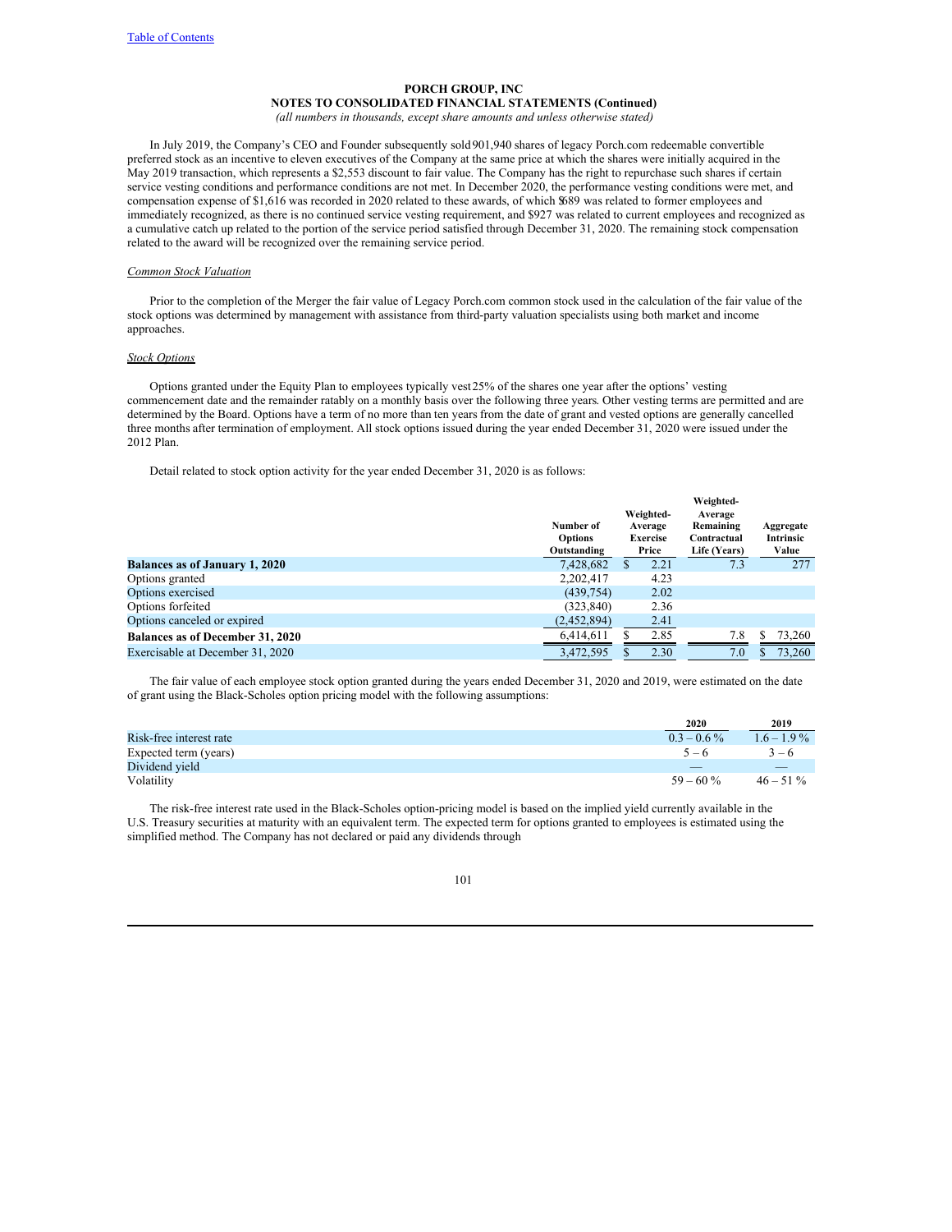*(all numbers in thousands, except share amounts and unless otherwise stated)*

In July 2019, the Company's CEO and Founder subsequently sold 901,940 shares of legacy Porch.com redeemable convertible preferred stock as an incentive to eleven executives of the Company at the same price at which the shares were initially acquired in the May 2019 transaction, which represents a \$2,553 discount to fair value. The Company has the right to repurchase such shares if certain service vesting conditions and performance conditions are not met. In December 2020, the performance vesting conditions were met, and compensation expense of \$1,616 was recorded in 2020 related to these awards, of which \$689 was related to former employees and immediately recognized, as there is no continued service vesting requirement, and \$927 was related to current employees and recognized as a cumulative catch up related to the portion of the service period satisfied through December 31, 2020. The remaining stock compensation related to the award will be recognized over the remaining service period.

### *Common Stock Valuation*

Prior to the completion of the Merger the fair value of Legacy Porch.com common stock used in the calculation of the fair value of the stock options was determined by management with assistance from third-party valuation specialists using both market and income approaches.

## *Stock Options*

Options granted under the Equity Plan to employees typically vest25% of the shares one year after the options' vesting commencement date and the remainder ratably on a monthly basis over the following three years. Other vesting terms are permitted and are determined by the Board. Options have a term of no more than ten years from the date of grant and vested options are generally cancelled three months after termination of employment. All stock options issued during the year ended December 31, 2020 were issued under the 2012 Plan.

Detail related to stock option activity for the year ended December 31, 2020 is as follows:

|                                         | Number of<br><b>Options</b><br>Outstanding |   | Weighted-<br>Average<br><b>Exercise</b><br>Price | Weighted-<br>Average<br>Remaining<br>Contractual<br>Life (Years) | Aggregate<br>Intrinsic<br>Value |
|-----------------------------------------|--------------------------------------------|---|--------------------------------------------------|------------------------------------------------------------------|---------------------------------|
| <b>Balances as of January 1, 2020</b>   | 7,428,682                                  | S | 2.21                                             | 7.3                                                              | 277                             |
| Options granted                         | 2,202,417                                  |   | 4.23                                             |                                                                  |                                 |
| Options exercised                       | (439, 754)                                 |   | 2.02                                             |                                                                  |                                 |
| Options forfeited                       | (323, 840)                                 |   | 2.36                                             |                                                                  |                                 |
| Options canceled or expired             | (2,452,894)                                |   | 2.41                                             |                                                                  |                                 |
| <b>Balances as of December 31, 2020</b> | 6,414,611                                  |   | 2.85                                             | 7.8                                                              | 73,260                          |
| Exercisable at December 31, 2020        | 3.472.595                                  |   | 2.30                                             | 7.0                                                              | 73,260                          |

The fair value of each employee stock option granted during the years ended December 31, 2020 and 2019, were estimated on the date of grant using the Black-Scholes option pricing model with the following assumptions:

|                         | 2020                     | 2019          |
|-------------------------|--------------------------|---------------|
| Risk-free interest rate | $0.3 - 0.6\%$            | $1.6 - 1.9\%$ |
| Expected term (years)   | $5 - 6$                  | $3 - 6$       |
| Dividend yield          | $\overline{\phantom{a}}$ |               |
| Volatility              | $59 - 60\%$              | $46 - 51\%$   |

The risk-free interest rate used in the Black-Scholes option-pricing model is based on the implied yield currently available in the U.S. Treasury securities at maturity with an equivalent term. The expected term for options granted to employees is estimated using the simplified method. The Company has not declared or paid any dividends through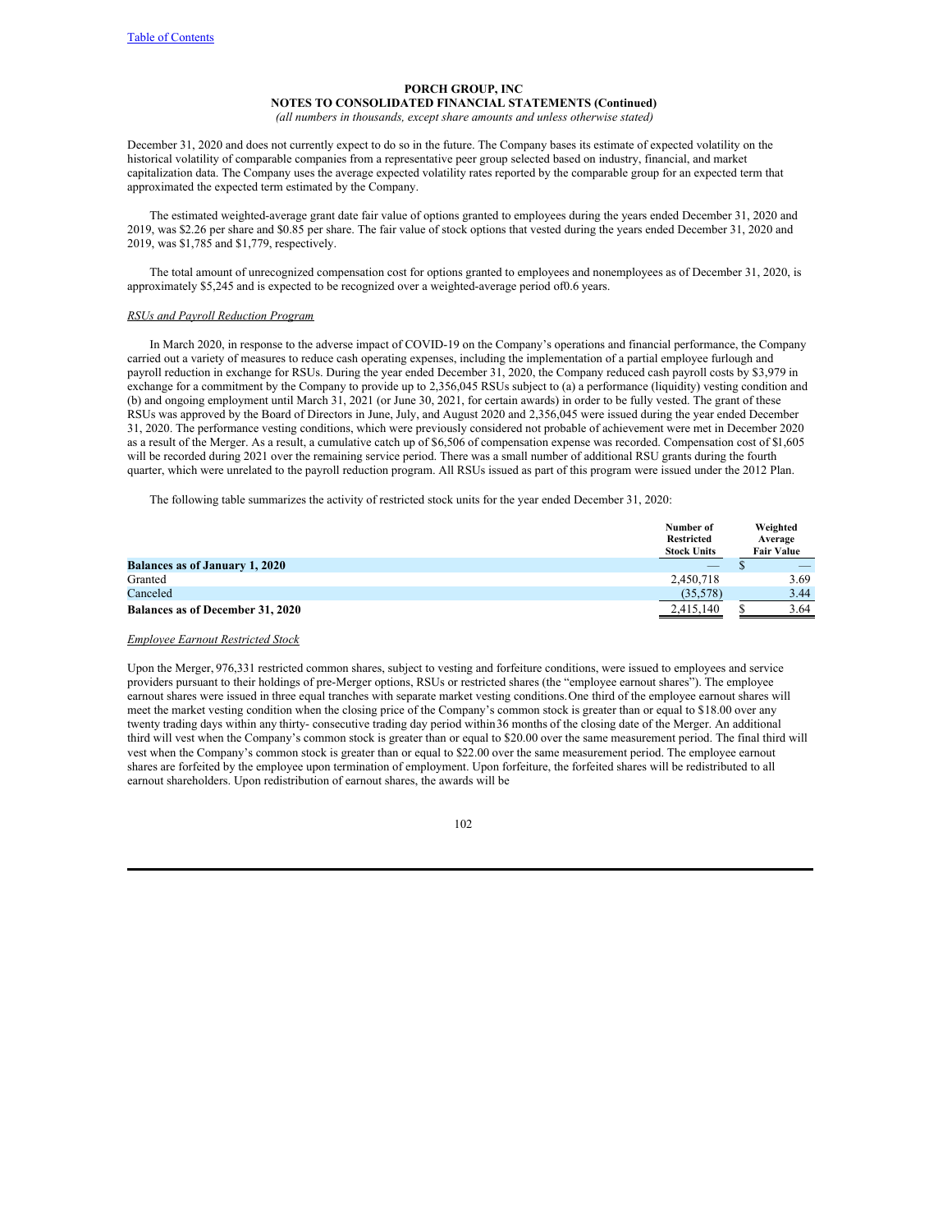*(all numbers in thousands, except share amounts and unless otherwise stated)*

December 31, 2020 and does not currently expect to do so in the future. The Company bases its estimate of expected volatility on the historical volatility of comparable companies from a representative peer group selected based on industry, financial, and market capitalization data. The Company uses the average expected volatility rates reported by the comparable group for an expected term that approximated the expected term estimated by the Company.

The estimated weighted-average grant date fair value of options granted to employees during the years ended December 31, 2020 and 2019, was \$2.26 per share and \$0.85 per share. The fair value of stock options that vested during the years ended December 31, 2020 and 2019, was \$1,785 and \$1,779, respectively.

The total amount of unrecognized compensation cost for options granted to employees and nonemployees as of December 31, 2020, is approximately \$5,245 and is expected to be recognized over a weighted-average period of0.6 years.

### *RSUs and Payroll Reduction Program*

In March 2020, in response to the adverse impact of COVID-19 on the Company's operations and financial performance, the Company carried out a variety of measures to reduce cash operating expenses, including the implementation of a partial employee furlough and payroll reduction in exchange for RSUs. During the year ended December 31, 2020, the Company reduced cash payroll costs by \$3,979 in exchange for a commitment by the Company to provide up to 2,356,045 RSUs subject to (a) a performance (liquidity) vesting condition and (b) and ongoing employment until March 31, 2021 (or June 30, 2021, for certain awards) in order to be fully vested. The grant of these RSUs was approved by the Board of Directors in June, July, and August 2020 and 2,356,045 were issued during the year ended December 31, 2020. The performance vesting conditions, which were previously considered not probable of achievement were met in December 2020 as a result of the Merger. As a result, a cumulative catch up of \$6,506 of compensation expense was recorded. Compensation cost of \$1,605 will be recorded during 2021 over the remaining service period. There was a small number of additional RSU grants during the fourth quarter, which were unrelated to the payroll reduction program. All RSUs issued as part of this program were issued under the 2012 Plan.

The following table summarizes the activity of restricted stock units for the year ended December 31, 2020:

|                                         | Number of<br><b>Restricted</b><br><b>Stock Units</b> |    | Weighted<br>Average<br><b>Fair Value</b> |
|-----------------------------------------|------------------------------------------------------|----|------------------------------------------|
| <b>Balances as of January 1, 2020</b>   |                                                      | ιυ |                                          |
| Granted                                 | 2,450,718                                            |    | 3.69                                     |
| Canceled                                | (35,578)                                             |    | 3.44                                     |
| <b>Balances as of December 31, 2020</b> | 2,415,140                                            |    | 3.64                                     |

## *Employee Earnout Restricted Stock*

Upon the Merger, 976,331 restricted common shares, subject to vesting and forfeiture conditions, were issued to employees and service providers pursuant to their holdings of pre-Merger options, RSUs or restricted shares (the "employee earnout shares"). The employee earnout shares were issued in three equal tranches with separate market vesting conditions.One third of the employee earnout shares will meet the market vesting condition when the closing price of the Company's common stock is greater than or equal to \$18.00 over any twenty trading days within any thirty- consecutive trading day period within36 months of the closing date of the Merger. An additional third will vest when the Company's common stock is greater than or equal to \$20.00 over the same measurement period. The final third will vest when the Company's common stock is greater than or equal to \$22.00 over the same measurement period. The employee earnout shares are forfeited by the employee upon termination of employment. Upon forfeiture, the forfeited shares will be redistributed to all earnout shareholders. Upon redistribution of earnout shares, the awards will be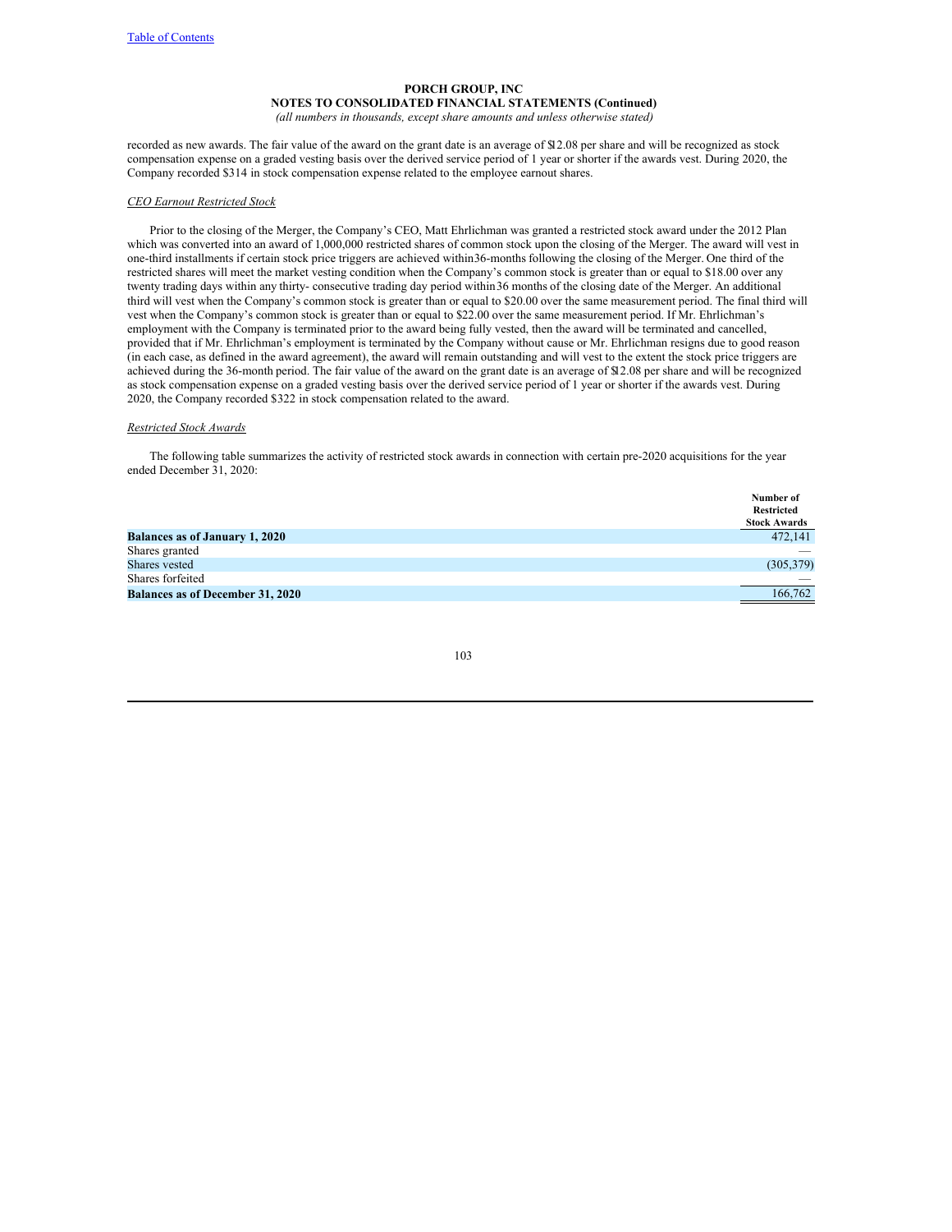*(all numbers in thousands, except share amounts and unless otherwise stated)*

recorded as new awards. The fair value of the award on the grant date is an average of \$12.08 per share and will be recognized as stock compensation expense on a graded vesting basis over the derived service period of 1 year or shorter if the awards vest. During 2020, the Company recorded \$314 in stock compensation expense related to the employee earnout shares.

#### *CEO Earnout Restricted Stock*

Prior to the closing of the Merger, the Company's CEO, Matt Ehrlichman was granted a restricted stock award under the 2012 Plan which was converted into an award of 1,000,000 restricted shares of common stock upon the closing of the Merger. The award will vest in one-third installments if certain stock price triggers are achieved within36-months following the closing of the Merger. One third of the restricted shares will meet the market vesting condition when the Company's common stock is greater than or equal to \$18.00 over any twenty trading days within any thirty- consecutive trading day period within36 months of the closing date of the Merger. An additional third will vest when the Company's common stock is greater than or equal to \$20.00 over the same measurement period. The final third will vest when the Company's common stock is greater than or equal to \$22.00 over the same measurement period. If Mr. Ehrlichman's employment with the Company is terminated prior to the award being fully vested, then the award will be terminated and cancelled, provided that if Mr. Ehrlichman's employment is terminated by the Company without cause or Mr. Ehrlichman resigns due to good reason (in each case, as defined in the award agreement), the award will remain outstanding and will vest to the extent the stock price triggers are achieved during the 36-month period. The fair value of the award on the grant date is an average of \$12.08 per share and will be recognized as stock compensation expense on a graded vesting basis over the derived service period of 1 year or shorter if the awards vest. During 2020, the Company recorded \$322 in stock compensation related to the award.

### *Restricted Stock Awards*

The following table summarizes the activity of restricted stock awards in connection with certain pre-2020 acquisitions for the year ended December 31, 2020:

|                                         | Number of           |
|-----------------------------------------|---------------------|
|                                         | <b>Restricted</b>   |
|                                         | <b>Stock Awards</b> |
| <b>Balances as of January 1, 2020</b>   | 472,141             |
| Shares granted                          |                     |
| Shares vested                           | (305, 379)          |
| Shares forfeited                        | _                   |
| <b>Balances as of December 31, 2020</b> | 166,762             |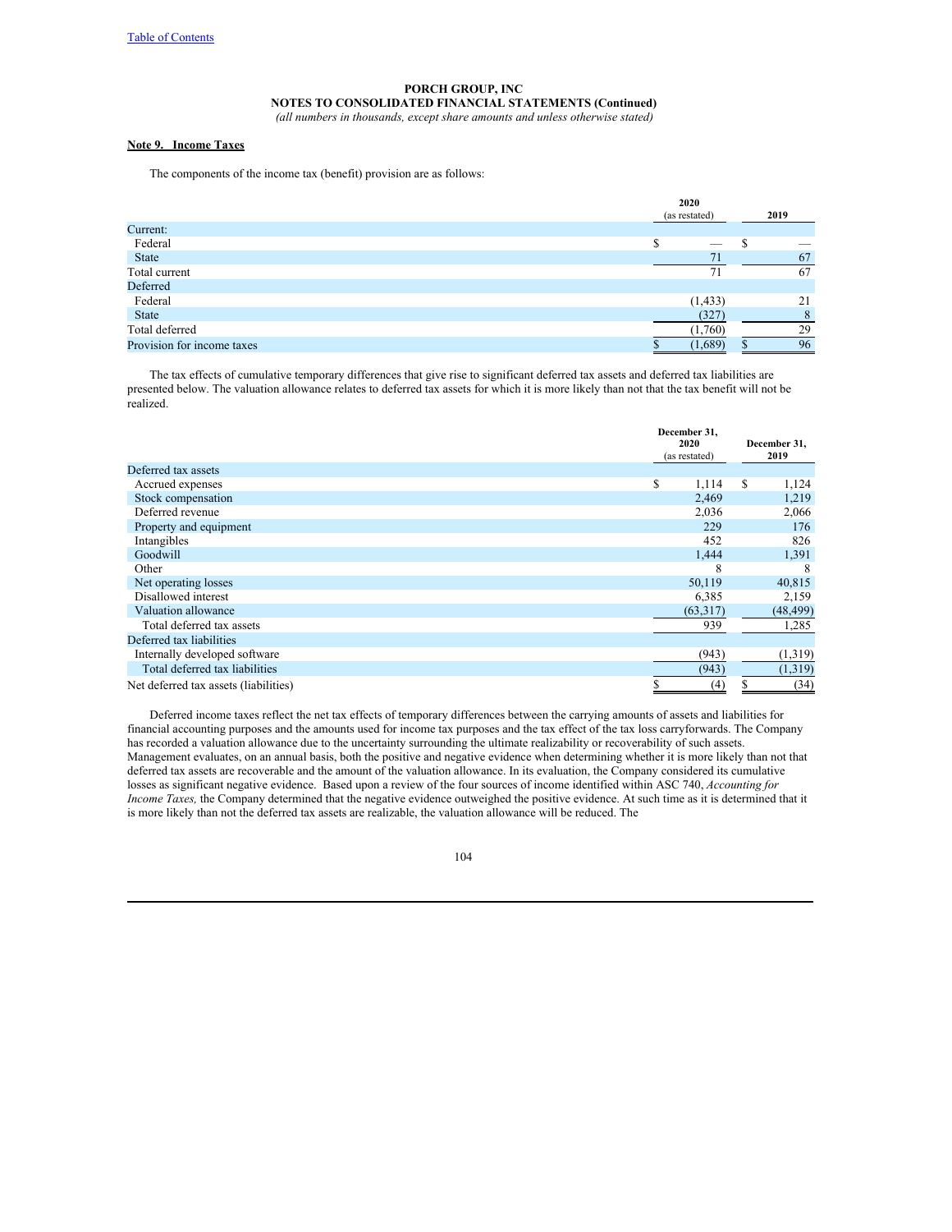*(all numbers in thousands, except share amounts and unless otherwise stated)*

# **Note 9. Income Taxes**

The components of the income tax (benefit) provision are as follows:

|                            |   | 2020<br>(as restated) | 2019 |
|----------------------------|---|-----------------------|------|
| Current:                   |   |                       |      |
| Federal                    | ¢ | _                     |      |
| <b>State</b>               |   | 71                    | 67   |
| Total current              |   | 71                    | 67   |
| Deferred                   |   |                       |      |
| Federal                    |   | (1, 433)              | 21   |
| <b>State</b>               |   | (327)                 | 8    |
| Total deferred             |   | (1,760)               | 29   |
| Provision for income taxes |   | (1,689)               | 96   |

The tax effects of cumulative temporary differences that give rise to significant deferred tax assets and deferred tax liabilities are presented below. The valuation allowance relates to deferred tax assets for which it is more likely than not that the tax benefit will not be realized.

|                                       | December 31,  |              |  |
|---------------------------------------|---------------|--------------|--|
|                                       | 2020          | December 31, |  |
|                                       | (as restated) | 2019         |  |
| Deferred tax assets                   |               |              |  |
| Accrued expenses                      | \$<br>1,114   | \$<br>1,124  |  |
| Stock compensation                    | 2,469         | 1,219        |  |
| Deferred revenue                      | 2,036         | 2,066        |  |
| Property and equipment                | 229           | 176          |  |
| Intangibles                           | 452           | 826          |  |
| Goodwill                              | 1,444         | 1,391        |  |
| Other                                 | 8             | 8            |  |
| Net operating losses                  | 50,119        | 40,815       |  |
| Disallowed interest                   | 6,385         | 2,159        |  |
| Valuation allowance                   | (63,317)      | (48, 499)    |  |
| Total deferred tax assets             | 939           | 1,285        |  |
| Deferred tax liabilities              |               |              |  |
| Internally developed software         | (943)         | (1,319)      |  |
| Total deferred tax liabilities        | (943)         | (1,319)      |  |
| Net deferred tax assets (liabilities) | (4)           | (34)<br>S    |  |

Deferred income taxes reflect the net tax effects of temporary differences between the carrying amounts of assets and liabilities for financial accounting purposes and the amounts used for income tax purposes and the tax effect of the tax loss carryforwards. The Company has recorded a valuation allowance due to the uncertainty surrounding the ultimate realizability or recoverability of such assets. Management evaluates, on an annual basis, both the positive and negative evidence when determining whether it is more likely than not that deferred tax assets are recoverable and the amount of the valuation allowance. In its evaluation, the Company considered its cumulative losses as significant negative evidence. Based upon a review of the four sources of income identified within ASC 740, *Accounting for Income Taxes,* the Company determined that the negative evidence outweighed the positive evidence. At such time as it is determined that it is more likely than not the deferred tax assets are realizable, the valuation allowance will be reduced. The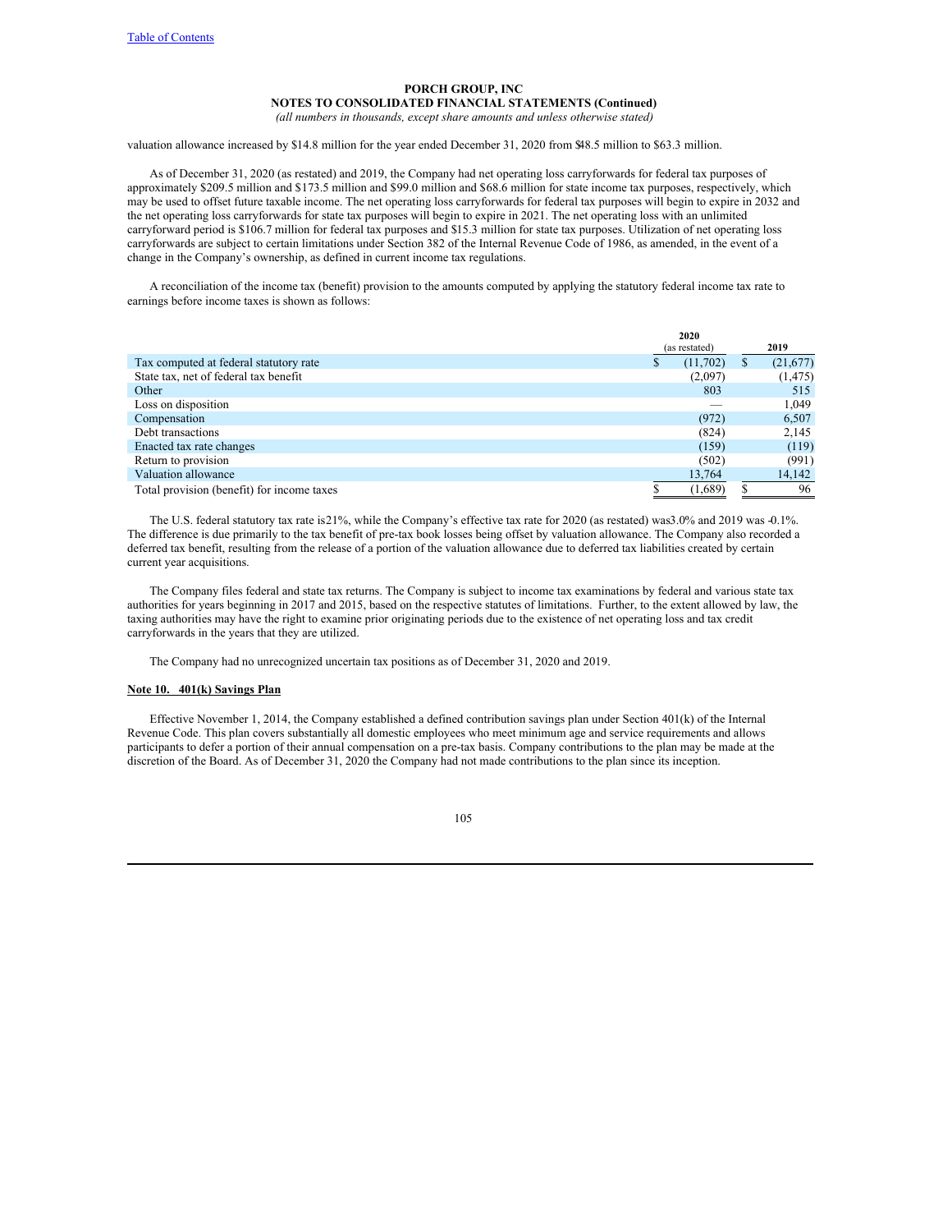*(all numbers in thousands, except share amounts and unless otherwise stated)*

valuation allowance increased by \$14.8 million for the year ended December 31, 2020 from \$48.5 million to \$63.3 million.

As of December 31, 2020 (as restated) and 2019, the Company had net operating loss carryforwards for federal tax purposes of approximately \$209.5 million and \$173.5 million and \$99.0 million and \$68.6 million for state income tax purposes, respectively, which may be used to offset future taxable income. The net operating loss carryforwards for federal tax purposes will begin to expire in 2032 and the net operating loss carryforwards for state tax purposes will begin to expire in 2021. The net operating loss with an unlimited carryforward period is \$106.7 million for federal tax purposes and \$15.3 million for state tax purposes. Utilization of net operating loss carryforwards are subject to certain limitations under Section 382 of the Internal Revenue Code of 1986, as amended, in the event of a change in the Company's ownership, as defined in current income tax regulations.

A reconciliation of the income tax (benefit) provision to the amounts computed by applying the statutory federal income tax rate to earnings before income taxes is shown as follows:

|                                            | 2020          |    |          |
|--------------------------------------------|---------------|----|----------|
|                                            | (as restated) |    | 2019     |
| Tax computed at federal statutory rate     | (11,702)      | D. | (21,677) |
| State tax, net of federal tax benefit      | (2,097)       |    | (1, 475) |
| Other                                      | 803           |    | 515      |
| Loss on disposition                        |               |    | 1,049    |
| Compensation                               | (972)         |    | 6,507    |
| Debt transactions                          | (824)         |    | 2,145    |
| Enacted tax rate changes                   | (159)         |    | (119)    |
| Return to provision                        | (502)         |    | (991)    |
| Valuation allowance                        | 13,764        |    | 14,142   |
| Total provision (benefit) for income taxes | (1,689)       |    | 96       |

The U.S. federal statutory tax rate is21%, while the Company's effective tax rate for 2020 (as restated) was3.0% and 2019 was -0.1%. The difference is due primarily to the tax benefit of pre-tax book losses being offset by valuation allowance. The Company also recorded a deferred tax benefit, resulting from the release of a portion of the valuation allowance due to deferred tax liabilities created by certain current year acquisitions.

The Company files federal and state tax returns. The Company is subject to income tax examinations by federal and various state tax authorities for years beginning in 2017 and 2015, based on the respective statutes of limitations. Further, to the extent allowed by law, the taxing authorities may have the right to examine prior originating periods due to the existence of net operating loss and tax credit carryforwards in the years that they are utilized.

The Company had no unrecognized uncertain tax positions as of December 31, 2020 and 2019.

# **Note 10. 401(k) Savings Plan**

Effective November 1, 2014, the Company established a defined contribution savings plan under Section 401(k) of the Internal Revenue Code. This plan covers substantially all domestic employees who meet minimum age and service requirements and allows participants to defer a portion of their annual compensation on a pre-tax basis. Company contributions to the plan may be made at the discretion of the Board. As of December 31, 2020 the Company had not made contributions to the plan since its inception.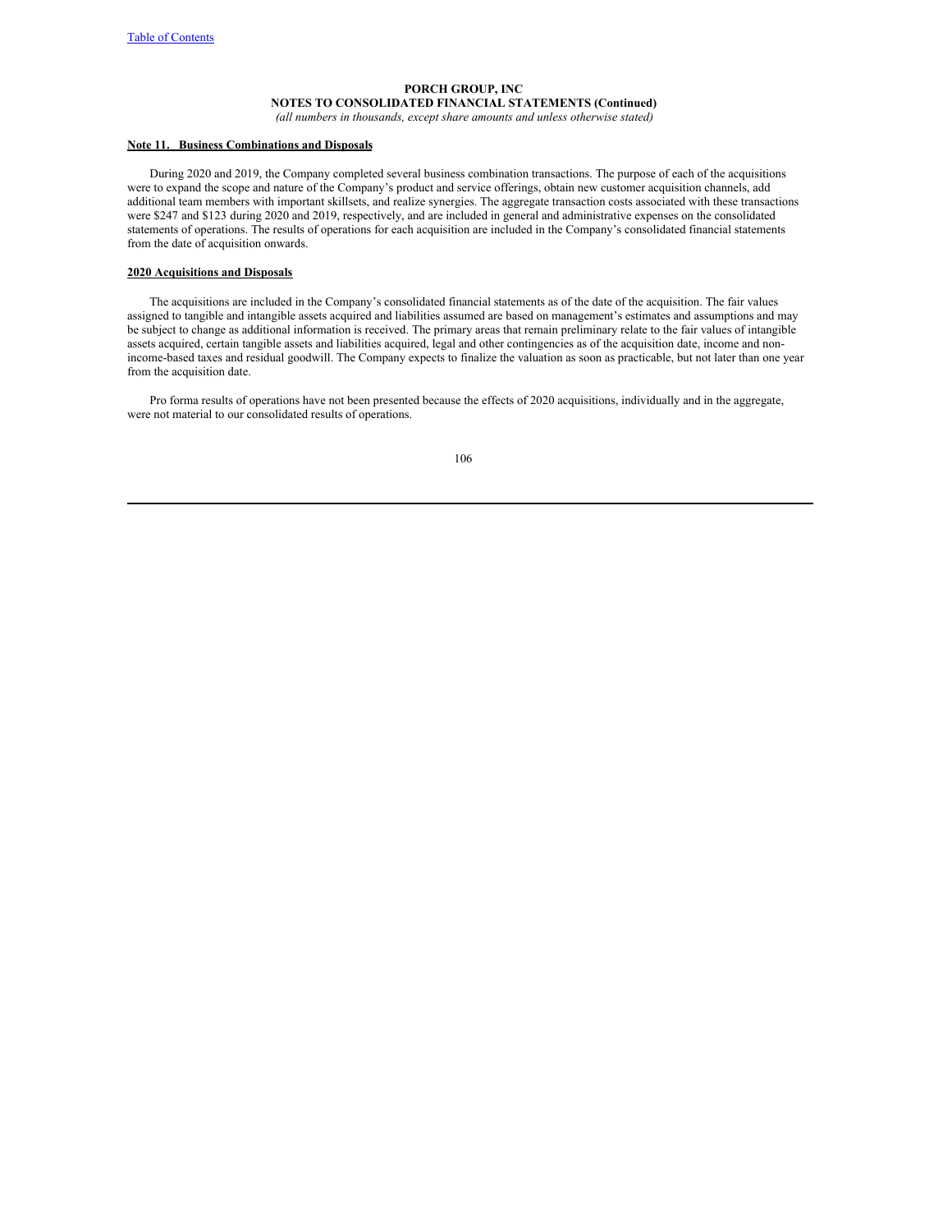*(all numbers in thousands, except share amounts and unless otherwise stated)*

# **Note 11. Business Combinations and Disposals**

During 2020 and 2019, the Company completed several business combination transactions. The purpose of each of the acquisitions were to expand the scope and nature of the Company's product and service offerings, obtain new customer acquisition channels, add additional team members with important skillsets, and realize synergies. The aggregate transaction costs associated with these transactions were \$247 and \$123 during 2020 and 2019, respectively, and are included in general and administrative expenses on the consolidated statements of operations. The results of operations for each acquisition are included in the Company's consolidated financial statements from the date of acquisition onwards.

# **2020 Acquisitions and Disposals**

The acquisitions are included in the Company's consolidated financial statements as of the date of the acquisition. The fair values assigned to tangible and intangible assets acquired and liabilities assumed are based on management's estimates and assumptions and may be subject to change as additional information is received. The primary areas that remain preliminary relate to the fair values of intangible assets acquired, certain tangible assets and liabilities acquired, legal and other contingencies as of the acquisition date, income and nonincome-based taxes and residual goodwill. The Company expects to finalize the valuation as soon as practicable, but not later than one year from the acquisition date.

Pro forma results of operations have not been presented because the effects of 2020 acquisitions, individually and in the aggregate, were not material to our consolidated results of operations.

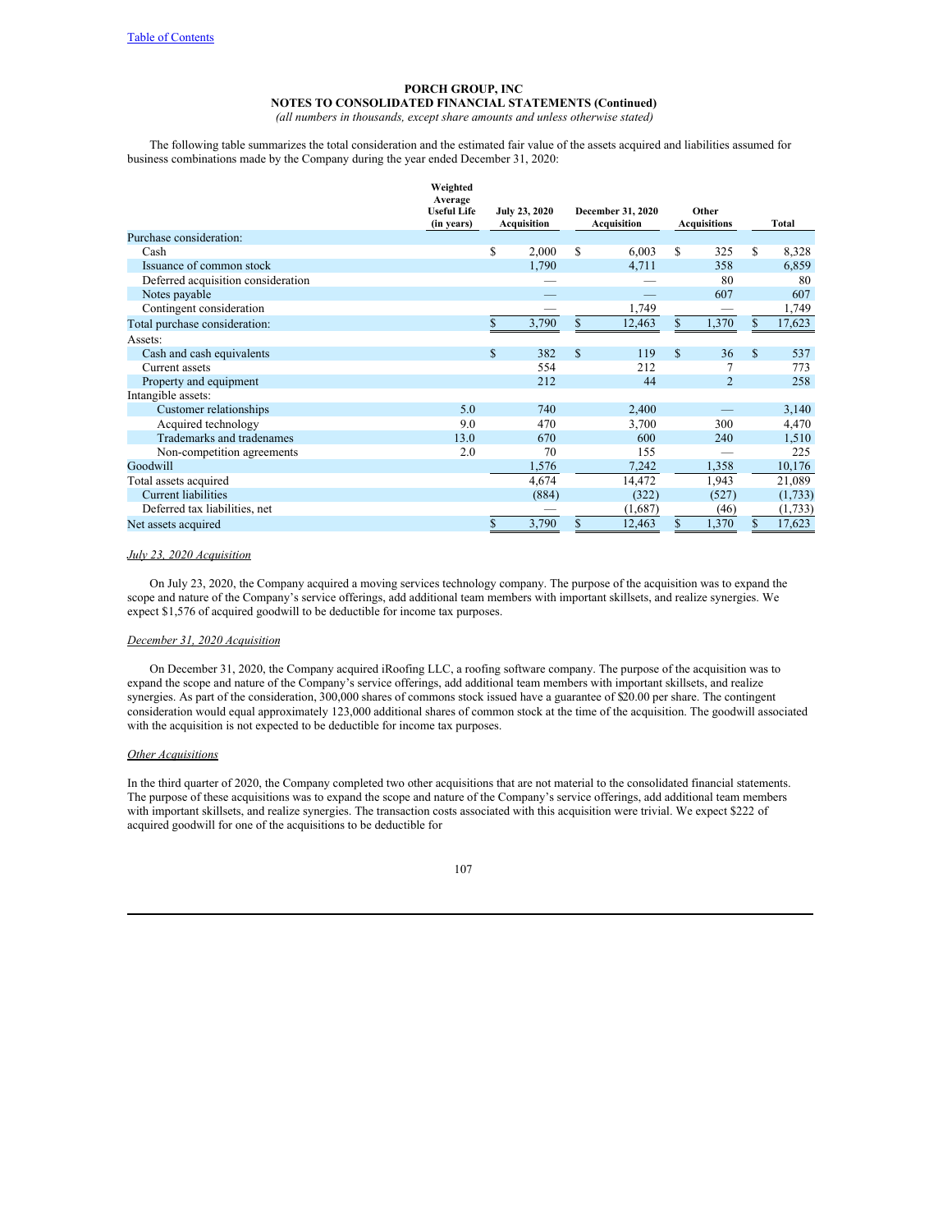*(all numbers in thousands, except share amounts and unless otherwise stated)*

The following table summarizes the total consideration and the estimated fair value of the assets acquired and liabilities assumed for business combinations made by the Company during the year ended December 31, 2020:

|                                    | Weighted<br>Average              |                                     |       |                                  |         |                              |                |    |         |
|------------------------------------|----------------------------------|-------------------------------------|-------|----------------------------------|---------|------------------------------|----------------|----|---------|
|                                    | <b>Useful Life</b><br>(in years) | <b>July 23, 2020</b><br>Acquisition |       | December 31, 2020<br>Acquisition |         | Other<br><b>Acquisitions</b> |                |    | Total   |
| Purchase consideration:            |                                  |                                     |       |                                  |         |                              |                |    |         |
| Cash                               |                                  | \$                                  | 2,000 | \$                               | 6,003   | S.                           | 325            | \$ | 8,328   |
| Issuance of common stock           |                                  |                                     | 1,790 |                                  | 4,711   |                              | 358            |    | 6,859   |
| Deferred acquisition consideration |                                  |                                     |       |                                  |         |                              | 80             |    | 80      |
| Notes payable                      |                                  |                                     |       |                                  |         |                              | 607            |    | 607     |
| Contingent consideration           |                                  |                                     |       |                                  | 1,749   |                              |                |    | 1,749   |
| Total purchase consideration:      |                                  | \$                                  | 3,790 | \$                               | 12,463  | \$                           | 1,370          | S  | 17,623  |
| Assets:                            |                                  |                                     |       |                                  |         |                              |                |    |         |
| Cash and cash equivalents          |                                  | \$                                  | 382   | \$                               | 119     | \$                           | 36             | \$ | 537     |
| Current assets                     |                                  |                                     | 554   |                                  | 212     |                              |                |    | 773     |
| Property and equipment             |                                  |                                     | 212   |                                  | 44      |                              | $\mathfrak{D}$ |    | 258     |
| Intangible assets:                 |                                  |                                     |       |                                  |         |                              |                |    |         |
| Customer relationships             | 5.0                              |                                     | 740   |                                  | 2.400   |                              |                |    | 3,140   |
| Acquired technology                | 9.0                              |                                     | 470   |                                  | 3,700   |                              | 300            |    | 4,470   |
| Trademarks and tradenames          | 13.0                             |                                     | 670   |                                  | 600     |                              | 240            |    | 1,510   |
| Non-competition agreements         | 2.0                              |                                     | 70    |                                  | 155     |                              |                |    | 225     |
| Goodwill                           |                                  |                                     | 1,576 |                                  | 7,242   |                              | 1,358          |    | 10,176  |
| Total assets acquired              |                                  |                                     | 4,674 |                                  | 14,472  |                              | 1,943          |    | 21,089  |
| <b>Current liabilities</b>         |                                  |                                     | (884) |                                  | (322)   |                              | (527)          |    | (1,733) |
| Deferred tax liabilities, net      |                                  |                                     |       |                                  | (1,687) |                              | (46)           |    | (1,733) |
| Net assets acquired                |                                  | \$                                  | 3,790 | \$                               | 12,463  |                              | 1,370          |    | 17,623  |

## *July 23, 2020 Acquisition*

On July 23, 2020, the Company acquired a moving services technology company. The purpose of the acquisition was to expand the scope and nature of the Company's service offerings, add additional team members with important skillsets, and realize synergies. We expect \$1,576 of acquired goodwill to be deductible for income tax purposes.

## *December 31, 2020 Acquisition*

On December 31, 2020, the Company acquired iRoofing LLC, a roofing software company. The purpose of the acquisition was to expand the scope and nature of the Company's service offerings, add additional team members with important skillsets, and realize synergies. As part of the consideration, 300,000 shares of commons stock issued have a guarantee of \$20.00 per share. The contingent consideration would equal approximately 123,000 additional shares of common stock at the time of the acquisition. The goodwill associated with the acquisition is not expected to be deductible for income tax purposes.

### *Other Acquisitions*

In the third quarter of 2020, the Company completed two other acquisitions that are not material to the consolidated financial statements. The purpose of these acquisitions was to expand the scope and nature of the Company's service offerings, add additional team members with important skillsets, and realize synergies. The transaction costs associated with this acquisition were trivial. We expect \$222 of acquired goodwill for one of the acquisitions to be deductible for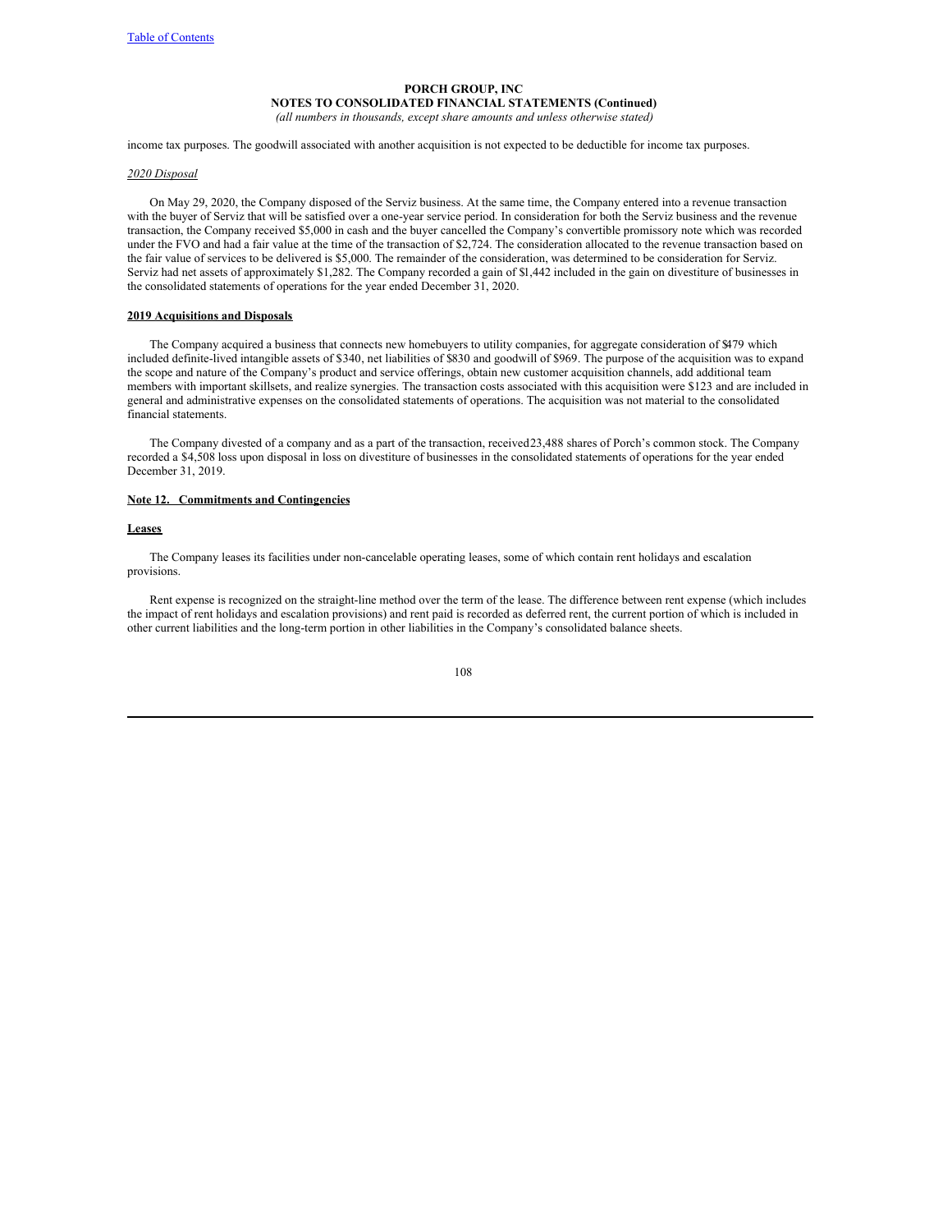*(all numbers in thousands, except share amounts and unless otherwise stated)*

income tax purposes. The goodwill associated with another acquisition is not expected to be deductible for income tax purposes.

### *2020 Disposal*

On May 29, 2020, the Company disposed of the Serviz business. At the same time, the Company entered into a revenue transaction with the buyer of Serviz that will be satisfied over a one-year service period. In consideration for both the Serviz business and the revenue transaction, the Company received \$5,000 in cash and the buyer cancelled the Company's convertible promissory note which was recorded under the FVO and had a fair value at the time of the transaction of \$2,724. The consideration allocated to the revenue transaction based on the fair value of services to be delivered is \$5,000. The remainder of the consideration, was determined to be consideration for Serviz. Serviz had net assets of approximately \$1,282. The Company recorded a gain of \$1,442 included in the gain on divestiture of businesses in the consolidated statements of operations for the year ended December 31, 2020.

### **2019 Acquisitions and Disposals**

The Company acquired a business that connects new homebuyers to utility companies, for aggregate consideration of \$479 which included definite-lived intangible assets of \$340, net liabilities of \$830 and goodwill of \$969. The purpose of the acquisition was to expand the scope and nature of the Company's product and service offerings, obtain new customer acquisition channels, add additional team members with important skillsets, and realize synergies. The transaction costs associated with this acquisition were \$123 and are included in general and administrative expenses on the consolidated statements of operations. The acquisition was not material to the consolidated financial statements.

The Company divested of a company and as a part of the transaction, received23,488 shares of Porch's common stock. The Company recorded a \$4,508 loss upon disposal in loss on divestiture of businesses in the consolidated statements of operations for the year ended December 31, 2019.

#### **Note 12. Commitments and Contingencies**

#### **Leases**

The Company leases its facilities under non-cancelable operating leases, some of which contain rent holidays and escalation provisions.

Rent expense is recognized on the straight-line method over the term of the lease. The difference between rent expense (which includes the impact of rent holidays and escalation provisions) and rent paid is recorded as deferred rent, the current portion of which is included in other current liabilities and the long-term portion in other liabilities in the Company's consolidated balance sheets.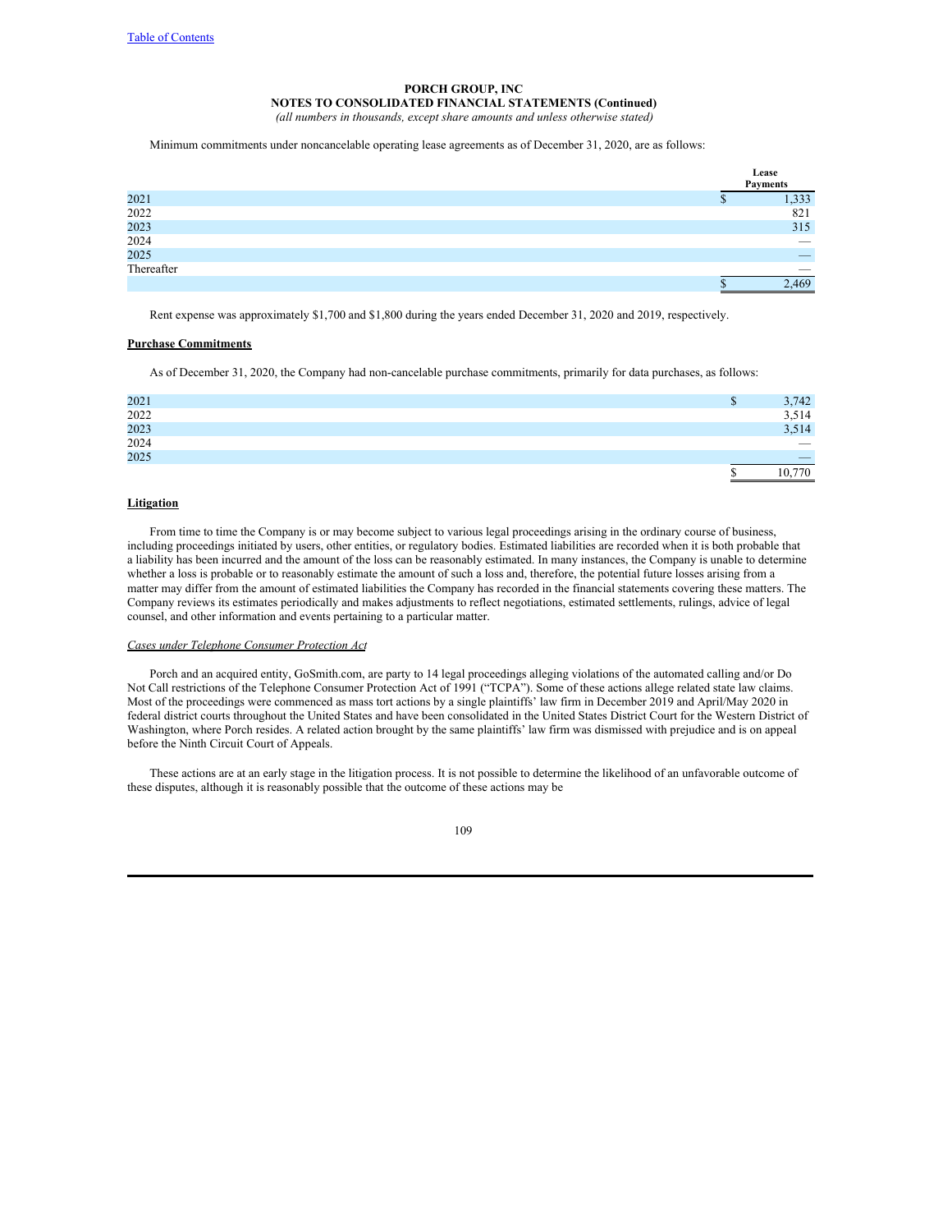*(all numbers in thousands, except share amounts and unless otherwise stated)*

Minimum commitments under noncancelable operating lease agreements as of December 31, 2020, are as follows:



Rent expense was approximately \$1,700 and \$1,800 during the years ended December 31, 2020 and 2019, respectively.

### **Purchase Commitments**

As of December 31, 2020, the Company had non-cancelable purchase commitments, primarily for data purchases, as follows:

| 2021         | ъ | 3,742  |
|--------------|---|--------|
| 2022         |   | 3.514  |
| 2023         |   | 3,514  |
| 2024<br>2025 |   | $-$    |
|              |   |        |
|              |   | 10,770 |

# **Litigation**

From time to time the Company is or may become subject to various legal proceedings arising in the ordinary course of business, including proceedings initiated by users, other entities, or regulatory bodies. Estimated liabilities are recorded when it is both probable that a liability has been incurred and the amount of the loss can be reasonably estimated. In many instances, the Company is unable to determine whether a loss is probable or to reasonably estimate the amount of such a loss and, therefore, the potential future losses arising from a matter may differ from the amount of estimated liabilities the Company has recorded in the financial statements covering these matters. The Company reviews its estimates periodically and makes adjustments to reflect negotiations, estimated settlements, rulings, advice of legal counsel, and other information and events pertaining to a particular matter.

#### *Cases under Telephone Consumer Protection Act*

Porch and an acquired entity, GoSmith.com, are party to 14 legal proceedings alleging violations of the automated calling and/or Do Not Call restrictions of the Telephone Consumer Protection Act of 1991 ("TCPA"). Some of these actions allege related state law claims. Most of the proceedings were commenced as mass tort actions by a single plaintiffs' law firm in December 2019 and April/May 2020 in federal district courts throughout the United States and have been consolidated in the United States District Court for the Western District of Washington, where Porch resides. A related action brought by the same plaintiffs' law firm was dismissed with prejudice and is on appeal before the Ninth Circuit Court of Appeals.

These actions are at an early stage in the litigation process. It is not possible to determine the likelihood of an unfavorable outcome of these disputes, although it is reasonably possible that the outcome of these actions may be

<sup>109</sup>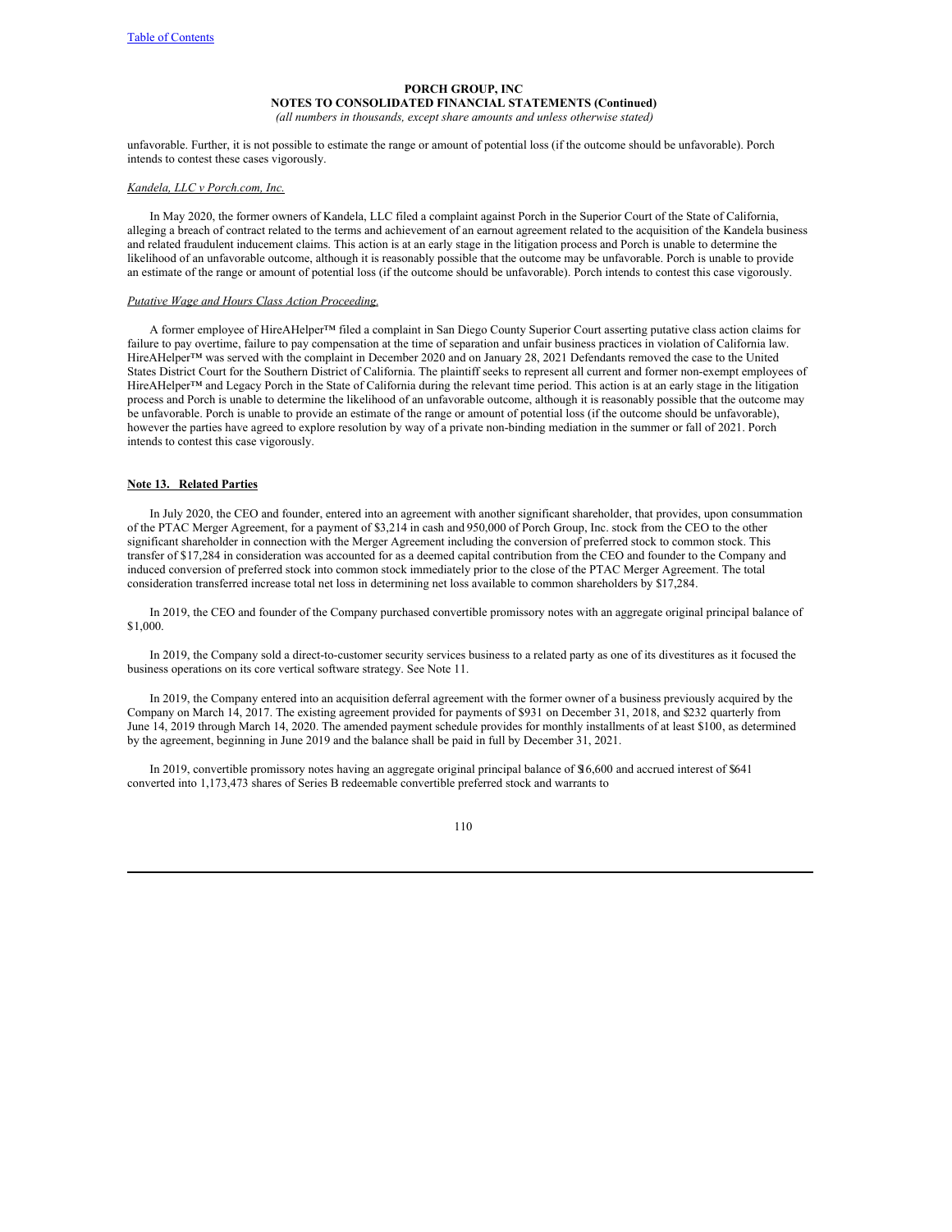*(all numbers in thousands, except share amounts and unless otherwise stated)*

unfavorable. Further, it is not possible to estimate the range or amount of potential loss (if the outcome should be unfavorable). Porch intends to contest these cases vigorously.

#### *Kandela, LLC v Porch.com, Inc.*

In May 2020, the former owners of Kandela, LLC filed a complaint against Porch in the Superior Court of the State of California, alleging a breach of contract related to the terms and achievement of an earnout agreement related to the acquisition of the Kandela business and related fraudulent inducement claims. This action is at an early stage in the litigation process and Porch is unable to determine the likelihood of an unfavorable outcome, although it is reasonably possible that the outcome may be unfavorable. Porch is unable to provide an estimate of the range or amount of potential loss (if the outcome should be unfavorable). Porch intends to contest this case vigorously.

# *Putative Wage and Hours Class Action Proceeding.*

A former employee of HireAHelper™ filed a complaint in San Diego County Superior Court asserting putative class action claims for failure to pay overtime, failure to pay compensation at the time of separation and unfair business practices in violation of California law. HireAHelper™ was served with the complaint in December 2020 and on January 28, 2021 Defendants removed the case to the United States District Court for the Southern District of California. The plaintiff seeks to represent all current and former non-exempt employees of HireAHelper™ and Legacy Porch in the State of California during the relevant time period. This action is at an early stage in the litigation process and Porch is unable to determine the likelihood of an unfavorable outcome, although it is reasonably possible that the outcome may be unfavorable. Porch is unable to provide an estimate of the range or amount of potential loss (if the outcome should be unfavorable), however the parties have agreed to explore resolution by way of a private non-binding mediation in the summer or fall of 2021. Porch intends to contest this case vigorously.

# **Note 13. Related Parties**

In July 2020, the CEO and founder, entered into an agreement with another significant shareholder, that provides, upon consummation of the PTAC Merger Agreement, for a payment of \$3,214 in cash and 950,000 of Porch Group, Inc. stock from the CEO to the other significant shareholder in connection with the Merger Agreement including the conversion of preferred stock to common stock. This transfer of \$17,284 in consideration was accounted for as a deemed capital contribution from the CEO and founder to the Company and induced conversion of preferred stock into common stock immediately prior to the close of the PTAC Merger Agreement. The total consideration transferred increase total net loss in determining net loss available to common shareholders by \$17,284.

In 2019, the CEO and founder of the Company purchased convertible promissory notes with an aggregate original principal balance of \$1,000.

In 2019, the Company sold a direct-to-customer security services business to a related party as one of its divestitures as it focused the business operations on its core vertical software strategy. See Note 11.

In 2019, the Company entered into an acquisition deferral agreement with the former owner of a business previously acquired by the Company on March 14, 2017. The existing agreement provided for payments of \$931 on December 31, 2018, and \$232 quarterly from June 14, 2019 through March 14, 2020. The amended payment schedule provides for monthly installments of at least \$100, as determined by the agreement, beginning in June 2019 and the balance shall be paid in full by December 31, 2021.

In 2019, convertible promissory notes having an aggregate original principal balance of \$16,600 and accrued interest of \$641 converted into 1,173,473 shares of Series B redeemable convertible preferred stock and warrants to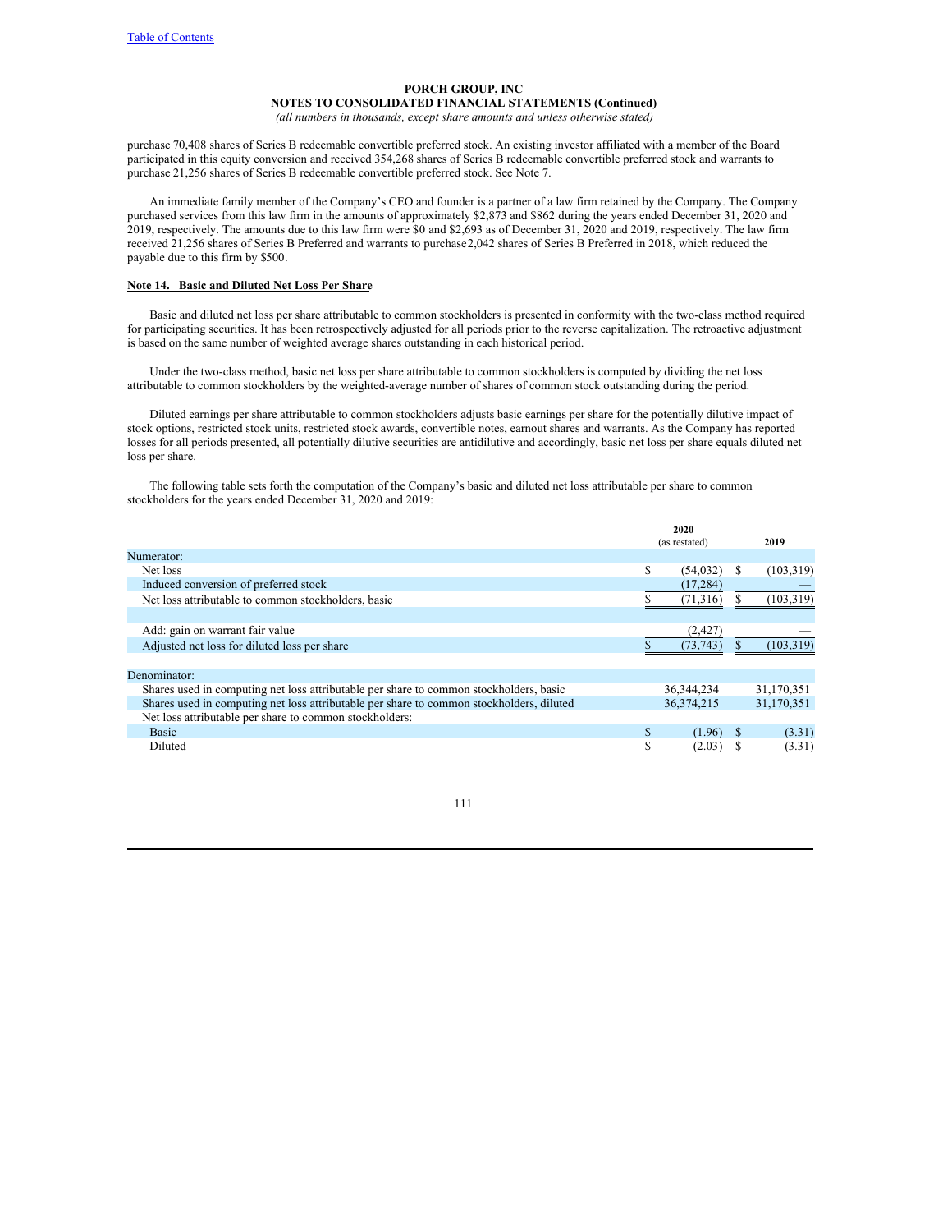*(all numbers in thousands, except share amounts and unless otherwise stated)*

purchase 70,408 shares of Series B redeemable convertible preferred stock. An existing investor affiliated with a member of the Board participated in this equity conversion and received 354,268 shares of Series B redeemable convertible preferred stock and warrants to purchase 21,256 shares of Series B redeemable convertible preferred stock. See Note 7.

An immediate family member of the Company's CEO and founder is a partner of a law firm retained by the Company. The Company purchased services from this law firm in the amounts of approximately \$2,873 and \$862 during the years ended December 31, 2020 and 2019, respectively. The amounts due to this law firm were \$0 and \$2,693 as of December 31, 2020 and 2019, respectively. The law firm received 21,256 shares of Series B Preferred and warrants to purchase2,042 shares of Series B Preferred in 2018, which reduced the payable due to this firm by \$500.

#### **Note 14. Basic and Diluted Net Loss Per Share**

Basic and diluted net loss per share attributable to common stockholders is presented in conformity with the two-class method required for participating securities. It has been retrospectively adjusted for all periods prior to the reverse capitalization. The retroactive adjustment is based on the same number of weighted average shares outstanding in each historical period.

Under the two-class method, basic net loss per share attributable to common stockholders is computed by dividing the net loss attributable to common stockholders by the weighted-average number of shares of common stock outstanding during the period.

Diluted earnings per share attributable to common stockholders adjusts basic earnings per share for the potentially dilutive impact of stock options, restricted stock units, restricted stock awards, convertible notes, earnout shares and warrants. As the Company has reported losses for all periods presented, all potentially dilutive securities are antidilutive and accordingly, basic net loss per share equals diluted net loss per share.

The following table sets forth the computation of the Company's basic and diluted net loss attributable per share to common stockholders for the years ended December 31, 2020 and 2019:

| 2020                                                                                     |    |               |    |            |
|------------------------------------------------------------------------------------------|----|---------------|----|------------|
|                                                                                          |    | (as restated) |    | 2019       |
| Numerator:                                                                               |    |               |    |            |
| Net loss                                                                                 | \$ | (54, 032)     | S. | (103, 319) |
| Induced conversion of preferred stock                                                    |    | (17, 284)     |    |            |
| Net loss attributable to common stockholders, basic                                      |    | (71, 316)     |    | (103, 319) |
|                                                                                          |    |               |    |            |
| Add: gain on warrant fair value                                                          |    | (2, 427)      |    |            |
| Adjusted net loss for diluted loss per share                                             |    | (73, 743)     |    | (103, 319) |
|                                                                                          |    |               |    |            |
| Denominator:                                                                             |    |               |    |            |
| Shares used in computing net loss attributable per share to common stockholders, basic   |    | 36, 344, 234  |    | 31,170,351 |
| Shares used in computing net loss attributable per share to common stockholders, diluted |    | 36, 374, 215  |    | 31,170,351 |
| Net loss attributable per share to common stockholders:                                  |    |               |    |            |
| <b>Basic</b>                                                                             | \$ | $(1.96)$ \$   |    | (3.31)     |
| Diluted                                                                                  | \$ | (2.03         |    | (3.31)     |
|                                                                                          |    |               |    |            |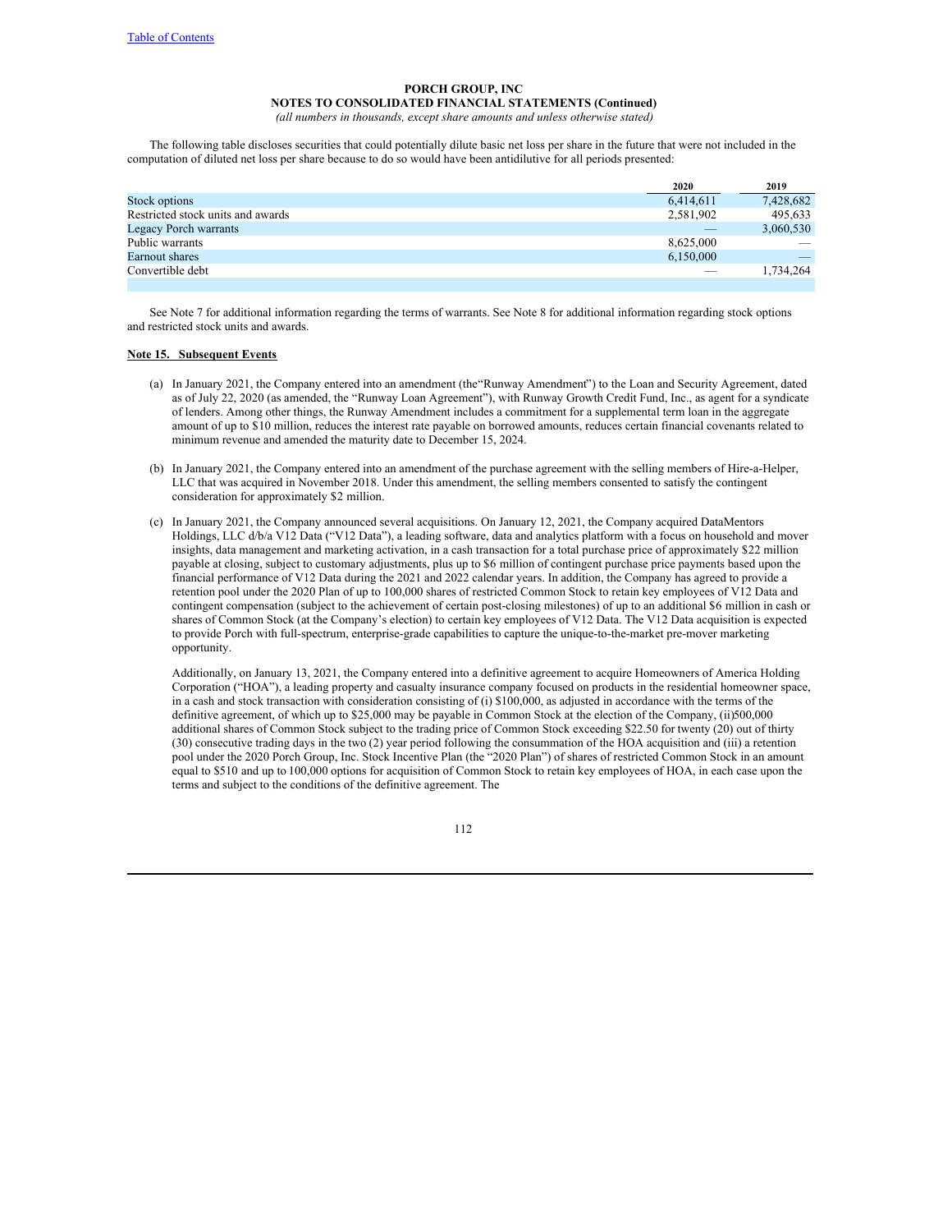*(all numbers in thousands, except share amounts and unless otherwise stated)*

The following table discloses securities that could potentially dilute basic net loss per share in the future that were not included in the computation of diluted net loss per share because to do so would have been antidilutive for all periods presented:

|                                   | 2020                     | 2019      |
|-----------------------------------|--------------------------|-----------|
| Stock options                     | 6,414,611                | 7,428,682 |
| Restricted stock units and awards | 2,581,902                | 495,633   |
| Legacy Porch warrants             |                          | 3,060,530 |
| Public warrants                   | 8,625,000                |           |
| Earnout shares                    | 6,150,000                |           |
| Convertible debt                  | $\overline{\phantom{a}}$ | 1,734,264 |
|                                   |                          |           |

See Note 7 for additional information regarding the terms of warrants. See Note 8 for additional information regarding stock options and restricted stock units and awards.

### **Note 15. Subsequent Events**

- (a) In January 2021, the Company entered into an amendment (the"Runway Amendment") to the Loan and Security Agreement, dated as of July 22, 2020 (as amended, the "Runway Loan Agreement"), with Runway Growth Credit Fund, Inc., as agent for a syndicate of lenders. Among other things, the Runway Amendment includes a commitment for a supplemental term loan in the aggregate amount of up to \$10 million, reduces the interest rate payable on borrowed amounts, reduces certain financial covenants related to minimum revenue and amended the maturity date to December 15, 2024.
- (b) In January 2021, the Company entered into an amendment of the purchase agreement with the selling members of Hire-a-Helper, LLC that was acquired in November 2018. Under this amendment, the selling members consented to satisfy the contingent consideration for approximately \$2 million.
- (c) In January 2021, the Company announced several acquisitions. On January 12, 2021, the Company acquired DataMentors Holdings, LLC d/b/a V12 Data ("V12 Data"), a leading software, data and analytics platform with a focus on household and mover insights, data management and marketing activation, in a cash transaction for a total purchase price of approximately \$22 million payable at closing, subject to customary adjustments, plus up to \$6 million of contingent purchase price payments based upon the financial performance of V12 Data during the 2021 and 2022 calendar years. In addition, the Company has agreed to provide a retention pool under the 2020 Plan of up to 100,000 shares of restricted Common Stock to retain key employees of V12 Data and contingent compensation (subject to the achievement of certain post-closing milestones) of up to an additional \$6 million in cash or shares of Common Stock (at the Company's election) to certain key employees of V12 Data. The V12 Data acquisition is expected to provide Porch with full-spectrum, enterprise-grade capabilities to capture the unique-to-the-market pre-mover marketing opportunity.

Additionally, on January 13, 2021, the Company entered into a definitive agreement to acquire Homeowners of America Holding Corporation ("HOA"), a leading property and casualty insurance company focused on products in the residential homeowner space, in a cash and stock transaction with consideration consisting of (i) \$100,000, as adjusted in accordance with the terms of the definitive agreement, of which up to \$25,000 may be payable in Common Stock at the election of the Company, (ii)500,000 additional shares of Common Stock subject to the trading price of Common Stock exceeding \$22.50 for twenty (20) out of thirty (30) consecutive trading days in the two (2) year period following the consummation of the HOA acquisition and (iii) a retention pool under the 2020 Porch Group, Inc. Stock Incentive Plan (the "2020 Plan") of shares of restricted Common Stock in an amount equal to \$510 and up to 100,000 options for acquisition of Common Stock to retain key employees of HOA, in each case upon the terms and subject to the conditions of the definitive agreement. The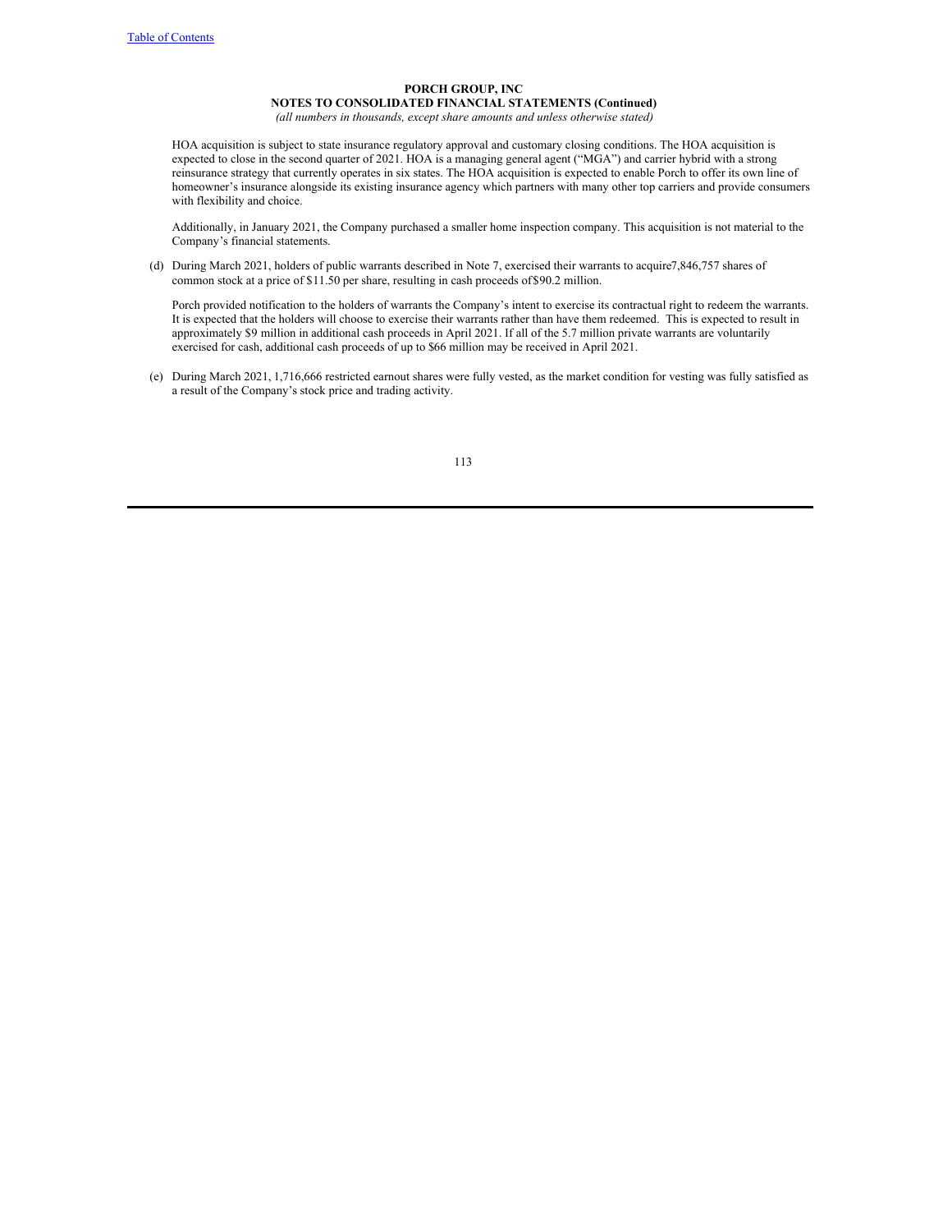*(all numbers in thousands, except share amounts and unless otherwise stated)*

HOA acquisition is subject to state insurance regulatory approval and customary closing conditions. The HOA acquisition is expected to close in the second quarter of 2021. HOA is a managing general agent ("MGA") and carrier hybrid with a strong reinsurance strategy that currently operates in six states. The HOA acquisition is expected to enable Porch to offer its own line of homeowner's insurance alongside its existing insurance agency which partners with many other top carriers and provide consumers with flexibility and choice.

Additionally, in January 2021, the Company purchased a smaller home inspection company. This acquisition is not material to the Company's financial statements.

(d) During March 2021, holders of public warrants described in Note 7, exercised their warrants to acquire7,846,757 shares of common stock at a price of \$11.50 per share, resulting in cash proceeds of\$90.2 million.

Porch provided notification to the holders of warrants the Company's intent to exercise its contractual right to redeem the warrants. It is expected that the holders will choose to exercise their warrants rather than have them redeemed. This is expected to result in approximately \$9 million in additional cash proceeds in April 2021. If all of the 5.7 million private warrants are voluntarily exercised for cash, additional cash proceeds of up to \$66 million may be received in April 2021.

(e) During March 2021, 1,716,666 restricted earnout shares were fully vested, as the market condition for vesting was fully satisfied as a result of the Company's stock price and trading activity.

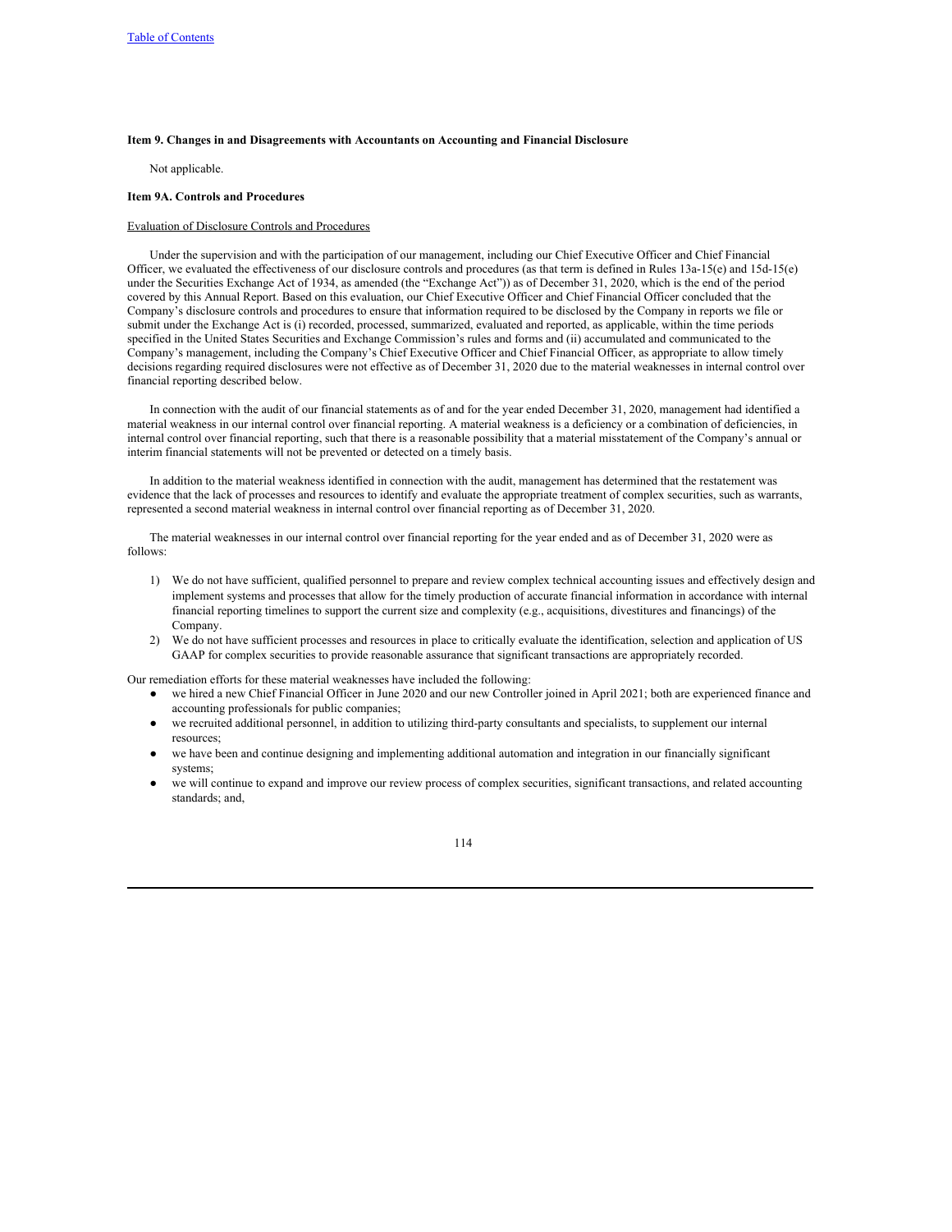#### **Item 9. Changes in and Disagreements with Accountants on Accounting and Financial Disclosure**

Not applicable.

### **Item 9A. Controls and Procedures**

#### Evaluation of Disclosure Controls and Procedures

Under the supervision and with the participation of our management, including our Chief Executive Officer and Chief Financial Officer, we evaluated the effectiveness of our disclosure controls and procedures (as that term is defined in Rules 13a-15(e) and 15d-15(e) under the Securities Exchange Act of 1934, as amended (the "Exchange Act")) as of December 31, 2020, which is the end of the period covered by this Annual Report. Based on this evaluation, our Chief Executive Officer and Chief Financial Officer concluded that the Company's disclosure controls and procedures to ensure that information required to be disclosed by the Company in reports we file or submit under the Exchange Act is (i) recorded, processed, summarized, evaluated and reported, as applicable, within the time periods specified in the United States Securities and Exchange Commission's rules and forms and (ii) accumulated and communicated to the Company's management, including the Company's Chief Executive Officer and Chief Financial Officer, as appropriate to allow timely decisions regarding required disclosures were not effective as of December 31, 2020 due to the material weaknesses in internal control over financial reporting described below.

In connection with the audit of our financial statements as of and for the year ended December 31, 2020, management had identified a material weakness in our internal control over financial reporting. A material weakness is a deficiency or a combination of deficiencies, in internal control over financial reporting, such that there is a reasonable possibility that a material misstatement of the Company's annual or interim financial statements will not be prevented or detected on a timely basis.

In addition to the material weakness identified in connection with the audit, management has determined that the restatement was evidence that the lack of processes and resources to identify and evaluate the appropriate treatment of complex securities, such as warrants, represented a second material weakness in internal control over financial reporting as of December 31, 2020.

The material weaknesses in our internal control over financial reporting for the year ended and as of December 31, 2020 were as follows:

- 1) We do not have sufficient, qualified personnel to prepare and review complex technical accounting issues and effectively design and implement systems and processes that allow for the timely production of accurate financial information in accordance with internal financial reporting timelines to support the current size and complexity (e.g., acquisitions, divestitures and financings) of the Company.
- 2) We do not have sufficient processes and resources in place to critically evaluate the identification, selection and application of US GAAP for complex securities to provide reasonable assurance that significant transactions are appropriately recorded.

Our remediation efforts for these material weaknesses have included the following:

- we hired a new Chief Financial Officer in June 2020 and our new Controller joined in April 2021; both are experienced finance and accounting professionals for public companies;
- we recruited additional personnel, in addition to utilizing third-party consultants and specialists, to supplement our internal resources;
- we have been and continue designing and implementing additional automation and integration in our financially significant systems;
- we will continue to expand and improve our review process of complex securities, significant transactions, and related accounting standards; and,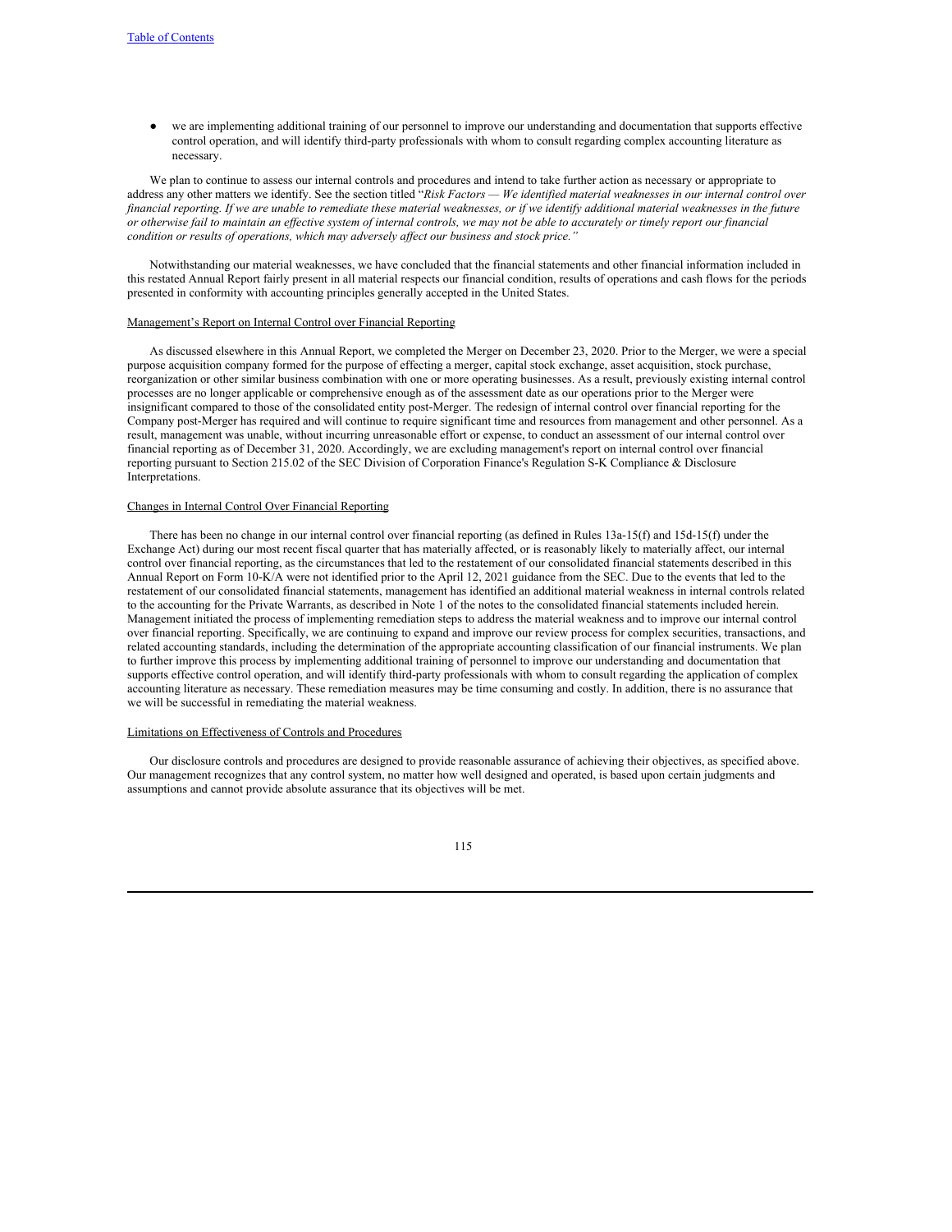we are implementing additional training of our personnel to improve our understanding and documentation that supports effective control operation, and will identify third-party professionals with whom to consult regarding complex accounting literature as necessary.

We plan to continue to assess our internal controls and procedures and intend to take further action as necessary or appropriate to address any other matters we identify. See the section titled "*Risk Factors — We identified material weaknesses in our internal control over* financial reporting. If we are unable to remediate these material weaknesses, or if we identify additional material weaknesses in the future or otherwise fail to maintain an effective system of internal controls, we may not be able to accurately or timely report our financial *condition or results of operations, which may adversely af ect our business and stock price."*

Notwithstanding our material weaknesses, we have concluded that the financial statements and other financial information included in this restated Annual Report fairly present in all material respects our financial condition, results of operations and cash flows for the periods presented in conformity with accounting principles generally accepted in the United States.

#### Management's Report on Internal Control over Financial Reporting

As discussed elsewhere in this Annual Report, we completed the Merger on December 23, 2020. Prior to the Merger, we were a special purpose acquisition company formed for the purpose of effecting a merger, capital stock exchange, asset acquisition, stock purchase, reorganization or other similar business combination with one or more operating businesses. As a result, previously existing internal control processes are no longer applicable or comprehensive enough as of the assessment date as our operations prior to the Merger were insignificant compared to those of the consolidated entity post-Merger. The redesign of internal control over financial reporting for the Company post-Merger has required and will continue to require significant time and resources from management and other personnel. As a result, management was unable, without incurring unreasonable effort or expense, to conduct an assessment of our internal control over financial reporting as of December 31, 2020. Accordingly, we are excluding management's report on internal control over financial reporting pursuant to Section 215.02 of the SEC Division of Corporation Finance's Regulation S-K Compliance & Disclosure Interpretations.

## Changes in Internal Control Over Financial Reporting

There has been no change in our internal control over financial reporting (as defined in Rules 13a-15(f) and 15d-15(f) under the Exchange Act) during our most recent fiscal quarter that has materially affected, or is reasonably likely to materially affect, our internal control over financial reporting, as the circumstances that led to the restatement of our consolidated financial statements described in this Annual Report on Form 10-K/A were not identified prior to the April 12, 2021 guidance from the SEC. Due to the events that led to the restatement of our consolidated financial statements, management has identified an additional material weakness in internal controls related to the accounting for the Private Warrants, as described in Note 1 of the notes to the consolidated financial statements included herein. Management initiated the process of implementing remediation steps to address the material weakness and to improve our internal control over financial reporting. Specifically, we are continuing to expand and improve our review process for complex securities, transactions, and related accounting standards, including the determination of the appropriate accounting classification of our financial instruments. We plan to further improve this process by implementing additional training of personnel to improve our understanding and documentation that supports effective control operation, and will identify third-party professionals with whom to consult regarding the application of complex accounting literature as necessary. These remediation measures may be time consuming and costly. In addition, there is no assurance that we will be successful in remediating the material weakness.

#### Limitations on Effectiveness of Controls and Procedures

Our disclosure controls and procedures are designed to provide reasonable assurance of achieving their objectives, as specified above. Our management recognizes that any control system, no matter how well designed and operated, is based upon certain judgments and assumptions and cannot provide absolute assurance that its objectives will be met.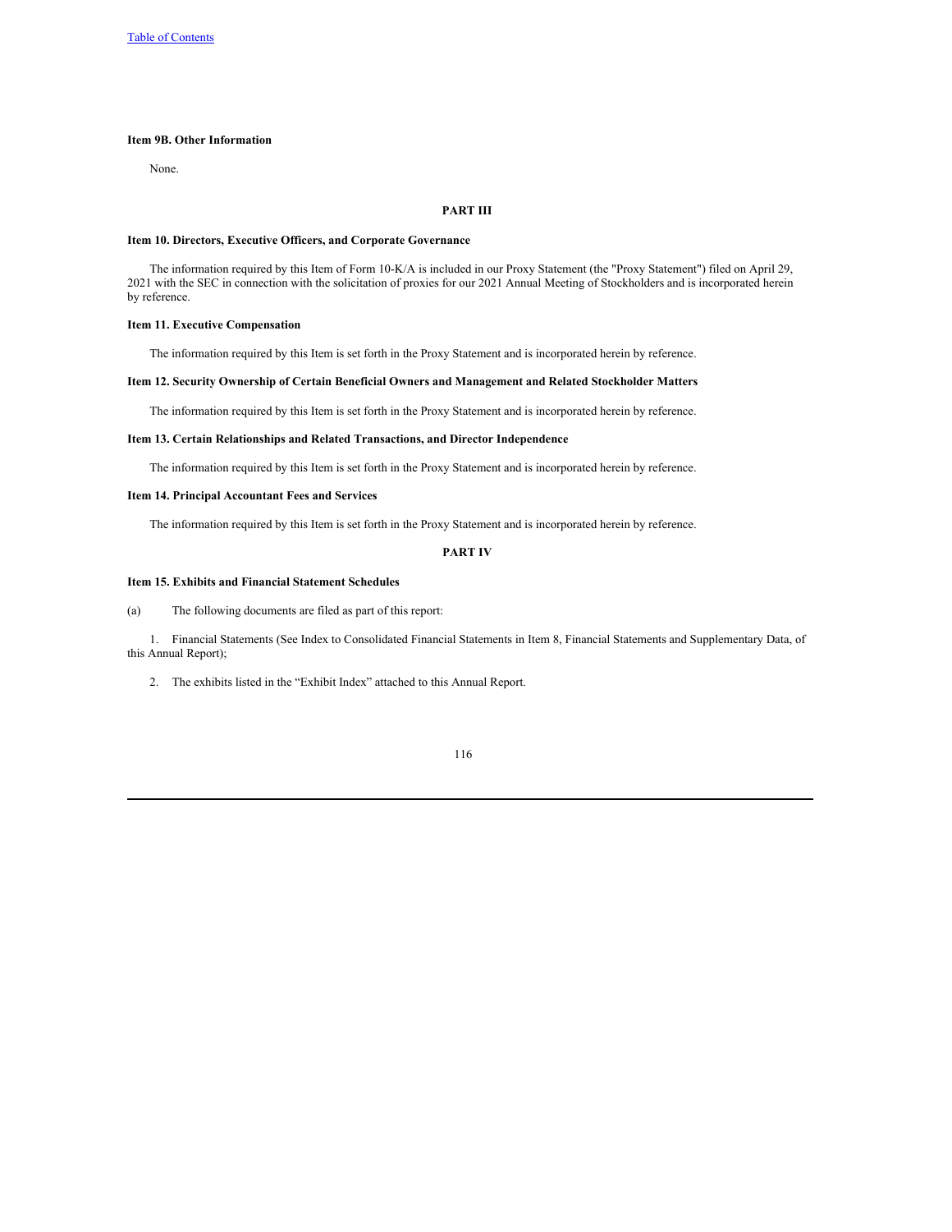# **Item 9B. Other Information**

None.

# **PART III**

# **Item 10. Directors, Executive Officers, and Corporate Governance**

The information required by this Item of Form 10-K/A is included in our Proxy Statement (the "Proxy Statement") filed on April 29, 2021 with the SEC in connection with the solicitation of proxies for our 2021 Annual Meeting of Stockholders and is incorporated herein by reference.

### **Item 11. Executive Compensation**

The information required by this Item is set forth in the Proxy Statement and is incorporated herein by reference.

### **Item 12. Security Ownership of Certain Beneficial Owners and Management and Related Stockholder Matters**

The information required by this Item is set forth in the Proxy Statement and is incorporated herein by reference.

### **Item 13. Certain Relationships and Related Transactions, and Director Independence**

The information required by this Item is set forth in the Proxy Statement and is incorporated herein by reference.

# **Item 14. Principal Accountant Fees and Services**

The information required by this Item is set forth in the Proxy Statement and is incorporated herein by reference.

### **PART IV**

### **Item 15. Exhibits and Financial Statement Schedules**

(a) The following documents are filed as part of this report:

1. Financial Statements (See Index to Consolidated Financial Statements in Item 8, Financial Statements and Supplementary Data, of this Annual Report);

2. The exhibits listed in the "Exhibit Index" attached to this Annual Report.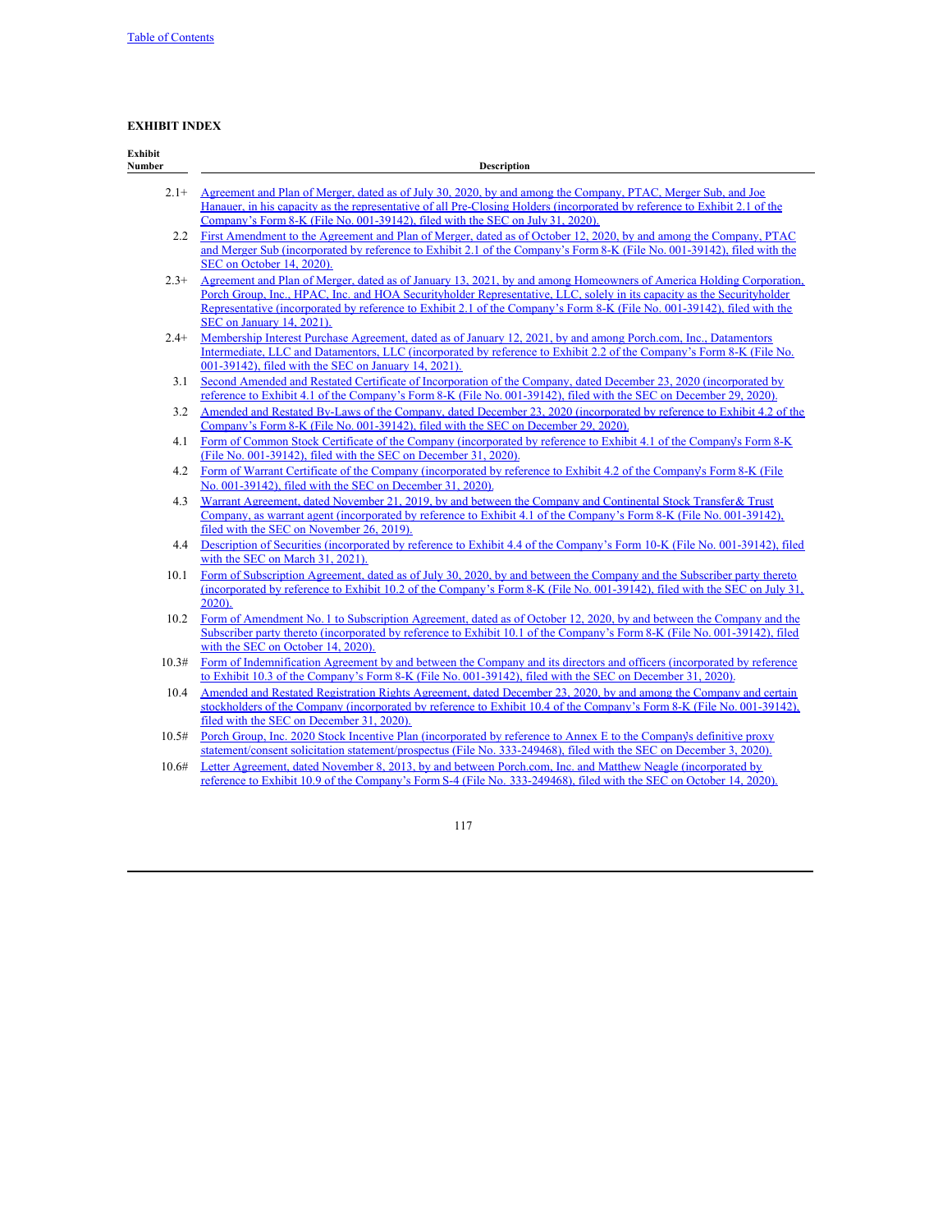# **EXHIBIT INDEX**

| <b>Exhibit</b><br><b>Number</b> | Description                                                                                                                                                                                                                                                                                                                                                                                           |
|---------------------------------|-------------------------------------------------------------------------------------------------------------------------------------------------------------------------------------------------------------------------------------------------------------------------------------------------------------------------------------------------------------------------------------------------------|
| $2.1+$                          | Agreement and Plan of Merger, dated as of July 30, 2020, by and among the Company, PTAC, Merger Sub, and Joe<br>Hanauer, in his capacity as the representative of all Pre-Closing Holders (incorporated by reference to Exhibit 2.1 of the<br>Company's Form 8-K (File No. 001-39142), filed with the SEC on July 31, 2020).                                                                          |
| $2.2^{\circ}$                   | First Amendment to the Agreement and Plan of Merger, dated as of October 12, 2020, by and among the Company, PTAC<br>and Merger Sub (incorporated by reference to Exhibit 2.1 of the Company's Form 8-K (File No. 001-39142), filed with the<br>SEC on October 14, 2020).                                                                                                                             |
| $2.3+$                          | Agreement and Plan of Merger, dated as of January 13, 2021, by and among Homeowners of America Holding Corporation,<br>Porch Group, Inc., HPAC, Inc. and HOA Securityholder Representative, LLC, solely in its capacity as the Securityholder<br>Representative (incorporated by reference to Exhibit 2.1 of the Company's Form 8-K (File No. 001-39142), filed with the<br>SEC on January 14, 2021). |
| $2.4+$                          | Membership Interest Purchase Agreement, dated as of January 12, 2021, by and among Porch.com, Inc., Datamentors<br>Intermediate, LLC and Datamentors, LLC (incorporated by reference to Exhibit 2.2 of the Company's Form 8-K (File No.<br>001-39142), filed with the SEC on January 14, 2021).                                                                                                       |
| 3.1                             | Second Amended and Restated Certificate of Incorporation of the Company, dated December 23, 2020 (incorporated by<br>reference to Exhibit 4.1 of the Company's Form 8-K (File No. 001-39142), filed with the SEC on December 29, 2020).                                                                                                                                                               |
| 3.2                             | Amended and Restated By-Laws of the Company, dated December 23, 2020 (incorporated by reference to Exhibit 4.2 of the<br>Company's Form 8-K (File No. 001-39142), filed with the SEC on December 29, 2020).                                                                                                                                                                                           |
| 4.1                             | Form of Common Stock Certificate of the Company (incorporated by reference to Exhibit 4.1 of the Company's Form 8-K<br>(File No. 001-39142), filed with the SEC on December 31, 2020).                                                                                                                                                                                                                |
| 4.2                             | Form of Warrant Certificate of the Company (incorporated by reference to Exhibit 4.2 of the Company's Form 8-K (File<br>No. 001-39142), filed with the SEC on December 31, 2020).                                                                                                                                                                                                                     |
| 4.3                             | Warrant Agreement, dated November 21, 2019, by and between the Company and Continental Stock Transfer & Trust<br>Company, as warrant agent (incorporated by reference to Exhibit 4.1 of the Company's Form 8-K (File No. 001-39142),<br>filed with the SEC on November 26, 2019).                                                                                                                     |
| 4.4                             | Description of Securities (incorporated by reference to Exhibit 4.4 of the Company's Form 10-K (File No. 001-39142), filed<br>with the SEC on March 31, 2021).                                                                                                                                                                                                                                        |
| 10.1                            | Form of Subscription Agreement, dated as of July 30, 2020, by and between the Company and the Subscriber party thereto<br>(incorporated by reference to Exhibit 10.2 of the Company's Form 8-K (File No. 001-39142), filed with the SEC on July 31,<br>$2020$ ).                                                                                                                                      |
| 10.2                            | Form of Amendment No. 1 to Subscription Agreement, dated as of October 12, 2020, by and between the Company and the<br>Subscriber party thereto (incorporated by reference to Exhibit 10.1 of the Company's Form 8-K (File No. 001-39142), filed<br>with the SEC on October 14, 2020).                                                                                                                |
| 10.3#                           | Form of Indemnification Agreement by and between the Company and its directors and officers (incorporated by reference<br>to Exhibit 10.3 of the Company's Form 8-K (File No. 001-39142), filed with the SEC on December 31, 2020).                                                                                                                                                                   |
| 10.4                            | Amended and Restated Registration Rights Agreement, dated December 23, 2020, by and among the Company and certain<br>stockholders of the Company (incorporated by reference to Exhibit 10.4 of the Company's Form 8-K (File No. 001-39142),<br>filed with the SEC on December 31, 2020).                                                                                                              |
| 10.5#                           | Porch Group, Inc. 2020 Stock Incentive Plan (incorporated by reference to Annex E to the Company's definitive proxy<br>statement/consent solicitation statement/prospectus (File No. 333-249468), filed with the SEC on December 3, 2020).                                                                                                                                                            |
| 10.6#                           | Letter Agreement, dated November 8, 2013, by and between Porch.com, Inc. and Matthew Neagle (incorporated by<br>reference to Exhibit 10.9 of the Company's Form S-4 (File No. 333-249468), filed with the SEC on October 14, 2020).                                                                                                                                                                   |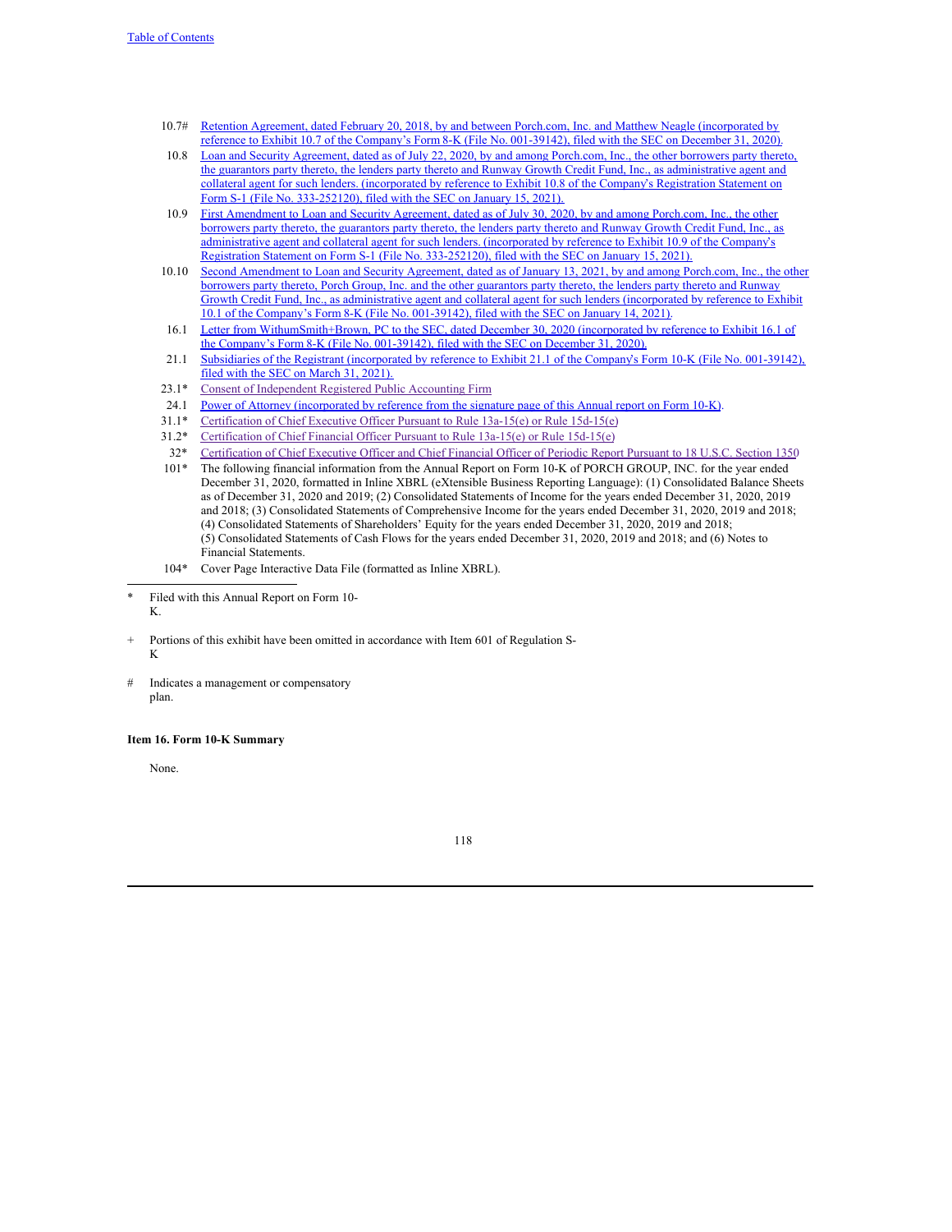- 10.7# Retention Agreement, dated February 20, 2018, by and between Porch.com, Inc. and Matthew Neagle [\(incorporated](https://www.sec.gov/Archives/edgar/data/1784535/000121390020045506/ea131992ex10-7_porchgroup.htm) by reference to Exhibit 10.7 of the Company's Form 8-K (File No. 001-39142), filed with the SEC on December 31, 2020).
- 10.8 Loan and Security Agreement, dated as of July 22, 2020, by and among Porch.com, Inc., the other borrowers party thereto, the guarantors party thereto, the lenders party thereto and Runway Growth Credit Fund, Inc., as [administrative](https://www.sec.gov/Archives/edgar/data/1784535/000121390021002375/fs12021ex10-8_porchgroup.htm) agent and collateral agent for such lenders. (incorporated by reference to Exhibit 10.8 of the Company's Registration Statement on Form S-1 (File No. 333-252120), filed with the SEC on January 15, 2021).
- 10.9 First Amendment to Loan and Security Agreement, dated as of July 30, 2020, by and among Porch.com, Inc., the other borrowers party thereto, the guarantors party thereto, the lenders party thereto and Runway Growth Credit Fund, Inc., as [administrative](https://www.sec.gov/Archives/edgar/data/1784535/000121390021002375/fs12021ex10-9_porchgroup.htm) agent and collateral agent for such lenders. (incorporated by reference to Exhibit 10.9 of the Company's Registration Statement on Form S-1 (File No. 333-252120), filed with the SEC on January 15, 2021).
- 10.10 Second Amendment to Loan and Security Agreement, dated as of January 13, 2021, by and among Porch.com, Inc., the other borrowers party thereto, Porch Group, Inc. and the other guarantors party thereto, the lenders party thereto and Runway Growth Credit Fund, Inc., as [administrative](https://www.sec.gov/Archives/edgar/data/1784535/000121390021002238/ea133347ex10-1_porchgroup.htm) agent and collateral agent for such lenders (incorporated by reference to Exhibit 10.1 of the Company's Form 8-K (File No. 001-39142), filed with the SEC on January 14, 2021).
- 16.1 Letter from [WithumSmith+Brown,](https://www.sec.gov/Archives/edgar/data/1784535/000121390020045506/ea131992ex16-1_porchgroup.htm) PC to the SEC, dated December 30, 2020 (incorporated by reference to Exhibit 16.1 of the Company's Form 8-K (File No. 001-39142), filed with the SEC on December 31, 2020).
- 21.1 Subsidiaries of the Registrant [\(incorporated](https://www.sec.gov/Archives/edgar/data/1784535/000155837021003776/prch-20201231xex21d1.htm) by reference to Exhibit 21.1 of the Company's Form 10-K (File No. 001-39142), filed with the SEC on March 31, 2021).
- 23.1\* Consent of [Independent](#page-120-0) Registered Public Accounting Firm
- 24.1 Power of Attorney [\(incorporated](#page-0-0) by reference from the signature page of this Annual report on Form 10-K).
- 31.1\* [Certification](#page-121-0) of Chief Executive Officer Pursuant to Rule 13a-15(e) or Rule 15d-15(e)
- 31.2\* [Certification](#page-122-0) of Chief Financial Officer Pursuant to Rule 13a-15(e) or Rule 15d-15(e)
- 32\* [Certification](#page-123-0) of Chief Executive Officer and Chief Financial Officer of Periodic Report Pursuant to 18 U.S.C. Section 1350
- 101\* The following financial information from the Annual Report on Form 10-K of PORCH GROUP, INC. for the year ended December 31, 2020, formatted in Inline XBRL (eXtensible Business Reporting Language): (1) Consolidated Balance Sheets as of December 31, 2020 and 2019; (2) Consolidated Statements of Income for the years ended December 31, 2020, 2019 and 2018; (3) Consolidated Statements of Comprehensive Income for the years ended December 31, 2020, 2019 and 2018; (4) Consolidated Statements of Shareholders' Equity for the years ended December 31, 2020, 2019 and 2018; (5) Consolidated Statements of Cash Flows for the years ended December 31, 2020, 2019 and 2018; and (6) Notes to Financial Statements.
- 104\* Cover Page Interactive Data File (formatted as Inline XBRL).
- Filed with this Annual Report on Form 10-K.
- Portions of this exhibit have been omitted in accordance with Item 601 of Regulation S-K
- # Indicates a management or compensatory plan.

### **Item 16. Form 10-K Summary**

None.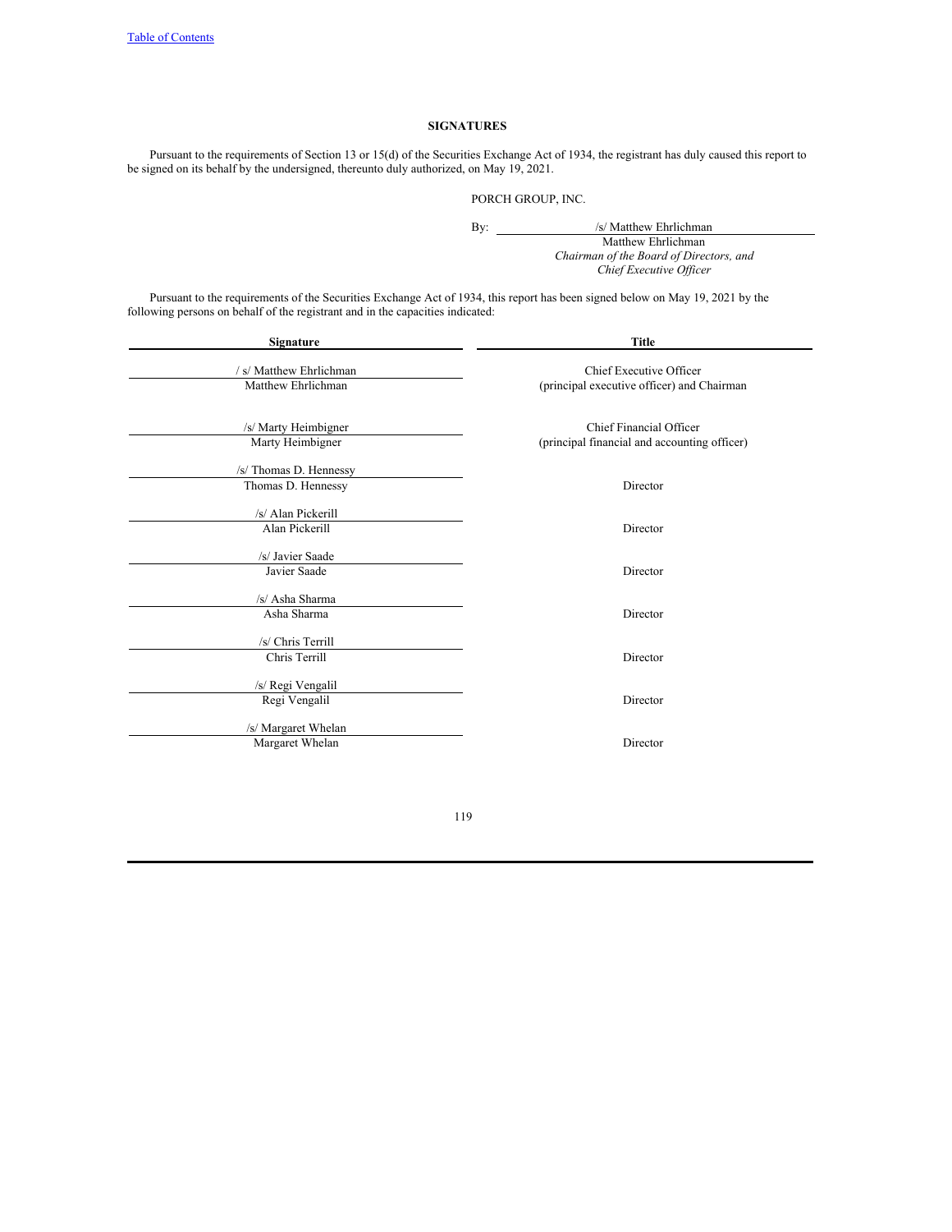# **SIGNATURES**

Pursuant to the requirements of Section 13 or 15(d) of the Securities Exchange Act of 1934, the registrant has duly caused this report to be signed on its behalf by the undersigned, thereunto duly authorized, on May 19, 2021.

PORCH GROUP, INC.

By: /s/ Matthew Ehrlichman Matthew Ehrlichman *Chairman of the Board of Directors, and Chief Executive Of icer*

Pursuant to the requirements of the Securities Exchange Act of 1934, this report has been signed below on May 19, 2021 by the following persons on behalf of the registrant and in the capacities indicated:

| <b>Signature</b>                             | <b>Title</b>                                                            |
|----------------------------------------------|-------------------------------------------------------------------------|
| s/ Matthew Ehrlichman<br>Matthew Ehrlichman  | Chief Executive Officer<br>(principal executive officer) and Chairman   |
| /s/ Marty Heimbigner<br>Marty Heimbigner     | Chief Financial Officer<br>(principal financial and accounting officer) |
| /s/ Thomas D. Hennessy<br>Thomas D. Hennessy | Director                                                                |
| /s/ Alan Pickerill<br>Alan Pickerill         | Director                                                                |
| /s/ Javier Saade<br>Javier Saade             | Director                                                                |
| /s/ Asha Sharma<br>Asha Sharma               | Director                                                                |
| /s/ Chris Terrill<br>Chris Terrill           | Director                                                                |
| /s/ Regi Vengalil<br>Regi Vengalil           | Director                                                                |
| /s/ Margaret Whelan<br>Margaret Whelan       | Director                                                                |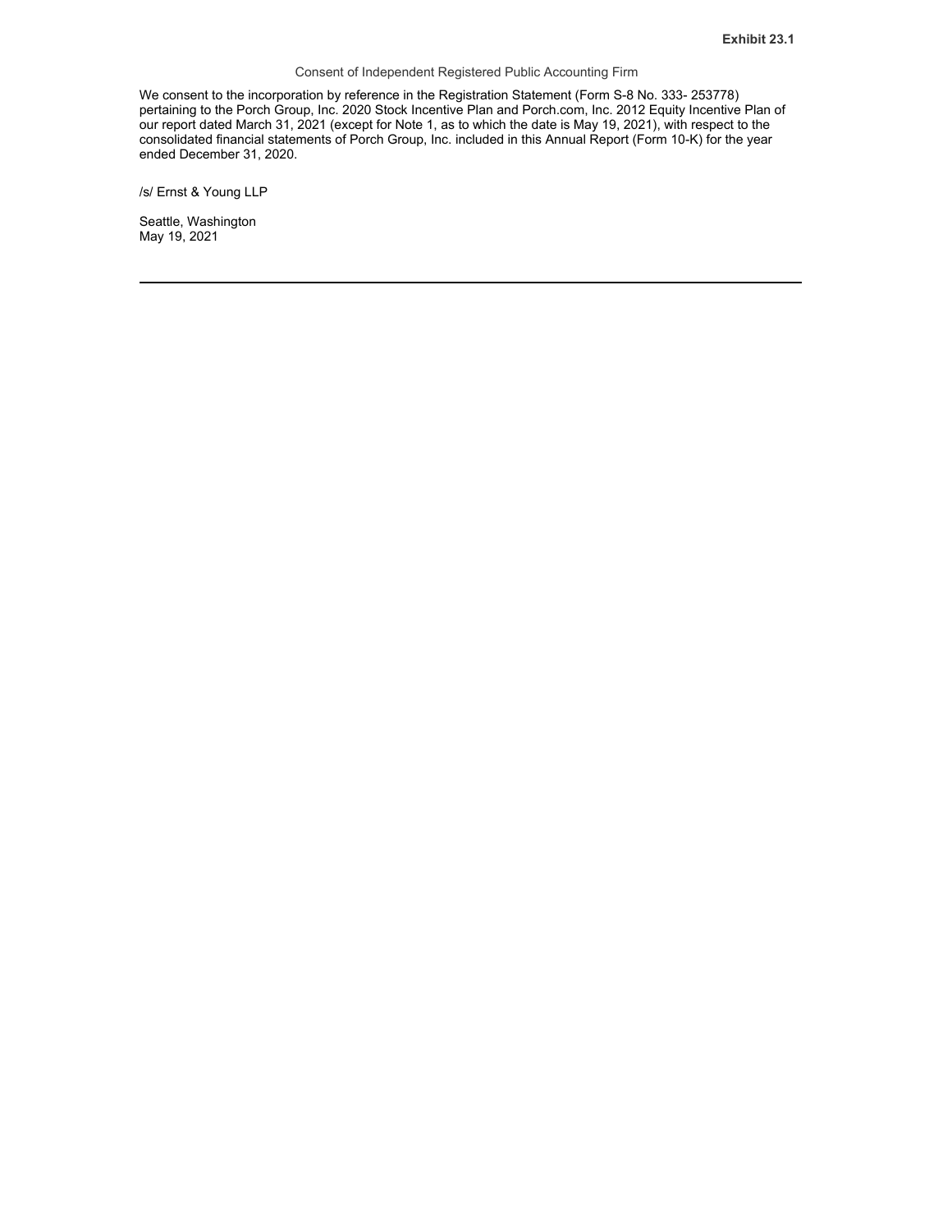# Consent of Independent Registered Public Accounting Firm

<span id="page-120-0"></span>We consent to the incorporation by reference in the Registration Statement (Form S-8 No. 333- 253778) pertaining to the Porch Group, Inc. 2020 Stock Incentive Plan and Porch.com, Inc. 2012 Equity Incentive Plan of our report dated March 31, 2021 (except for Note 1, as to which the date is May 19, 2021), with respect to the consolidated financial statements of Porch Group, Inc. included in this Annual Report (Form 10-K) for the year ended December 31, 2020.

/s/ Ernst & Young LLP

Seattle, Washington May 19, 2021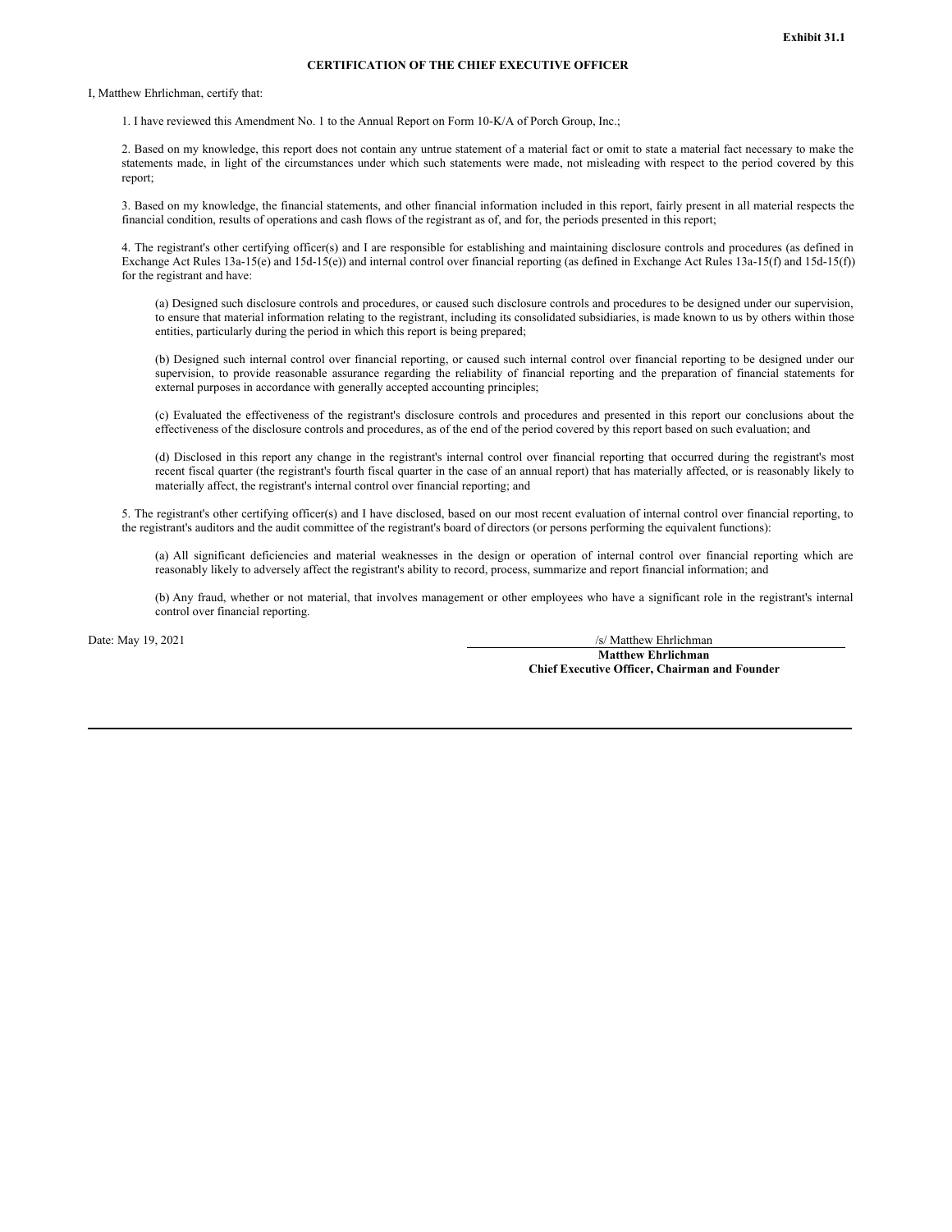# **CERTIFICATION OF THE CHIEF EXECUTIVE OFFICER**

<span id="page-121-0"></span>I, Matthew Ehrlichman, certify that:

1. I have reviewed this Amendment No. 1 to the Annual Report on Form 10-K/A of Porch Group, Inc.;

2. Based on my knowledge, this report does not contain any untrue statement of a material fact or omit to state a material fact necessary to make the statements made, in light of the circumstances under which such statements were made, not misleading with respect to the period covered by this report;

3. Based on my knowledge, the financial statements, and other financial information included in this report, fairly present in all material respects the financial condition, results of operations and cash flows of the registrant as of, and for, the periods presented in this report;

4. The registrant's other certifying officer(s) and I are responsible for establishing and maintaining disclosure controls and procedures (as defined in Exchange Act Rules 13a-15(e) and 15d-15(e)) and internal control over financial reporting (as defined in Exchange Act Rules 13a-15(f) and 15d-15(f)) for the registrant and have:

(a) Designed such disclosure controls and procedures, or caused such disclosure controls and procedures to be designed under our supervision, to ensure that material information relating to the registrant, including its consolidated subsidiaries, is made known to us by others within those entities, particularly during the period in which this report is being prepared;

(b) Designed such internal control over financial reporting, or caused such internal control over financial reporting to be designed under our supervision, to provide reasonable assurance regarding the reliability of financial reporting and the preparation of financial statements for external purposes in accordance with generally accepted accounting principles;

(c) Evaluated the effectiveness of the registrant's disclosure controls and procedures and presented in this report our conclusions about the effectiveness of the disclosure controls and procedures, as of the end of the period covered by this report based on such evaluation; and

(d) Disclosed in this report any change in the registrant's internal control over financial reporting that occurred during the registrant's most recent fiscal quarter (the registrant's fourth fiscal quarter in the case of an annual report) that has materially affected, or is reasonably likely to materially affect, the registrant's internal control over financial reporting; and

5. The registrant's other certifying officer(s) and I have disclosed, based on our most recent evaluation of internal control over financial reporting, to the registrant's auditors and the audit committee of the registrant's board of directors (or persons performing the equivalent functions):

(a) All significant deficiencies and material weaknesses in the design or operation of internal control over financial reporting which are reasonably likely to adversely affect the registrant's ability to record, process, summarize and report financial information; and

(b) Any fraud, whether or not material, that involves management or other employees who have a significant role in the registrant's internal control over financial reporting.

Date: May 19, 2021 /s/ Matthew Ehrlichman

**Matthew Ehrlichman Chief Executive Officer, Chairman and Founder**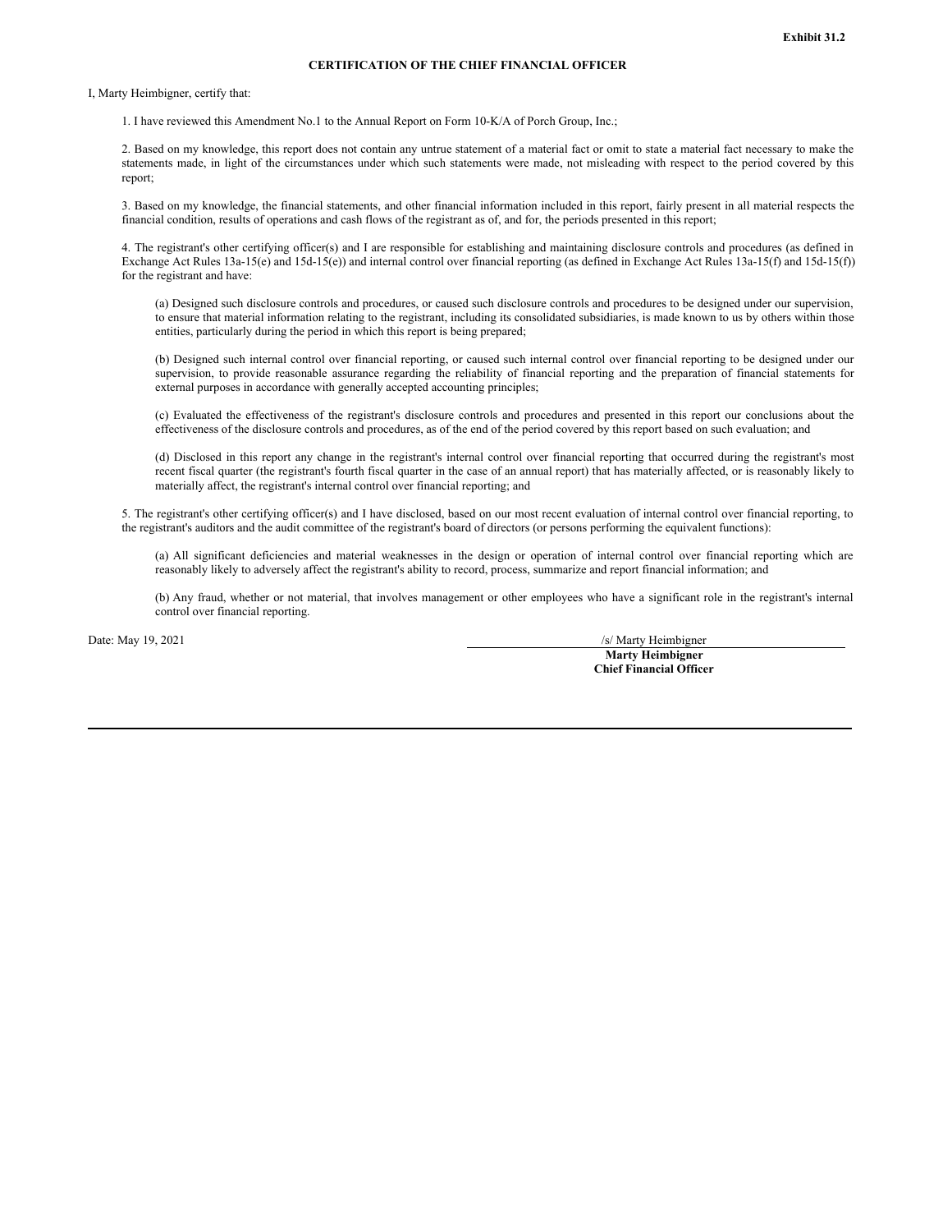# **CERTIFICATION OF THE CHIEF FINANCIAL OFFICER**

<span id="page-122-0"></span>I, Marty Heimbigner, certify that:

1. I have reviewed this Amendment No.1 to the Annual Report on Form 10-K/A of Porch Group, Inc.;

2. Based on my knowledge, this report does not contain any untrue statement of a material fact or omit to state a material fact necessary to make the statements made, in light of the circumstances under which such statements were made, not misleading with respect to the period covered by this report;

3. Based on my knowledge, the financial statements, and other financial information included in this report, fairly present in all material respects the financial condition, results of operations and cash flows of the registrant as of, and for, the periods presented in this report;

4. The registrant's other certifying officer(s) and I are responsible for establishing and maintaining disclosure controls and procedures (as defined in Exchange Act Rules 13a-15(e) and 15d-15(e)) and internal control over financial reporting (as defined in Exchange Act Rules 13a-15(f) and 15d-15(f)) for the registrant and have:

(a) Designed such disclosure controls and procedures, or caused such disclosure controls and procedures to be designed under our supervision, to ensure that material information relating to the registrant, including its consolidated subsidiaries, is made known to us by others within those entities, particularly during the period in which this report is being prepared;

(b) Designed such internal control over financial reporting, or caused such internal control over financial reporting to be designed under our supervision, to provide reasonable assurance regarding the reliability of financial reporting and the preparation of financial statements for external purposes in accordance with generally accepted accounting principles;

(c) Evaluated the effectiveness of the registrant's disclosure controls and procedures and presented in this report our conclusions about the effectiveness of the disclosure controls and procedures, as of the end of the period covered by this report based on such evaluation; and

(d) Disclosed in this report any change in the registrant's internal control over financial reporting that occurred during the registrant's most recent fiscal quarter (the registrant's fourth fiscal quarter in the case of an annual report) that has materially affected, or is reasonably likely to materially affect, the registrant's internal control over financial reporting; and

5. The registrant's other certifying officer(s) and I have disclosed, based on our most recent evaluation of internal control over financial reporting, to the registrant's auditors and the audit committee of the registrant's board of directors (or persons performing the equivalent functions):

(a) All significant deficiencies and material weaknesses in the design or operation of internal control over financial reporting which are reasonably likely to adversely affect the registrant's ability to record, process, summarize and report financial information; and

(b) Any fraud, whether or not material, that involves management or other employees who have a significant role in the registrant's internal control over financial reporting.

Date: May 19, 2021 /s/ Marty Heimbigner **Marty Heimbigner**

**Chief Financial Officer**